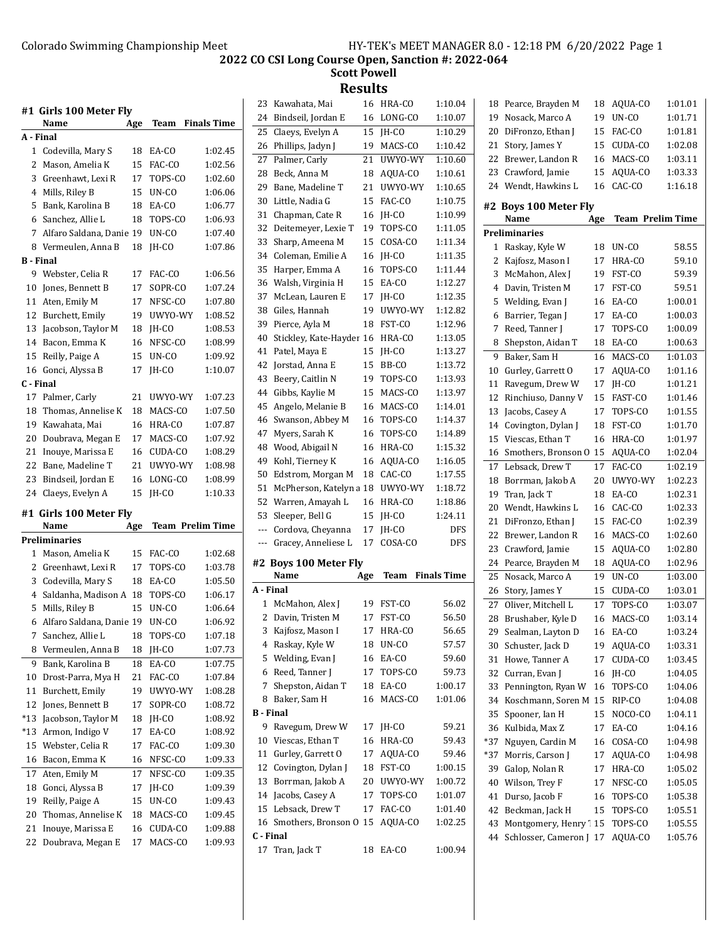**Scott Powell Results**<br>16 HRA-CO

| A - Final<br>1 Codevilla, Mary S<br>18<br>EA-CO<br>1:02.45<br>2<br>Mason, Amelia K<br>FAC-CO<br>15<br>3<br>Greenhawt, Lexi R<br>17<br>TOPS-CO<br>4<br>Mills, Riley B<br>15<br>UN-CO<br>Bank, Karolina B<br>5<br>18<br>EA-CO<br>Sanchez, Allie L<br>18<br>TOPS-CO<br>6<br>1:06.93<br>7<br>Alfaro Saldana, Danie 19<br>UN-CO<br>8<br>Vermeulen, Anna B<br>18<br>IH-CO<br><b>B</b> - Final<br>9<br>Webster, Celia R<br>17<br>FAC-CO<br>10<br>Jones, Bennett B<br>17<br>SOPR-CO<br>11<br>Aten, Emily M<br>NFSC-CO<br>17<br>12 Burchett, Emily<br>UWYO-WY<br>1:08.52<br>19<br>13 Jacobson, Taylor M<br>IH-CO<br>1:08.53<br>18<br>14 Bacon, Emma K<br>NFSC-CO<br>16<br>15<br>Reilly, Paige A<br>UN-CO<br>1:09.92<br>15<br>Gonci, Alyssa B<br>16<br>JH-CO<br>17<br>C - Final<br>17<br>Palmer, Carly<br>21<br>UWYO-WY<br>1:07.23<br>Thomas, Annelise K<br>18<br>18<br>MACS-CO<br>19 Kawahata, Mai<br>HRA-CO<br>1:07.87<br>16<br>20<br>MACS-CO<br>Doubrava, Megan E<br>17<br>1:07.92<br>1:08.29<br>21<br>Inouye, Marissa E<br>CUDA-CO<br>16<br>22 Bane, Madeline T<br>21<br>UWYO-WY<br>1:08.98<br>23<br>LONG-CO<br>Bindseil, Jordan E<br>16<br>1:08.99<br>24<br>Claeys, Evelyn A<br>15<br>JH-CO<br>1:10.33<br>#1  Girls 100 Meter Fly<br><b>Team Prelim Time</b><br>Name<br>Age<br>Preliminaries<br>Mason, Amelia K<br>15<br>FAC-CO<br>1:02.68<br>1<br>2<br>Greenhawt, Lexi R<br>17<br>TOPS-CO<br>1:03.78<br>1:05.50<br>3<br>Codevilla, Mary S<br>18<br>EA-CO<br>Saldanha, Madison A<br>4<br>18<br>TOPS-CO<br>1:06.17<br>5<br>15<br>UN-CO<br>1:06.64<br>Mills, Riley B<br>6<br>$UN-CO$<br>1:06.92<br>Alfaro Saldana, Danie 19<br>7<br>Sanchez, Allie L<br>18<br>TOPS-CO<br>1:07.18<br>Vermeulen, Anna B<br>8<br>1:07.73<br>18<br>JH-CO<br>9<br>Bank, Karolina B<br>1:07.75<br>18<br>EA-CO<br>10<br>Drost-Parra, Mya H<br>21<br>FAC-CO<br>1:07.84<br>Burchett, Emily<br>11<br>19<br>UWYO-WY<br>1:08.28<br>Jones, Bennett B<br>1:08.72<br>12<br>17<br>SOPR-CO<br>$*13$<br>Jacobson, Taylor M<br>JH-CO<br>1:08.92<br>18<br>Armon, Indigo V<br>EA-CO<br>*13<br>17<br>1:08.92<br>Webster, Celia R<br>15<br>17<br>FAC-CO<br>16<br>Bacon, Emma K<br>NFSC-CO<br>16<br>17<br>Aten, Emily M<br>17<br>NFSC-CO<br>1:09.35<br>Gonci, Alyssa B<br>18<br>17<br>JH-CO<br>19<br>Reilly, Paige A<br>15<br>UN-CO<br>Thomas, Annelise K<br>1:09.45<br>20<br>MACS-CO<br>18 |    | #1  Girls 100 Meter Fly<br>Name | Age | Team | <b>Finals Time</b> |
|----------------------------------------------------------------------------------------------------------------------------------------------------------------------------------------------------------------------------------------------------------------------------------------------------------------------------------------------------------------------------------------------------------------------------------------------------------------------------------------------------------------------------------------------------------------------------------------------------------------------------------------------------------------------------------------------------------------------------------------------------------------------------------------------------------------------------------------------------------------------------------------------------------------------------------------------------------------------------------------------------------------------------------------------------------------------------------------------------------------------------------------------------------------------------------------------------------------------------------------------------------------------------------------------------------------------------------------------------------------------------------------------------------------------------------------------------------------------------------------------------------------------------------------------------------------------------------------------------------------------------------------------------------------------------------------------------------------------------------------------------------------------------------------------------------------------------------------------------------------------------------------------------------------------------------------------------------------------------------------------------------------------------------------------------------------------------------------------------------------------------------------------------------------------------------------------------------------------------------------------------------------------------------------------------------------------------------------------|----|---------------------------------|-----|------|--------------------|
|                                                                                                                                                                                                                                                                                                                                                                                                                                                                                                                                                                                                                                                                                                                                                                                                                                                                                                                                                                                                                                                                                                                                                                                                                                                                                                                                                                                                                                                                                                                                                                                                                                                                                                                                                                                                                                                                                                                                                                                                                                                                                                                                                                                                                                                                                                                                              |    |                                 |     |      |                    |
|                                                                                                                                                                                                                                                                                                                                                                                                                                                                                                                                                                                                                                                                                                                                                                                                                                                                                                                                                                                                                                                                                                                                                                                                                                                                                                                                                                                                                                                                                                                                                                                                                                                                                                                                                                                                                                                                                                                                                                                                                                                                                                                                                                                                                                                                                                                                              |    |                                 |     |      |                    |
|                                                                                                                                                                                                                                                                                                                                                                                                                                                                                                                                                                                                                                                                                                                                                                                                                                                                                                                                                                                                                                                                                                                                                                                                                                                                                                                                                                                                                                                                                                                                                                                                                                                                                                                                                                                                                                                                                                                                                                                                                                                                                                                                                                                                                                                                                                                                              |    |                                 |     |      | 1:02.56            |
|                                                                                                                                                                                                                                                                                                                                                                                                                                                                                                                                                                                                                                                                                                                                                                                                                                                                                                                                                                                                                                                                                                                                                                                                                                                                                                                                                                                                                                                                                                                                                                                                                                                                                                                                                                                                                                                                                                                                                                                                                                                                                                                                                                                                                                                                                                                                              |    |                                 |     |      | 1:02.60            |
|                                                                                                                                                                                                                                                                                                                                                                                                                                                                                                                                                                                                                                                                                                                                                                                                                                                                                                                                                                                                                                                                                                                                                                                                                                                                                                                                                                                                                                                                                                                                                                                                                                                                                                                                                                                                                                                                                                                                                                                                                                                                                                                                                                                                                                                                                                                                              |    |                                 |     |      | 1:06.06            |
|                                                                                                                                                                                                                                                                                                                                                                                                                                                                                                                                                                                                                                                                                                                                                                                                                                                                                                                                                                                                                                                                                                                                                                                                                                                                                                                                                                                                                                                                                                                                                                                                                                                                                                                                                                                                                                                                                                                                                                                                                                                                                                                                                                                                                                                                                                                                              |    |                                 |     |      | 1:06.77            |
|                                                                                                                                                                                                                                                                                                                                                                                                                                                                                                                                                                                                                                                                                                                                                                                                                                                                                                                                                                                                                                                                                                                                                                                                                                                                                                                                                                                                                                                                                                                                                                                                                                                                                                                                                                                                                                                                                                                                                                                                                                                                                                                                                                                                                                                                                                                                              |    |                                 |     |      |                    |
|                                                                                                                                                                                                                                                                                                                                                                                                                                                                                                                                                                                                                                                                                                                                                                                                                                                                                                                                                                                                                                                                                                                                                                                                                                                                                                                                                                                                                                                                                                                                                                                                                                                                                                                                                                                                                                                                                                                                                                                                                                                                                                                                                                                                                                                                                                                                              |    |                                 |     |      | 1:07.40            |
|                                                                                                                                                                                                                                                                                                                                                                                                                                                                                                                                                                                                                                                                                                                                                                                                                                                                                                                                                                                                                                                                                                                                                                                                                                                                                                                                                                                                                                                                                                                                                                                                                                                                                                                                                                                                                                                                                                                                                                                                                                                                                                                                                                                                                                                                                                                                              |    |                                 |     |      | 1:07.86            |
|                                                                                                                                                                                                                                                                                                                                                                                                                                                                                                                                                                                                                                                                                                                                                                                                                                                                                                                                                                                                                                                                                                                                                                                                                                                                                                                                                                                                                                                                                                                                                                                                                                                                                                                                                                                                                                                                                                                                                                                                                                                                                                                                                                                                                                                                                                                                              |    |                                 |     |      |                    |
|                                                                                                                                                                                                                                                                                                                                                                                                                                                                                                                                                                                                                                                                                                                                                                                                                                                                                                                                                                                                                                                                                                                                                                                                                                                                                                                                                                                                                                                                                                                                                                                                                                                                                                                                                                                                                                                                                                                                                                                                                                                                                                                                                                                                                                                                                                                                              |    |                                 |     |      | 1:06.56            |
|                                                                                                                                                                                                                                                                                                                                                                                                                                                                                                                                                                                                                                                                                                                                                                                                                                                                                                                                                                                                                                                                                                                                                                                                                                                                                                                                                                                                                                                                                                                                                                                                                                                                                                                                                                                                                                                                                                                                                                                                                                                                                                                                                                                                                                                                                                                                              |    |                                 |     |      | 1:07.24            |
|                                                                                                                                                                                                                                                                                                                                                                                                                                                                                                                                                                                                                                                                                                                                                                                                                                                                                                                                                                                                                                                                                                                                                                                                                                                                                                                                                                                                                                                                                                                                                                                                                                                                                                                                                                                                                                                                                                                                                                                                                                                                                                                                                                                                                                                                                                                                              |    |                                 |     |      | 1:07.80            |
|                                                                                                                                                                                                                                                                                                                                                                                                                                                                                                                                                                                                                                                                                                                                                                                                                                                                                                                                                                                                                                                                                                                                                                                                                                                                                                                                                                                                                                                                                                                                                                                                                                                                                                                                                                                                                                                                                                                                                                                                                                                                                                                                                                                                                                                                                                                                              |    |                                 |     |      |                    |
|                                                                                                                                                                                                                                                                                                                                                                                                                                                                                                                                                                                                                                                                                                                                                                                                                                                                                                                                                                                                                                                                                                                                                                                                                                                                                                                                                                                                                                                                                                                                                                                                                                                                                                                                                                                                                                                                                                                                                                                                                                                                                                                                                                                                                                                                                                                                              |    |                                 |     |      |                    |
|                                                                                                                                                                                                                                                                                                                                                                                                                                                                                                                                                                                                                                                                                                                                                                                                                                                                                                                                                                                                                                                                                                                                                                                                                                                                                                                                                                                                                                                                                                                                                                                                                                                                                                                                                                                                                                                                                                                                                                                                                                                                                                                                                                                                                                                                                                                                              |    |                                 |     |      | 1:08.99            |
|                                                                                                                                                                                                                                                                                                                                                                                                                                                                                                                                                                                                                                                                                                                                                                                                                                                                                                                                                                                                                                                                                                                                                                                                                                                                                                                                                                                                                                                                                                                                                                                                                                                                                                                                                                                                                                                                                                                                                                                                                                                                                                                                                                                                                                                                                                                                              |    |                                 |     |      |                    |
|                                                                                                                                                                                                                                                                                                                                                                                                                                                                                                                                                                                                                                                                                                                                                                                                                                                                                                                                                                                                                                                                                                                                                                                                                                                                                                                                                                                                                                                                                                                                                                                                                                                                                                                                                                                                                                                                                                                                                                                                                                                                                                                                                                                                                                                                                                                                              |    |                                 |     |      | 1:10.07            |
|                                                                                                                                                                                                                                                                                                                                                                                                                                                                                                                                                                                                                                                                                                                                                                                                                                                                                                                                                                                                                                                                                                                                                                                                                                                                                                                                                                                                                                                                                                                                                                                                                                                                                                                                                                                                                                                                                                                                                                                                                                                                                                                                                                                                                                                                                                                                              |    |                                 |     |      |                    |
|                                                                                                                                                                                                                                                                                                                                                                                                                                                                                                                                                                                                                                                                                                                                                                                                                                                                                                                                                                                                                                                                                                                                                                                                                                                                                                                                                                                                                                                                                                                                                                                                                                                                                                                                                                                                                                                                                                                                                                                                                                                                                                                                                                                                                                                                                                                                              |    |                                 |     |      |                    |
|                                                                                                                                                                                                                                                                                                                                                                                                                                                                                                                                                                                                                                                                                                                                                                                                                                                                                                                                                                                                                                                                                                                                                                                                                                                                                                                                                                                                                                                                                                                                                                                                                                                                                                                                                                                                                                                                                                                                                                                                                                                                                                                                                                                                                                                                                                                                              |    |                                 |     |      | 1:07.50            |
|                                                                                                                                                                                                                                                                                                                                                                                                                                                                                                                                                                                                                                                                                                                                                                                                                                                                                                                                                                                                                                                                                                                                                                                                                                                                                                                                                                                                                                                                                                                                                                                                                                                                                                                                                                                                                                                                                                                                                                                                                                                                                                                                                                                                                                                                                                                                              |    |                                 |     |      |                    |
|                                                                                                                                                                                                                                                                                                                                                                                                                                                                                                                                                                                                                                                                                                                                                                                                                                                                                                                                                                                                                                                                                                                                                                                                                                                                                                                                                                                                                                                                                                                                                                                                                                                                                                                                                                                                                                                                                                                                                                                                                                                                                                                                                                                                                                                                                                                                              |    |                                 |     |      |                    |
|                                                                                                                                                                                                                                                                                                                                                                                                                                                                                                                                                                                                                                                                                                                                                                                                                                                                                                                                                                                                                                                                                                                                                                                                                                                                                                                                                                                                                                                                                                                                                                                                                                                                                                                                                                                                                                                                                                                                                                                                                                                                                                                                                                                                                                                                                                                                              |    |                                 |     |      |                    |
|                                                                                                                                                                                                                                                                                                                                                                                                                                                                                                                                                                                                                                                                                                                                                                                                                                                                                                                                                                                                                                                                                                                                                                                                                                                                                                                                                                                                                                                                                                                                                                                                                                                                                                                                                                                                                                                                                                                                                                                                                                                                                                                                                                                                                                                                                                                                              |    |                                 |     |      |                    |
|                                                                                                                                                                                                                                                                                                                                                                                                                                                                                                                                                                                                                                                                                                                                                                                                                                                                                                                                                                                                                                                                                                                                                                                                                                                                                                                                                                                                                                                                                                                                                                                                                                                                                                                                                                                                                                                                                                                                                                                                                                                                                                                                                                                                                                                                                                                                              |    |                                 |     |      |                    |
|                                                                                                                                                                                                                                                                                                                                                                                                                                                                                                                                                                                                                                                                                                                                                                                                                                                                                                                                                                                                                                                                                                                                                                                                                                                                                                                                                                                                                                                                                                                                                                                                                                                                                                                                                                                                                                                                                                                                                                                                                                                                                                                                                                                                                                                                                                                                              |    |                                 |     |      |                    |
|                                                                                                                                                                                                                                                                                                                                                                                                                                                                                                                                                                                                                                                                                                                                                                                                                                                                                                                                                                                                                                                                                                                                                                                                                                                                                                                                                                                                                                                                                                                                                                                                                                                                                                                                                                                                                                                                                                                                                                                                                                                                                                                                                                                                                                                                                                                                              |    |                                 |     |      |                    |
|                                                                                                                                                                                                                                                                                                                                                                                                                                                                                                                                                                                                                                                                                                                                                                                                                                                                                                                                                                                                                                                                                                                                                                                                                                                                                                                                                                                                                                                                                                                                                                                                                                                                                                                                                                                                                                                                                                                                                                                                                                                                                                                                                                                                                                                                                                                                              |    |                                 |     |      |                    |
|                                                                                                                                                                                                                                                                                                                                                                                                                                                                                                                                                                                                                                                                                                                                                                                                                                                                                                                                                                                                                                                                                                                                                                                                                                                                                                                                                                                                                                                                                                                                                                                                                                                                                                                                                                                                                                                                                                                                                                                                                                                                                                                                                                                                                                                                                                                                              |    |                                 |     |      |                    |
|                                                                                                                                                                                                                                                                                                                                                                                                                                                                                                                                                                                                                                                                                                                                                                                                                                                                                                                                                                                                                                                                                                                                                                                                                                                                                                                                                                                                                                                                                                                                                                                                                                                                                                                                                                                                                                                                                                                                                                                                                                                                                                                                                                                                                                                                                                                                              |    |                                 |     |      |                    |
|                                                                                                                                                                                                                                                                                                                                                                                                                                                                                                                                                                                                                                                                                                                                                                                                                                                                                                                                                                                                                                                                                                                                                                                                                                                                                                                                                                                                                                                                                                                                                                                                                                                                                                                                                                                                                                                                                                                                                                                                                                                                                                                                                                                                                                                                                                                                              |    |                                 |     |      |                    |
|                                                                                                                                                                                                                                                                                                                                                                                                                                                                                                                                                                                                                                                                                                                                                                                                                                                                                                                                                                                                                                                                                                                                                                                                                                                                                                                                                                                                                                                                                                                                                                                                                                                                                                                                                                                                                                                                                                                                                                                                                                                                                                                                                                                                                                                                                                                                              |    |                                 |     |      |                    |
|                                                                                                                                                                                                                                                                                                                                                                                                                                                                                                                                                                                                                                                                                                                                                                                                                                                                                                                                                                                                                                                                                                                                                                                                                                                                                                                                                                                                                                                                                                                                                                                                                                                                                                                                                                                                                                                                                                                                                                                                                                                                                                                                                                                                                                                                                                                                              |    |                                 |     |      |                    |
|                                                                                                                                                                                                                                                                                                                                                                                                                                                                                                                                                                                                                                                                                                                                                                                                                                                                                                                                                                                                                                                                                                                                                                                                                                                                                                                                                                                                                                                                                                                                                                                                                                                                                                                                                                                                                                                                                                                                                                                                                                                                                                                                                                                                                                                                                                                                              |    |                                 |     |      |                    |
|                                                                                                                                                                                                                                                                                                                                                                                                                                                                                                                                                                                                                                                                                                                                                                                                                                                                                                                                                                                                                                                                                                                                                                                                                                                                                                                                                                                                                                                                                                                                                                                                                                                                                                                                                                                                                                                                                                                                                                                                                                                                                                                                                                                                                                                                                                                                              |    |                                 |     |      |                    |
|                                                                                                                                                                                                                                                                                                                                                                                                                                                                                                                                                                                                                                                                                                                                                                                                                                                                                                                                                                                                                                                                                                                                                                                                                                                                                                                                                                                                                                                                                                                                                                                                                                                                                                                                                                                                                                                                                                                                                                                                                                                                                                                                                                                                                                                                                                                                              |    |                                 |     |      |                    |
|                                                                                                                                                                                                                                                                                                                                                                                                                                                                                                                                                                                                                                                                                                                                                                                                                                                                                                                                                                                                                                                                                                                                                                                                                                                                                                                                                                                                                                                                                                                                                                                                                                                                                                                                                                                                                                                                                                                                                                                                                                                                                                                                                                                                                                                                                                                                              |    |                                 |     |      |                    |
|                                                                                                                                                                                                                                                                                                                                                                                                                                                                                                                                                                                                                                                                                                                                                                                                                                                                                                                                                                                                                                                                                                                                                                                                                                                                                                                                                                                                                                                                                                                                                                                                                                                                                                                                                                                                                                                                                                                                                                                                                                                                                                                                                                                                                                                                                                                                              |    |                                 |     |      |                    |
|                                                                                                                                                                                                                                                                                                                                                                                                                                                                                                                                                                                                                                                                                                                                                                                                                                                                                                                                                                                                                                                                                                                                                                                                                                                                                                                                                                                                                                                                                                                                                                                                                                                                                                                                                                                                                                                                                                                                                                                                                                                                                                                                                                                                                                                                                                                                              |    |                                 |     |      |                    |
|                                                                                                                                                                                                                                                                                                                                                                                                                                                                                                                                                                                                                                                                                                                                                                                                                                                                                                                                                                                                                                                                                                                                                                                                                                                                                                                                                                                                                                                                                                                                                                                                                                                                                                                                                                                                                                                                                                                                                                                                                                                                                                                                                                                                                                                                                                                                              |    |                                 |     |      |                    |
|                                                                                                                                                                                                                                                                                                                                                                                                                                                                                                                                                                                                                                                                                                                                                                                                                                                                                                                                                                                                                                                                                                                                                                                                                                                                                                                                                                                                                                                                                                                                                                                                                                                                                                                                                                                                                                                                                                                                                                                                                                                                                                                                                                                                                                                                                                                                              |    |                                 |     |      |                    |
|                                                                                                                                                                                                                                                                                                                                                                                                                                                                                                                                                                                                                                                                                                                                                                                                                                                                                                                                                                                                                                                                                                                                                                                                                                                                                                                                                                                                                                                                                                                                                                                                                                                                                                                                                                                                                                                                                                                                                                                                                                                                                                                                                                                                                                                                                                                                              |    |                                 |     |      |                    |
|                                                                                                                                                                                                                                                                                                                                                                                                                                                                                                                                                                                                                                                                                                                                                                                                                                                                                                                                                                                                                                                                                                                                                                                                                                                                                                                                                                                                                                                                                                                                                                                                                                                                                                                                                                                                                                                                                                                                                                                                                                                                                                                                                                                                                                                                                                                                              |    |                                 |     |      |                    |
|                                                                                                                                                                                                                                                                                                                                                                                                                                                                                                                                                                                                                                                                                                                                                                                                                                                                                                                                                                                                                                                                                                                                                                                                                                                                                                                                                                                                                                                                                                                                                                                                                                                                                                                                                                                                                                                                                                                                                                                                                                                                                                                                                                                                                                                                                                                                              |    |                                 |     |      |                    |
|                                                                                                                                                                                                                                                                                                                                                                                                                                                                                                                                                                                                                                                                                                                                                                                                                                                                                                                                                                                                                                                                                                                                                                                                                                                                                                                                                                                                                                                                                                                                                                                                                                                                                                                                                                                                                                                                                                                                                                                                                                                                                                                                                                                                                                                                                                                                              |    |                                 |     |      | 1:09.30            |
|                                                                                                                                                                                                                                                                                                                                                                                                                                                                                                                                                                                                                                                                                                                                                                                                                                                                                                                                                                                                                                                                                                                                                                                                                                                                                                                                                                                                                                                                                                                                                                                                                                                                                                                                                                                                                                                                                                                                                                                                                                                                                                                                                                                                                                                                                                                                              |    |                                 |     |      | 1:09.33            |
|                                                                                                                                                                                                                                                                                                                                                                                                                                                                                                                                                                                                                                                                                                                                                                                                                                                                                                                                                                                                                                                                                                                                                                                                                                                                                                                                                                                                                                                                                                                                                                                                                                                                                                                                                                                                                                                                                                                                                                                                                                                                                                                                                                                                                                                                                                                                              |    |                                 |     |      |                    |
|                                                                                                                                                                                                                                                                                                                                                                                                                                                                                                                                                                                                                                                                                                                                                                                                                                                                                                                                                                                                                                                                                                                                                                                                                                                                                                                                                                                                                                                                                                                                                                                                                                                                                                                                                                                                                                                                                                                                                                                                                                                                                                                                                                                                                                                                                                                                              |    |                                 |     |      | 1:09.39            |
|                                                                                                                                                                                                                                                                                                                                                                                                                                                                                                                                                                                                                                                                                                                                                                                                                                                                                                                                                                                                                                                                                                                                                                                                                                                                                                                                                                                                                                                                                                                                                                                                                                                                                                                                                                                                                                                                                                                                                                                                                                                                                                                                                                                                                                                                                                                                              |    |                                 |     |      | 1:09.43            |
|                                                                                                                                                                                                                                                                                                                                                                                                                                                                                                                                                                                                                                                                                                                                                                                                                                                                                                                                                                                                                                                                                                                                                                                                                                                                                                                                                                                                                                                                                                                                                                                                                                                                                                                                                                                                                                                                                                                                                                                                                                                                                                                                                                                                                                                                                                                                              |    |                                 |     |      |                    |
| CUDA-CO<br>16                                                                                                                                                                                                                                                                                                                                                                                                                                                                                                                                                                                                                                                                                                                                                                                                                                                                                                                                                                                                                                                                                                                                                                                                                                                                                                                                                                                                                                                                                                                                                                                                                                                                                                                                                                                                                                                                                                                                                                                                                                                                                                                                                                                                                                                                                                                                |    |                                 |     |      |                    |
| 22<br>Doubrava, Megan E<br>MACS-CO<br>1:09.93<br>17                                                                                                                                                                                                                                                                                                                                                                                                                                                                                                                                                                                                                                                                                                                                                                                                                                                                                                                                                                                                                                                                                                                                                                                                                                                                                                                                                                                                                                                                                                                                                                                                                                                                                                                                                                                                                                                                                                                                                                                                                                                                                                                                                                                                                                                                                          | 21 | Inouye, Marissa E               |     |      | 1:09.88            |

| 23               | Kawahata, Mai             | 16       | HRA-CO           | 1:10.04            |
|------------------|---------------------------|----------|------------------|--------------------|
| 24               | Bindseil, Jordan E        | 16       | LONG-CO          | 1:10.07            |
| 25               | Claeys, Evelyn A          | 15       | JH-CO            | 1:10.29            |
| 26               | Phillips, Jadyn J         | 19       | MACS-CO          | 1:10.42            |
| 27               | Palmer, Carly             | 21       | UWYO-WY          | 1:10.60            |
| 28               | Beck, Anna M              | 18       | AQUA-CO          | 1:10.61            |
| 29               | Bane, Madeline T          | 21       | UWYO-WY          | 1:10.65            |
| 30               | Little, Nadia G           | 15       | FAC-CO           | 1:10.75            |
| 31               | Chapman, Cate R           | 16       | IH-CO            | 1:10.99            |
| 32               | Deitemeyer, Lexie T       | 19       | TOPS-CO          | 1:11.05            |
| 33               | Sharp, Ameena M           | 15       | COSA-CO          | 1:11.34            |
| 34               | Coleman, Emilie A         | 16       | IH-CO            | 1:11.35            |
| 35               | Harper, Emma A            | 16       | TOPS-CO          | 1:11.44            |
| 36               | Walsh, Virginia H         | 15       | EA-CO            | 1:12.27            |
| 37               | McLean, Lauren E          | 17       | IH-CO            | 1:12.35            |
| 38               | Giles, Hannah             | 19       | UWYO-WY          | 1:12.82            |
| 39               | Pierce, Ayla M            | 18       | FST-CO           | 1:12.96            |
| 40               | Stickley, Kate-Hayder 16  |          | HRA-CO           | 1:13.05            |
| 41               | Patel, Maya E             | 15       | IH-CO            | 1:13.27            |
| 42               | Jorstad, Anna E           | 15       | BB-CO            | 1:13.72            |
| 43               | Beery, Caitlin N          | 19       | TOPS-CO          | 1:13.93            |
| 44               | Gibbs, Kaylie M           | 15       | MACS-CO          | 1:13.97            |
| 45               | Angelo, Melanie B         | 16       | MACS-CO          | 1:14.01            |
| 46               | Swanson, Abbey M          | 16       | TOPS-CO          | 1:14.37            |
| 47               | Myers, Sarah K            | 16       | TOPS-CO          | 1:14.89            |
| 48               | Wood, Abigail N           | 16       | HRA-CO           | 1:15.32            |
| 49               | Kohl, Tierney K           | 16       | AQUA-CO          | 1:16.05            |
| 50               | Edstrom, Morgan M         | 18       | CAC-CO           | 1:17.55            |
|                  |                           |          |                  |                    |
|                  |                           |          |                  |                    |
| 51               | McPherson, Katelyn a 18   |          | UWYO-WY          | 1:18.72            |
| 52               | Warren, Amayah L          | 16       | HRA-CO           | 1:18.86            |
| 53<br>---        | Sleeper, Bell G           | 15       | JH-CO            | 1:24.11            |
| ---              | Cordova, Cheyanna         | 17<br>17 | JH-CO<br>COSA-CO | DFS<br><b>DFS</b>  |
|                  | Gracey, Anneliese L       |          |                  |                    |
| #2               | <b>Boys 100 Meter Fly</b> |          |                  |                    |
|                  | Name                      | Age      | Team             | <b>Finals Time</b> |
| A - Final        |                           |          |                  |                    |
| $\mathbf 1$      | McMahon, Alex J           | 19       | FST-CO           | 56.02              |
| 2                | Davin, Tristen M          | 17       | FST-CO           | 56.50              |
| 3                | Kajfosz, Mason I          | 17       | HRA-CO           | 56.65              |
| 4                | Raskay, Kyle W            | 18       | UN-CO            | 57.57              |
| 5                | Welding, Evan J           | 16       | EA-CO            | 59.60              |
| 6                | Reed, Tanner J            | 17       | TOPS-CO          | 59.73              |
| 7                | Shepston, Aidan T         | 18       | EA-CO            | 1:00.17            |
| 8                | Baker, Sam H              | 16       | MACS-CO          | 1:01.06            |
| <b>B</b> - Final |                           |          |                  |                    |
| 9                | Ravegum, Drew W           | 17       | JH-CO            | 59.21              |
| 10               | Viescas, Ethan T          | 16       | HRA-CO           | 59.43              |
| 11               | Gurley, Garrett O         | 17       | AQUA-CO          | 59.46              |
| 12               | Covington, Dylan J        | 18       | FST-CO           | 1:00.15            |
| 13               | Borrman, Jakob A          | 20       | UWYO-WY          | 1:00.72            |
| 14               | Jacobs, Casey A           | 17       | TOPS-CO          | 1:01.07            |
| 15               | Lebsack, Drew T           | 17       | FAC-CO           | 1:01.40            |
| 16               | Smothers, Bronson 0 15    |          | AQUA-CO          | 1:02.25            |
| C - Final<br>17  | Tran, Jack T              | 18       | EA-CO            | 1:00.94            |

| 18  | Pearce, Brayden M                 | 18  | AQUA-CO             | 1:01.01            |
|-----|-----------------------------------|-----|---------------------|--------------------|
| 19  | Nosack, Marco A                   | 19  | UN-CO               | 1:01.71            |
| 20  | DiFronzo, Ethan J                 | 15  | FAC-CO              | 1:01.81            |
| 21  | Story, James Y                    | 15  | CUDA-CO             | 1:02.08            |
| 22  | Brewer, Landon R                  | 16  | MACS-CO             | 1:03.11            |
| 23  | Crawford, Jamie                   | 15  | AQUA-CO             | 1:03.33            |
| 24  | Wendt, Hawkins L                  | 16  | CAC-CO              | 1:16.18            |
|     |                                   |     |                     |                    |
| #2  | <b>Boys 100 Meter Fly</b><br>Name | Age | Team                | <b>Prelim Time</b> |
|     | <b>Preliminaries</b>              |     |                     |                    |
| 1   | Raskay, Kyle W                    | 18  | UN-CO               | 58.55              |
| 2   | Kajfosz, Mason I                  | 17  | HRA-CO              | 59.10              |
| 3   | McMahon, Alex J                   | 19  | FST-CO              | 59.39              |
| 4   | Davin, Tristen M                  | 17  | FST-CO              | 59.51              |
| 5   | Welding, Evan J                   | 16  | EA-CO               | 1:00.01            |
| 6   | Barrier, Tegan J                  | 17  | EA-CO               | 1:00.03            |
| 7   | Reed, Tanner J                    | 17  | TOPS-CO             | 1:00.09            |
|     |                                   |     |                     |                    |
| 8   | Shepston, Aidan T                 | 18  | EA-CO               | 1:00.63            |
| 9   | Baker, Sam H                      | 16  | MACS-CO             | 1:01.03            |
| 10  | Gurley, Garrett O                 | 17  | AQUA-CO             | 1:01.16            |
| 11  | Ravegum, Drew W                   | 17  | JH-CO               | 1:01.21            |
| 12  | Rinchiuso, Danny V                | 15  | FAST-CO             | 1:01.46            |
| 13  | Jacobs, Casey A                   | 17  | TOPS-CO             | 1:01.55            |
| 14  | Covington, Dylan J                | 18  | FST-CO              | 1:01.70            |
| 15  | Viescas, Ethan T                  | 16  | HRA-CO              | 1:01.97            |
| 16  | Smothers, Bronson O               | 15  | AQUA-CO             | 1:02.04            |
| 17  | Lebsack, Drew T                   | 17  | FAC-CO              | 1:02.19            |
| 18  | Borrman, Jakob A                  | 20  | UWYO-WY             | 1:02.23            |
| 19  | Tran, Jack T                      | 18  | EA-CO               | 1:02.31            |
| 20  | Wendt, Hawkins L                  | 16  | CAC-CO              | 1:02.33            |
| 21  | DiFronzo, Ethan J                 | 15  | FAC-CO              | 1:02.39            |
| 22  | Brewer, Landon R                  | 16  | MACS-CO             | 1:02.60            |
| 23  | Crawford, Jamie                   | 15  | AQUA-CO             | 1:02.80            |
| 24  | Pearce, Brayden M                 | 18  | AQUA-CO             | 1:02.96            |
| 25  | Nosack, Marco A                   | 19  | $\overline{UN}$ -CO | 1:03.00            |
| 26  | Story, James Y                    | 15  | CUDA-CO             | 1:03.01            |
| 27  | Oliver, Mitchell L                | 17  | TOPS-CO             | 1:03.07            |
| 28  | Brushaber, Kyle D                 | 16  | MACS-CO             | 1:03.14            |
| 29  | Sealman, Layton D                 | 16  | EA-CO               | 1:03.24            |
| 30  | Schuster, Jack D                  | 19  | AQUA-CO             | 1:03.31            |
| 31  | Howe, Tanner A                    | 17  | CUDA-CO             | 1:03.45            |
| 32  | Curran, Evan J                    | 16  | JH-CO               | 1:04.05            |
| 33  | Pennington, Ryan W                | 16  | TOPS-CO             | 1:04.06            |
| 34  | Koschmann, Soren M                | 15  | RIP-CO              | 1:04.08            |
| 35  | Spooner, Ian H                    | 15  | NOCO-CO             | 1:04.11            |
| 36  | Kulbida, Max Z                    | 17  | EA-CO               | 1:04.16            |
| *37 | Nguyen, Cardin M                  | 16  | COSA-CO             | 1:04.98            |
| *37 | Morris, Carson J                  | 17  | AQUA-CO             | 1:04.98            |
| 39  | Galop, Nolan R                    | 17  | HRA-CO              | 1:05.02            |
| 40  | Wilson, Trey F                    | 17  | NFSC-CO             | 1:05.05            |
| 41  | Durso, Jacob F                    | 16  | TOPS-CO             | 1:05.38            |
| 42  | Beckman, Jack H                   | 15  | TOPS-CO             | 1:05.51            |
| 43  | Montgomery, Henry ' 15            |     | TOPS-CO             | 1:05.55            |
| 44  | Schlosser, Cameron J 17           |     | AQUA-CO             | 1:05.76            |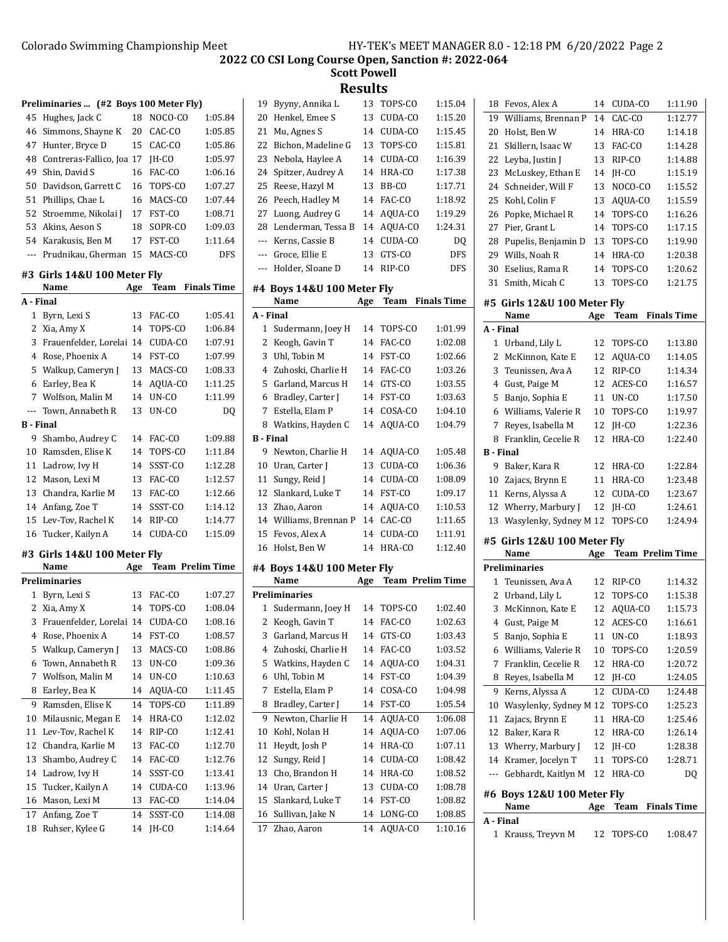|                  | Preliminaries  (#2 Boys 100 Meter Fly) |     |                         |                         | $1^{\prime}$   |
|------------------|----------------------------------------|-----|-------------------------|-------------------------|----------------|
| 45               | Hughes, Jack C                         | 18  | NOCO-CO                 | 1:05.84                 | $\mathbf{2}$   |
|                  | 46 Simmons, Shayne K                   |     | 20 CAC-CO               | 1:05.85                 | 2              |
| 47               | Hunter, Bryce D                        | 15  | CAC-CO                  | 1:05.86                 | 2              |
|                  | 48 Contreras-Fallico, Joa 17           |     | JH-CO                   | 1:05.97                 | $\overline{2}$ |
| 49               | Shin, David S                          | 16  | FAC-CO                  | 1:06.16                 | 2.             |
| 50               | Davidson, Garrett C                    | 16  | TOPS-CO                 | 1:07.27                 | $\overline{2}$ |
| 51               | Phillips, Chae L                       | 16  | MACS-CO                 | 1:07.44                 | $\mathbf{2}$   |
| 52               | Stroemme, Nikolai J 17                 |     | FST-CO                  | 1:08.71                 | 2              |
| 53               | Akins, Aeson S                         | 18  | SOPR-CO                 | 1:09.03                 | $\mathbf{Z}$   |
|                  | 54 Karakusis, Ben M                    | 17  | FST-CO                  | 1:11.64                 | --             |
|                  | --- Prudnikau, Gherman 15 MACS-CO      |     |                         | <b>DFS</b>              | --             |
|                  |                                        |     |                         |                         | --             |
|                  | #3 Girls 14&U 100 Meter Fly<br>Name    | Age |                         | <b>Team</b> Finals Time | #4             |
| A - Final        |                                        |     |                         |                         |                |
|                  | 1 Byrn, Lexi S                         | 13  | FAC-CO                  | 1:05.41                 | А -            |
|                  | 2 Xia, Amy X                           | 14  | TOPS-CO                 | 1:06.84                 |                |
| 3                | Frauenfelder, Lorelai 14               |     | CUDA-CO                 | 1:07.91                 |                |
|                  | 4 Rose, Phoenix A                      | 14  | FST-CO                  | 1:07.99                 |                |
| 5                | Walkup, Cameryn J                      | 13  | MACS-CO                 | 1:08.33                 |                |
|                  | 6 Earley, Bea K                        | 14  | AQUA-CO                 | 1:11.25                 |                |
| 7                | Wolfson, Malin M                       | 14  | UN-CO                   | 1:11.99                 |                |
| ---              |                                        |     |                         |                         |                |
| <b>B</b> - Final | Town, Annabeth R                       | 13  | UN-CO                   | DQ                      |                |
|                  | 9 Shambo, Audrey C                     | 14  | FAC-CO                  | 1:09.88                 | в.             |
|                  | 10 Ramsden, Elise K                    | 14  | TOPS-CO                 | 1:11.84                 |                |
|                  | 11 Ladrow, Ivy H                       | 14  | SSST-CO                 | 1:12.28                 | 1 <sup>1</sup> |
|                  | 12 Mason, Lexi M                       | 13  | FAC-CO                  | 1:12.57                 | $\mathbf{1}$   |
|                  | 13 Chandra, Karlie M                   | 13  | FAC-CO                  | 1:12.66                 | $\mathbf{1}$   |
|                  | 14 Anfang, Zoe T                       | 14  | SSST-CO                 | 1:14.12                 | $\mathbf{1}$   |
|                  | 15 Lev-Tov, Rachel K                   | 14  | RIP-CO                  | 1:14.77                 | 1.             |
|                  | 16 Tucker, Kailyn A                    | 14  | CUDA-CO                 | 1:15.09                 | $\mathbf{1}$   |
|                  |                                        |     |                         |                         | $1\,$          |
|                  | #3 Girls 14&U 100 Meter Fly            |     |                         |                         |                |
|                  | Name<br><b>Preliminaries</b>           | Age |                         | <b>Team Prelim Time</b> | #4             |
|                  |                                        |     |                         |                         |                |
|                  | 1 Byrn, Lexi S<br>2 Xia, Amy X         |     | 13 FAC-CO<br>14 TOPS-CO | 1:07.27                 | Pr             |
|                  |                                        |     |                         | 1:08.04                 |                |
| 3                | Frauenfelder, Lorelai                  | 14  | CUDA-CO                 | 1:08.16                 |                |
| 4                | Rose, Phoenix A                        | 14  | FST-CO                  | 1:08.57                 |                |
| 5                | Walkup, Cameryn J                      | 13  | MACS-CO                 | 1:08.86                 |                |
| 6                | Town, Annabeth R                       | 13  | UN-CO                   | 1:09.36                 |                |
| 7                | Wolfson, Malin M                       | 14  | UN-CO                   | 1:10.63                 |                |
| 8                | Earley, Bea K                          | 14  | AQUA-CO                 | 1:11.45                 |                |
| 9                | Ramsden, Elise K                       | 14  | TOPS-CO                 | 1:11.89                 |                |
| 10               | Milausnic, Megan E                     | 14  | HRA-CO                  | 1:12.02                 |                |
| 11               | Lev-Tov, Rachel K                      | 14  | RIP-CO                  | 1:12.41                 | 1 <sup>1</sup> |
| 12               | Chandra, Karlie M                      | 13  | FAC-CO                  | 1:12.70                 | $\mathbf{1}$   |
| 13               | Shambo, Audrey C                       | 14  | FAC-CO                  | 1:12.76                 | $\mathbf{1}$   |
| 14               | Ladrow, Ivy H                          | 14  | SSST-CO                 | 1:13.41                 | $\mathbf{1}$   |
| 15               | Tucker, Kailyn A                       | 14  | CUDA-CO                 | 1:13.96                 | 1 <sub>1</sub> |
| 16               | Mason, Lexi M                          | 13  | FAC-CO                  | 1:14.04                 | $\mathbf{1}$   |
| 17               | Anfang, Zoe T                          | 14  | SSST-CO                 | 1:14.08                 | $\mathbf{1}$   |
| 18               | Ruhser, Kylee G                        | 14  | JH-CO                   | 1:14.64                 | $1^{\circ}$    |
|                  |                                        |     |                         |                         |                |

| 19             |                                    |          |                   |                         |
|----------------|------------------------------------|----------|-------------------|-------------------------|
|                | Byyny, Annika L                    | 13       | TOPS-CO           | 1:15.04                 |
| 20             | Henkel, Emee S                     | 13       | CUDA-CO           | 1:15.20                 |
| 21             | Mu, Agnes S                        | 14       | CUDA-CO           | 1:15.45                 |
| 22             | Bichon, Madeline G                 | 13       | TOPS-CO           | 1:15.81                 |
| 23             | Nebola, Haylee A                   | 14       | CUDA-CO           | 1:16.39                 |
| 24             | Spitzer, Audrey A                  | 14       | HRA-CO            | 1:17.38                 |
| 25             | Reese, Hazyl M                     | 13       | BB-CO             | 1:17.71                 |
| 26             | Peech, Hadley M                    | 14       | FAC-CO            | 1:18.92                 |
| 27             | Luong, Audrey G                    | 14       | AQUA-CO           | 1:19.29                 |
| 28             | Lenderman, Tessa B                 | 14       | AQUA-CO           | 1:24.31                 |
| ---            | Kerns. Cassie B                    | 14       | CUDA-CO           | DQ                      |
| ---            | Groce, Ellie E                     | 13       | GTS-CO            | <b>DFS</b>              |
| ---            | Holder, Sloane D                   | 14       | RIP-CO            | DFS                     |
|                |                                    |          |                   |                         |
|                | #4 Boys 14&U 100 Meter Fly<br>Name |          | Team              | <b>Finals Time</b>      |
|                | A - Final                          | Age      |                   |                         |
|                | 1 Sudermann, Joey H                | 14       | TOPS-CO           | 1:01.99                 |
| 2              |                                    | 14       | FAC-CO            | 1:02.08                 |
|                | Keogh, Gavin T                     |          |                   |                         |
| 3              | Uhl, Tobin M                       | 14       | FST-CO            | 1:02.66                 |
| $\overline{4}$ | Zuhoski, Charlie H                 | 14       | FAC-CO            | 1:03.26                 |
| 5              | Garland, Marcus H                  | 14       | GTS-CO            | 1:03.55                 |
| 6              | Bradley, Carter J                  | 14       | FST-CO            | 1:03.63                 |
| 7              | Estella, Elam P                    | 14       | COSA-CO           | 1:04.10                 |
| 8              | Watkins, Hayden C                  | 14       | AQUA-CO           | 1:04.79                 |
|                | <b>B</b> - Final                   |          |                   |                         |
| 9              | Newton, Charlie H                  | 14       | AQUA-CO           | 1:05.48                 |
|                | 10 Uran, Carter J                  | 13       | CUDA-CO           | 1:06.36                 |
| 11             | Sungy, Reid J                      | 14       | CUDA-CO           | 1:08.09                 |
| 12             | Slankard, Luke T                   | 14       | FST-CO            | 1:09.17                 |
| 13             | Zhao, Aaron                        | 14       | AQUA-CO           | 1:10.53                 |
| 14             | Williams, Brennan P                | 14       | CAC-CO            | 1:11.65                 |
| 15             | Fevos, Alex A                      | 14       | CUDA-CO           | 1:11.91                 |
| 16             | Holst, Ben W                       | 14       | HRA-CO            | 1:12.40                 |
|                | #4 Boys 14&U 100 Meter Fly         |          |                   |                         |
|                | Name                               | Age      |                   | <b>Team Prelim Time</b> |
|                |                                    |          |                   |                         |
|                | <b>Preliminaries</b>               |          |                   |                         |
| 1              | Sudermann, Joey H                  | 14       | TOPS-CO           | 1:02.40                 |
| 2              | Keogh, Gavin T                     | 14       | FAC-CO            | 1:02.63                 |
| 3              | Garland, Marcus H                  | 14       | GTS-CO            | 1:03.43                 |
| 4              | Zuhoski, Charlie H                 | 14       | FAC-CO            | 1:03.52                 |
| 5              | Watkins, Hayden C                  | 14       | AQUA-CO           | 1:04.31                 |
| 6              | Uhl, Tobin M                       | 14       | FST-CO            | 1:04.39                 |
| 7              | Estella, Elam P                    | 14       | COSA-CO           | 1:04.98                 |
| 8              | Bradley, Carter J                  | 14       | FST-CO            | 1:05.54                 |
| 9              | Newton, Charlie H                  | 14       | AQUA-CO           | 1:06.08                 |
| 10             | Kohl, Nolan H                      | 14       | AOUA-CO           | 1:07.06                 |
| 11             | Heydt, Josh P                      | 14       | HRA-CO            | 1:07.11                 |
| 12             | Sungy, Reid J                      | 14       | CUDA-CO           | 1:08.42                 |
| 13             | Cho, Brandon H                     | 14       | HRA-CO            | 1:08.52                 |
|                |                                    | 13       | CUDA-CO           | 1:08.78                 |
| 14             | Uran, Carter J                     |          |                   |                         |
| 15<br>16       | Slankard, Luke T                   | 14<br>14 | FST-CO<br>LONG-CO | 1:08.82<br>1:08.85      |
|                | Sullivan, Jake N                   |          |                   |                         |
| 17             | Zhao, Aaron                        | 14       | AQUA-CO           | 1:10.16                 |

| 18               | Fevos, Alex A               | 14  | CUDA-CO | 1:11.90                 |
|------------------|-----------------------------|-----|---------|-------------------------|
| 19               | Williams, Brennan P         | 14  | CAC-CO  | 1:12.77                 |
| 20               | Holst, Ben W                | 14  | HRA-CO  | 1:14.18                 |
| 21               | Skillern, Isaac W           | 13  | FAC-CO  | 1:14.28                 |
| 22               | Leyba, Justin J             | 13  | RIP-CO  | 1:14.88                 |
| 23               | McLuskey, Ethan E           | 14  | IH-CO   | 1:15.19                 |
| 24               | Schneider, Will F           | 13  | NOCO-CO | 1:15.52                 |
| 25               | Kohl, Colin F               | 13  | AQUA-CO | 1:15.59                 |
| 26               | Popke, Michael R            | 14  | TOPS-CO | 1:16.26                 |
| 27               | Pier, Grant L               | 14  | TOPS-CO | 1:17.15                 |
| 28               | Pupelis, Benjamin D         | 13  | TOPS-CO | 1:19.90                 |
| 29               | Wills, Noah R               | 14  | HRA-CO  | 1:20.38                 |
| 30               | Eselius, Rama R             | 14  | TOPS-CO | 1:20.62                 |
| 31               | Smith, Micah C              | 13  | TOPS-CO | 1:21.75                 |
|                  | #5 Girls 12&U 100 Meter Fly |     |         |                         |
|                  | Name                        | Age | Team    | <b>Finals Time</b>      |
|                  | A - Final                   |     |         |                         |
| 1                | Urband, Lily L              | 12  | TOPS-CO | 1:13.80                 |
| 2                | McKinnon, Kate E            | 12  | AOUA-CO | 1:14.05                 |
| 3                | Teunissen, Ava A            | 12  | RIP-CO  | 1:14.34                 |
| 4                | Gust, Paige M               | 12  | ACES-CO | 1:16.57                 |
| 5                | Banjo, Sophia E             | 11  | $UN-CO$ | 1:17.50                 |
| 6                | Williams, Valerie R         | 10  | TOPS-CO | 1:19.97                 |
| 7                | Reves, Isabella M           | 12  | JH-CO   | 1:22.36                 |
| 8                | Franklin, Cecelie R         | 12  | HRA-CO  | 1:22.40                 |
| <b>B</b> - Final |                             |     |         |                         |
| 9                | Baker, Kara R               | 12  | HRA-CO  | 1:22.84                 |
| 10               | Zajacs, Brynn E             | 11  | HRA-CO  | 1:23.48                 |
| 11               | Kerns, Alyssa A             | 12  | CUDA-CO | 1:23.67                 |
| 12               | Wherry, Marbury J           | 12  | JH-CO   | 1:24.61                 |
| 13               | Wasylenky, Sydney M 12      |     | TOPS-CO | 1:24.94                 |
|                  | #5 Girls 12&U 100 Meter Fly |     |         |                         |
|                  | Name                        | Age |         | <b>Team Prelim Time</b> |
|                  | <b>Preliminaries</b>        |     |         |                         |
| 1                | Teunissen, Ava A            | 12  | RIP-CO  | 1:14.32                 |
| 2                | Urband, Lily L              | 12  | TOPS-CO | 1:15.38                 |
| 3                | McKinnon. Kate E            | 12  | AQUA-CO | 1:15.73                 |
| 4                | Gust, Paige M               | 12  | ACES-CO | 1:16.61                 |
| 5                | Banjo, Sophia E             | 11  | UN-CO   | 1:18.93                 |
| 6                | Williams, Valerie R         | 10  | TOPS-CO | 1:20.59                 |
| 7                | Franklin, Cecelie R         | 12  | HRA-CO  | 1:20.72                 |
| 8                | Reyes, Isabella M           | 12  | JH-CO   | 1:24.05                 |
| 9                | Kerns, Alyssa A             | 12  | CUDA-CO | 1:24.48                 |
| 10               | Wasylenky, Sydney M 12      |     | TOPS-CO | 1:25.23                 |
| 11               | Zajacs, Brynn E             | 11  | HRA-CO  | 1:25.46                 |
| 12               | Baker, Kara R               | 12  | HRA-CO  | 1:26.14                 |
| 13               | Wherry, Marbury J           | 12  | JH-CO   | 1:28.38                 |
| 14               | Kramer, Jocelyn T           | 11  | TOPS-CO | 1:28.71                 |
| ---              | Gebhardt, Kaitlyn M         | 12  | HRA-CO  | DQ                      |
|                  | #6 Boys 12&U 100 Meter Fly  |     |         |                         |
|                  | Name                        | Age | Team    | <b>Finals Time</b>      |
|                  | A - Final                   |     |         |                         |
| 1                | Krauss, Treyvn M            | 12  | TOPS-CO | 1:08.47                 |
|                  |                             |     |         |                         |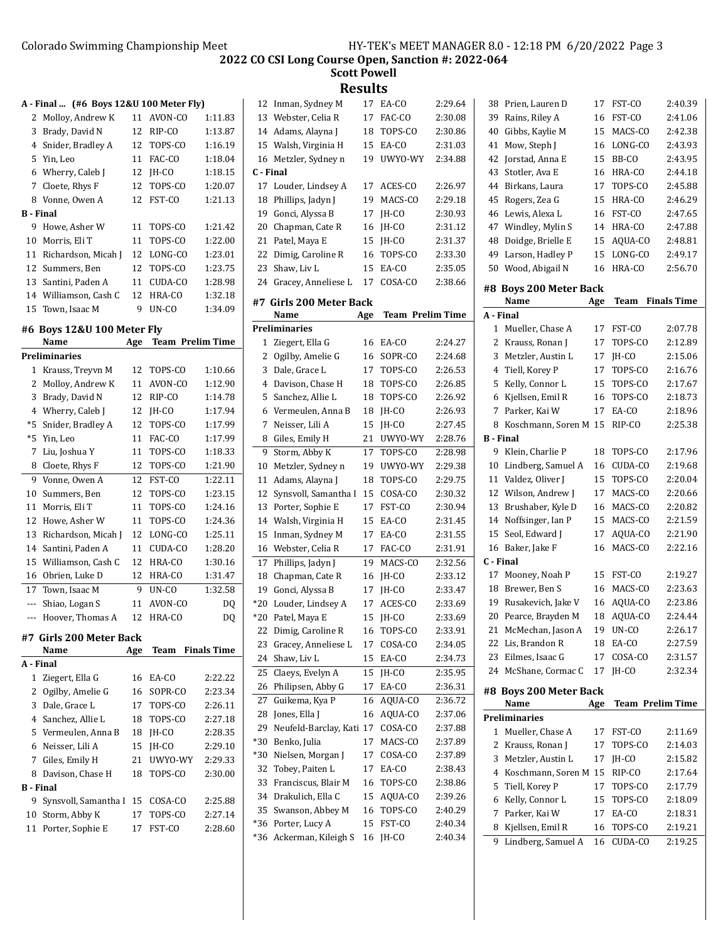**Scott Powell Results**

**A - Final ... (#6 Boys 12&U 100 Meter Fly)**

|                  | $\cdots$ $\cdots$      |    |            |         |
|------------------|------------------------|----|------------|---------|
|                  | 2 Molloy, Andrew K     |    | 11 AVON-CO | 1:11.83 |
| 3                | Brady, David N         | 12 | RIP-CO     | 1:13.87 |
|                  | 4 Snider, Bradley A    |    | 12 TOPS-CO | 1:16.19 |
|                  | 5 Yin, Leo             | 11 | FAC-CO     | 1:18.04 |
|                  | 6 Wherry, Caleb J      |    | 12 IH-CO   | 1:18.15 |
|                  | 7 Cloete, Rhys F       |    | 12 TOPS-CO | 1:20.07 |
|                  | 8 Vonne, Owen A        |    | 12 FST-CO  | 1:21.13 |
| <b>B</b> - Final |                        |    |            |         |
|                  | 9 Howe, Asher W        |    | 11 TOPS-CO | 1:21.42 |
| 10               | Morris, Eli T          | 11 | TOPS-CO    | 1:22.00 |
|                  | 11 Richardson, Micah J |    | 12 LONG-CO | 1:23.01 |
|                  | 12 Summers, Ben        |    | 12 TOPS-CO | 1:23.75 |
|                  | 13 Santini, Paden A    | 11 | CUDA-CO    | 1:28.98 |
|                  | 14 Williamson, Cash C  |    | 12 HRA-CO  | 1:32.18 |
|                  | 15 Town, Isaac M       | 9  | UN-CO      | 1:34.09 |

## **#6 Boys 12&U 100 Meter Fly**

|                  | Name                 | Age | <b>Team Prelim Time</b> |                    |
|------------------|----------------------|-----|-------------------------|--------------------|
|                  | Preliminaries        |     |                         |                    |
| 1                | Krauss, Treyvn M     | 12  | TOPS-CO                 | 1:10.66            |
| $\overline{c}$   | Molloy, Andrew K     | 11  | AVON-CO                 | 1:12.90            |
| 3                | Brady, David N       | 12  | RIP-CO                  | 1:14.78            |
| $\overline{4}$   | Wherry, Caleb J      | 12  | IH-CO                   | 1:17.94            |
| *5               | Snider, Bradley A    | 12  | TOPS-CO                 | 1:17.99            |
| $*5$             | Yin, Leo             | 11  | FAC-CO                  | 1:17.99            |
| 7                | Liu, Joshua Y        | 11  | TOPS-CO                 | 1:18.33            |
| 8                | Cloete, Rhys F       | 12  | TOPS-CO                 | 1:21.90            |
| 9                | Vonne, Owen A        | 12  | FST-CO                  | 1:22.11            |
| 10               | Summers, Ben         | 12  | TOPS-CO                 | 1:23.15            |
| 11               | Morris, Eli T        | 11  | TOPS-CO                 | 1:24.16            |
| 12               | Howe, Asher W        | 11  | TOPS-CO                 | 1:24.36            |
| 13               | Richardson, Micah J  | 12  | LONG-CO                 | 1:25.11            |
| 14               | Santini, Paden A     | 11  | CUDA-CO                 | 1:28.20            |
| 15               | Williamson, Cash C   | 12  | HRA-CO                  | 1:30.16            |
| 16               | Obrien, Luke D       | 12  | HRA-CO                  | 1:31.47            |
| 17               | Town, Isaac M        | 9   | UN-CO                   | 1:32.58            |
| ---              | Shiao, Logan S       | 11  | AVON-CO                 | DQ                 |
| ---              | Hoover, Thomas A     | 12  | HRA-CO                  | DQ                 |
| #7               | Girls 200 Meter Back |     |                         |                    |
|                  | Name                 | Age | Team                    | <b>Finals Time</b> |
| A - Final        |                      |     |                         |                    |
| 1                | Ziegert, Ella G      | 16  | EA-CO                   | 2:22.22            |
| 2                | Ogilby, Amelie G     | 16  | SOPR-CO                 | 2:23.34            |
| 3                | Dale, Grace L        | 17  | TOPS-CO                 | 2:26.11            |
| $\overline{4}$   | Sanchez, Allie L     | 18  | TOPS-CO                 | 2:27.18            |
| 5                | Vermeulen, Anna B    | 18  | JH-CO                   | 2:28.35            |
| 6                | Neisser, Lili A      | 15  | IH-CO                   | 2:29.10            |
| 7                | Giles, Emily H       | 21  | UWYO-WY                 | 2:29.33            |
| 8                | Davison, Chase H     | 18  | TOPS-CO                 | 2:30.00            |
| <b>B</b> - Final |                      |     |                         |                    |
| 9                | Synsvoll, Samantha I | 15  | COSA-CO                 | 2:25.88            |
| 10               | Storm, Abby K        | 17  | TOPS-CO                 | 2:27.14            |
| 11               | Porter, Sophie E     | 17  | FST-CO                  | 2:28.60            |

|                | Resuits                                 |          |                    |                    |
|----------------|-----------------------------------------|----------|--------------------|--------------------|
| 12             | Inman, Sydney M                         | 17       | EA-CO              | 2:29.64            |
| 13             | Webster, Celia R                        | 17       | FAC-CO             | 2:30.08            |
| 14             | Adams, Alayna J                         | 18       | TOPS-CO            | 2:30.86            |
| 15             | Walsh, Virginia H                       | 15       | EA-CO              | 2:31.03            |
| 16             | Metzler, Sydney n                       | 19       | UWYO-WY            | 2:34.88            |
| C - Final      |                                         |          |                    |                    |
| 17             | Louder, Lindsey A                       | 17       | ACES-CO            | 2:26.97            |
| 18             | Phillips, Jadyn J                       | 19       | MACS-CO            | 2:29.18            |
| 19             | Gonci, Alyssa B                         | 17       | JH-CO              | 2:30.93            |
| 20             | Chapman, Cate R                         | 16       | JH-CO              | 2:31.12            |
| 21             | Patel, Maya E                           | 15       | IH-CO              | 2:31.37            |
| 22             | Dimig, Caroline R                       | 16       | TOPS-CO            | 2:33.30            |
| 23             | Shaw, Liv L                             | 15       | EA-CO              | 2:35.05            |
| 24             | Gracey, Anneliese L                     | 17       | COSA-CO            | 2:38.66            |
|                |                                         |          |                    |                    |
| #7             | Girls 200 Meter Back<br>Name            |          | Team Prelim Time   |                    |
|                | <b>Preliminaries</b>                    | Age      |                    |                    |
|                |                                         | 16       | EA-CO              |                    |
| 1<br>2         | Ziegert, Ella G                         | 16       | SOPR-CO            | 2:24.27<br>2:24.68 |
|                | Ogilby, Amelie G                        |          |                    |                    |
| 3<br>4         | Dale, Grace L<br>Davison, Chase H       | 17       | TOPS-CO            | 2:26.53<br>2:26.85 |
| 5              | Sanchez, Allie L                        | 18       | TOPS-CO            |                    |
|                |                                         | 18       | TOPS-CO            | 2:26.92            |
| 6<br>7         | Vermeulen, Anna B                       | 18       | JH-CO              | 2:26.93            |
|                | Neisser, Lili A                         | 15       | JH-CO<br>UWYO-WY   | 2:27.45<br>2:28.76 |
| 8              | Giles, Emily H                          | 21       |                    |                    |
| 9              | Storm, Abby K                           | 17       | TOPS-CO            | 2:28.98            |
| 10             | Metzler, Sydney n                       | 19       | UWYO-WY<br>TOPS-CO | 2:29.38            |
| 11<br>12       | Adams, Alayna J<br>Synsvoll, Samantha I | 18<br>15 | COSA-CO            | 2:29.75<br>2:30.32 |
|                |                                         |          |                    |                    |
| 13             | Porter, Sophie E                        | 17       | FST-CO             | 2:30.94            |
| 14             | Walsh, Virginia H                       | 15       | EA-CO              | 2:31.45            |
| 15             | Inman, Sydney M<br>Webster, Celia R     | 17       | EA-CO              | 2:31.55            |
| 16             |                                         | 17       | FAC-CO             | 2:31.91            |
| 17<br>18       | Phillips, Jadyn J<br>Chapman, Cate R    | 19       | MACS-CO            | 2:32.56            |
|                |                                         | 16       | IH-CO              | 2:33.12            |
| 19             | Gonci, Alyssa B<br>Louder, Lindsey A    | 17       | IH-CO              | 2:33.47<br>2:33.69 |
| $*20$<br>$*20$ |                                         | 17       | ACES-CO            | 2:33.69            |
| 22             | Patel, Maya E<br>Dimig, Caroline R      | 15       | JH-CO<br>TOPS-CO   |                    |
| 23             | Gracey, Anneliese L                     | 16<br>17 | COSA-CO            | 2:33.91<br>2:34.05 |
| 24             | Shaw, Liv L                             | 15       | EA-CO              | 2:34.73            |
|                |                                         | 15       |                    |                    |
| 25<br>26       | Claeys, Evelyn A                        | 17       | JH-CO<br>EA-CO     | 2:35.95<br>2:36.31 |
|                | Philipsen, Abby G                       |          |                    |                    |
| 27             | Guikema, Kya P                          | 16       | AQUA-CO            | 2:36.72            |
| 28             | Jones, Ella J                           | 16       | AQUA-CO            | 2:37.06            |
| 29             | Neufeld-Barclay, Kati                   | 17       | COSA-CO            | 2:37.88            |
| $*30$          | Benko, Julia                            | 17       | MACS-CO            | 2:37.89            |
| *30            | Nielsen, Morgan J                       | 17       | COSA-CO<br>EA-CO   | 2:37.89            |
| 32             | Tobey, Paiten L                         | 17       |                    | 2:38.43            |
| 33             | Franciscus, Blair M                     | 16       | TOPS-CO            | 2:38.86            |
| 34             | Drakulich, Ella C                       | 15       | AQUA-CO            | 2:39.26            |
| 35             | Swanson, Abbey M                        | 16       | TOPS-CO            | 2:40.29            |
| $*36$          | Porter, Lucy A                          | 15       | FST-CO             | 2:40.34            |
| *36            | Ackerman, Kileigh S                     | 16       | JH-CO              | 2:40.34            |

| 38        | Prien, Lauren D                     | 17  | FST-CO                  | 2:40.39            |
|-----------|-------------------------------------|-----|-------------------------|--------------------|
| 39        | Rains, Riley A                      | 16  | FST-CO                  | 2:41.06            |
| 40        | Gibbs, Kaylie M                     | 15  | MACS-CO                 | 2:42.38            |
| 41        | Mow, Steph J                        | 16  | LONG-CO                 | 2:43.93            |
| 42        | Jorstad, Anna E                     | 15  | BB-CO                   | 2:43.95            |
| 43        | Stotler, Ava E                      | 16  | HRA-CO                  | 2:44.18            |
| 44        | Birkans, Laura                      | 17  | TOPS-CO                 | 2:45.88            |
| 45        | Rogers, Zea G                       | 15  | HRA-CO                  | 2:46.29            |
|           | Lewis, Alexa L                      |     |                         |                    |
| 46        |                                     | 16  | FST-CO                  | 2:47.65<br>2:47.88 |
| 47        | Windley, Mylin S                    | 14  | HRA-CO                  |                    |
| 48        | Doidge, Brielle E                   | 15  | AQUA-CO                 | 2:48.81            |
| 49<br>50  | Larson, Hadley P<br>Wood, Abigail N | 15  | LONG-CO<br>HRA-CO       | 2:49.17            |
|           |                                     | 16  |                         | 2:56.70            |
|           | #8 Boys 200 Meter Back              |     |                         |                    |
|           | Name                                | Age | Team                    | <b>Finals Time</b> |
| A - Final |                                     |     |                         |                    |
| 1         | Mueller, Chase A                    | 17  | FST-CO                  | 2:07.78            |
| 2         | Krauss, Ronan J                     | 17  | TOPS-CO                 | 2:12.89            |
| 3         | Metzler, Austin L                   | 17  | JH-CO                   | 2:15.06            |
| 4         | Tiell, Korey P                      | 17  | TOPS-CO                 | 2:16.76            |
| 5         | Kelly, Connor L                     | 15  | TOPS-CO                 | 2:17.67            |
| 6         | Kjellsen, Emil R                    | 16  | TOPS-CO                 | 2:18.73            |
| 7         | Parker, Kai W                       | 17  | EA-CO                   | 2:18.96            |
| 8         | Koschmann, Soren M                  | 15  | RIP-CO                  | 2:25.38            |
| B - Final |                                     |     |                         |                    |
| 9         | Klein, Charlie P                    | 18  | TOPS-CO                 | 2:17.96            |
| 10        | Lindberg, Samuel A                  | 16  | CUDA-CO                 | 2:19.68            |
| 11        | Valdez, Oliver J                    | 15  | TOPS-CO                 | 2:20.04            |
| 12        | Wilson, Andrew J                    | 17  | MACS-CO                 | 2:20.66            |
| 13        | Brushaber, Kyle D                   | 16  | MACS-CO                 | 2:20.82            |
| 14        | Noffsinger, Ian P                   | 15  | MACS-CO                 | 2:21.59            |
| 15        | Seol, Edward J                      | 17  | AQUA-CO                 | 2:21.90            |
| 16        | Baker, Jake F                       | 16  | MACS-CO                 | 2:22.16            |
| C - Final |                                     |     |                         |                    |
| 17        | Mooney, Noah P                      | 15  | FST-CO                  | 2:19.27            |
| 18        | Brewer, Ben S                       | 16  | MACS-CO                 | 2:23.63            |
| 19        | Rusakevich, Jake V                  | 16  | AQUA-CO                 | 2:23.86            |
| 20        | Pearce, Brayden M                   | 18  | AQUA-CO                 | 2:24.44            |
|           | 21 McMechan, Jason A                | 19  | UN-CO                   | 2:26.17            |
|           | 22 Lis, Brandon R                   | 18  | EA-CO                   | 2:27.59            |
| 23        | Eilmes, Isaac G                     | 17  | COSA-CO                 | 2:31.57            |
| 24        | McShane, Cormac C                   | 17  | JH-CO                   | 2:32.34            |
|           | #8 Boys 200 Meter Back              |     |                         |                    |
|           | Name                                | Age | <b>Team Prelim Time</b> |                    |
|           | <b>Preliminaries</b>                |     |                         |                    |
| 1         | Mueller, Chase A                    | 17  | FST-CO                  | 2:11.69            |
| 2         | Krauss, Ronan J                     | 17  | TOPS-CO                 | 2:14.03            |
| 3         | Metzler, Austin L                   | 17  | JH-CO                   | 2:15.82            |
| 4         | Koschmann, Soren M                  | 15  | RIP-CO                  | 2:17.64            |
| 5         | Tiell, Korey P                      | 17  | TOPS-CO                 | 2:17.79            |
| 6         | Kelly, Connor L                     | 15  | TOPS-CO                 | 2:18.09            |
| 7         | Parker, Kai W                       | 17  | EA-CO                   | 2:18.31            |
| 8         | Kjellsen, Emil R                    | 16  | TOPS-CO                 | 2:19.21            |
| 9         | Lindberg, Samuel A                  | 16  | CUDA-CO                 | 2:19.25            |
|           |                                     |     |                         |                    |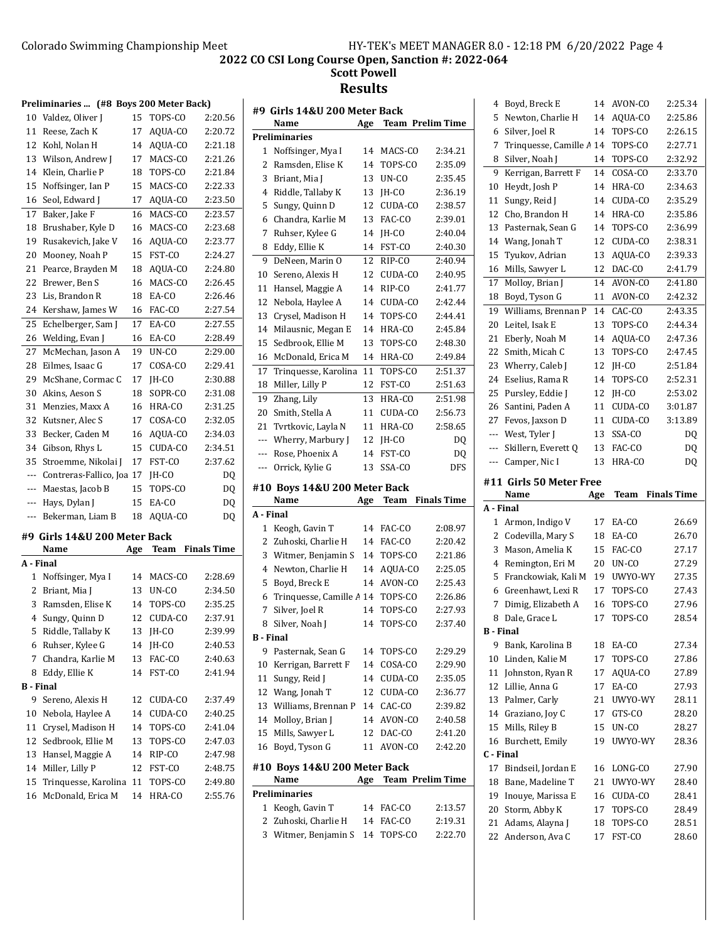**Scott Powell Results**

|                  | Preliminaries  (#8 Boys 200 Meter Back)   |          |                   |                    |  |
|------------------|-------------------------------------------|----------|-------------------|--------------------|--|
| 10               | Valdez, Oliver J                          | 15       | TOPS-CO           | 2:20.56            |  |
| 11               | Reese, Zach K                             | 17       | AQUA-CO           | 2:20.72            |  |
| 12               | Kohl, Nolan H                             | 14       | AQUA-CO           | 2:21.18            |  |
| 13               | Wilson, Andrew J                          | 17       | MACS-CO           | 2:21.26            |  |
| 14               | Klein, Charlie P                          | 18       | TOPS-CO           | 2:21.84            |  |
| 15               | Noffsinger, Ian P                         | 15       | MACS-CO           | 2:22.33            |  |
| 16               | Seol, Edward J                            | 17       | AQUA-CO           | 2:23.50            |  |
| 17               | Baker, Jake F                             | 16       | MACS-CO           | 2:23.57            |  |
| 18               | Brushaber, Kyle D                         | 16       | MACS-CO           | 2:23.68            |  |
| 19               | Rusakevich, Jake V                        | 16       | AQUA-CO           | 2:23.77            |  |
| 20               | Mooney, Noah P                            | 15       | FST-CO            | 2:24.27            |  |
| 21               | Pearce, Brayden M                         | 18       | AQUA-CO           | 2:24.80            |  |
| 22               | Brewer, Ben S                             | 16       | MACS-CO           | 2:26.45            |  |
| 23               | Lis, Brandon R                            | 18       | EA-CO             | 2:26.46            |  |
| 24               | Kershaw, James W                          | 16       | FAC-CO            | 2:27.54            |  |
| 25               | Echelberger, Sam J                        | 17       | EA-CO             | 2:27.55            |  |
| 26               | Welding, Evan J                           | 16       | EA-CO             | 2:28.49            |  |
| 27               | McMechan, Jason A                         | 19       | UN-CO             | 2:29.00            |  |
| 28               | Eilmes, Isaac G                           | 17       | COSA-CO           | 2:29.41            |  |
| 29               | McShane, Cormac C                         | 17       | JH-CO             | 2:30.88            |  |
| 30               | Akins, Aeson S                            | 18       | SOPR-CO           | 2:31.08            |  |
| 31               | Menzies, Maxx A                           | 16       | HRA-CO            | 2:31.25            |  |
| 32               | Kutsner, Alec S                           | 17       | COSA-CO           | 2:32.05            |  |
| 33               | Becker, Caden M                           | 16       | AQUA-CO           | 2:34.03            |  |
| 34               | Gibson, Rhys L                            | 15       | CUDA-CO           | 2:34.51            |  |
| 35               | Stroemme, Nikolai J                       | 17       | FST-CO            | 2:37.62            |  |
| ---              |                                           |          |                   |                    |  |
| ---              | Contreras-Fallico, Joa 17                 | 15       | JH-CO<br>TOPS-CO  | DQ                 |  |
| ---              | Maestas, Jacob B                          | 15       | EA-CO             | DQ<br>DQ           |  |
| ---              | Hays, Dylan J                             |          | AQUA-CO           |                    |  |
|                  | Bekerman, Liam B                          | 18       |                   | DQ                 |  |
|                  | #9 Girls 14&U 200 Meter Back              |          |                   |                    |  |
|                  | Name                                      | Age      | Team              | <b>Finals Time</b> |  |
| A - Final        |                                           |          |                   |                    |  |
| 1                | Noffsinger, Mya I                         | 14       | MACS-CO           | 2:28.69            |  |
| 2                | Briant, Mia J                             | 13       | UN-CO             | 2:34.50            |  |
| 3                | Ramsden, Elise K                          | 14       | TOPS-CO           | 2:35.25            |  |
| 4                | Sungy, Quinn D                            | 12       |                   |                    |  |
| 5                |                                           |          | CUDA-CO           | 2:37.91            |  |
| 6                | Riddle, Tallaby K                         | 13       | JH-CO             | 2:39.99            |  |
|                  | Ruhser, Kylee G                           | 14       | JH-CO             | 2:40.53            |  |
| 7                | Chandra, Karlie M                         | 13       | FAC-CO            | 2:40.63            |  |
| 8                | Eddy, Ellie K                             | 14       | FST-CO            | 2:41.94            |  |
| <b>B</b> - Final |                                           |          |                   |                    |  |
| 9                | Sereno, Alexis H                          | 12       | CUDA-CO           | 2:37.49            |  |
| 10               | Nebola, Haylee A                          | 14       | CUDA-CO           | 2:40.25            |  |
| 11               | Crysel, Madison H                         | 14       | TOPS-CO           | 2:41.04            |  |
| 12               | Sedbrook, Ellie M                         | 13       | TOPS-CO           | 2:47.03            |  |
| 13               | Hansel, Maggie A                          | 14       | RIP-CO            | 2:47.98            |  |
| 14               | Miller, Lilly P                           | 12       | FST-CO            | 2:48.75            |  |
| 15<br>16         | Trinquesse, Karolina<br>McDonald, Erica M | 11<br>14 | TOPS-CO<br>HRA-CO | 2:49.80<br>2:55.76 |  |

|                  | #9  Girls 14&U 200 Meter Back<br>Name | Age | <b>Team Prelim Time</b> |             |
|------------------|---------------------------------------|-----|-------------------------|-------------|
|                  | <b>Preliminaries</b>                  |     |                         |             |
| 1                | Noffsinger, Mya I                     | 14  | MACS-CO                 | 2:34.21     |
| 2                | Ramsden, Elise K                      | 14  | TOPS-CO                 | 2:35.09     |
| 3                | Briant, Mia J                         | 13  | UN-CO                   | 2:35.45     |
| 4                | Riddle, Tallaby K                     | 13  | JH-CO                   | 2:36.19     |
| 5                | Sungy, Quinn D                        | 12  | CUDA-CO                 | 2:38.57     |
| 6                | Chandra, Karlie M                     | 13  | FAC-CO                  | 2:39.01     |
| 7                | Ruhser, Kylee G                       | 14  | IH-CO                   | 2:40.04     |
| 8                | Eddy, Ellie K                         | 14  | FST-CO                  | 2:40.30     |
| 9                | DeNeen. Marin O                       | 12  | RIP-CO                  | 2:40.94     |
| 10               | Sereno, Alexis H                      | 12  | CUDA-CO                 | 2:40.95     |
| 11               | Hansel, Maggie A                      | 14  | RIP-CO                  | 2:41.77     |
| 12               | Nebola, Haylee A                      | 14  | CUDA-CO                 | 2:42.44     |
| 13               | Crysel, Madison H                     | 14  | TOPS-CO                 | 2:44.41     |
| 14               | Milausnic, Megan E                    | 14  | HRA-CO                  | 2:45.84     |
| 15               | Sedbrook. Ellie M                     | 13  | TOPS-CO                 | 2:48.30     |
| 16               | McDonald, Erica M                     | 14  | HRA-CO                  | 2:49.84     |
| 17               | Tringuesse, Karolina                  | 11  | TOPS-CO                 | 2:51.37     |
|                  |                                       | 12  | FST-CO                  | 2:51.63     |
| 18               | Miller, Lilly P                       |     |                         |             |
| 19               | Zhang, Lily                           | 13  | HRA-CO                  | 2:51.98     |
| 20               | Smith, Stella A                       | 11  | CUDA-CO                 | 2:56.73     |
| 21               | Tvrtkovic, Layla N                    | 11  | HRA-CO                  | 2:58.65     |
| ---              | Wherry, Marbury J                     | 12  | JH-CO                   | DQ          |
| ---              | Rose, Phoenix A                       | 14  | FST-CO                  | DQ          |
| ---              | Orrick, Kylie G                       | 13  | SSA-CO                  | DFS         |
|                  | #10 Boys 14&U 200 Meter Back          |     |                         |             |
|                  | Name                                  | Age | Team                    | Finals Time |
| A - Final        |                                       |     |                         |             |
| 1                | Keogh, Gavin T                        | 14  | FAC-CO                  | 2:08.97     |
| 2                | Zuhoski, Charlie H                    | 14  | FAC-CO                  | 2:20.42     |
| 3                | Witmer, Benjamin S                    | 14  | TOPS-CO                 | 2:21.86     |
| 4                | Newton, Charlie H                     | 14  | AQUA-CO                 | 2:25.05     |
| 5                | Boyd, Breck E                         | 14  | AVON-CO                 | 2:25.43     |
| 6                | Trinquesse, Camille A 14              |     | TOPS-CO                 | 2:26.86     |
| 7                | Silver, Joel R                        | 14  | TOPS-CO                 | 2:27.93     |
| 8                | Silver, Noah J                        | 14  | TOPS-CO                 | 2:37.40     |
| <b>B</b> - Final |                                       |     |                         |             |
| 9                | Pasternak, Sean G                     | 14  | TOPS-CO                 | 2:29.29     |
| 10               | Kerrigan, Barrett F                   | 14  | COSA-CO                 | 2:29.90     |
| 11               | Sungy, Reid J                         | 14  | CUDA-CO                 | 2:35.05     |
| 12               | Wang, Jonah T                         | 12  | CUDA-CO                 | 2:36.77     |
| 13               | Williams, Brennan P                   | 14  | CAC-CO                  | 2:39.82     |
| 14               | Molloy, Brian J                       | 14  | AVON-CO                 | 2:40.58     |
| 15               | Mills, Sawyer L                       | 12  | DAC-CO                  | 2:41.20     |
| 16               | Boyd, Tyson G                         | 11  | AVON-CO                 | 2:42.20     |
|                  |                                       |     |                         |             |
|                  | #10 Boys 14&U 200 Meter Back<br>Name  |     | <b>Team Prelim Time</b> |             |
|                  | Preliminaries                         | Age |                         |             |
|                  | 1 Keogh, Gavin T                      | 14  | FAC-CO                  | 2:13.57     |

2 Zuhoski, Charlie H 14 FAC-CO 2:19.31 3 Witmer, Benjamin S 14 TOPS-CO 2:22.70

| 4                                  | Boyd, Breck E                      | 14       | AVON-CO           | 2:25.34            |
|------------------------------------|------------------------------------|----------|-------------------|--------------------|
| 5                                  | Newton, Charlie H                  | 14       | AQUA-CO           | 2:25.86            |
| 6                                  | Silver, Joel R                     | 14       | TOPS-CO           | 2:26.15            |
| 7                                  | Trinquesse, Camille A 14           |          | TOPS-CO           | 2:27.71            |
| 8                                  | Silver, Noah J                     | 14       | TOPS-CO           | 2:32.92            |
| 9                                  | Kerrigan, Barrett F                | 14       | COSA-CO           | 2:33.70            |
| 10                                 | Heydt, Josh P                      | 14       | HRA-CO            | 2:34.63            |
| 11                                 | Sungy, Reid J                      | 14       | CUDA-CO           | 2:35.29            |
| 12                                 | Cho, Brandon H                     | 14       | HRA-CO            | 2:35.86            |
| 13                                 | Pasternak, Sean G                  | 14       | TOPS-CO           | 2:36.99            |
| 14                                 | Wang, Jonah T                      | 12       | CUDA-CO           | 2:38.31            |
| 15                                 | Tyukov, Adrian                     | 13       | AQUA-CO           | 2:39.33            |
| 16                                 | Mills, Sawyer L                    | 12       | DAC-CO            | 2:41.79            |
| 17                                 | Molloy, Brian J                    | 14       | AVON-CO           | 2:41.80            |
| 18                                 | Boyd, Tyson G                      | 11       | AVON-CO           | 2:42.32            |
| 19                                 | Williams, Brennan P                | 14       | CAC-CO            | 2:43.35            |
| 20                                 | Leitel, Isak E                     | 13       | TOPS-CO           | 2:44.34            |
| 21                                 | Eberly, Noah M                     | 14       | AQUA-CO           | 2:47.36            |
| 22                                 | Smith, Micah C                     | 13       | TOPS-CO           | 2:47.45            |
| 23                                 | Wherry, Caleb J                    | 12       | IH-CO             | 2:51.84            |
| 24                                 | Eselius, Rama R                    | 14       | TOPS-CO           | 2:52.31            |
| 25                                 | Pursley, Eddie J                   | 12       | IH-CO             | 2:53.02            |
| 26                                 | Santini, Paden A                   | 11       | CUDA-CO           | 3:01.87            |
| 27                                 | Fevos, Jaxson D                    | 11       | CUDA-CO           | 3:13.89            |
| ---                                | West, Tyler J                      | 13       | SSA-CO            | DQ                 |
| ---                                | Skillern, Everett Q                | 13       | FAC-CO            | DQ                 |
| ---                                | Camper, Nic I                      | 13       | HRA-CO            | DQ                 |
|                                    |                                    |          |                   |                    |
|                                    | #11 Girls 50 Meter Free<br>Name    | Age      | Team              | <b>Finals Time</b> |
|                                    |                                    |          |                   |                    |
| 1                                  | Armon, Indigo V                    | 17       | EA-CO             | 26.69              |
| 2                                  | Codevilla, Mary S                  | 18       | EA-CO             | 26.70              |
| 3                                  | Mason, Amelia K                    | 15       | FAC-CO            | 27.17              |
| 4                                  | Remington, Eri M                   | 20       | UN-CO             | 27.29              |
| 5                                  | Franckowiak, Kali M                | 19       | UWYO-WY           | 27.35              |
| 6                                  | Greenhawt, Lexi R                  | 17       | TOPS-CO           | 27.43              |
| 7                                  | Dimig, Elizabeth A                 | 16       | TOPS-CO           | 27.96              |
| 8                                  | Dale, Grace L                      | 17       | TOPS-CO           | 28.54              |
|                                    | B - Final                          |          |                   |                    |
| 9                                  | Bank, Karolina B                   | 18       | EA-CO             | 27.34              |
| 10                                 | Linden, Kalie M                    | 17       | TOPS-CO           | 27.86              |
| 11                                 | Johnston, Ryan R                   | 17       | AQUA-CO           | 27.89              |
| 12                                 | Lillie, Anna G                     | 17       | EA-CO             | 27.93              |
| 13                                 | Palmer, Carly                      | 21       | UWYO-WY           | 28.11              |
| 14                                 | Graziano, Joy C                    | 17       | GTS-CO            | 28.20              |
| 15                                 | Mills, Riley B                     | 15       | UN-CO             | 28.27              |
| 16                                 | Burchett, Emily                    | 19       | UWYO-WY           | 28.36              |
|                                    |                                    |          |                   |                    |
| 17                                 | Bindseil, Jordan E                 | 16       | LONG-CO           | 27.90              |
| 18                                 | Bane, Madeline T                   | 21       | UWYO-WY           | 28.40              |
| 19                                 | Inouye, Marissa E                  | 16       | CUDA-CO           | 28.41              |
| 20                                 | Storm, Abby K                      | 17       | TOPS-CO           | 28.49              |
| A - Final<br>C - Final<br>21<br>22 | Adams, Alayna J<br>Anderson, Ava C | 18<br>17 | TOPS-CO<br>FST-CO | 28.51<br>28.60     |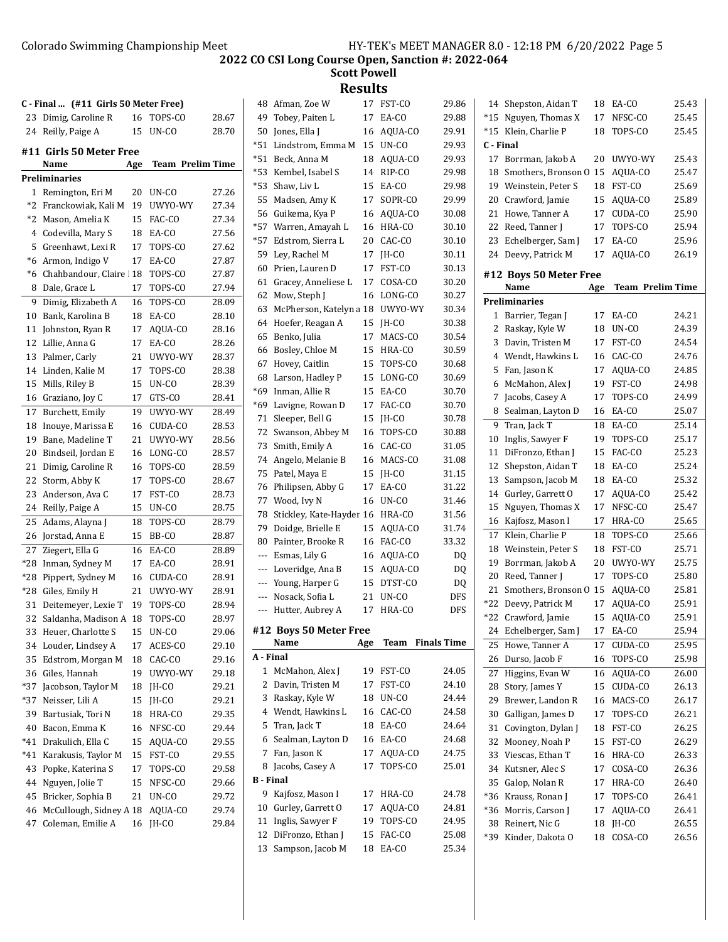**2022 CO CSI Long Course Open, Sanction #: 2022-064**

**Scott Powell**

| 11<br>!SU l |
|-------------|
|-------------|

|    |                                               |     |                         |       |                     | wouw                               |     |                  |       |           |                                   |     |                         |       |
|----|-----------------------------------------------|-----|-------------------------|-------|---------------------|------------------------------------|-----|------------------|-------|-----------|-----------------------------------|-----|-------------------------|-------|
|    | C - Final  (#11 Girls 50 Meter Free)          |     |                         |       |                     | 48 Afman, Zoe W                    |     | 17 FST-CO        | 29.86 |           | 14 Shepston, Aidan T              |     | 18 EA-CO                | 25.43 |
|    | 23 Dimig, Caroline R                          |     | 16 TOPS-CO              | 28.67 |                     | 49 Tobey, Paiten L                 |     | 17 EA-CO         | 29.88 |           | *15 Nguyen, Thomas X              |     | 17 NFSC-CO              | 25.45 |
|    | 24 Reilly, Paige A                            |     | 15 UN-CO                | 28.70 |                     | 50 Jones, Ella J                   |     | 16 AQUA-CO       | 29.91 |           | *15 Klein, Charlie P              |     | 18 TOPS-CO              | 25.45 |
|    |                                               |     |                         |       | *51                 | Lindstrom, Emma M                  |     | 15 UN-CO         | 29.93 | C - Final |                                   |     |                         |       |
|    | #11 Girls 50 Meter Free<br>Name               | Age | <b>Team Prelim Time</b> |       |                     | *51 Beck, Anna M                   |     | 18 AQUA-CO       | 29.93 |           | 17 Borrman, Jakob A               |     | 20 UWYO-WY              | 25.43 |
|    | Preliminaries                                 |     |                         |       |                     | *53 Kembel, Isabel S               |     | 14 RIP-CO        | 29.98 |           | 18 Smothers, Bronson 0 15 AQUA-CO |     |                         | 25.47 |
|    |                                               |     | 20 UN-CO                | 27.26 |                     | *53 Shaw, Liv L                    |     | 15 EA-CO         | 29.98 |           | 19 Weinstein, Peter S             |     | 18 FST-CO               | 25.69 |
|    | 1 Remington, Eri M                            |     | 19 UWYO-WY              | 27.34 |                     | 55 Madsen, Amy K                   |     | 17 SOPR-CO       | 29.99 |           | 20 Crawford, Jamie                |     | 15 AQUA-CO              | 25.89 |
|    | *2  Franckowiak, Kali M<br>*2 Mason, Amelia K |     | 15 FAC-CO               | 27.34 |                     | 56 Guikema, Kya P                  |     | 16 AQUA-CO       | 30.08 |           | 21 Howe, Tanner A                 |     | 17 CUDA-CO              | 25.90 |
|    | 4 Codevilla, Mary S                           |     | 18 EA-CO                | 27.56 |                     | *57 Warren, Amayah L               |     | 16 HRA-CO        | 30.10 |           | 22 Reed, Tanner J                 |     | 17 TOPS-CO              | 25.94 |
|    | 5 Greenhawt, Lexi R                           |     | 17 TOPS-CO              | 27.62 | *57                 | Edstrom, Sierra L                  |     | 20 CAC-CO        | 30.10 |           | 23 Echelberger, Sam J             |     | 17 EA-CO                | 25.96 |
|    | *6 Armon, Indigo V                            |     | 17 EA-CO                | 27.87 |                     | 59 Ley, Rachel M                   |     | 17 JH-CO         | 30.11 |           | 24 Deevy, Patrick M               |     | 17 AQUA-CO              | 26.19 |
|    | *6 Chahbandour, Claire 18 TOPS-CO             |     |                         | 27.87 |                     | 60 Prien, Lauren D                 |     | 17 FST-CO        | 30.13 |           |                                   |     |                         |       |
|    | 8 Dale, Grace L                               |     | 17 TOPS-CO              | 27.94 |                     | 61 Gracey, Anneliese L             |     | 17 COSA-CO       | 30.20 |           | #12 Boys 50 Meter Free<br>Name    | Age | <b>Team Prelim Time</b> |       |
|    |                                               |     |                         |       |                     | 62 Mow, Steph J                    |     | 16 LONG-CO       | 30.27 |           | <b>Preliminaries</b>              |     |                         |       |
| 9  | Dimig, Elizabeth A                            |     | 16 TOPS-CO              | 28.09 |                     | 63 McPherson, Katelyn a 18         |     | UWYO-WY          | 30.34 |           | 1 Barrier, Tegan J                |     | 17 EA-CO                | 24.21 |
|    | 10 Bank, Karolina B                           |     | 18 EA-CO                | 28.10 |                     | 64 Hoefer, Reagan A                |     | 15 JH-CO         | 30.38 |           |                                   |     | 18 UN-CO                | 24.39 |
|    | 11 Johnston, Ryan R                           |     | 17 AQUA-CO              | 28.16 |                     | 65 Benko, Julia                    |     | 17 MACS-CO       | 30.54 |           | 2 Raskay, Kyle W                  |     | 17 FST-CO               | 24.54 |
|    | 12 Lillie, Anna G                             |     | 17 EA-CO                | 28.26 |                     | 66 Bosley, Chloe M                 |     | 15 HRA-CO        | 30.59 |           | 3 Davin, Tristen M                |     | 16 CAC-CO               | 24.76 |
|    | 13 Palmer, Carly                              |     | 21 UWYO-WY              | 28.37 |                     | 67 Hovey, Caitlin                  |     | 15 TOPS-CO       | 30.68 |           | 4 Wendt, Hawkins L                |     |                         |       |
|    | 14 Linden, Kalie M                            |     | 17 TOPS-CO              | 28.38 |                     | 68 Larson, Hadley P                |     | 15 LONG-CO       | 30.69 |           | 5 Fan, Jason K                    |     | 17 AQUA-CO              | 24.85 |
|    | 15 Mills, Riley B                             |     | 15 UN-CO                | 28.39 |                     | *69 Inman, Allie R                 |     | 15 EA-CO         | 30.70 |           | 6 McMahon, Alex J                 |     | 19 FST-CO               | 24.98 |
|    | 16 Graziano, Joy C                            |     | 17 GTS-CO               | 28.41 |                     | *69 Lavigne, Rowan D               |     | 17 FAC-CO        | 30.70 |           | 7 Jacobs, Casey A                 |     | 17 TOPS-CO              | 24.99 |
|    | 17 Burchett, Emily                            | 19  | UWYO-WY                 | 28.49 |                     | 71 Sleeper, Bell G                 |     | 15 JH-CO         | 30.78 |           | 8 Sealman, Layton D               |     | 16 EA-CO                | 25.07 |
|    | 18 Inouye, Marissa E                          |     | 16 CUDA-CO              | 28.53 |                     | 72 Swanson, Abbey M                | 16  | TOPS-CO          | 30.88 |           | 9 Tran, Jack T                    |     | 18 EA-CO                | 25.14 |
|    | 19 Bane, Madeline T                           |     | 21 UWYO-WY              | 28.56 |                     | 73 Smith, Emily A                  |     | 16 CAC-CO        | 31.05 |           | 10 Inglis, Sawyer F               |     | 19 TOPS-CO              | 25.17 |
| 20 | Bindseil, Jordan E                            |     | 16 LONG-CO              | 28.57 |                     | 74 Angelo, Melanie B               |     | 16 MACS-CO       | 31.08 |           | 11 DiFronzo, Ethan J              |     | 15 FAC-CO               | 25.23 |
|    | 21 Dimig, Caroline R                          |     | 16 TOPS-CO              | 28.59 |                     | 75 Patel, Maya E                   |     | 15 JH-CO         | 31.15 |           | 12 Shepston, Aidan T              | 18  | EA-CO                   | 25.24 |
|    | 22 Storm, Abby K                              |     | 17 TOPS-CO              | 28.67 |                     | 76 Philipsen, Abby G               |     | 17 EA-CO         | 31.22 |           | 13 Sampson, Jacob M               |     | 18 EA-CO                | 25.32 |
|    | 23 Anderson, Ava C                            |     | 17 FST-CO               | 28.73 |                     | 77 Wood, Ivy N                     |     | 16 UN-CO         | 31.46 |           | 14 Gurley, Garrett O              |     | 17 AQUA-CO              | 25.42 |
|    | 24 Reilly, Paige A                            |     | 15 UN-CO                | 28.75 |                     | 78 Stickley, Kate-Hayder 16 HRA-CO |     |                  | 31.56 |           | 15 Nguyen, Thomas X               |     | 17 NFSC-CO              | 25.47 |
|    | 25 Adams, Alayna J                            |     | 18 TOPS-CO              | 28.79 |                     | 79 Doidge, Brielle E               |     | 15 AQUA-CO       | 31.74 |           | 16 Kajfosz, Mason I               |     | 17 HRA-CO               | 25.65 |
|    | 26 Jorstad, Anna E                            |     | 15 BB-CO                | 28.87 |                     | 80 Painter, Brooke R               |     | 16 FAC-CO        | 33.32 |           | 17 Klein, Charlie P               |     | 18 TOPS-CO              | 25.66 |
|    | 27 Ziegert, Ella G                            |     | 16 EA-CO                | 28.89 | $\qquad \qquad - -$ | Esmas, Lily G                      |     | 16 AQUA-CO       | DQ    |           | 18 Weinstein, Peter S             |     | 18 FST-CO               | 25.71 |
|    | *28 Inman, Sydney M                           |     | 17 EA-CO                | 28.91 |                     | --- Loveridge, Ana B               |     | 15 AQUA-CO       | DQ    |           | 19 Borrman, Jakob A               |     | 20 UWYO-WY              | 25.75 |
|    | *28 Pippert, Sydney M                         |     | 16 CUDA-CO              | 28.91 |                     | --- Young, Harper G                |     | 15 DTST-CO       | DQ    |           | 20 Reed, Tanner J                 |     | 17 TOPS-CO              | 25.80 |
|    | *28 Giles, Emily H                            |     | 21 UWYO-WY              | 28.91 |                     | --- Nosack, Sofia L                | 21  | UN-CO            | DFS   |           | 21 Smothers, Bronson 0 15 AQUA-CO |     |                         | 25.81 |
|    | 31 Deitemeyer, Lexie T                        | 19  | TOPS-CO                 | 28.94 |                     | --- Hutter, Aubrey A               |     | 17 HRA-CO        | DFS   |           | *22 Deevy, Patrick M              |     | 17 AQUA-CO              | 25.91 |
|    | 32 Saldanha, Madison A 18 TOPS-CO             |     |                         | 28.97 |                     |                                    |     |                  |       |           | *22 Crawford, Jamie               |     | 15 AQUA-CO              | 25.91 |
|    | 33 Heuer, Charlotte S                         |     | 15 UN-CO                | 29.06 |                     | #12 Boys 50 Meter Free             |     |                  |       |           | 24 Echelberger, Sam J             |     | 17 EA-CO                | 25.94 |
|    | 34 Louder, Lindsey A                          |     | 17 ACES-CO              | 29.10 |                     | Name                               | Age | Team Finals Time |       |           | 25 Howe, Tanner A                 | 17  | CUDA-CO                 | 25.95 |
| 35 | Edstrom, Morgan M                             |     | 18 CAC-CO               | 29.16 | A - Final           |                                    |     |                  |       |           | 26 Durso, Jacob F                 |     | 16 TOPS-CO              | 25.98 |
|    | 36 Giles, Hannah                              |     | 19 UWYO-WY              | 29.18 |                     | 1 McMahon, Alex J                  |     | 19 FST-CO        | 24.05 |           | 27 Higgins, Evan W                |     | 16 AQUA-CO              | 26.00 |
|    | *37 Jacobson, Taylor M                        |     | 18 JH-CO                | 29.21 |                     | 2 Davin, Tristen M                 |     | 17 FST-CO        | 24.10 |           | 28 Story, James Y                 |     | 15 CUDA-CO              | 26.13 |
|    | *37 Neisser, Lili A                           |     | 15 JH-CO                | 29.21 |                     | 3 Raskay, Kyle W                   |     | 18 UN-CO         | 24.44 |           | 29 Brewer, Landon R               |     | 16 MACS-CO              | 26.17 |
|    | 39 Bartusiak, Tori N                          |     | 18 HRA-CO               | 29.35 |                     | 4 Wendt, Hawkins L                 |     | 16 CAC-CO        | 24.58 |           | 30 Galligan, James D              |     | 17 TOPS-CO              | 26.21 |
| 40 | Bacon, Emma K                                 |     | 16 NFSC-CO              | 29.44 |                     | 5 Tran, Jack T                     |     | 18 EA-CO         | 24.64 |           | 31 Covington, Dylan J             |     | 18 FST-CO               | 26.25 |
|    | *41 Drakulich, Ella C                         |     | 15 AQUA-CO              | 29.55 |                     | 6 Sealman, Layton D                |     | 16 EA-CO         | 24.68 |           | 32 Mooney, Noah P                 |     | 15 FST-CO               | 26.29 |
|    | *41 Karakusis, Taylor M                       |     | 15 FST-CO               | 29.55 |                     | 7 Fan, Jason K                     |     | 17 AQUA-CO       | 24.75 |           | 33 Viescas, Ethan T               |     | 16 HRA-CO               | 26.33 |
| 43 | Popke, Katerina S                             |     | 17 TOPS-CO              | 29.58 |                     | 8 Jacobs, Casey A                  |     | 17 TOPS-CO       | 25.01 |           | 34 Kutsner, Alec S                |     | 17 COSA-CO              | 26.36 |
|    | 44 Nguyen, Jolie T                            |     | 15 NFSC-CO              | 29.66 | <b>B</b> - Final    |                                    |     |                  |       |           | 35 Galop, Nolan R                 |     | 17 HRA-CO               | 26.40 |
|    | 45 Bricker, Sophia B                          |     | 21 UN-CO                | 29.72 |                     | 9 Kajfosz, Mason I                 |     | 17 HRA-CO        | 24.78 |           | *36 Krauss, Ronan J               |     | 17 TOPS-CO              | 26.41 |
|    | 46 McCullough, Sidney A 18 AQUA-CO            |     |                         | 29.74 |                     | 10 Gurley, Garrett O               |     | 17 AQUA-CO       | 24.81 |           | *36 Morris, Carson J              |     | 17 AQUA-CO              | 26.41 |
|    | 47 Coleman, Emilie A                          |     | 16 JH-CO                | 29.84 |                     | 11 Inglis, Sawyer F                |     | 19 TOPS-CO       | 24.95 |           | 38 Reinert, Nic G                 |     | 18 JH-CO                | 26.55 |
|    |                                               |     |                         |       |                     | 12 DiFronzo, Ethan J               |     | 15 FAC-CO        | 25.08 |           | *39 Kinder, Dakota O              |     | 18 COSA-CO              | 26.56 |
|    |                                               |     |                         |       |                     | 13 Sampson, Jacob M                |     | 18 EA-CO         | 25.34 |           |                                   |     |                         |       |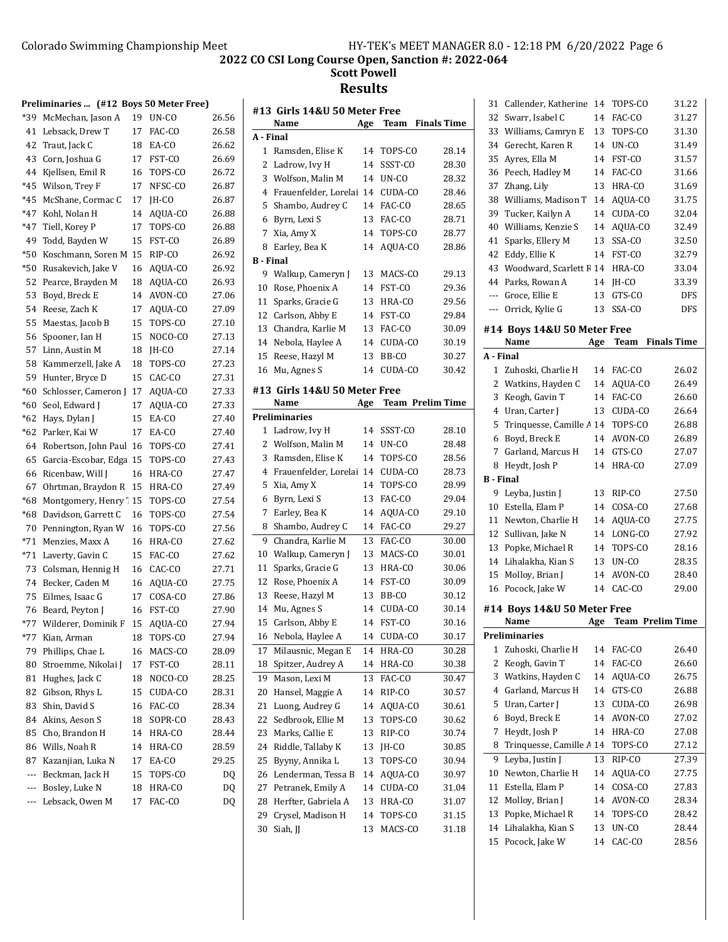|       | Preliminaries  (#12 Boys 50 Meter Free) |    |         |       |
|-------|-----------------------------------------|----|---------|-------|
| *39   | McMechan, Jason A                       | 19 | UN-CO   | 26.56 |
| 41    | Lebsack, Drew T                         | 17 | FAC-CO  | 26.58 |
| 42    | Traut, Jack C                           | 18 | EA-CO   | 26.62 |
| 43    | Corn, Joshua G                          | 17 | FST-CO  | 26.69 |
| 44    | Kjellsen, Emil R                        | 16 | TOPS-CO | 26.72 |
| $*45$ | Wilson, Trey F                          | 17 | NFSC-CO | 26.87 |
| *45   | McShane, Cormac C                       | 17 | JH-CO   | 26.87 |
| *47   | Kohl, Nolan H                           | 14 | AQUA-CO | 26.88 |
| $*47$ | Tiell, Korey P                          | 17 | TOPS-CO | 26.88 |
| 49    | Todd, Bayden W                          | 15 | FST-CO  | 26.89 |
| $*50$ | Koschmann, Soren M                      | 15 | RIP-CO  | 26.92 |
| $*50$ | Rusakevich, Jake V                      | 16 | AQUA-CO | 26.92 |
| 52    | Pearce, Brayden M                       | 18 | AQUA-CO | 26.93 |
| 53    | Boyd, Breck E                           | 14 | AVON-CO | 27.06 |
| 54    | Reese, Zach K                           | 17 | AQUA-CO | 27.09 |
| 55    | Maestas, Jacob B                        | 15 | TOPS-CO | 27.10 |
| 56    | Spooner, Ian H                          | 15 | NOCO-CO | 27.13 |
| 57    | Linn, Austin M                          | 18 | JH-CO   | 27.14 |
| 58    | Kammerzell, Jake A                      | 18 | TOPS-CO | 27.23 |
| 59    | Hunter, Bryce D                         | 15 | CAC-CO  | 27.31 |
| *60   | Schlosser, Cameron J                    | 17 | AQUA-CO | 27.33 |
| *60   | Seol, Edward J                          | 17 | AQUA-CO | 27.33 |
| $*62$ | Hays, Dylan J                           | 15 | EA-CO   | 27.40 |
| *62   | Parker, Kai W                           | 17 | EA-CO   | 27.40 |
| 64    | Robertson, John Paul                    | 16 | TOPS-CO | 27.41 |
| 65    | Garcia-Escobar, Edga                    | 15 | TOPS-CO | 27.43 |
| 66    | Ricenbaw, Will J                        | 16 | HRA-CO  | 27.47 |
| 67    | Ohrtman, Braydon R                      | 15 | HRA-CO  | 27.49 |
| *68   | Montgomery, Henry'                      | 15 | TOPS-CO | 27.54 |
| *68   | Davidson, Garrett C                     | 16 | TOPS-CO | 27.54 |
| 70    | Pennington, Ryan W                      | 16 | TOPS-CO | 27.56 |
| $*71$ | Menzies, Maxx A                         | 16 | HRA-CO  | 27.62 |
| $*71$ | Laverty, Gavin C                        | 15 | FAC-CO  | 27.62 |
| 73    | Colsman, Hennig H                       | 16 | CAC-CO  | 27.71 |
| 74    | Becker, Caden M                         | 16 | AOUA-CO | 27.75 |
| 75    | Eilmes, Isaac G                         | 17 | COSA-CO | 27.86 |
| 76    | Beard, Peyton J                         | 16 | FST-CO  | 27.90 |
| $*77$ | Wilderer, Dominik F                     | 15 | AQUA-CO | 27.94 |
| $*77$ | Kian, Arman                             | 18 | TOPS-CO | 27.94 |
| 79    | Phillips, Chae L                        | 16 | MACS-CO | 28.09 |
| 80    | Stroemme, Nikolai J                     | 17 | FST-CO  | 28.11 |
| 81    | Hughes, Jack C                          | 18 | NOCO-CO | 28.25 |
| 82    | Gibson, Rhys L                          | 15 | CUDA-CO | 28.31 |
| 83    | Shin, David S                           | 16 | FAC-CO  | 28.34 |
| 84    | Akins, Aeson S                          | 18 | SOPR-CO | 28.43 |
| 85    | Cho, Brandon H                          | 14 | HRA-CO  | 28.44 |
| 86    | Wills, Noah R                           | 14 | HRA-CO  | 28.59 |
| 87    | Kazanjian, Luka N                       | 17 | EA-CO   | 29.25 |
| ---   | Beckman, Jack H                         | 15 | TOPS-CO | DQ    |
| ---   | Bosley, Luke N                          | 18 | HRA-CO  | DQ    |
| ---   | Lebsack, Owen M                         | 17 | FAC-CO  | DQ    |

|           | #13 Girls 14&U 50 Meter Free |     |         |                         |
|-----------|------------------------------|-----|---------|-------------------------|
|           | Name                         | Age | Team    | <b>Finals Time</b>      |
| A - Final |                              |     |         |                         |
| 1         | Ramsden, Elise K             | 14  | TOPS-CO | 28.14                   |
| 2         | Ladrow, Ivy H                | 14  | SSST-CO | 28.30                   |
| 3         | Wolfson, Malin M             | 14  | UN-CO   | 28.32                   |
| 4         | Frauenfelder, Lorelai        | 14  | CUDA-CO | 28.46                   |
| 5         | Shambo, Audrey C             | 14  | FAC-CO  | 28.65                   |
| 6         | Byrn, Lexi S                 | 13  | FAC-CO  | 28.71                   |
| 7         | Xia, Amy X                   | 14  | TOPS-CO | 28.77                   |
| 8         | Earley, Bea K                | 14  | AQUA-CO | 28.86                   |
| B - Final |                              |     |         |                         |
| 9         | Walkup, Cameryn J            | 13  | MACS-CO | 29.13                   |
| 10        | Rose, Phoenix A              | 14  | FST-CO  | 29.36                   |
| 11        | Sparks, Gracie G             | 13  | HRA-CO  | 29.56                   |
| 12        | Carlson, Abby E              | 14  | FST-CO  | 29.84                   |
| 13        | Chandra, Karlie M            | 13  | FAC-CO  | 30.09                   |
| 14        | Nebola, Haylee A             | 14  | CUDA-CO | 30.19                   |
| 15        | Reese, Hazyl M               | 13  | BB-CO   | 30.27                   |
| 16        | Mu, Agnes S                  | 14  | CUDA-CO | 30.42                   |
|           |                              |     |         |                         |
|           | #13 Girls 14&U 50 Meter Free |     |         |                         |
|           | Name                         | Age |         | <b>Team Prelim Time</b> |
|           | Preliminaries                |     |         |                         |
| 1         | Ladrow, Ivy H                | 14  | SSST-CO | 28.10                   |
| 2         | Wolfson, Malin M             | 14  | UN-CO   | 28.48                   |
| 3         | Ramsden, Elise K             | 14  | TOPS-CO | 28.56                   |
| 4         | Frauenfelder, Lorelai        | 14  | CUDA-CO | 28.73                   |
| 5         | Xia, Amy X                   | 14  | TOPS-CO | 28.99                   |
| 6         | Byrn, Lexi S                 | 13  | FAC-CO  | 29.04                   |
| 7         | Earley, Bea K                | 14  | AQUA-CO | 29.10                   |
| 8         | Shambo, Audrey C             | 14  | FAC-CO  | 29.27                   |
| 9         | Chandra, Karlie M            | 13  | FAC-CO  | 30.00                   |
| 10        | Walkup, Cameryn J            | 13  | MACS-CO | 30.01                   |
| 11        | Sparks, Gracie G             | 13  | HRA-CO  | 30.06                   |
| 12        | Rose, Phoenix A              | 14  | FST-CO  | 30.09                   |
| 13        | Reese, Hazyl M               | 13  | BB-CO   | 30.12                   |
| 14        | Mu, Agnes S                  | 14  | CUDA-CO | 30.14                   |
| 15        | Carlson, Abby E              | 14  | FST-CO  | 30.16                   |
| 16        | Nebola, Haylee A             | 14  | CUDA-CO | 30.17                   |
| 17        | Milausnic, Megan E           | 14  | HRA-CO  | 30.28                   |
| 18        | Spitzer, Audrey A            | 14  | HRA-CO  | 30.38                   |
| 19        | Mason, Lexi M                | 13  | FAC-CO  | 30.47                   |
| 20        | Hansel, Maggie A             | 14  | RIP-CO  | 30.57                   |
| 21        | Luong, Audrey G              | 14  | AQUA-CO | 30.61                   |
| 22        | Sedbrook, Ellie M            | 13  | TOPS-CO | 30.62                   |
| 23        | Marks, Callie E              | 13  | RIP-CO  | 30.74                   |
| 24        | Riddle, Tallaby K            | 13  | JH-CO   | 30.85                   |
| 25        | Byyny, Annika L              | 13  | TOPS-CO | 30.94                   |
| 26        | Lenderman, Tessa B           | 14  | AQUA-CO | 30.97                   |
| 27        | Petranek, Emily A            | 14  | CUDA-CO | 31.04                   |
| 28        | Herfter, Gabriela A          | 13  | HRA-CO  | 31.07                   |
| 29        | Crysel, Madison H            | 14  | TOPS-CO | 31.15                   |
| 30        | Siah, JJ                     | 13  | MACS-CO | 31.18                   |
|           |                              |     |         |                         |

| 31               | Callender, Katherine        | 14  | TOPS-CO          | 31.22              |
|------------------|-----------------------------|-----|------------------|--------------------|
| 32               | Swarr, Isabel C             | 14  | FAC-CO           | 31.27              |
| 33               | Williams, Camryn E          | 13  | TOPS-CO          | 31.30              |
| 34               | Gerecht, Karen R            | 14  | UN-CO            | 31.49              |
| 35               | Ayres, Ella M               | 14  | FST-CO           | 31.57              |
| 36               | Peech, Hadley M             | 14  | FAC-CO           | 31.66              |
| 37               | Zhang, Lily                 | 13  | HRA-CO           | 31.69              |
| 38               | Williams, Madison T         | 14  | AQUA-CO          | 31.75              |
| 39               | Tucker, Kailyn A            | 14  | CUDA-CO          | 32.04              |
| 40               | Williams, Kenzie S          | 14  | AQUA-CO          | 32.49              |
| 41               | Sparks, Ellery M            | 13  | SSA-CO           | 32.50              |
| 42               | Eddy, Ellie K               | 14  | FST-CO           | 32.79              |
| 43               | Woodward, Scarlett R 14     |     | HRA-CO           | 33.04              |
| 44               | Parks, Rowan A              | 14  | JH-CO            | 33.39              |
| ---              | Groce, Ellie E              | 13  | GTS-CO           | <b>DFS</b>         |
| ---              | Orrick, Kylie G             | 13  | SSA-CO           | <b>DFS</b>         |
|                  |                             |     |                  |                    |
|                  | #14 Boys 14&U 50 Meter Free |     |                  |                    |
|                  | Name                        | Age | Team             | <b>Finals Time</b> |
| A - Final        |                             |     |                  |                    |
| 1                | Zuhoski, Charlie H          | 14  | FAC-CO           | 26.02              |
| 2                | Watkins, Hayden C           | 14  | AQUA-CO          | 26.49              |
| 3                | Keogh, Gavin T              | 14  | FAC-CO           | 26.60              |
| 4                | Uran, Carter J              | 13  | CUDA-CO          | 26.64              |
| 5                | Trinquesse, Camille A 14    |     | TOPS-CO          | 26.88              |
| 6                | Boyd, Breck E               | 14  | AVON-CO          | 26.89              |
| 7                | Garland, Marcus H           | 14  | GTS-CO           | 27.07              |
| 8                | Heydt, Josh P               | 14  | HRA-CO           | 27.09              |
|                  |                             |     |                  |                    |
| <b>B</b> - Final |                             |     |                  |                    |
| 9                | Leyba, Justin J             | 13  | RIP-CO           | 27.50              |
| 10               | Estella, Elam P             | 14  | COSA-CO          | 27.68              |
| 11               | Newton, Charlie H           | 14  | AQUA-CO          | 27.75              |
| 12               | Sullivan, Jake N            | 14  | LONG-CO          | 27.92              |
| 13               | Popke, Michael R            | 14  | TOPS-CO          | 28.16              |
| 14               | Lihalakha, Kian S           | 13  | UN-CO            | 28.35              |
| 15               | Molloy, Brian J             | 14  | AVON-CO          | 28.40              |
| 16               | Pocock, Jake W              | 14  | CAC-CO           | 29.00              |
|                  | #14 Boys 14&U 50 Meter Free |     |                  |                    |
|                  | Name                        | Age | Team Prelim Time |                    |
|                  | Preliminaries               |     |                  |                    |
| 1                | Zuhoski, Charlie H          | 14  | FAC-CO           | 26.40              |
| 2                | Keogh, Gavin T              | 14  | FAC-CO           | 26.60              |
| 3                | Watkins, Hayden C           | 14  | AOUA-CO          | 26.75              |
| 4                | Garland, Marcus H           | 14  | GTS-CO           | 26.88              |
| 5                | Uran, Carter J              | 13  | CUDA-CO          | 26.98              |
| 6                | Boyd, Breck E               | 14  | AVON-CO          | 27.02              |
| 7                | Heydt, Josh P               | 14  | HRA-CO           | 27.08              |
| 8                | Trinquesse, Camille A 14    |     | TOPS-CO          | 27.12              |
| 9                | Leyba, Justin J             | 13  | RIP-CO           | 27.39              |
| 10               | Newton, Charlie H           | 14  | AQUA-CO          | 27.75              |
| 11               | Estella, Elam P             | 14  | COSA-CO          | 27.83              |
| 12               | Molloy, Brian J             | 14  | AVON-CO          |                    |
| 13               | Popke, Michael R            | 14  | TOPS-CO          | 28.34<br>28.42     |
| 14               | Lihalakha, Kian S           | 13  | UN-CO            | 28.44              |
| 15               | Pocock, Jake W              | 14  | CAC-CO           | 28.56              |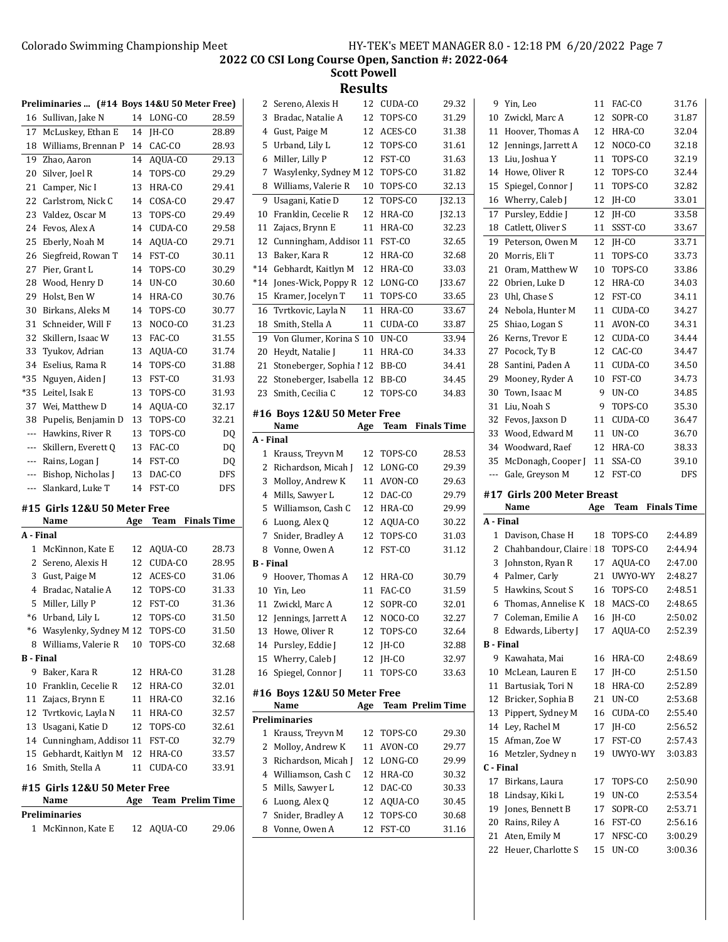**Scott Powell**

|                  | Preliminaries  (#14 Boys 14&U 50 Meter Free) |        |                         |                    |
|------------------|----------------------------------------------|--------|-------------------------|--------------------|
| 16               | Sullivan, Jake N                             | 14     | LONG-CO                 | 28.59              |
| 17               | McLuskey, Ethan E                            | 14     | JH-CO                   | 28.89              |
| 18               | Williams, Brennan P                          | 14     | CAC-CO                  | 28.93              |
| 19               | Zhao, Aaron                                  | 14     | AQUA-CO                 | 29.13              |
| 20               | Silver, Joel R                               | 14     | TOPS-CO                 | 29.29              |
| 21               | Camper, Nic I                                | 13     | HRA-CO                  | 29.41              |
| 22               | Carlstrom, Nick C                            | 14     | COSA-CO                 | 29.47              |
| 23               | Valdez, Oscar M                              | 13     | TOPS-CO                 | 29.49              |
| 24               | Fevos, Alex A                                | 14     | CUDA-CO                 | 29.58              |
| 25               | Eberly, Noah M                               | 14     | AQUA-CO                 | 29.71              |
| 26               | Siegfreid, Rowan T                           | 14     | FST-CO                  | 30.11              |
| 27               | Pier, Grant L                                | 14     | TOPS-CO                 | 30.29              |
| 28               | Wood, Henry D                                | 14     | UN-CO                   | 30.60              |
| 29               | Holst, Ben W                                 | 14     | HRA-CO                  | 30.76              |
| 30               | Birkans, Aleks M                             | 14     | TOPS-CO                 | 30.77              |
| 31               | Schneider, Will F                            | 13     | NOCO-CO                 | 31.23              |
| 32               | Skillern, Isaac W                            | 13     | FAC-CO                  | 31.55              |
| 33               | Tyukov, Adrian                               | 13     | AQUA-CO                 | 31.74              |
| 34               | Eselius, Rama R                              | 14     | TOPS-CO                 | 31.88              |
| $*35$            | Nguyen, Aiden J                              | 13     | FST-CO                  | 31.93              |
| $*35$            | Leitel, Isak E                               | 13     | TOPS-CO                 | 31.93              |
| 37               | Wei, Matthew D                               | 14     | AQUA-CO                 | 32.17              |
| 38               | Pupelis, Benjamin D                          | 13     | TOPS-CO                 | 32.21              |
| $\cdots$         | Hawkins, River R                             | 13     | TOPS-CO                 |                    |
|                  |                                              |        | FAC-CO                  | DQ                 |
| ---              | Skillern, Everett Q                          | 13     |                         | DQ                 |
| ---              | Rains, Logan J                               | 14     | FST-CO                  | DQ                 |
| ---              | Bishop, Nicholas J                           | 13     | DAC-CO                  | DFS                |
| ---              | Slankard, Luke T                             | 14     | FST-CO                  | DFS                |
|                  | #15 Girls 12&U 50 Meter Free                 |        |                         |                    |
|                  | Name                                         | Age    | Team                    | <b>Finals Time</b> |
|                  | A - Final                                    |        |                         |                    |
| $\mathbf{1}$     | McKinnon, Kate E                             | 12     | AQUA-CO                 |                    |
|                  |                                              |        |                         | 28.73              |
| 2                | Sereno, Alexis H                             | 12     | CUDA-CO                 | 28.95              |
| 3                | Gust, Paige M                                | 12     | ACES-CO                 | 31.06              |
| 4                | Bradac, Natalie A                            | 12     | TOPS-CO                 | 31.33              |
| 5                | Miller, Lilly P                              | 12     | FST-CO                  | 31.36              |
| $*6$             | Urband, Lily L                               | 12     | TOPS-CO                 | 31.50              |
|                  | *6 Wasylenky, Sydney M 12 TOPS-CO            |        |                         | 31.50              |
|                  | 8 Williams, Valerie R                        | $10\,$ | TOPS-CO                 | 32.68              |
|                  |                                              |        |                         |                    |
| 9                | Baker, Kara R                                | 12     | HRA-CO                  | 31.28              |
| 10               | Franklin, Cecelie R                          | 12     | HRA-CO                  | 32.01              |
| 11               | Zajacs, Brynn E                              | 11     | HRA-CO                  | 32.16              |
| 12               | Tvrtkovic, Layla N                           | 11     | HRA-CO                  | 32.57              |
| 13               | Usagani, Katie D                             | 12     | TOPS-CO                 | 32.61              |
|                  | 14 Cunningham, Addisoi 11                    |        | FST-CO                  | 32.79              |
| 15               | Gebhardt, Kaitlyn M                          | 12     | HRA-CO                  | 33.57              |
| 16               | Smith, Stella A                              | 11     | CUDA-CO                 | 33.91              |
|                  | #15 Girls 12&U 50 Meter Free                 |        |                         |                    |
|                  | Name                                         | Age    | <b>Team Prelim Time</b> |                    |
| <b>B</b> - Final | Preliminaries                                |        |                         |                    |
| 1                | McKinnon, Kate E                             | 12     | AQUA-CO                 | 29.06              |

| 2                | Sereno, Alexis H            | 12       | CUDA-CO                 | 29.32              |
|------------------|-----------------------------|----------|-------------------------|--------------------|
| 3                | Bradac, Natalie A           | 12       | TOPS-CO                 | 31.29              |
| 4                | Gust, Paige M               | 12       | ACES-CO                 | 31.38              |
| 5                | Urband, Lily L              | 12       | TOPS-CO                 | 31.61              |
| 6                | Miller, Lilly P             | 12       | FST-CO                  | 31.63              |
| 7                | Wasylenky, Sydney M 12      |          | TOPS-CO                 | 31.82              |
| 8                | Williams, Valerie R         | 10       | TOPS-CO                 | 32.13              |
| 9                | Usagani, Katie D            | 12       | TOPS-CO                 | J32.13             |
| 10               | Franklin, Cecelie R         | 12       | HRA-CO                  | J32.13             |
| 11               | Zajacs, Brynn E             | 11       | HRA-CO                  | 32.23              |
| 12               | Cunningham, Addisor 11      |          | FST-CO                  | 32.65              |
| 13               | Baker, Kara R               | 12       | HRA-CO                  | 32.68              |
| $*14$            | Gebhardt, Kaitlyn M         | 12       | HRA-CO                  | 33.03              |
| $*14$            | Jones-Wick, Poppy R         | 12       | LONG-CO                 | <b>J33.67</b>      |
| 15               | Kramer, Jocelyn T           | 11       | TOPS-CO                 | 33.65              |
| 16               | Tvrtkovic, Layla N          | 11       | HRA-CO                  | 33.67              |
| 18               | Smith, Stella A             | 11       | CUDA-CO                 | 33.87              |
| 19               | Von Glumer, Korina S        | 10       | UN-CO                   | 33.94              |
| 20               | Heydt, Natalie J            | 11       | HRA-CO                  | 34.33              |
| 21               | Stoneberger, Sophia 1 12    |          | BB-CO                   | 34.41              |
| 22               | Stoneberger, Isabella 12    |          | BB-CO                   | 34.45              |
| 23               | Smith, Cecilia C            | 12       | TOPS-CO                 | 34.83              |
|                  | #16 Boys 12&U 50 Meter Free |          |                         |                    |
|                  | Name                        |          |                         | <b>Finals Time</b> |
|                  |                             | Age      | Team                    |                    |
| A - Final        |                             |          |                         |                    |
| 1                | Krauss, Treyvn M            | 12       | TOPS-CO                 | 28.53              |
| 2                | Richardson, Micah J         | 12       | LONG-CO                 | 29.39              |
| 3                | Molloy, Andrew K            | 11       | AVON-CO                 | 29.63              |
| 4                | Mills, Sawyer L             | 12       | DAC-CO                  | 29.79              |
| 5                | Williamson, Cash C          | 12       | HRA-CO                  | 29.99              |
| 6                | Luong, Alex Q               | 12       | AQUA-CO                 | 30.22              |
| 7                | Snider, Bradley A           | 12       | TOPS-CO                 | 31.03              |
| 8                | Vonne, Owen A               | 12       | FST-CO                  | 31.12              |
| <b>B</b> - Final |                             |          |                         |                    |
| 9                | Hoover, Thomas A            | 12       | HRA-CO                  | 30.79              |
| 10               | Yin, Leo                    | 11       | FAC-CO                  | 31.59              |
| 11               | Zwickl, Marc A              | 12       | SOPR-CO                 | 32.01              |
| 12               | Jennings, Jarrett A         | 12       | NOCO-CO                 | 32.27              |
| 13               | Howe, Oliver R              | 12       | TOPS-CO                 | 32.64              |
| 14               | Pursley, Eddie J            | 12       | JH-CO                   | 32.88              |
| 15               | Wherry, Caleb I             | 12       | JH-CO                   | 32.97              |
| 16               | Spiegel, Connor J           | 11       | TOPS-CO                 | 33.63              |
|                  | #16 Boys 12&U 50 Meter Free |          |                         |                    |
|                  | Name                        | Age      | <b>Team Prelim Time</b> |                    |
|                  | <b>Preliminaries</b>        |          |                         |                    |
| 1                | Krauss, Treyvn M            | 12       | TOPS-CO                 | 29.30              |
| 2                | Molloy, Andrew K            | 11       | AVON-CO                 | 29.77              |
| 3                | Richardson, Micah J         | 12       | LONG-CO                 | 29.99              |
| 4                | Williamson, Cash C          | 12       | HRA-CO                  | 30.32              |
| 5                | Mills, Sawyer L             | 12       | DAC-CO                  | 30.33              |
| 6                | Luong, Alex Q               |          | AQUA-CO                 | 30.45              |
| 7                | Snider, Bradley A           | 12<br>12 | TOPS-CO                 |                    |
|                  |                             |          |                         |                    |
|                  |                             |          |                         | 30.68              |
| 8                | Vonne, Owen A               | 12       | FST-CO                  | 31.16              |

| 9              | Yin, Leo                              | 11       | FAC-CO          | 31.76              |
|----------------|---------------------------------------|----------|-----------------|--------------------|
| 10             | Zwickl, Marc A                        | 12       | SOPR-CO         | 31.87              |
| 11             | Hoover, Thomas A                      | 12       | HRA-CO          | 32.04              |
| 12             | Jennings, Jarrett A                   | 12       | NOCO-CO         | 32.18              |
| 13             | Liu, Joshua Y                         | 11       | TOPS-CO         | 32.19              |
| 14             | Howe, Oliver R                        | 12       | TOPS-CO         | 32.44              |
| 15             | Spiegel, Connor J                     | 11       | TOPS-CO         | 32.82              |
| 16             | Wherry, Caleb J                       | 12       | JH-CO           | 33.01              |
| 17             | Pursley, Eddie J                      | 12       | IH-CO           | 33.58              |
| 18             | Catlett, Oliver S                     | 11       | SSST-CO         | 33.67              |
| 19             | Peterson, Owen M                      | 12       | IH-CO           | 33.71              |
| 20             | Morris, Eli T                         | 11       | TOPS-CO         | 33.73              |
| 21             | Oram, Matthew W                       | 10       | TOPS-CO         | 33.86              |
| 22             | Obrien, Luke D                        | 12       | HRA-CO          | 34.03              |
| 23             | Uhl, Chase S                          | 12       | FST-CO          | 34.11              |
| 24             | Nebola, Hunter M                      | 11       | CUDA-CO         | 34.27              |
| 25             | Shiao, Logan S                        | 11       | AVON-CO         | 34.31              |
| 26             | Kerns, Trevor E                       | 12       | CUDA-CO         | 34.44              |
| 27             | Pocock, Ty B                          | 12       | CAC-CO          | 34.47              |
| 28             | Santini, Paden A                      | 11       | CUDA-CO         | 34.50              |
| 29             | Mooney, Ryder A                       | 10       | FST-CO          | 34.73              |
| 30             | Town, Isaac M                         | 9        | UN-CO           | 34.85              |
| 31             | Liu, Noah S                           | 9        | TOPS-CO         | 35.30              |
| 32             | Fevos, Jaxson D                       | 11       | CUDA-CO         | 36.47              |
| 33             | Wood, Edward M                        | 11       | UN-CO           | 36.70              |
| 34             | Woodward, Raef                        | 12       | HRA-CO          | 38.33              |
| 35             | McDonagh, Cooper J                    | 11       | SSA-CO          | 39.10              |
|                |                                       |          |                 |                    |
| ---            |                                       | 12       | FST-CO          | <b>DFS</b>         |
|                | Gale, Greyson M                       |          |                 |                    |
|                | #17  Girls 200 Meter Breast           |          |                 |                    |
|                | Name                                  | Age      | Team            | <b>Finals Time</b> |
| A - Final      |                                       |          |                 |                    |
| 1              | Davison, Chase H                      | 18       | TOPS-CO         | 2:44.89            |
| 2              | Chahbandour, Claire                   | 18       | TOPS-CO         | 2:44.94            |
| 3              | Johnston, Ryan R                      | 17<br>21 | AQUA-CO         | 2:47.00            |
| 4              | Palmer, Carly                         | 16       | UWYO-WY         | 2:48.27            |
| 5              | Hawkins, Scout S                      |          | TOPS-CO         | 2:48.51            |
| 6<br>7         | Thomas, Annelise K                    | 18       | MACS-CO         | 2:48.65            |
|                | Coleman, Emilie A                     | 16       | JH-CO           | 2:50.02            |
| 8<br>B - Final | Edwards, Liberty J                    | 17       | AQUA-CO         | 2:52.39            |
| 9              |                                       | 16       |                 | 2:48.69            |
| 10             | Kawahata, Mai                         | 17       | HRA-CO          |                    |
| 11             | McLean, Lauren E<br>Bartusiak, Tori N | 18       | JH-CO<br>HRA-CO | 2:51.50<br>2:52.89 |
| 12             |                                       | 21       | UN-CO           |                    |
| 13             | Bricker, Sophia B                     | 16       |                 | 2:53.68            |
| 14             | Pippert, Sydney M                     | 17       | CUDA-CO         | 2:55.40<br>2:56.52 |
| 15             | Ley, Rachel M                         | 17       | JH-CO<br>FST-CO |                    |
| 16             | Afman, Zoe W<br>Metzler, Sydney n     | 19       | UWYO-WY         | 2:57.43<br>3:03.83 |
| C - Final      |                                       |          |                 |                    |
| 17             | Birkans, Laura                        | 17       | TOPS-CO         | 2:50.90            |
| 18             | Lindsay, Kiki L                       | 19       | UN-CO           | 2:53.54            |
| 19             | Jones, Bennett B                      | 17       | SOPR-CO         | 2:53.71            |
| 20             | Rains, Riley A                        | 16       | FST-CO          | 2:56.16            |
| 21             | Aten, Emily M                         | 17       | NFSC-CO         | 3:00.29            |
| 22             | Heuer, Charlotte S                    | 15       | UN-CO           | 3:00.36            |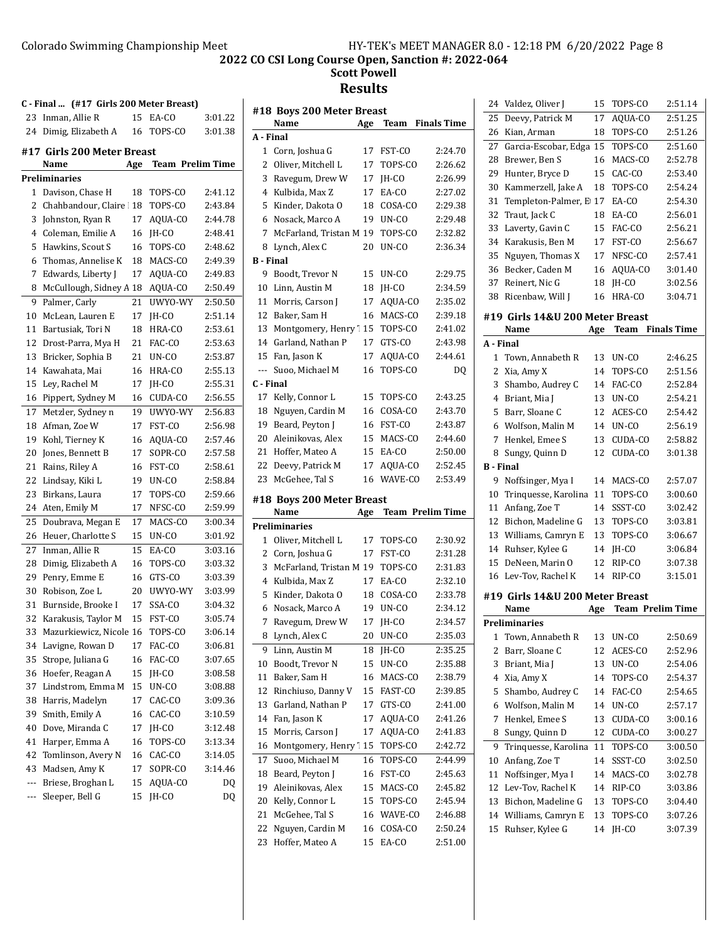## Colorado Swimming Championship Meet HY-TEK's MEET MANAGER 8.0 - 12:18 PM 6/20/2022 Page 8 **2022 CO CSI Long Course Open, Sanction #: 2022-064 Scott Powell Results**

**C - Final ... (#17 Girls 200 Meter Breast)** 23 Inman, Allie R 15 EA-CO 3:01.22 24 Dimig, Elizabeth A 16 TOPS-CO 3:01.38 **#17 Girls 200 Meter Breast Name Age Team Prelim Time Preliminaries** 1 Davison, Chase H 18 TOPS-CO 2:41.12 2 Chahbandour, Claire 18 TOPS-CO 2:43.84 3 Johnston, Ryan R 17 AQUA-CO 2:44.78 4 2:48.41 Coleman, Emilie A 16 JH-CO 5 Hawkins, Scout S 16 TOPS-CO 2:48.62 6 2:49.39 Thomas, Annelise K 18 MACS-CO 7 Edwards, Liberty J 17 AQUA-CO 2:49.83 8 McCullough, Sidney A 18 AQUA-CO 2:50.49 9 Palmer, Carly 21 UWYO-WY 2:50.50 10 McLean, Lauren E 17 JH-CO 2:51.14 11 Bartusiak, Tori N 18 HRA-CO 2:53.61 12 Drost-Parra, Mya H 21 FAC-CO 2:53.63 13 Bricker, Sophia B 21 UN-CO 2:53.87 14 Kawahata, Mai 16 HRA-CO 2:55.13 15 Ley, Rachel M 17 JH-CO 2:55.31 16 Pippert, Sydney M 16 CUDA-CO 2:56.55 17 Metzler, Sydney n 19 UWYO-WY 2:56.83 18 Afman, Zoe W 17 FST-CO 2:56.98 19 Kohl, Tierney K 16 AQUA-CO 2:57.46 20 Jones, Bennett B 17 SOPR-CO 2:57.58 21 Rains, Riley A 16 FST-CO 2:58.61 22 Lindsay, Kiki L 19 UN-CO 2:58.84 23 Birkans, Laura 17 TOPS-CO 2:59.66 24 Aten, Emily M 17 NFSC-CO 2:59.99 25 Doubrava, Megan E 17 MACS-CO 3:00.34 26 Heuer, Charlotte S 15 UN-CO 3:01.92 27 Inman, Allie R 15 EA-CO 3:03.16 28 Dimig, Elizabeth A 16 TOPS-CO 3:03.32 29 Penry, Emme E 16 GTS-CO 3:03.39 30 Robison, Zoe L 20 UWYO-WY 3:03.99 31 Burnside, Brooke I 17 SSA-CO 3:04.32 32 Karakusis, Taylor M 15 FST-CO 3:05.74 33 Mazurkiewicz, Nicole 16 TOPS-CO 3:06.14 34 Lavigne, Rowan D 17 FAC-CO 3:06.81 35 Strope, Juliana G 16 FAC-CO 3:07.65 36 Hoefer, Reagan A 15 JH-CO 3:08.58 37 Lindstrom, Emma M 15 UN-CO 3:08.88 38 Harris, Madelyn 17 CAC-CO 3:09.36 39 Smith, Emily A 16 CAC-CO 3:10.59 40 3:12.48 Dove, Miranda C 17 JH-CO 41 Harper, Emma A 16 TOPS-CO 3:13.34 42 Tomlinson, Avery N 16 CAC-CO 3:14.05 43 Madsen, Amy K 17 SOPR-CO 3:14.46 --- Briese, Broghan L 15 AQUA-CO DQ --- Sleeper, Bell G 15 JH-CO DQ

## **#18 Boys 200 Meter Breast Name Age Team Finals Time A - Final** 1 Corn, Joshua G 17 FST-CO 2:24.70 2 Oliver, Mitchell L 17 TOPS-CO 2:26.62 3 Ravegum, Drew W 17 JH-CO 2:26.99 4 Kulbida, Max Z 17 EA-CO 2:27.02 5 Kinder, Dakota O 18 COSA-CO 2:29.38 6 2:29.48 Nosack, Marco A 19 UN-CO 7 McFarland, Tristan M 19 TOPS-CO 2:32.82 8 Lynch, Alex C 20 UN-CO 2:36.34 **B - Final** 9 Boodt, Trevor N 15 UN-CO 2:29.75 10 Linn, Austin M 18 JH-CO 2:34.59 11 Morris, Carson J 17 AQUA-CO 2:35.02 12 Baker, Sam H 16 MACS-CO 2:39.18 13 Montgomery, Henry 115 TOPS-CO 2:41.02 14 Garland, Nathan P 17 GTS-CO 2:43.98 15 Fan, Jason K 17 AQUA-CO 2:44.61 --- Suoo, Michael M 16 TOPS-CO DQ **C - Final** 17 Kelly, Connor L 15 TOPS-CO 2:43.25 18 Nguyen, Cardin M 16 COSA-CO 2:43.70 19 2:43.87 Beard, Peyton J 16 FST-CO 20 Aleinikovas, Alex 15 MACS-CO 2:44.60 21 Hoffer, Mateo A 15 EA-CO 2:50.00 22 Deevy, Patrick M 17 AQUA-CO 2:52.45 23 McGehee, Tal S 16 WAVE-CO 2:53.49 **#18 Boys 200 Meter Breast Name Age Team Prelim Time Preliminaries** 1 Oliver, Mitchell L 17 TOPS-CO 2:30.92 2:31.28 Corn, Joshua G 17 FST-CO 2:31.28 3 McFarland, Tristan M 19 TOPS-CO 2:31.83 4 Kulbida, Max Z 17 EA-CO 2:32.10 5 Kinder, Dakota O 18 COSA-CO 2:33.78 6 2:34.12 Nosack, Marco A 19 UN-CO 7 Ravegum, Drew W 17 JH-CO 2:34.57 8 Lynch, Alex C 20 UN-CO 2:35.03 9 2:35.25 Linn, Austin M 18 JH-CO 10 Boodt, Trevor N 15 UN-CO 2:35.88 11 Baker, Sam H 16 MACS-CO 2:38.79 12 Rinchiuso, Danny V 15 FAST-CO 2:39.85 13 Garland, Nathan P 17 GTS-CO 2:41.00 14 Fan, Jason K 17 AQUA-CO 2:41.26 15 Morris, Carson J 17 AQUA-CO 2:41.83 16 Montgomery, Henry 15 TOPS-CO 2:42.72 17 Suoo, Michael M 16 TOPS-CO 2:44.99 18 2:45.63 Beard, Peyton J 16 FST-CO 19 Aleinikovas, Alex 15 MACS-CO 2:45.82 20 Kelly, Connor L 15 TOPS-CO 2:45.94 21 McGehee, Tal S 16 WAVE-CO 2:46.88 22 Nguyen, Cardin M 16 COSA-CO 2:50.24 23 Hoffer, Mateo A 15 EA-CO 2:51.00

| 24               | Valdez, Oliver J                 | 15  | TOPS-CO                 | 2:51.14            |
|------------------|----------------------------------|-----|-------------------------|--------------------|
| 25               | Deevy, Patrick M                 | 17  | AOUA-CO                 | 2:51.25            |
| 26               | Kian, Arman                      | 18  | TOPS-CO                 | 2:51.26            |
| 27               | Garcia-Escobar, Edga 15          |     | TOPS-CO                 | 2:51.60            |
| 28               | Brewer, Ben S                    | 16  | MACS-CO                 | 2:52.78            |
| 29               | Hunter, Bryce D                  | 15  | CAC-CO                  | 2:53.40            |
| 30               | Kammerzell, Jake A               | 18  | TOPS-CO                 | 2:54.24            |
| 31               | Templeton-Palmer, E 17           |     | EA-CO                   | 2:54.30            |
| 32               | Traut, Jack C                    | 18  | EA-CO                   | 2:56.01            |
| 33               | Laverty, Gavin C                 | 15  | FAC-CO                  | 2:56.21            |
| 34               | Karakusis, Ben M                 | 17  | FST-CO                  | 2:56.67            |
| 35               | Nguyen, Thomas X                 | 17  | NFSC-CO                 | 2:57.41            |
| 36               | Becker, Caden M                  | 16  | AQUA-CO                 | 3:01.40            |
| 37               | Reinert, Nic G                   | 18  | JH-CO                   | 3:02.56            |
| 38               | Ricenbaw, Will J                 | 16  | HRA-CO                  | 3:04.71            |
|                  |                                  |     |                         |                    |
|                  | #19  Girls 14&U 200 Meter Breast |     |                         |                    |
| A - Final        | Name                             | Age | Team                    | <b>Finals Time</b> |
| 1                |                                  | 13  |                         | 2:46.25            |
|                  | Town, Annabeth R                 | 14  | UN-CO                   | 2:51.56            |
| 2                | Xia, Amy X<br>Shambo, Audrey C   |     | TOPS-CO                 |                    |
| 3                |                                  | 14  | FAC-CO                  | 2:52.84            |
| 4                | Briant, Mia J                    | 13  | $UN-CO$                 | 2:54.21            |
| 5                | Barr, Sloane C                   | 12  | ACES-CO                 | 2:54.42            |
| 6                | Wolfson, Malin M                 | 14  | UN-CO                   | 2:56.19            |
| 7                | Henkel, Emee S                   | 13  | CUDA-CO                 | 2:58.82            |
| 8                | Sungy, Quinn D                   | 12  | CUDA-CO                 | 3:01.38            |
| <b>B</b> - Final |                                  |     |                         |                    |
|                  |                                  |     |                         |                    |
| 9                | Noffsinger, Mya I                | 14  | MACS-CO                 | 2:57.07            |
| 10               | Trinquesse, Karolina             | 11  | TOPS-CO                 | 3:00.60            |
| 11               | Anfang, Zoe T                    | 14  | SSST-CO                 | 3:02.42            |
| 12               | Bichon, Madeline G               | 13  | TOPS-CO                 | 3:03.81            |
| 13               | Williams, Camryn E               | 13  | TOPS-CO                 | 3:06.67            |
| 14               | Ruhser, Kylee G                  | 14  | JH-CO                   | 3:06.84            |
| 15               | DeNeen, Marin O                  | 12  | RIP-CO                  | 3:07.38            |
| 16               | Lev-Tov, Rachel K                | 14  | RIP-CO                  | 3:15.01            |
|                  | #19 Girls 14&U 200 Meter Breast  |     |                         |                    |
|                  | Name                             | Age | <b>Team Prelim Time</b> |                    |
|                  | Preliminaries                    |     |                         |                    |
| 1                | Town, Annabeth R                 | 13  | UN-CO                   | 2:50.69            |
| 2                | Barr, Sloane C                   | 12  | ACES-CO                 | 2:52.96            |
| 3                | Briant, Mia J                    | 13  | UN-CO                   | 2:54.06            |
| 4                | Xia, Amy X                       | 14  | TOPS-CO                 | 2:54.37            |
| 5                | Shambo, Audrey C                 | 14  | FAC-CO                  | 2:54.65            |
| 6                | Wolfson, Malin M                 | 14  | UN-CO                   | 2:57.17            |
| 7                | Henkel, Emee S                   | 13  | CUDA-CO                 | 3:00.16            |
| 8                | Sungy, Quinn D                   | 12  | CUDA-CO                 | 3:00.27            |
| 9                | Trinquesse, Karolina             | 11  | TOPS-CO                 | 3:00.50            |
| 10               | Anfang, Zoe T                    | 14  | SSST-CO                 | 3:02.50            |
| 11               | Noffsinger, Mya I                | 14  | MACS-CO                 | 3:02.78            |
| 12               | Lev-Tov, Rachel K                | 14  | RIP-CO                  | 3:03.86            |
| 13               | Bichon, Madeline G               | 13  | TOPS-CO                 | 3:04.40            |
| 14               | Williams, Camryn E               | 13  | TOPS-CO                 | 3:07.26            |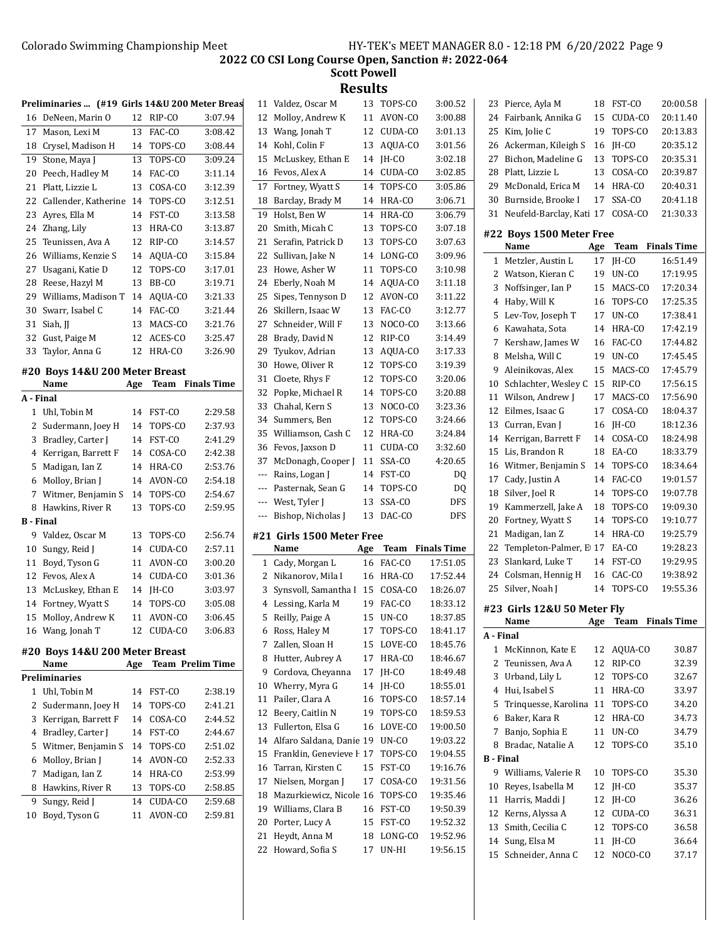**Scott Powell Results**<br>*Valdez Oscar* M 13 TO

|                  | Preliminaries  (#19 Girls 14&U 200 Meter Breas |     |            |                         | 11             |
|------------------|------------------------------------------------|-----|------------|-------------------------|----------------|
|                  | 16 DeNeen, Marin O                             | 12  | RIP-CO     | 3:07.94                 | 12             |
| 17               | Mason, Lexi M                                  | 13  | FAC-CO     | 3:08.42                 | 13             |
| 18               | Crysel, Madison H                              | 14  | TOPS-CO    | 3:08.44                 | 14             |
| 19               | Stone, Maya J                                  | 13  | TOPS-CO    | 3:09.24                 | 15             |
| 20               | Peech, Hadley M                                | 14  | FAC-CO     | 3:11.14                 | 16             |
| 21               | Platt, Lizzie L                                | 13  | COSA-CO    | 3:12.39                 | 17             |
| 22               | Callender, Katherine                           | 14  | TOPS-CO    | 3:12.51                 | 18             |
| 23               | Ayres, Ella M                                  | 14  | FST-CO     | 3:13.58                 | 1 <sup>c</sup> |
| 24               | Zhang, Lily                                    | 13  | HRA-CO     | 3:13.87                 | 20             |
| 25               | Teunissen, Ava A                               | 12  | RIP-CO     | 3:14.57                 | 21             |
| 26               | Williams, Kenzie S                             | 14  | AQUA-CO    | 3:15.84                 | 22             |
| 27               | Usagani, Katie D                               | 12  | TOPS-CO    | 3:17.01                 | 23             |
| 28               | Reese, Hazyl M                                 | 13  | BB-CO      | 3:19.71                 | 24             |
| 29               | Williams, Madison T                            | 14  | AQUA-CO    | 3:21.33                 | 25             |
| 30               | Swarr, Isabel C                                | 14  | FAC-CO     | 3:21.44                 | 26             |
| 31               | Siah, JJ                                       | 13  | MACS-CO    | 3:21.76                 | 27             |
| 32               | Gust, Paige M                                  | 12  | ACES-CO    | 3:25.47                 | 28             |
| 33               | Taylor, Anna G                                 | 12  | HRA-CO     | 3:26.90                 | 2٥             |
|                  |                                                |     |            |                         | 30             |
|                  | #20 Boys 14&U 200 Meter Breast                 |     |            |                         | 31             |
|                  | Name                                           | Age | Team       | <b>Finals Time</b>      | 32             |
| A - Final        |                                                |     |            |                         | 33             |
| 1                | Uhl, Tobin M                                   | 14  | FST-CO     | 2:29.58                 | 34             |
| 2                | Sudermann, Joey H                              | 14  | TOPS-CO    | 2:37.93                 | 35             |
| 3                | Bradley, Carter J                              | 14  | FST-CO     | 2:41.29                 | 36             |
| 4                | Kerrigan, Barrett F                            | 14  | COSA-CO    | 2:42.38                 | 37             |
| 5                | Madigan, Ian Z                                 | 14  | HRA-CO     | 2:53.76                 | --             |
| 6                | Molloy, Brian J                                | 14  | AVON-CO    | 2:54.18                 | --             |
| 7                | Witmer, Benjamin S                             | 14  | TOPS-CO    | 2:54.67                 | --             |
| 8                | Hawkins, River R                               | 13  | TOPS-CO    | 2:59.95                 | --             |
| <b>B</b> - Final |                                                |     |            |                         |                |
|                  | 9 Valdez, Oscar M                              | 13  | TOPS-CO    | 2:56.74                 | #2             |
| 10               | Sungy, Reid J                                  | 14  | CUDA-CO    | 2:57.11                 |                |
| 11               | Boyd, Tyson G                                  | 11  | AVON-CO    | 3:00.20                 |                |
| 12               | Fevos, Alex A                                  | 14  | CUDA-CO    | 3:01.36                 |                |
| 13               | McLuskey, Ethan E                              | 14  | JH-CO      | 3:03.97                 |                |
| 14               | Fortney, Wyatt S                               | 14  | TOPS-CO    | 3:05.08                 |                |
| 15               | Molloy, Andrew K                               | 11  | AVON-CO    | 3:06.45                 |                |
|                  | 16 Wang, Jonah T                               |     | 12 CUDA-CO | 3:06.83                 |                |
|                  | #20 Boys 14&U 200 Meter Breast                 |     |            |                         |                |
|                  | Name                                           | Age |            | <b>Team Prelim Time</b> |                |
|                  | <b>Preliminaries</b>                           |     |            |                         |                |
| 1                | Uhl, Tobin M                                   | 14  | FST-CO     | 2:38.19                 | 10             |
| 2                | Sudermann, Joey H                              | 14  | TOPS-CO    | 2:41.21                 | 11             |
| 3                | Kerrigan, Barrett F                            | 14  | COSA-CO    | 2:44.52                 | 12             |
| 4                | Bradley, Carter J                              | 14  | FST-CO     | 2:44.67                 | 13             |
| 5                | Witmer, Benjamin S                             | 14  | TOPS-CO    | 2:51.02                 | 14             |
|                  |                                                |     |            | 2:52.33                 | 15             |
| 6                | Molloy, Brian J                                | 14  | AVON-CO    |                         | 16             |
| 7                | Madigan, Ian Z                                 | 14  | HRA-CO     | 2:53.99                 | 17             |
| 8                | Hawkins, River R                               | 13  | TOPS-CO    | 2:58.85                 | 18             |
| 9                | Sungy, Reid J                                  | 14  | CUDA-CO    | 2:59.68                 | 19             |
| 10               | Boyd, Tyson G                                  | 11  | AVON-CO    | 2:59.81                 | 20             |

| 11             | Valdez, Oscar M                              | 13  | TOPS-CO          | 3:00.52              |
|----------------|----------------------------------------------|-----|------------------|----------------------|
| 12             | Molloy, Andrew K                             | 11  | AVON-CO          | 3:00.88              |
| 13             | Wang, Jonah T                                | 12  | CUDA-CO          | 3:01.13              |
| 14             | Kohl, Colin F                                | 13  | AQUA-CO          | 3:01.56              |
| 15             | McLuskey, Ethan E                            | 14  | JH-CO            | 3:02.18              |
| 16             | Fevos, Alex A                                | 14  | CUDA-CO          | 3:02.85              |
| 17             | Fortney, Wyatt S                             | 14  | TOPS-CO          | 3:05.86              |
| 18             | Barclay, Brady M                             | 14  | HRA-CO           | 3:06.71              |
| 19             | Holst, Ben W                                 | 14  | HRA-CO           | 3:06.79              |
| 20             | Smith, Micah C                               | 13  | TOPS-CO          | 3:07.18              |
| 21             | Serafin, Patrick D                           |     | TOPS-CO          | 3:07.63              |
|                |                                              | 13  |                  | 3:09.96              |
| 22             | Sullivan, Jake N                             | 14  | LONG-CO          |                      |
| 23             | Howe, Asher W                                | 11  | TOPS-CO          | 3:10.98              |
| 24             | Eberly, Noah M                               | 14  | AQUA-CO          | 3:11.18              |
| 25             | Sipes, Tennyson D                            | 12  | AVON-CO          | 3:11.22              |
| 26             | Skillern, Isaac W                            | 13  | FAC-CO           | 3:12.77              |
| 27             | Schneider, Will F                            | 13  | NOCO-CO          | 3:13.66              |
| 28             | Brady, David N                               | 12  | RIP-CO           | 3:14.49              |
| 29             | Tyukov, Adrian                               | 13  | AOUA-CO          | 3:17.33              |
| 30             | Howe, Oliver R                               | 12  | TOPS-CO          | 3:19.39              |
| 31             | Cloete, Rhys F                               | 12  | TOPS-CO          | 3:20.06              |
| 32             | Popke, Michael R                             | 14  | TOPS-CO          | 3:20.88              |
| 33             | Chahal, Kern S                               | 13  | NOCO-CO          | 3:23.36              |
| 34             | Summers, Ben                                 | 12  | TOPS-CO          | 3:24.66              |
| 35             | Williamson, Cash C                           | 12  | HRA-CO           | 3:24.84              |
| 36             | Fevos, Jaxson D                              | 11  | CUDA-CO          | 3:32.60              |
| 37             | McDonagh, Cooper J                           | 11  | SSA-CO           | 4:20.65              |
| ---            | Rains, Logan J                               | 14  | FST-CO           | DQ                   |
|                |                                              |     |                  |                      |
| ---            | Pasternak, Sean G                            | 14  | TOPS-CO          | DQ                   |
| $\overline{a}$ | West, Tyler J                                | 13  | SSA-CO           | DFS                  |
| ---            | Bishop, Nicholas J                           | 13  | DAC-CO           | <b>DFS</b>           |
|                | #21 Girls 1500 Meter Free                    |     |                  |                      |
|                | Name                                         | Age | Team             | <b>Finals Time</b>   |
| 1              | Cady, Morgan L                               | 16  | FAC-CO           | 17:51.05             |
| 2              | Nikanorov, Mila I                            | 16  | HRA-CO           | 17:52.44             |
| 3              | Synsvoll, Samantha I                         | 15  | COSA-CO          | 18:26.07             |
| 4              | Lessing, Karla M                             | 19  | FAC-CO           | 18:33.12             |
| 5              | Reilly, Paige A                              | 15  | UN-CO            | 18:37.85             |
| 6              | Ross, Haley M                                | 17  | TOPS-CO          | 18:41.17             |
| 7              | Zallen, Sloan H                              | 15  | LOVE-CO          | 18:45.76             |
| 8              | Hutter, Aubrey A                             | 17  | HRA-CO           | 18:46.67             |
| 9              | Cordova, Cheyanna                            | 17  | JH-CO            | 18:49.48             |
| 10             | Wherry, Myra G                               | 14  | JH-CO            | 18:55.01             |
| 11             | Pailer, Clara A                              | 16  | TOPS-CO          | 18:57.14             |
| 12             | Beery, Caitlin N                             | 19  | TOPS-CO          | 18:59.53             |
| 13             | Fullerton, Elsa G                            | 16  | LOVE-CO          | 19:00.50             |
| 14             | Alfaro Saldana, Danie 19                     |     | UN-CO            | 19:03.22             |
| 15             | Franklin, Genevieve F 17                     |     | TOPS-CO          | 19:04.55             |
| 16             | Tarran, Kirsten C                            | 15  | FST-CO           | 19:16.76             |
| 17             |                                              | 17  | COSA-CO          | 19:31.56             |
| 18             | Nielsen, Morgan J<br>Mazurkiewicz, Nicole 16 |     | TOPS-CO          | 19:35.46             |
| 19             | Williams, Clara B                            | 16  |                  | 19:50.39             |
| 20             |                                              | 15  | FST-CO<br>FST-CO | 19:52.32             |
| 21             | Porter, Lucy A                               | 18  | LONG-CO          |                      |
| 22             | Heydt, Anna M<br>Howard, Sofia S             | 17  | UN-HI            | 19:52.96<br>19:56.15 |

| 23               | Pierce, Ayla M               | 18  | FST-CO  | 20:00.58           |
|------------------|------------------------------|-----|---------|--------------------|
| 24               | Fairbank, Annika G           | 15  | CUDA-CO | 20:11.40           |
| 25               | Kim, Jolie C                 | 19  | TOPS-CO | 20:13.83           |
| 26               | Ackerman, Kileigh S          | 16  | IH-CO   | 20:35.12           |
| 27               | Bichon, Madeline G           | 13  | TOPS-CO | 20:35.31           |
| 28               | Platt. Lizzie L              | 13  | COSA-CO | 20:39.87           |
| 29               | McDonald, Erica M            | 14  | HRA-CO  | 20:40.31           |
| 30               | Burnside, Brooke I           | 17  | SSA-CO  | 20:41.18           |
| 31               | Neufeld-Barclay, Kati        | 17  | COSA-CO | 21:30.33           |
|                  |                              |     |         |                    |
|                  | #22 Boys 1500 Meter Free     |     |         |                    |
|                  | Name                         | Age | Team    | <b>Finals Time</b> |
| 1                | Metzler, Austin L            | 17  | JH-CO   | 16:51.49           |
| 2                | Watson, Kieran C             | 19  | UN-CO   | 17:19.95           |
| 3                | Noffsinger, Ian P            | 15  | MACS-CO | 17:20.34           |
| 4                | Haby, Will K                 | 16  | TOPS-CO | 17:25.35           |
| 5                | Lev-Tov, Joseph T            | 17  | UN-CO   | 17:38.41           |
| 6                | Kawahata, Sota               | 14  | HRA-CO  | 17:42.19           |
| 7                | Kershaw, James W             | 16  | FAC-CO  | 17:44.82           |
| 8                | Melsha, Will C               | 19  | UN-CO   | 17:45.45           |
| 9                | Aleinikovas, Alex            | 15  | MACS-CO | 17:45.79           |
| 10               | Schlachter, Wesley C         | 15  | RIP-CO  | 17:56.15           |
| 11               | Wilson, Andrew J             | 17  | MACS-CO | 17:56.90           |
| 12               | Eilmes, Isaac G              | 17  | COSA-CO | 18:04.37           |
| 13               | Curran, Evan J               | 16  | JH-CO   | 18:12.36           |
| 14               | Kerrigan, Barrett F          | 14  | COSA-CO | 18:24.98           |
| 15               | Lis, Brandon R               | 18  | EA-CO   | 18:33.79           |
| 16               | Witmer, Benjamin S           | 14  | TOPS-CO | 18:34.64           |
| 17               | Cady, Justin A               | 14  | FAC-CO  | 19:01.57           |
| 18               | Silver, Joel R               | 14  | TOPS-CO | 19:07.78           |
| 19               | Kammerzell, Jake A           | 18  | TOPS-CO | 19:09.30           |
| 20               | Fortney, Wyatt S             | 14  | TOPS-CO | 19:10.77           |
| 21               | Madigan, Ian Z               | 14  | HRA-CO  | 19:25.79           |
| 22               | Templeton-Palmer, E 17       |     | EA-CO   | 19:28.23           |
| 23               | Slankard, Luke T             | 14  | FST-CO  | 19:29.95           |
| 24               | Colsman, Hennig H            | 16  | CAC-CO  | 19:38.92           |
| 25               | Silver, Noah J               | 14  | TOPS-CO | 19:55.36           |
|                  | #23  Girls 12&U 50 Meter Flv |     |         |                    |
|                  | Name                         | Age | Team    | <b>Finals Time</b> |
| A - Final        |                              |     |         |                    |
| 1                | McKinnon, Kate E             | 12  | AQUA-CO | 30.87              |
| 2                | Teunissen, Ava A             | 12  | RIP-CO  | 32.39              |
| 3                | Urband, Lily L               | 12  | TOPS-CO | 32.67              |
| 4                | Hui, Isabel S                | 11  | HRA-CO  | 33.97              |
| 5                | Trinquesse, Karolina         | 11  | TOPS-CO | 34.20              |
| 6                | Baker, Kara R                | 12  | HRA-CO  | 34.73              |
| 7                | Banjo, Sophia E              | 11  | UN-CO   | 34.79              |
| 8                | Bradac, Natalie A            | 12  | TOPS-CO | 35.10              |
| <b>B</b> - Final |                              |     |         |                    |
| 9                | Williams, Valerie R          | 10  | TOPS-CO | 35.30              |
| 10               | Reyes, Isabella M            | 12  | JH-CO   | 35.37              |
| 11               | Harris, Maddi J              | 12  | JH-CO   | 36.26              |
| 12               | Kerns, Alyssa A              | 12  | CUDA-CO | 36.31              |
| 13               | Smith, Cecilia C             | 12  | TOPS-CO | 36.58              |
| 14               | Sung, Elsa M                 | 11  | JH-CO   | 36.64              |
| 15               | Schneider, Anna C            | 12  | NOCO-CO | 37.17              |
|                  |                              |     |         |                    |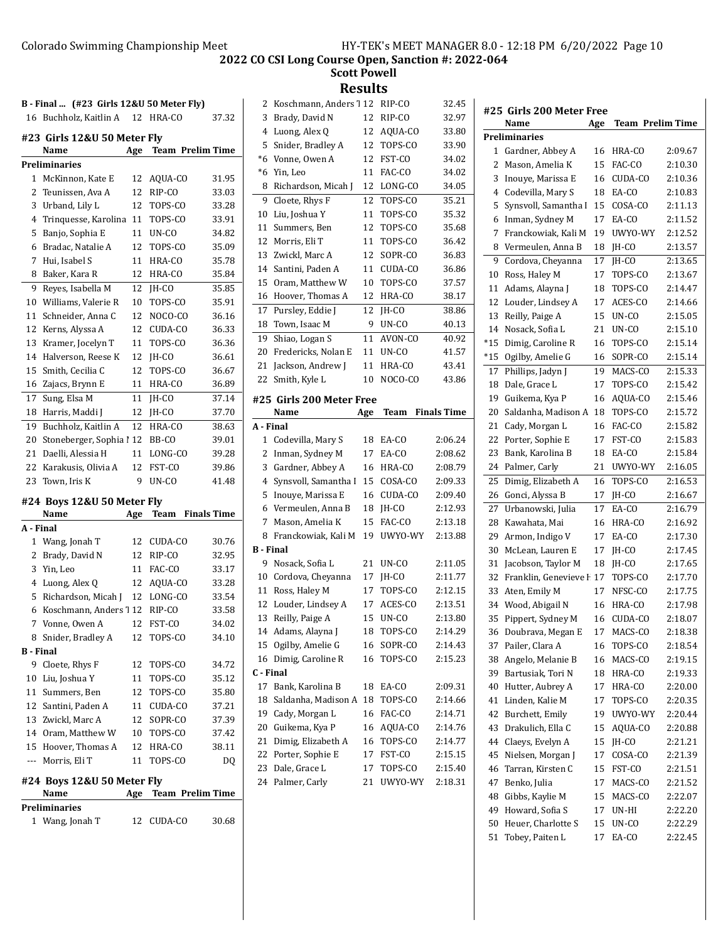**Scott Powell**

| B - Final  (#23 Girls 12&U 50 Meter Fly) |                                    |     |                            |       |   |
|------------------------------------------|------------------------------------|-----|----------------------------|-------|---|
| 16                                       | Buchholz, Kaitlin A                | 12  | HRA-CO                     | 37.32 |   |
|                                          | #23 Girls 12&U 50 Meter Fly        |     |                            |       |   |
|                                          | Name                               | Age | <b>Team Prelim Time</b>    |       |   |
|                                          | <b>Preliminaries</b>               |     |                            |       |   |
| $\mathbf{1}$                             | McKinnon, Kate E                   | 12  | AQUA-CO                    | 31.95 |   |
| 2                                        | Teunissen, Ava A                   | 12  | RIP-CO                     | 33.03 |   |
| 3                                        | Urband, Lily L                     | 12  | TOPS-CO                    | 33.28 |   |
| 4                                        | Trinquesse, Karolina               | 11  | TOPS-CO                    | 33.91 |   |
| 5                                        | Banjo, Sophia E                    | 11  | UN-CO                      | 34.82 |   |
| 6                                        | Bradac, Natalie A                  | 12  | TOPS-CO                    | 35.09 |   |
| 7                                        | Hui, Isabel S                      | 11  | HRA-CO                     | 35.78 |   |
| 8                                        | Baker, Kara R                      | 12  | HRA-CO                     | 35.84 |   |
| 9                                        | Reyes, Isabella M                  | 12  | JH-CO                      | 35.85 |   |
| 10                                       | Williams, Valerie R                | 10  | TOPS-CO                    | 35.91 |   |
| 11                                       | Schneider, Anna C                  | 12  | NOCO-CO                    | 36.16 |   |
|                                          | 12 Kerns, Alyssa A                 | 12  | CUDA-CO                    | 36.33 |   |
| 13                                       | Kramer, Jocelyn T                  | 11  | TOPS-CO                    | 36.36 |   |
| 14                                       | Halverson, Reese K                 | 12  | IH-CO                      | 36.61 |   |
| 15                                       | Smith, Cecilia C                   | 12  | TOPS-CO                    | 36.67 |   |
|                                          | 16 Zajacs, Brynn E                 | 11  | HRA-CO                     | 36.89 |   |
| 17                                       | Sung, Elsa M                       | 11  | JH-CO                      | 37.14 | ŧ |
| 18                                       | Harris, Maddi J                    | 12  | JH-CO                      | 37.70 |   |
|                                          | 19 Buchholz, Kaitlin A             | 12  | HRA-CO                     | 38.63 |   |
| 20                                       | Stoneberger, Sophia ! 12           |     | BB-CO                      | 39.01 |   |
| 21                                       | Daelli, Alessia H                  | 11  | LONG-CO                    | 39.28 |   |
| 22                                       | Karakusis, Olivia A                | 12  | FST-CO                     | 39.86 |   |
| 23                                       | Town, Iris K                       | 9   | UN-CO                      | 41.48 |   |
|                                          |                                    |     |                            |       |   |
|                                          | #24 Boys 12&U 50 Meter Fly<br>Name | Age | <b>Finals Time</b><br>Team |       |   |
| A - Final                                |                                    |     |                            |       |   |
| $\mathbf{1}$                             | Wang, Jonah T                      | 12  | CUDA-CO                    | 30.76 |   |
|                                          | 2 Brady, David N                   | 12  | RIP-CO                     | 32.95 | I |
| 3                                        | Yin, Leo                           | 11  | FAC-CO                     | 33.17 |   |
|                                          | 4 Luong, Alex Q                    | 12  | AQUA-CO                    | 33.28 |   |
| 5                                        | Richardson, Micah J                |     | 12 LONG-CO                 | 33.54 |   |
| 6                                        | Koschmann, Anders 7 12 RIP-CO      |     |                            | 33.58 |   |
| 7                                        | Vonne, Owen A                      | 12  | FST-CO                     | 34.02 |   |
|                                          | 8 Snider, Bradley A                | 12  | TOPS-CO                    | 34.10 |   |
| <b>B</b> - Final                         |                                    |     |                            |       |   |
|                                          | 9 Cloete, Rhys F                   | 12  | TOPS-CO                    | 34.72 |   |
|                                          | 10 Liu, Joshua Y                   | 11  | TOPS-CO                    | 35.12 |   |
|                                          | 11 Summers, Ben                    | 12  | TOPS-CO                    | 35.80 |   |
|                                          | 12 Santini, Paden A                | 11  | CUDA-CO                    | 37.21 |   |
|                                          | 13 Zwickl. Marc A                  | 12  | SOPR-CO                    | 37.39 |   |
|                                          | 14 Oram, Matthew W                 | 10  | TOPS-CO                    | 37.42 |   |
|                                          | 15 Hoover, Thomas A                | 12  | HRA-CO                     | 38.11 |   |
|                                          | --- Morris, Eli T                  | 11  | TOPS-CO                    | DQ    |   |
|                                          |                                    |     |                            |       |   |
|                                          | #24 Boys 12&U 50 Meter Fly         |     |                            |       |   |
|                                          | Name                               | Age | <b>Team Prelim Time</b>    |       |   |
|                                          | Preliminaries<br>1 Wang, Jonah T   |     | 12 CUDA-CO                 | 30.68 |   |
|                                          |                                    |     |                            |       |   |

| 2            | Koschmann, Anders 112          |          | RIP-CO             | 32.45              |
|--------------|--------------------------------|----------|--------------------|--------------------|
| 3            | Brady, David N                 | 12       | RIP-CO             | 32.97              |
| 4            | Luong, Alex Q                  | 12       | AQUA-CO            | 33.80              |
| 5            | Snider, Bradley A              | 12       | TOPS-CO            | 33.90              |
| $^{\ast}6$   | Vonne, Owen A                  | 12       | FST-CO             | 34.02              |
| $*6$         | Yin, Leo                       | 11       | FAC-CO             | 34.02              |
| 8            | Richardson, Micah J            | 12       | LONG-CO            | 34.05              |
| 9            | Cloete, Rhys F                 | 12       | TOPS-CO            | 35.21              |
| 10           | Liu, Joshua Y                  | 11       | TOPS-CO            | 35.32              |
| 11           | Summers, Ben                   | 12       | TOPS-CO            | 35.68              |
| 12           | Morris, Eli T                  | 11       | TOPS-CO            | 36.42              |
| 13           | Zwickl, Marc A                 | 12       | SOPR-CO            | 36.83              |
| 14           | Santini, Paden A               | 11       | CUDA-CO            | 36.86              |
| 15           | Oram, Matthew W                | 10       | TOPS-CO            | 37.57              |
| 16           | Hoover, Thomas A               | 12       | HRA-CO             | 38.17              |
| 17           | Pursley, Eddie J               | 12       | IH-CO              | 38.86              |
| 18           | Town, Isaac M                  | 9        | UN-CO              | 40.13              |
| 19           | Shiao, Logan S                 | 11       | AVON-CO            | 40.92              |
| 20           | Fredericks, Nolan E            | 11       | UN-CO              | 41.57              |
| 21           | Jackson, Andrew J              | 11       | HRA-CO             | 43.41              |
| 22           | Smith, Kyle L                  | 10       | NOCO-CO            | 43.86              |
|              |                                |          |                    |                    |
|              | #25 Girls 200 Meter Free       |          |                    | <b>Finals Time</b> |
| A - Final    | Name                           | Age      | <b>Team</b>        |                    |
| $\mathbf{1}$ | Codevilla, Mary S              |          |                    | 2:06.24            |
|              |                                | 18       | EA-CO              |                    |
|              |                                |          |                    |                    |
| 2            | Inman, Sydney M                | 17       | EA-CO              | 2:08.62            |
| 3            | Gardner, Abbey A               | 16       | HRA-CO             | 2:08.79            |
| 4            | Synsvoll, Samantha I           | 15       | COSA-CO            | 2:09.33            |
| 5            | Inouye, Marissa E              | 16       | CUDA-CO            | 2:09.40            |
| 6            | Vermeulen, Anna B              | 18       | JH-CO              | 2:12.93            |
| 7            | Mason, Amelia K                | 15       | FAC-CO             | 2:13.18            |
| 8            | Franckowiak, Kali M            | 19       | UWYO-WY            | 2:13.88            |
| B - Final    |                                |          |                    |                    |
| 9            | Nosack, Sofia L                | 21       | UN-CO              | 2:11.05            |
| 10           | Cordova, Chevanna              | 17       | IH-CO              | 2:11.77            |
| 11           | Ross, Haley M                  | 17       | TOPS-CO            | 2:12.15            |
| 12           | Louder, Lindsey A              | 17       | ACES-CO            | 2:13.51            |
| 13           | Reilly, Paige A                | 15       | UN-CO              | 2:13.80            |
| 14           | Adams, Alayna J                | 18       | TOPS-CO            | 2:14.29            |
| 15           | Ogilby, Amelie G               | 16       | SOPR-CO            | 2:14.43            |
| 16           | Dimig, Caroline R              | 16       | TOPS-CO            | 2:15.23            |
| C - Final    |                                |          |                    |                    |
| 17           | Bank, Karolina B               | 18       | EA-CO              | 2:09.31            |
| 18           | Saldanha, Madison A            | 18       | TOPS-CO            | 2:14.66            |
| 19           | Cady, Morgan L                 | 16       | FAC-CO             | 2:14.71            |
| 20           | Guikema, Kya P                 | 16       | AOUA-CO            | 2:14.76            |
| 21           | Dimig, Elizabeth A             | 16       | TOPS-CO            | 2:14.77            |
| 22           | Porter, Sophie E               | 17       | FST-CO             | 2:15.15            |
| 23<br>24     | Dale, Grace L<br>Palmer, Carly | 17<br>21 | TOPS-CO<br>UWYO-WY | 2:15.40<br>2:18.31 |

| #25 Girls 200 Meter Free |                       |          |                  |                    |
|--------------------------|-----------------------|----------|------------------|--------------------|
|                          | Name                  | Age      | Team Prelim Time |                    |
|                          | Preliminaries         |          |                  |                    |
| 1                        | Gardner, Abbey A      | 16       | HRA-CO           | 2:09.67            |
| 2                        | Mason, Amelia K       | 15       | FAC-CO           | 2:10.30            |
| 3                        | Inouve, Marissa E     | 16       | CUDA-CO          | 2:10.36            |
| 4                        | Codevilla, Mary S     | 18       | EA-CO            | 2:10.83            |
| 5                        | Synsvoll, Samantha I  | 15       | COSA-CO          | 2:11.13            |
| 6                        | Inman, Sydney M       | 17       | EA-CO            | 2:11.52            |
| 7                        | Franckowiak, Kali M   | 19       | UWYO-WY          | 2:12.52            |
| 8                        | Vermeulen, Anna B     | 18       | JH-CO            | 2:13.57            |
| 9                        | Cordova, Cheyanna     | 17       | IH-CO            | 2:13.65            |
| 10                       | Ross, Haley M         | 17       | TOPS-CO          | 2:13.67            |
| 11                       | Adams, Alayna J       | 18       | TOPS-CO          | 2:14.47            |
| 12                       | Louder, Lindsey A     | 17       | ACES-CO          | 2:14.66            |
| 13                       | Reilly, Paige A       | 15       | UN-CO            | 2:15.05            |
| 14                       | Nosack, Sofia L       | 21       | UN-CO            | 2:15.10            |
| $*15$                    | Dimig, Caroline R     | 16       | TOPS-CO          | 2:15.14            |
| $*15$                    | Ogilby, Amelie G      | 16       | SOPR-CO          | 2:15.14            |
| 17                       | Phillips, Jadyn J     | 19       | MACS-CO          | 2:15.33            |
| 18                       | Dale, Grace L         | 17       | TOPS-CO          | 2:15.42            |
| 19                       | Guikema, Kya P        | 16       | AQUA-CO          | 2:15.46            |
| 20                       | Saldanha, Madison A   | 18       | TOPS-CO          | 2:15.72            |
| 21                       | Cady, Morgan L        | 16       | FAC-CO           | 2:15.82            |
| 22                       | Porter, Sophie E      | 17       | FST-CO           | 2:15.83            |
| 23                       | Bank, Karolina B      | 18       | EA-CO            | 2:15.84            |
| 24                       | Palmer, Carly         | 21       | UWYO-WY          | 2:16.05            |
| 25                       | Dimig, Elizabeth A    | 16       | TOPS-CO          | 2:16.53            |
| 26                       | Gonci, Alyssa B       | 17       | JH-CO            | 2:16.67            |
| 27                       | Urbanowski, Julia     | 17       | EA-CO            | 2:16.79            |
| 28                       | Kawahata, Mai         | 16       | HRA-CO           | 2:16.92            |
| 29                       | Armon, Indigo V       | 17       | EA-CO            | 2:17.30            |
| 30                       | McLean, Lauren E      | 17       | IH-CO            | 2:17.45            |
| 31                       | Jacobson, Taylor M    | 18       | JH-CO            | 2:17.65            |
| 32                       | Franklin, Genevieve F | 17       | TOPS-CO          | 2:17.70            |
| 33                       | Aten, Emily M         | 17       | NFSC-CO          | 2:17.75            |
| 34                       | Wood, Abigail N       | 16       | HRA-CO           | 2:17.98            |
| 35                       | Pippert, Sydney M     | 16       | CUDA-CO          | 2:18.07            |
| 36                       | Doubrava, Megan E     | 17       | MACS-CO          | 2:18.38            |
| 37                       | Pailer, Clara A       | 16       | TOPS-CO          | 2:18.54            |
| 38                       | Angelo, Melanie B     | 16       | MACS-CO          | 2:19.15            |
|                          | Bartusiak, Tori N     |          |                  |                    |
| 39<br>40                 | Hutter, Aubrey A      | 18<br>17 | HRA-CO<br>HRA-CO | 2:19.33<br>2:20.00 |
| 41                       | Linden, Kalie M       |          | TOPS-CO          |                    |
|                          |                       | 17       |                  | 2:20.35            |
| 42                       | Burchett, Emily       | 19       | UWYO-WY          | 2:20.44            |
| 43                       | Drakulich, Ella C     | 15       | AQUA-CO          | 2:20.88            |
| 44                       | Claeys, Evelyn A      | 15       | JH-CO            | 2:21.21            |
| 45                       | Nielsen, Morgan J     | 17       | COSA-CO          | 2:21.39            |
| 46                       | Tarran, Kirsten C     | 15       | FST-CO           | 2:21.51            |
| 47                       | Benko, Julia          | 17       | MACS-CO          | 2:21.52            |
| 48                       | Gibbs, Kaylie M       | 15       | MACS-CO          | 2:22.07            |
| 49                       | Howard, Sofia S       | 17       | UN-HI            | 2:22.20            |
| 50                       | Heuer, Charlotte S    | 15       | UN-CO            | 2:22.29            |
| 51                       | Tobey, Paiten L       | 17       | EA-CO            | 2:22.45            |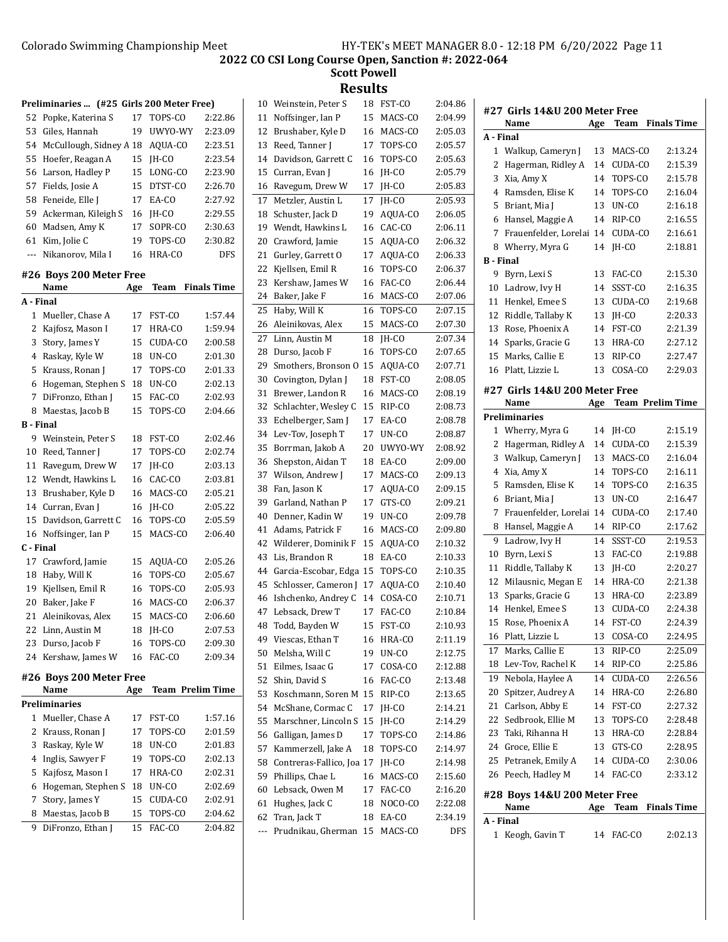| Preliminaries  (#25 Girls 200 Meter Free) |                         |     |                         |                    |
|-------------------------------------------|-------------------------|-----|-------------------------|--------------------|
| 52                                        | Popke, Katerina S       | 17  | TOPS-CO                 | 2:22.86            |
| 53                                        | Giles, Hannah           | 19  | UWYO-WY                 | 2:23.09            |
| 54                                        | McCullough, Sidney A 18 |     | AQUA-CO                 | 2:23.51            |
| 55                                        | Hoefer, Reagan A        | 15  | JH-CO                   | 2:23.54            |
| 56                                        | Larson, Hadley P        | 15  | LONG-CO                 | 2:23.90            |
| 57                                        | Fields, Josie A         | 15  | DTST-CO                 | 2:26.70            |
| 58                                        | Feneide, Elle J         | 17  | EA-CO                   | 2:27.92            |
| 59                                        | Ackerman, Kileigh S     | 16  | JH-CO                   | 2:29.55            |
| 60                                        | Madsen, Amy K           | 17  | SOPR-CO                 | 2:30.63            |
| 61                                        | Kim, Jolie C            | 19  | TOPS-CO                 | 2:30.82            |
| ---                                       | Nikanorov, Mila I       | 16  | HRA-CO                  | DFS                |
|                                           | #26 Boys 200 Meter Free |     |                         |                    |
|                                           | Name                    | Age | Team                    | <b>Finals Time</b> |
| A - Final                                 |                         |     |                         |                    |
| 1                                         | Mueller, Chase A        | 17  | FST-CO                  | 1:57.44            |
| 2                                         | Kajfosz, Mason I        | 17  | HRA-CO                  | 1:59.94            |
| 3                                         | Story, James Y          | 15  | CUDA-CO                 | 2:00.58            |
| 4                                         | Raskay, Kyle W          | 18  | UN-CO                   | 2:01.30            |
| 5                                         | Krauss, Ronan J         | 17  | TOPS-CO                 | 2:01.33            |
| 6                                         | Hogeman, Stephen S      | 18  | UN-CO                   | 2:02.13            |
| 7                                         | DiFronzo, Ethan J       | 15  | FAC-CO                  | 2:02.93            |
| 8                                         | Maestas, Jacob B        | 15  | TOPS-CO                 | 2:04.66            |
| <b>B</b> - Final                          |                         |     |                         |                    |
| 9                                         | Weinstein, Peter S      | 18  | FST-CO                  | 2:02.46            |
| 10                                        | Reed, Tanner J          | 17  | TOPS-CO                 | 2:02.74            |
| 11                                        | Ravegum, Drew W         | 17  | IH-CO                   | 2:03.13            |
| 12                                        | Wendt, Hawkins L        | 16  | CAC-CO                  | 2:03.81            |
| 13                                        | Brushaber, Kyle D       | 16  | MACS-CO                 | 2:05.21            |
| 14                                        | Curran, Evan J          | 16  | JH-CO                   | 2:05.22            |
| 15                                        | Davidson, Garrett C     | 16  | TOPS-CO                 | 2:05.59            |
| 16                                        | Noffsinger, Ian P       | 15  | MACS-CO                 | 2:06.40            |
| C - Final                                 |                         |     |                         |                    |
| 17                                        | Crawford, Jamie         | 15  | AQUA-CO                 | 2:05.26            |
| 18                                        | Haby, Will K            | 16  | TOPS-CO                 | 2:05.67            |
| 19                                        | Kjellsen, Emil R        | 16  | TOPS-CO                 | 2:05.93            |
| 20                                        | Baker, Jake F           | 16  | MACS-CO                 | 2:06.37            |
| 21                                        | Aleinikovas, Alex       | 15  | MACS-CO                 | 2:06.60            |
|                                           | 22 Linn, Austin M       | 18  | JH-CO                   | 2:07.53            |
| 23                                        | Durso, Jacob F          | 16  | TOPS-CO                 | 2:09.30            |
| 24                                        | Kershaw, James W        | 16  | FAC-CO                  | 2:09.34            |
|                                           | #26 Boys 200 Meter Free |     |                         |                    |
|                                           | Name                    | Age | <b>Team Prelim Time</b> |                    |
|                                           | <b>Preliminaries</b>    |     |                         |                    |
| 1                                         | Mueller, Chase A        | 17  | FST-CO                  | 1:57.16            |
| 2                                         | Krauss, Ronan J         | 17  | TOPS-CO                 | 2:01.59            |
| 3                                         | Raskay, Kyle W          | 18  | UN-CO                   | 2:01.83            |
| 4                                         | Inglis, Sawyer F        | 19  | TOPS-CO                 | 2:02.13            |
| 5                                         | Kajfosz, Mason I        | 17  | HRA-CO                  | 2:02.31            |
| 6                                         | Hogeman, Stephen S      | 18  | UN-CO                   | 2:02.69            |
| 7                                         | Story, James Y          | 15  | CUDA-CO                 | 2:02.91            |
| 8                                         | Maestas, Jacob B        | 15  | TOPS-CO                 | 2:04.62            |
| 9                                         | DiFronzo, Ethan J       | 15  | FAC-CO                  | 2:04.82            |

| 10  | Weinstein, Peter S        | 18 | FST-CO  | 2:04.86 |
|-----|---------------------------|----|---------|---------|
| 11  | Noffsinger, Ian P         | 15 | MACS-CO | 2:04.99 |
| 12  | Brushaber, Kyle D         | 16 | MACS-CO | 2:05.03 |
| 13  | Reed, Tanner J            | 17 | TOPS-CO | 2:05.57 |
| 14  | Davidson, Garrett C       | 16 | TOPS-CO | 2:05.63 |
| 15  | Curran, Evan J            | 16 | IH-CO   | 2:05.79 |
| 16  | Ravegum, Drew W           | 17 | JH-CO   | 2:05.83 |
| 17  | Metzler, Austin L         | 17 | IH-CO   | 2:05.93 |
| 18  | Schuster, Jack D          | 19 | AQUA-CO | 2:06.05 |
| 19  | Wendt, Hawkins L          | 16 | CAC-CO  | 2:06.11 |
| 20  | Crawford, Jamie           | 15 | AQUA-CO | 2:06.32 |
| 21  | Gurley, Garrett O         | 17 | AQUA-CO | 2:06.33 |
| 22  | Kjellsen, Emil R          | 16 | TOPS-CO | 2:06.37 |
| 23  | Kershaw, James W          | 16 | FAC-CO  | 2:06.44 |
| 24  | Baker, Jake F             | 16 | MACS-CO | 2:07.06 |
| 25  | Haby, Will K              | 16 | TOPS-CO | 2:07.15 |
| 26  | Aleinikovas, Alex         | 15 | MACS-CO | 2:07.30 |
| 27  | Linn, Austin M            | 18 | IH-CO   | 2:07.34 |
| 28  | Durso, Jacob F            | 16 | TOPS-CO | 2:07.65 |
| 29  | Smothers, Bronson O       | 15 | AQUA-CO | 2:07.71 |
| 30  | Covington, Dylan J        | 18 | FST-CO  | 2:08.05 |
| 31  | Brewer, Landon R          | 16 | MACS-CO | 2:08.19 |
| 32  | Schlachter, Wesley C      | 15 | RIP-CO  | 2:08.73 |
| 33  | Echelberger, Sam J        | 17 | EA-CO   | 2:08.78 |
| 34  | Lev-Tov, Joseph T         | 17 | UN-CO   | 2:08.87 |
| 35  | Borrman, Jakob A          | 20 | UWYO-WY | 2:08.92 |
| 36  | Shepston, Aidan T         | 18 | EA-CO   | 2:09.00 |
| 37  | Wilson, Andrew J          | 17 | MACS-CO | 2:09.13 |
| 38  | Fan, Jason K              | 17 | AQUA-CO | 2:09.15 |
| 39  | Garland, Nathan P         | 17 | GTS-CO  | 2:09.21 |
| 40  | Denner, Kadin W           | 19 | UN-CO   | 2:09.78 |
| 41  | Adams, Patrick F          | 16 | MACS-CO | 2:09.80 |
| 42  | Wilderer, Dominik F       | 15 | AQUA-CO | 2:10.32 |
| 43  | Lis, Brandon R            | 18 | EA-CO   | 2:10.33 |
| 44  | Garcia-Escobar, Edga      | 15 | TOPS-CO | 2:10.35 |
| 45  | Schlosser, Cameron J      | 17 | AQUA-CO | 2:10.40 |
| 46  | Ishchenko, Andrey C       | 14 | COSA-CO | 2:10.71 |
| 47  | Lebsack, Drew T           | 17 | FAC-CO  | 2:10.84 |
| 48  | Todd, Bayden W            | 15 | FST-CO  | 2:10.93 |
| 49  | Viescas, Ethan T          | 16 | HRA-CO  | 2:11.19 |
| 50  | Melsha, Will C            | 19 | UN-CO   | 2:12.75 |
| 51  | Eilmes, Isaac G           | 17 | COSA-CO | 2:12.88 |
| 52  | Shin, David S             | 16 | FAC-CO  | 2:13.48 |
| 53  | Koschmann, Soren M        | 15 | RIP-CO  | 2:13.65 |
| 54  | McShane, Cormac C         | 17 | JH-CO   | 2:14.21 |
| 55  | Marschner, Lincoln S      | 15 | JH-CO   | 2:14.29 |
| 56  | Galligan, James D         | 17 | TOPS-CO | 2:14.86 |
| 57  | Kammerzell, Jake A        | 18 | TOPS-CO | 2:14.97 |
| 58  | Contreras-Fallico, Joa 17 |    | JH-CO   | 2:14.98 |
| 59  | Phillips, Chae L          | 16 | MACS-CO | 2:15.60 |
| 60  | Lebsack, Owen M           | 17 | FAC-CO  | 2:16.20 |
| 61  | Hughes, Jack C            | 18 | NOCO-CO | 2:22.08 |
| 62  | Tran, Jack T              | 18 | EA-CO   | 2:34.19 |
| --- | Prudnikau, Gherman        | 15 | MACS-CO | DFS     |
|     |                           |    |         |         |

|           | #27  Girls 14&U 200 Meter Free        |     |                    |                         |
|-----------|---------------------------------------|-----|--------------------|-------------------------|
|           | Name                                  | Age | Team               | <b>Finals Time</b>      |
| A - Final |                                       |     |                    |                         |
| 1         | Walkup, Cameryn J                     | 13  | MACS-CO            | 2:13.24                 |
| 2         | Hagerman, Ridley A                    | 14  | CUDA-CO            | 2:15.39                 |
| 3         | Xia, Amy X                            | 14  | TOPS-CO            | 2:15.78                 |
| 4         | Ramsden, Elise K                      | 14  | TOPS-CO            | 2:16.04                 |
| 5         | Briant, Mia J                         | 13  | UN-CO              | 2:16.18                 |
| 6         | Hansel, Maggie A                      | 14  | RIP-CO             | 2:16.55                 |
| 7         | Frauenfelder, Lorelai                 | 14  | CUDA-CO            | 2:16.61                 |
| 8         | Wherry, Myra G                        | 14  | IH-CO              | 2:18.81                 |
| B - Final |                                       |     |                    |                         |
| 9         | Byrn, Lexi S                          | 13  | FAC-CO             | 2:15.30                 |
| 10        | Ladrow, Ivy H                         | 14  | SSST-CO            | 2:16.35                 |
| 11        | Henkel, Emee S                        | 13  | CUDA-CO            | 2:19.68                 |
| 12        | Riddle, Tallaby K                     | 13  | JH-CO              | 2:20.33                 |
| 13        | Rose, Phoenix A                       | 14  | FST-CO             | 2:21.39                 |
| 14        | Sparks, Gracie G                      | 13  | HRA-CO             | 2:27.12                 |
| 15        | Marks, Callie E                       | 13  | RIP-CO             | 2:27.47                 |
| 16        | Platt, Lizzie L                       | 13  | COSA-CO            | 2:29.03                 |
|           |                                       |     |                    |                         |
|           | #27 Girls 14&U 200 Meter Free<br>Name |     |                    | <b>Team Prelim Time</b> |
|           | <b>Preliminaries</b>                  | Age |                    |                         |
| 1         |                                       |     |                    | 2:15.19                 |
| 2         | Wherry, Myra G                        | 14  | JH-CO              | 2:15.39                 |
| 3         | Hagerman, Ridley A                    | 14  | CUDA-CO<br>MACS-CO | 2:16.04                 |
|           | Walkup, Cameryn J                     | 13  |                    |                         |
| 4         | Xia, Amy X                            | 14  | TOPS-CO            | 2:16.11                 |
| 5         | Ramsden, Elise K                      | 14  | TOPS-CO            | 2:16.35                 |
| 6         | Briant, Mia J                         | 13  | $UN-CO$            | 2:16.47                 |
| 7         | Frauenfelder, Lorelai                 | 14  | CUDA-CO            | 2:17.40                 |
| 8         | Hansel, Maggie A                      | 14  | RIP-CO             | 2:17.62                 |
| 9         | Ladrow, Ivy H                         | 14  | SSST-CO            | 2:19.53                 |
| 10        | Byrn, Lexi S                          | 13  | FAC-CO             | 2:19.88                 |
| 11        | Riddle, Tallaby K                     | 13  | JH-CO              | 2:20.27                 |
| 12        | Milausnic, Megan E                    | 14  | HRA-CO             | 2:21.38                 |
| 13        | Sparks, Gracie G                      | 13  | HRA-CO             | 2:23.89                 |
| 14        | Henkel, Emee S                        | 13  | CUDA-CO            | 2:24.38                 |
| 15        | Rose, Phoenix A                       | 14  | FST-CO             | 2:24.39                 |
| 16        | Platt, Lizzie L                       | 13  | COSA-CO            | 2:24.95                 |
| 17        | Marks, Callie E                       | 13  | RIP-CO             | 2:25.09                 |
| 18        | Lev-Tov, Rachel K                     | 14  | RIP-CO             | 2:25.86                 |
| 19        | Nebola, Haylee A                      | 14  | CUDA-CO            | 2:26.56                 |
| 20        | Spitzer, Audrey A                     | 14  | HRA-CO             | 2:26.80                 |
| 21        | Carlson, Abby E                       | 14  | FST-CO             | 2:27.32                 |
| 22        | Sedbrook, Ellie M                     | 13  | TOPS-CO            | 2:28.48                 |
| 23        | Taki, Rihanna H                       | 13  | HRA-CO             | 2:28.84                 |
| 24        | Groce, Ellie E                        | 13  | GTS-CO             | 2:28.95                 |
| 25        | Petranek, Emily A                     | 14  | CUDA-CO            | 2:30.06                 |
| 26        | Peech, Hadley M                       | 14  | FAC-CO             | 2:33.12                 |
|           |                                       |     |                    |                         |
|           | #28 Boys 14&U 200 Meter Free<br>Name  | Age | Team               | <b>Finals Time</b>      |
| A - Final |                                       |     |                    |                         |
| 1         | Keogh, Gavin T                        | 14  | FAC-CO             | 2:02.13                 |
|           |                                       |     |                    |                         |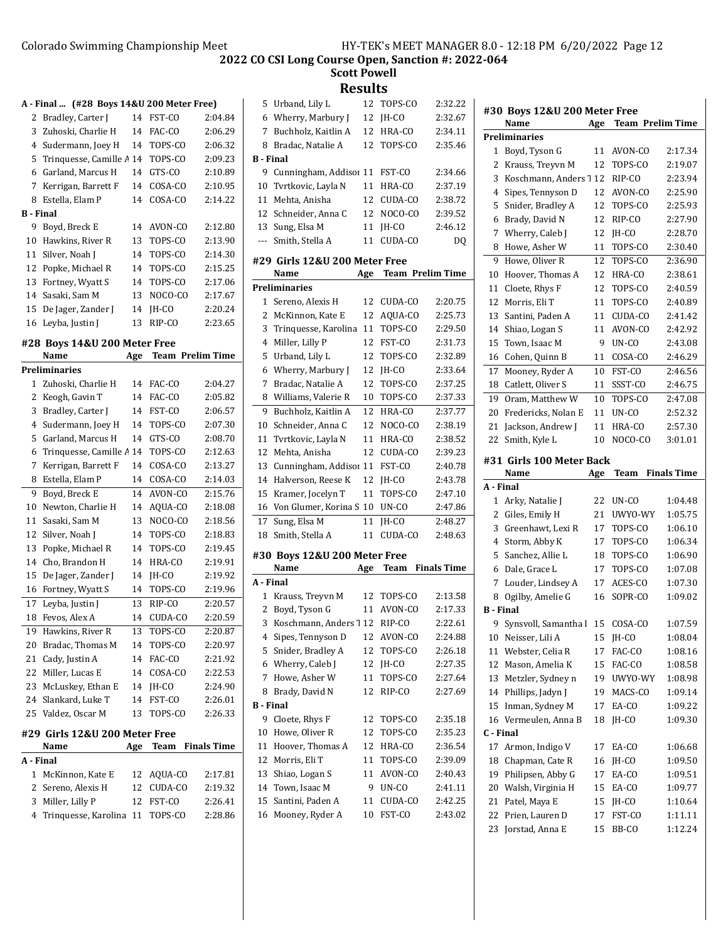**Scott Powell**

|                  | A - Final  (#28 Boys 14&U 200 Meter Free) |     |                         |                    |
|------------------|-------------------------------------------|-----|-------------------------|--------------------|
| 2                | Bradley, Carter J                         | 14  | FST-CO                  | 2:04.84            |
| 3                | Zuhoski, Charlie H                        | 14  | FAC-CO                  | 2:06.29            |
| 4                | Sudermann, Joey H                         | 14  | TOPS-CO                 | 2:06.32            |
| 5                | Trinquesse, Camille A 14                  |     | TOPS-CO                 | 2:09.23            |
| 6                | Garland, Marcus H                         | 14  | GTS-CO                  | 2:10.89            |
| 7                | Kerrigan, Barrett F                       | 14  | COSA-CO                 | 2:10.95            |
| 8                | Estella, Elam P                           | 14  | COSA-CO                 | 2:14.22            |
| <b>B</b> - Final |                                           |     |                         |                    |
|                  | 9 Boyd, Breck E                           | 14  | AVON-CO                 | 2:12.80            |
| 10               | Hawkins, River R                          | 13  | TOPS-CO                 | 2:13.90            |
| 11               | Silver, Noah J                            | 14  | TOPS-CO                 | 2:14.30            |
| 12               | Popke, Michael R                          | 14  | TOPS-CO                 | 2:15.25            |
| 13               | Fortney, Wyatt S                          | 14  | TOPS-CO                 | 2:17.06            |
| 14               | Sasaki, Sam M                             | 13  | NOCO-CO                 | 2:17.67            |
| 15               | De Jager, Zander J                        | 14  | JH-CO                   | 2:20.24            |
| 16               | Leyba, Justin J                           | 13  | RIP-CO                  | 2:23.65            |
|                  |                                           |     |                         |                    |
|                  | #28 Boys 14&U 200 Meter Free<br>Name      | Age | <b>Team Prelim Time</b> |                    |
|                  | <b>Preliminaries</b>                      |     |                         |                    |
| $\mathbf{1}$     | Zuhoski, Charlie H                        |     | 14 FAC-CO               | 2:04.27            |
| 2                | Keogh, Gavin T                            | 14  | FAC-CO                  | 2:05.82            |
| 3                | Bradley, Carter J                         | 14  | FST-CO                  | 2:06.57            |
| 4                | Sudermann, Joey H                         | 14  | TOPS-CO                 | 2:07.30            |
| 5                | Garland, Marcus H                         | 14  | GTS-CO                  | 2:08.70            |
| 6                | Trinquesse, Camille A 14                  |     | TOPS-CO                 | 2:12.63            |
| 7                | Kerrigan, Barrett F                       | 14  | COSA-CO                 | 2:13.27            |
| 8                | Estella, Elam P                           | 14  | COSA-CO                 | 2:14.03            |
| 9                | Boyd, Breck E                             | 14  | AVON-CO                 | 2:15.76            |
| 10               | Newton, Charlie H                         | 14  | AQUA-CO                 | 2:18.08            |
| 11               | Sasaki, Sam M                             | 13  | NOCO-CO                 | 2:18.56            |
| 12               | Silver, Noah J                            | 14  | TOPS-CO                 | 2:18.83            |
| 13               | Popke, Michael R                          | 14  | TOPS-CO                 | 2:19.45            |
| 14               | Cho, Brandon H                            | 14  | HRA-CO                  | 2:19.91            |
| 15               | De Jager, Zander J                        | 14  | JH-CO                   | 2:19.92            |
| 16               | Fortney, Wyatt S                          | 14  | TOPS-CO                 | 2:19.96            |
| 17               | Leyba, Justin J                           | 13  | RIP-CO                  | 2:20.57            |
| 18               | Fevos, Alex A                             | 14  | CUDA-CO                 | 2:20.59            |
| 19               |                                           |     |                         |                    |
|                  | Hawkins, River R<br>Bradac, Thomas M      | 13  | TOPS-CO                 | 2:20.87            |
| 20               |                                           | 14  | TOPS-CO                 | 2:20.97            |
| 21               | Cady, Justin A                            | 14  | FAC-CO                  | 2:21.92            |
| 22               | Miller, Lucas E                           | 14  | COSA-CO                 | 2:22.53            |
| 23               | McLuskey, Ethan E                         | 14  | JH-CO                   | 2:24.90            |
| 24<br>25         | Slankard, Luke T<br>Valdez, Oscar M       | 14  | FST-CO<br>TOPS-CO       | 2:26.01            |
|                  |                                           | 13  |                         | 2:26.33            |
|                  | #29 Girls 12&U 200 Meter Free             |     |                         |                    |
|                  | Name                                      | Age | Team                    | <b>Finals Time</b> |
| A - Final        |                                           |     |                         |                    |
| 1                | McKinnon, Kate E                          | 12  | AQUA-CO                 | 2:17.81            |
| 2                | Sereno, Alexis H                          | 12  | CUDA-CO                 | 2:19.32            |
| 3                | Miller, Lilly P                           | 12  | FST-CO                  | 2:26.41            |
| 4                | Trinquesse, Karolina                      | 11  | TOPS-CO                 | 2:28.86            |
|                  |                                           |     |                         |                    |

| 5                | Urband, Lily L                       | 12  | TOPS-CO | 2:32.22            |
|------------------|--------------------------------------|-----|---------|--------------------|
| 6                | Wherry, Marbury J                    | 12  | JH-CO   | 2:32.67            |
| 7                | Buchholz, Kaitlin A                  | 12  |         | 2:34.11            |
|                  |                                      |     | HRA-CO  |                    |
| 8                | Bradac, Natalie A                    | 12  | TOPS-CO | 2:35.46            |
| <b>B</b> - Final |                                      |     |         |                    |
| 9                | Cunningham, Addisor 11               |     | FST-CO  | 2:34.66            |
| 10               | Tvrtkovic, Layla N                   | 11  | HRA-CO  | 2:37.19            |
| 11               | Mehta, Anisha                        | 12  | CUDA-CO | 2:38.72            |
| 12               | Schneider, Anna C                    | 12  | NOCO-CO | 2:39.52            |
| 13               | Sung, Elsa M                         | 11  | IH-CO   | 2:46.12            |
| ---              | Smith, Stella A                      | 11  | CUDA-CO | DQ                 |
|                  | #29  Girls 12&U 200 Meter Free       |     |         |                    |
|                  | Name                                 | Age | Team    | <b>Prelim Time</b> |
|                  | <b>Preliminaries</b>                 |     |         |                    |
| 1                | Sereno, Alexis H                     | 12  | CUDA-CO | 2:20.75            |
| 2                | McKinnon, Kate E                     | 12  | AQUA-CO | 2:25.73            |
| 3                | Trinquesse, Karolina                 | 11  | TOPS-CO | 2:29.50            |
| 4                | Miller, Lilly P                      | 12  | FST-CO  | 2:31.73            |
| 5                | Urband, Lily L                       | 12  | TOPS-CO | 2:32.89            |
| 6                | Wherry, Marbury J                    | 12  | IH-CO   | 2:33.64            |
| 7                | Bradac, Natalie A                    | 12  | TOPS-CO | 2:37.25            |
| 8                | Williams, Valerie R                  | 10  | TOPS-CO | 2:37.33            |
| 9                | Buchholz, Kaitlin A                  | 12  | HRA-CO  | 2:37.77            |
|                  |                                      |     |         |                    |
| 10               | Schneider, Anna C                    | 12  | NOCO-CO | 2:38.19            |
| 11               | Tvrtkovic, Layla N                   | 11  | HRA-CO  | 2:38.52            |
| 12               | Mehta, Anisha                        | 12  | CUDA-CO | 2:39.23            |
| 13               | Cunningham, Addisor 11               |     | FST-CO  | 2:40.78            |
|                  | Halverson, Reese K                   |     |         |                    |
| 14               |                                      | 12  | JH-CO   | 2:43.78            |
| 15               | Kramer, Jocelyn T                    | 11  | TOPS-CO | 2:47.10            |
| 16               | Von Glumer, Korina S 10              |     | UN-CO   | 2:47.86            |
| 17               | Sung, Elsa M                         | 11  | IH-CO   | 2:48.27            |
| 18               | Smith, Stella A                      | 11  | CUDA-CO | 2:48.63            |
|                  |                                      |     |         |                    |
|                  | #30 Boys 12&U 200 Meter Free<br>Name | Age | Team    | <b>Finals Time</b> |
| A - Final        |                                      |     |         |                    |
| 1                |                                      | 12  | TOPS-CO | 2:13.58            |
| 2                | Krauss, Treyvn M                     | 11  | AVON-CO | 2:17.33            |
| 3                | Boyd, Tyson G                        |     |         |                    |
|                  | Koschmann, Anders 112                |     | RIP-CO  | 2:22.61            |
| 4                | Sipes, Tennyson D                    | 12  | AVON-CO | 2:24.88            |
| 5                | Snider, Bradley A                    | 12  | TOPS-CO | 2:26.18            |
| 6                | Wherry, Caleb I                      | 12  | JH-CO   | 2:27.35            |
| 7                | Howe, Asher W                        | 11  | TOPS-CO | 2:27.64            |
| 8                | Brady, David N                       | 12  | RIP-CO  | 2:27.69            |
| B - Final        |                                      |     |         |                    |
| 9                | Cloete, Rhys F                       | 12  | TOPS-CO | 2:35.18            |
| 10               | Howe, Oliver R                       | 12  | TOPS-CO | 2:35.23            |
| 11               | Hoover, Thomas A                     | 12  | HRA-CO  | 2:36.54            |
| 12               | Morris, Eli T                        | 11  | TOPS-CO | 2:39.09            |
| 13               | Shiao, Logan S                       | 11  | AVON-CO | 2:40.43            |
| 14               | Town, Isaac M                        | 9   | UN-CO   | 2:41.11            |
| 15               | Santini, Paden A                     | 11  | CUDA-CO | 2:42.25            |
| 16               | Mooney, Ryder A                      | 10  | FST-CO  | 2:43.02            |

|                  | #30 Boys 12&U 200 Meter Free<br>Name     |          | <b>Team Prelim Time</b> |                    |
|------------------|------------------------------------------|----------|-------------------------|--------------------|
|                  | Preliminaries                            | Age      |                         |                    |
|                  |                                          | 11       | AVON-CO                 | 2:17.34            |
| 1<br>2           | Boyd, Tyson G<br>Krauss, Treyvn M        | 12       | TOPS-CO                 | 2:19.07            |
| 3                | Koschmann, Anders 1 12                   |          | RIP-CO                  | 2:23.94            |
| 4                | Sipes, Tennyson D                        | 12       | AVON-CO                 | 2:25.90            |
| 5                | Snider, Bradley A                        | 12       | TOPS-CO                 | 2:25.93            |
| 6                | Brady, David N                           | 12       | RIP-CO                  | 2:27.90            |
| 7                | Wherry, Caleb J                          | 12       | JH-CO                   | 2:28.70            |
| 8                | Howe, Asher W                            | 11       | TOPS-CO                 | 2:30.40            |
| 9                | Howe, Oliver R                           | 12       | TOPS-CO                 | 2:36.90            |
| 10               | Hoover, Thomas A                         | 12       | HRA-CO                  | 2:38.61            |
| 11               | Cloete, Rhys F                           | 12       | TOPS-CO                 | 2:40.59            |
| 12               | Morris, Eli T                            | 11       | TOPS-CO                 | 2:40.89            |
| 13               | Santini, Paden A                         | 11       | CUDA-CO                 | 2:41.42            |
| 14               | Shiao, Logan S                           | 11       | AVON-CO                 | 2:42.92            |
| 15               | Town, Isaac M                            | 9        | UN-CO                   | 2:43.08            |
| 16               | Cohen, Quinn B                           | 11       | COSA-CO                 | 2:46.29            |
| 17               | Mooney, Ryder A                          | 10       | FST-CO                  | 2:46.56            |
| 18               | Catlett, Oliver S                        | 11       | SSST-CO                 | 2:46.75            |
| 19               | Oram, Matthew W                          | 10       | TOPS-CO                 | 2:47.08            |
| 20               |                                          | 11       | UN-CO                   | 2:52.32            |
| 21               | Fredericks, Nolan E<br>Jackson, Andrew J | 11       | HRA-CO                  | 2:57.30            |
| 22               | Smith, Kyle L                            | 10       | NOCO-CO                 | 3:01.01            |
|                  |                                          |          |                         |                    |
|                  | #31 Girls 100 Meter Back                 |          |                         |                    |
|                  | Name                                     | Age      | Team                    | <b>Finals Time</b> |
| A - Final        |                                          |          |                         |                    |
| 1                | Arky, Natalie J                          | 22       | UN-CO                   | 1:04.48            |
| 2                | Giles, Emily H                           | 21       | UWYO-WY                 | 1:05.75            |
| 3                | Greenhawt, Lexi R                        | 17       | TOPS-CO                 | 1:06.10            |
| 4                | Storm, Abby K                            | 17       | TOPS-CO                 | 1:06.34            |
| 5                |                                          |          |                         |                    |
|                  | Sanchez, Allie L                         | 18       | TOPS-CO                 | 1:06.90            |
| 6                | Dale, Grace L                            | 17       | TOPS-CO                 | 1:07.08            |
| 7                | Louder, Lindsey A                        | 17       | ACES-CO                 | 1:07.30            |
| 8                | Ogilby, Amelie G                         | 16       | SOPR-CO                 | 1:09.02            |
| <b>B</b> - Final |                                          |          |                         |                    |
| 9                | Synsvoll, Samantha I 15 COSA-CO          |          |                         | 1:07.59            |
|                  | 10 Neisser, Lili A                       |          | 15 JH-CO                | 1:08.04            |
| 11               | Webster, Celia R                         | 17       | FAC-CO                  | 1:08.16            |
| 12               | Mason, Amelia K                          | 15       | FAC-CO                  | 1:08.58            |
| 13               | Metzler, Sydney n                        | 19       | UWYO-WY                 | 1:08.98            |
| 14               | Phillips, Jadyn J                        | 19       | MACS-CO                 | 1:09.14            |
| 15               | Inman, Sydney M                          | 17       | EA-CO                   | 1:09.22            |
| 16               | Vermeulen, Anna B                        | 18       | JH-CO                   | 1:09.30            |
| C - Final        |                                          |          |                         |                    |
| 17               | Armon, Indigo V                          | 17       | EA-CO                   | 1:06.68            |
| 18               | Chapman, Cate R                          | 16       | JH-CO                   | 1:09.50            |
| 19               | Philipsen, Abby G                        | 17       | EA-CO                   | 1:09.51            |
| 20               | Walsh, Virginia H                        | 15       | EA-CO                   | 1:09.77            |
| 21               | Patel, Maya E                            | 15       | JH-CO                   | 1:10.64            |
| 22<br>23         | Prien, Lauren D<br>Jorstad, Anna E       | 17<br>15 | FST-CO<br>BB-CO         | 1:11.11<br>1:12.24 |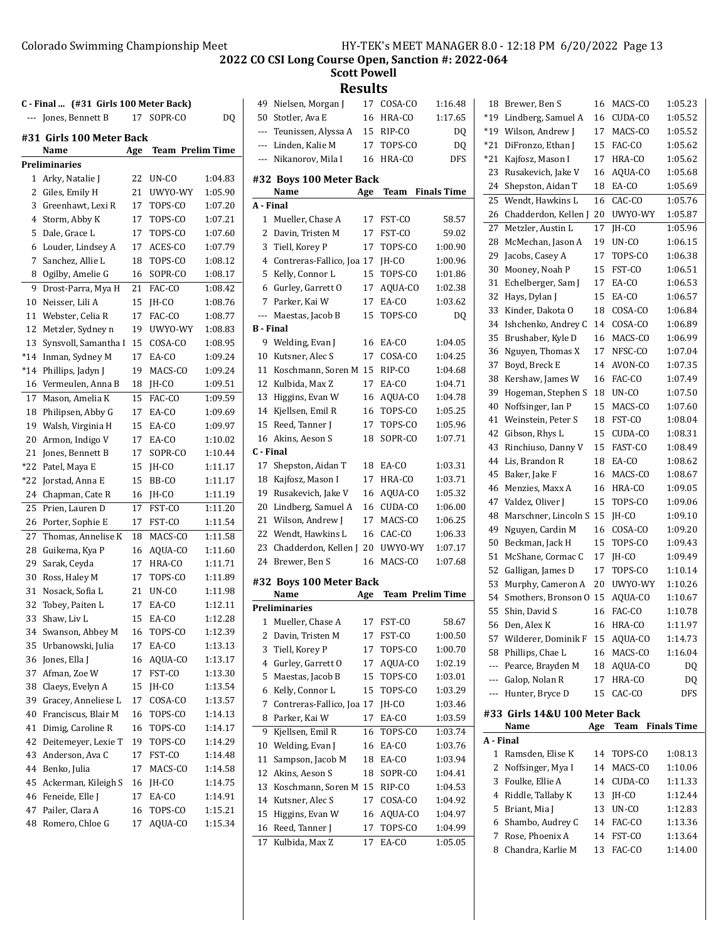**Scott Powell**

**Results** 49 Nielsen, Morgan J 17 COSA-CO 1:16.48

| C - Final  (#31 Girls 100 Meter Back) |                           |     |                         |                |
|---------------------------------------|---------------------------|-----|-------------------------|----------------|
|                                       | --- Jones, Bennett B      | 17  | SOPR-CO                 | D <sub>0</sub> |
|                                       | #31  Girls 100 Meter Back |     |                         |                |
|                                       | Name                      | Age | <b>Team Prelim Time</b> |                |
|                                       | Preliminaries             |     |                         |                |
| 1                                     | Arky, Natalie J           | 22  | UN-CO                   | 1:04.83        |
| 2                                     | Giles, Emily H            | 21  | UWYO-WY                 | 1:05.90        |
| 3                                     | Greenhawt, Lexi R         | 17  | TOPS-CO                 | 1:07.20        |
| 4                                     | Storm, Abby K             | 17  | TOPS-CO                 | 1:07.21        |
| 5                                     | Dale, Grace L             | 17  | TOPS-CO                 | 1:07.60        |
| 6                                     | Louder, Lindsey A         | 17  | ACES-CO                 | 1:07.79        |
| 7                                     | Sanchez, Allie L          | 18  | TOPS-CO                 | 1:08.12        |
| 8                                     | Ogilby, Amelie G          | 16  | SOPR-CO                 | 1:08.17        |
| 9                                     | Drost-Parra, Mya H        | 21  | FAC-CO                  | 1:08.42        |
| 10                                    | Neisser, Lili A           | 15  | IH-CO                   | 1:08.76        |
| 11                                    | Webster, Celia R          | 17  | FAC-CO                  | 1:08.77        |
| 12                                    | Metzler, Sydney n         | 19  | UWYO-WY                 | 1:08.83        |
| 13                                    | Synsvoll, Samantha I      | 15  | COSA-CO                 | 1:08.95        |
| *14                                   | Inman, Sydney M           | 17  | EA-CO                   | 1:09.24        |
| *14                                   | Phillips, Jadyn J         | 19  | MACS-CO                 | 1:09.24        |
| 16                                    | Vermeulen, Anna B         | 18  | JH-CO                   | 1:09.51        |
| 17                                    | Mason, Amelia K           | 15  | FAC-CO                  | 1:09.59        |
| 18                                    | Philipsen, Abby G         | 17  | EA-CO                   | 1:09.69        |
| 19                                    | Walsh, Virginia H         | 15  | EA-CO                   | 1:09.97        |
| 20                                    | Armon, Indigo V           | 17  | EA-CO                   | 1:10.02        |
| 21                                    | Jones, Bennett B          | 17  | SOPR-CO                 | 1:10.44        |
| *22                                   | Patel, Maya E             | 15  | JH-CO                   | 1:11.17        |
| *22                                   | Jorstad, Anna E           | 15  | BB-CO                   | 1:11.17        |
| 24                                    | Chapman, Cate R           | 16  | JH-CO                   | 1:11.19        |
| 25                                    | Prien, Lauren D           | 17  | FST-CO                  | 1:11.20        |
| 26                                    | Porter, Sophie E          | 17  | FST-CO                  | 1:11.54        |
| 27                                    | Thomas, Annelise K        | 18  | MACS-CO                 | 1:11.58        |
| 28                                    | Guikema, Kya P            | 16  | AQUA-CO                 | 1:11.60        |
| 29                                    | Sarak, Ceyda              | 17  | HRA-CO                  | 1:11.71        |
| 30                                    | Ross, Haley M             | 17  | TOPS-CO                 | 1:11.89        |
| 31                                    | Nosack, Sofia L           | 21  | UN-CO                   | 1:11.98        |
| 32                                    | Tobey, Paiten L           | 17  | EA-CO                   | 1:12.11        |
| 33                                    | Shaw, Liv L               | 15  | EA-CO                   | 1:12.28        |
| 34                                    | Swanson, Abbey M          | 16  | TOPS-CO                 | 1:12.39        |
| 35                                    | Urbanowski, Julia         | 17  | EA-CO                   | 1:13.13        |
| 36                                    | Jones, Ella J             | 16  | AQUA-CO                 | 1:13.17        |
| 37                                    | Afman, Zoe W              | 17  | FST-CO                  | 1:13.30        |
| 38                                    | Claeys, Evelyn A          | 15  | JH-CO                   | 1:13.54        |
| 39                                    | Gracey, Anneliese L       | 17  | COSA-CO                 | 1:13.57        |
| 40                                    | Franciscus, Blair M       | 16  | TOPS-CO                 | 1:14.13        |
| 41                                    | Dimig, Caroline R         | 16  | TOPS-CO                 | 1:14.17        |
| 42                                    | Deitemeyer, Lexie T       | 19  | TOPS-CO                 | 1:14.29        |
| 43                                    | Anderson, Ava C           | 17  | FST-CO                  | 1:14.48        |
| 44                                    | Benko, Julia              | 17  | MACS-CO                 | 1:14.58        |
| 45                                    | Ackerman, Kileigh S       | 16  | JH-CO                   | 1:14.75        |
| 46                                    | Feneide, Elle J           | 17  | EA-CO                   | 1:14.91        |
| 47                                    | Pailer, Clara A           | 16  | TOPS-CO                 | 1:15.21        |
| 48                                    | Romero, Chloe G           | 17  | AQUA-CO                 | 1:15.34        |

| 50               | Stotler, Ava E                  | 16  | HRA-CO                  | 1:17.65            |
|------------------|---------------------------------|-----|-------------------------|--------------------|
| ---              | Teunissen, Alyssa A             | 15  | RIP-CO                  | DO.                |
| ---              | Linden, Kalie M                 | 17  | TOPS-CO                 | DQ                 |
| ---              | Nikanorov, Mila I               | 16  | HRA-CO                  | <b>DFS</b>         |
|                  |                                 |     |                         |                    |
|                  | #32 Boys 100 Meter Back<br>Name | Age | Team                    | <b>Finals Time</b> |
| A - Final        |                                 |     |                         |                    |
| 1                | Mueller, Chase A                | 17  | FST-CO                  | 58.57              |
| 2                | Davin, Tristen M                | 17  | FST-CO                  | 59.02              |
| 3                | Tiell, Korey P                  | 17  | TOPS-CO                 | 1:00.90            |
| 4                | Contreras-Fallico, Joa 17       |     | JH-CO                   | 1:00.96            |
|                  |                                 |     |                         |                    |
| 5                | Kelly, Connor L                 | 15  | TOPS-CO                 | 1:01.86            |
| 6                | Gurley, Garrett O               | 17  | AQUA-CO                 | 1:02.38            |
| 7                | Parker, Kai W                   | 17  | EA-CO                   | 1:03.62            |
| ---              | Maestas, Jacob B                | 15  | TOPS-CO                 | DQ                 |
| <b>B</b> - Final |                                 |     |                         |                    |
| 9                | Welding, Evan J                 | 16  | EA-CO                   | 1:04.05            |
| 10               | Kutsner, Alec S                 | 17  | COSA-CO                 | 1:04.25            |
| 11               | Koschmann, Soren M              | 15  | RIP-CO                  | 1:04.68            |
| 12               | Kulbida, Max Z                  | 17  | EA-CO                   | 1:04.71            |
| 13               | Higgins, Evan W                 | 16  | AQUA-CO                 | 1:04.78            |
| 14               | Kjellsen, Emil R                | 16  | TOPS-CO                 | 1:05.25            |
| 15               | Reed, Tanner I                  | 17  | TOPS-CO                 | 1:05.96            |
| 16               | Akins, Aeson S                  | 18  | SOPR-CO                 | 1:07.71            |
| C - Final        |                                 |     |                         |                    |
| 17               | Shepston, Aidan T               | 18  | EA-CO                   | 1:03.31            |
| 18               | Kajfosz, Mason I                | 17  | HRA-CO                  | 1:03.71            |
| 19               | Rusakevich, Jake V              | 16  | AQUA-CO                 | 1:05.32            |
| 20               | Lindberg, Samuel A              | 16  | CUDA-CO                 | 1:06.00            |
| 21               | Wilson, Andrew J                | 17  | MACS-CO                 | 1:06.25            |
| 22               | Wendt, Hawkins L                | 16  | CAC-CO                  | 1:06.33            |
| 23               | Chadderdon, Kellen J            | 20  | UWYO-WY                 | 1:07.17            |
| 24               | Brewer, Ben S                   | 16  | MACS-CO                 | 1:07.68            |
|                  | #32 Boys 100 Meter Back         |     |                         |                    |
|                  | Name                            | Age | <b>Team Prelim Time</b> |                    |
|                  | <b>Preliminaries</b>            |     |                         |                    |
| $\mathbf{1}$     | Mueller, Chase A                | 17  | FST-CO                  | 58.67              |
| 2                | Davin, Tristen M                | 17  | FST-CO                  | 1:00.50            |
|                  | 3 Tiell, Korey P                | 17  | TOPS-CO                 | 1:00.70            |
| 4                | Gurley, Garrett O               | 17  | AQUA-CO                 | 1:02.19            |
| 5                | Maestas, Jacob B                | 15  | TOPS-CO                 | 1:03.01            |
| 6                | Kelly, Connor L                 | 15  | TOPS-CO                 | 1:03.29            |
| 7                | Contreras-Fallico, Joa 17       |     | JH-CO                   | 1:03.46            |
|                  | Parker, Kai W                   | 17  | EA-CO                   | 1:03.59            |
| 8                |                                 |     |                         |                    |
| 9                | Kjellsen, Emil R                | 16  | TOPS-CO                 | 1:03.74            |
| 10               | Welding, Evan J                 | 16  | EA-CO                   | 1:03.76            |
| 11               | Sampson, Jacob M                | 18  | EA-CO                   | 1:03.94            |
| 12               | Akins, Aeson S                  | 18  | SOPR-CO                 | 1:04.41            |
| 13               | Koschmann, Soren M              | 15  | RIP-CO                  | 1:04.53            |
| 14               | Kutsner, Alec S                 | 17  | COSA-CO                 | 1:04.92            |
| 15               | Higgins, Evan W                 | 16  | AQUA-CO                 | 1:04.97            |
| 16               | Reed, Tanner J                  | 17  | TOPS-CO                 | 1:04.99            |
| 17               | Kulbida, Max Z                  | 17  | EA-CO                   | 1:05.05            |
|                  |                                 |     |                         |                    |

| A - Final |                                        |          |                   |                    |
|-----------|----------------------------------------|----------|-------------------|--------------------|
|           | #33  Girls 14&U 100 Meter Back<br>Name | Age      | Team              | <b>Finals Time</b> |
| ---       | Hunter, Bryce D                        | 15       | CAC-CO            | DFS                |
| ---       | Galop, Nolan R                         | 17       | HRA-CO            | DQ                 |
| ---       | Pearce, Brayden M                      | 18       | AQUA-CO           | DQ                 |
| 58        | Phillips, Chae L                       | 16       | MACS-CO           | 1:16.04            |
| 57        | Wilderer, Dominik F                    | 15       | AQUA-CO           | 1:14.73            |
|           | 56 Den, Alex K                         | 16<br>16 | HRA-CO            | 1:11.97            |
| 54<br>55  | Smothers, Bronson O<br>Shin, David S   | 15       | AQUA-CO<br>FAC-CO | 1:10.67<br>1:10.78 |
| 53        | Murphy, Cameron A                      | 20       | UWYO-WY           | 1:10.26            |
| 52        | Galligan, James D                      | 17       | TOPS-CO           | 1:10.14            |
| 51        | McShane, Cormac C                      | 17       | JH-CO             | 1:09.49            |
| 50        | Beckman, Jack H                        | 15       | TOPS-CO           | 1:09.43            |
| 49        | Nguyen, Cardin M                       | 16       | COSA-CO           | 1:09.20            |
| 48        | Marschner, Lincoln S                   | 15       | JH-CO             | 1:09.10            |
| 47        | Valdez, Oliver J                       | 15       | TOPS-CO           | 1:09.06            |
| 46        | Menzies, Maxx A                        | 16       | HRA-CO            | 1:09.05            |
| 45        | Baker, Jake F                          | 16       | MACS-CO           | 1:08.67            |
| 44        | Lis, Brandon R                         | 18       | EA-CO             | 1:08.62            |
| 43        | Rinchiuso, Danny V                     | 15       | FAST-CO           | 1:08.49            |
| 42        | Gibson, Rhys L                         | 15       | CUDA-CO           | 1:08.31            |
| 41        | Weinstein, Peter S                     | 18       | FST-CO            | 1:08.04            |
| 40        | Noffsinger, Ian P                      | 15       | MACS-CO           | 1:07.60            |
| 39        | Hogeman, Stephen S                     | 18       | UN-CO             | 1:07.50            |
| 38        | Kershaw, James W                       | 16       | FAC-CO            | 1:07.49            |
| 37        | Boyd, Breck E                          | 14       | AVON-CO           | 1:07.35            |
| 36        | Nguyen, Thomas X                       | 17       | NFSC-CO           | 1:07.04            |
| 35        | Brushaber, Kyle D                      | 16       | MACS-CO           | 1:06.99            |
| 34        | Ishchenko, Andrey C                    | 14       | COSA-CO           | 1:06.89            |
| 33        | Kinder, Dakota O                       | 18       | COSA-CO           | 1:06.84            |
| 32        | Hays, Dylan J                          | 15       | EA-CO             | 1:06.57            |
| 31        | Echelberger, Sam J                     | 17       | EA-CO             | 1:06.53            |
| 30        | Mooney, Noah P                         | 15       | FST-CO            | 1:06.51            |
| 29        | Jacobs, Casey A                        | 17       | TOPS-CO           | 1:06.38            |
| 27<br>28  | Metzler, Austin L<br>McMechan, Jason A | 17<br>19 | JH-CO<br>UN-CO    | 1:05.96<br>1:06.15 |
| 26        | Chadderdon, Kellen J                   | 20       | UWYO-WY           | 1:05.87            |
| 25        | Wendt, Hawkins L                       | 16       | CAC-CO            | 1:05.76            |
| 24        | Shepston, Aidan T                      | 18       | EA-CO             | 1:05.69            |
| 23        | Rusakevich, Jake V                     | 16       | AQUA-CO           | 1:05.68            |
| *21       | Kajfosz, Mason I                       | 17       | HRA-CO            | 1:05.62            |
| $*21$     | DiFronzo, Ethan J                      | 15       | FAC-CO            | 1:05.62            |
| *19       | Wilson, Andrew J                       | 17       | MACS-CO           | 1:05.52            |
| *19       | Lindberg, Samuel A                     | 16       | CUDA-CO           | 1:05.52            |
| 18        | Brewer, Ben S                          | 16       | MACS-CO           | 1:05.23            |
|           |                                        |          |                   |                    |

|           | .                   | $\cdots$ |         | , ,,,,,,,,,,,,,, |
|-----------|---------------------|----------|---------|------------------|
| A - Final |                     |          |         |                  |
|           | 1 Ramsden, Elise K  | 14       | TOPS-CO | 1:08.13          |
|           | 2 Noffsinger, Mya I | 14       | MACS-CO | 1:10.06          |
|           | 3 Foulke, Ellie A   | 14       | CUDA-CO | 1:11.33          |
|           | 4 Riddle, Tallaby K | 13       | IH-CO   | 1:12.44          |
|           | 5 Briant, Mia J     | 13       | $UN-CO$ | 1:12.83          |
|           | 6 Shambo, Audrey C  | 14       | FAC-CO  | 1:13.36          |
|           | Rose, Phoenix A     | 14       | FST-CO  | 1:13.64          |
| 8.        | Chandra, Karlie M   | 13       | FAC-CO  | 1:14.00          |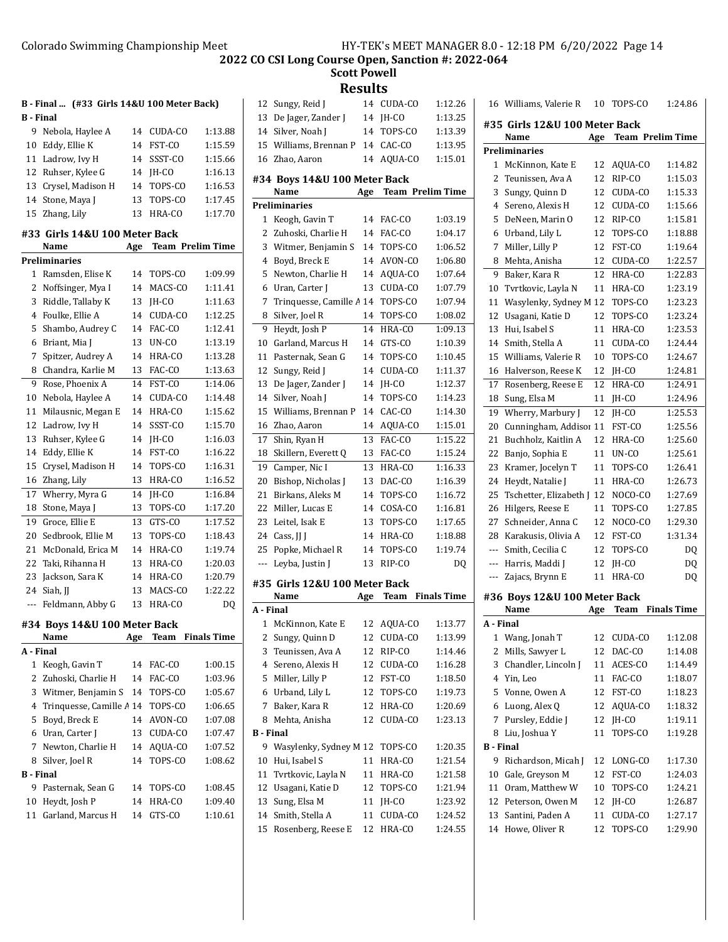**Scott Powell**

**Results**

|                  | B - Final  (#33 Girls 14&U 100 Meter Back) |     |                         |                |
|------------------|--------------------------------------------|-----|-------------------------|----------------|
| <b>B</b> - Final |                                            |     |                         |                |
| 9                | Nebola, Haylee A                           | 14  | CUDA-CO                 | 1:13.88        |
| 10               | Eddy, Ellie K                              | 14  | FST-CO                  | 1:15.59        |
| 11               | Ladrow, Ivy H                              | 14  | SSST-CO                 | 1:15.66        |
| 12               | Ruhser, Kylee G                            | 14  | JH-CO                   | 1:16.13        |
| 13               | Crysel, Madison H                          | 14  | TOPS-CO                 | 1:16.53        |
| 14               | Stone, Maya J                              | 13  | TOPS-CO                 | 1:17.45        |
| 15               | Zhang, Lily                                | 13  | HRA-CO                  | 1:17.70        |
|                  | #33 Girls 14&U 100 Meter Back              |     |                         |                |
|                  | Name                                       | Age | <b>Team Prelim Time</b> |                |
|                  | <b>Preliminaries</b>                       |     |                         |                |
| 1                | Ramsden, Elise K                           | 14  | TOPS-CO                 | 1:09.99        |
| 2                | Noffsinger, Mya I                          | 14  | MACS-CO                 | 1:11.41        |
| 3                | Riddle, Tallaby K                          | 13  | JH-CO                   | 1:11.63        |
| $\overline{4}$   | Foulke, Ellie A                            | 14  | CUDA-CO                 | 1:12.25        |
| 5                | Shambo, Audrey C                           | 14  | FAC-CO                  | 1:12.41        |
| 6                | Briant, Mia J                              | 13  | UN-CO                   | 1:13.19        |
| 7                | Spitzer, Audrey A                          | 14  | HRA-CO                  | 1:13.28        |
| 8                | Chandra, Karlie M                          | 13  | FAC-CO                  | 1:13.63        |
| 9                | Rose, Phoenix A                            | 14  | FST-CO                  | 1:14.06        |
| 10               | Nebola, Haylee A                           | 14  | CUDA-CO                 | 1:14.48        |
| 11               | Milausnic, Megan E                         | 14  | HRA-CO                  | 1:15.62        |
| 12               | Ladrow, Ivy H                              | 14  | SSST-CO                 | 1:15.70        |
| 13               | Ruhser, Kylee G                            | 14  | JH-CO                   | 1:16.03        |
| 14               | Eddy, Ellie K                              | 14  | FST-CO                  | 1:16.22        |
| 15               | Crysel, Madison H                          | 14  | TOPS-CO                 | 1:16.31        |
| 16               | Zhang, Lily                                | 13  | HRA-CO                  | 1:16.52        |
| 17               | Wherry, Myra G                             | 14  | JH-CO                   | 1:16.84        |
| 18               | Stone, Maya J                              | 13  | TOPS-CO                 | 1:17.20        |
| 19               | Groce, Ellie E                             | 13  | GTS-CO                  | 1:17.52        |
| 20               | Sedbrook, Ellie M                          | 13  | TOPS-CO                 | 1:18.43        |
| 21               | McDonald, Erica M                          | 14  | HRA-CO                  | 1:19.74        |
| 22               | Taki, Rihanna H                            | 13  | HRA-CO                  | 1:20.03        |
| 23               | Jackson, Sara K                            | 14  | HRA-CO                  | 1:20.79        |
| 24               | Siah, JJ                                   | 13  | MACS-CO                 | 1:22.22        |
| ---              | Feldmann, Abby G                           | 13  | HRA-CO                  | D <sub>0</sub> |
|                  |                                            |     |                         |                |
|                  | #34 Boys 14&U 100 Meter Back<br>Name       | Age | Team                    | Finals Time    |
| A - Final        |                                            |     |                         |                |
| 1                | Keogh, Gavin T                             | 14  | FAC-CO                  | 1:00.15        |
| 2                | Zuhoski, Charlie H                         | 14  | FAC-CO                  | 1:03.96        |
| 3                | Witmer, Benjamin S                         | 14  | TOPS-CO                 | 1:05.67        |
| 4                | Trinquesse, Camille A 14                   |     | TOPS-CO                 | 1:06.65        |
| 5                | Boyd, Breck E                              | 14  | AVON-CO                 | 1:07.08        |
| 6                | Uran, Carter J                             | 13  | CUDA-CO                 | 1:07.47        |
| 7                | Newton, Charlie H                          | 14  | AQUA-CO                 | 1:07.52        |
| 8                | Silver, Joel R                             | 14  | TOPS-CO                 | 1:08.62        |
| B - Final        |                                            |     |                         |                |
| 9                | Pasternak, Sean G                          | 14  | TOPS-CO                 | 1:08.45        |
| 10               | Heydt, Josh P                              | 14  | HRA-CO                  | 1:09.40        |
| 11               | Garland, Marcus H                          | 14  | GTS-CO                  | 1:10.61        |
|                  |                                            |     |                         |                |

| 12               | Sungy, Reid J                  | 14  | CUDA-CO                 | 1:12.26            |
|------------------|--------------------------------|-----|-------------------------|--------------------|
| 13               | De Jager, Zander J             | 14  | JH-CO                   | 1:13.25            |
| 14               | Silver, Noah J                 | 14  | TOPS-CO                 | 1:13.39            |
| 15               | Williams, Brennan P            | 14  | CAC-CO                  | 1:13.95            |
| 16               | Zhao, Aaron                    | 14  | AQUA-CO                 | 1:15.01            |
|                  | #34 Boys 14&U 100 Meter Back   |     |                         |                    |
|                  | Name                           | Age | <b>Team Prelim Time</b> |                    |
|                  | <b>Preliminaries</b>           |     |                         |                    |
| 1                | Keogh, Gavin T                 | 14  | FAC-CO                  | 1:03.19            |
| 2                | Zuhoski, Charlie H             | 14  | FAC-CO                  | 1:04.17            |
| 3                | Witmer, Benjamin S             | 14  | TOPS-CO                 | 1:06.52            |
| 4                | Boyd, Breck E                  | 14  | AVON-CO                 | 1:06.80            |
| 5                | Newton, Charlie H              | 14  | AQUA-CO                 | 1:07.64            |
| 6                | Uran, Carter J                 | 13  | CUDA-CO                 | 1:07.79            |
| 7                | Trinquesse, Camille A 14       |     | TOPS-CO                 | 1:07.94            |
| 8                | Silver, Joel R                 | 14  | TOPS-CO                 | 1:08.02            |
| 9                | Heydt, Josh P                  | 14  | HRA-CO                  | 1:09.13            |
| 10               | Garland, Marcus H              | 14  | GTS-CO                  | 1:10.39            |
| 11               | Pasternak, Sean G              | 14  | TOPS-CO                 | 1:10.45            |
| 12               | Sungy, Reid J                  | 14  | CUDA-CO                 | 1:11.37            |
| 13               | De Jager, Zander J             | 14  | JH-CO                   | 1:12.37            |
| 14               | Silver, Noah J                 | 14  | TOPS-CO                 | 1:14.23            |
| 15               | Williams, Brennan P            | 14  | CAC-CO                  | 1:14.30            |
| 16               | Zhao, Aaron                    | 14  | AQUA-CO                 | 1:15.01            |
| 17               | Shin, Ryan H                   | 13  | FAC-CO                  | 1:15.22            |
| 18               | Skillern, Everett Q            | 13  | FAC-CO                  | 1:15.24            |
| 19               | Camper, Nic I                  | 13  | HRA-CO                  | 1:16.33            |
| 20               | Bishop, Nicholas J             | 13  | DAC-CO                  | 1:16.39            |
| 21               | Birkans, Aleks M               | 14  | TOPS-CO                 | 1:16.72            |
| 22               | Miller, Lucas E                | 14  | COSA-CO                 | 1:16.81            |
| 23               | Leitel, Isak E                 | 13  | TOPS-CO                 | 1:17.65            |
| 24               | Cass, II I                     | 14  | HRA-CO                  | 1:18.88            |
| 25               | Popke, Michael R               | 14  | TOPS-CO                 | 1:19.74            |
| ---              | Leyba, Justin J                | 13  | RIP-CO                  | DQ                 |
|                  | #35  Girls 12&U 100 Meter Back |     |                         |                    |
|                  | Name                           | Age | Team                    | <b>Finals Time</b> |
| A - Final        |                                |     |                         |                    |
| 1                | McKinnon, Kate E               | 12  | AQUA-CO                 | 1:13.77            |
| 2                | Sungy, Quinn D                 | 12  | CUDA-CO                 | 1:13.99            |
| 3                | Teunissen, Ava A               | 12  | RIP-CO                  | 1:14.46            |
| 4                | Sereno, Alexis H               | 12  | CUDA-CO                 | 1:16.28            |
| 5                | Miller, Lilly P                | 12  | FST-CO                  | 1:18.50            |
| 6                | Urband, Lily L                 | 12  | TOPS-CO                 | 1:19.73            |
| 7                | Baker, Kara R                  | 12  | HRA-CO                  | 1:20.69            |
| 8                | Mehta, Anisha                  | 12  | CUDA-CO                 | 1:23.13            |
| <b>B</b> - Final |                                |     |                         |                    |
| 9                | Wasylenky, Sydney M 12         |     | TOPS-CO                 | 1:20.35            |
| 10               | Hui, Isabel S                  | 11  | HRA-CO                  | 1:21.54            |
| 11               | Tvrtkovic, Layla N             | 11  | HRA-CO                  | 1:21.58            |
| 12               | Usagani, Katie D               | 12  | TOPS-CO                 | 1:21.94            |
|                  |                                |     |                         |                    |
| 13               | Sung, Elsa M                   | 11  | JH-CO                   | 1:23.92            |
| 14               | Smith, Stella A                | 11  | CUDA-CO                 | 1:24.52            |
| 15               | Rosenberg, Reese E             | 12  | HRA-CO                  | 1:24.55            |

|                  | 16 Williams, Valerie R               | 10  | TOPS-CO                 | 1:24.86            |
|------------------|--------------------------------------|-----|-------------------------|--------------------|
|                  | #35 Girls 12&U 100 Meter Back        |     |                         |                    |
|                  | Name                                 | Age | <b>Team Prelim Time</b> |                    |
|                  | Preliminaries                        |     |                         |                    |
| $\mathbf{1}$     | McKinnon, Kate E                     | 12  | AQUA-CO                 | 1:14.82            |
| 2                | Teunissen, Ava A                     | 12  | RIP-CO                  | 1:15.03            |
| 3                | Sungy, Quinn D                       | 12  | CUDA-CO                 | 1:15.33            |
| 4                | Sereno, Alexis H                     | 12  | CUDA-CO                 | 1:15.66            |
| 5                | DeNeen, Marin O                      | 12  | RIP-CO                  | 1:15.81            |
| 6                | Urband, Lily L                       | 12  | TOPS-CO                 | 1:18.88            |
| 7                | Miller, Lilly P                      | 12  | FST-CO                  | 1:19.64            |
| 8                | Mehta, Anisha                        | 12  | CUDA-CO                 | 1:22.57            |
| 9                | Baker, Kara R                        | 12  | HRA-CO                  | 1:22.83            |
| 10               | Tvrtkovic, Layla N                   | 11  | HRA-CO                  | 1:23.19            |
| 11               | Wasylenky, Sydney M 12               |     | TOPS-CO                 | 1:23.23            |
| 12               | Usagani, Katie D                     | 12  | TOPS-CO                 | 1:23.24            |
| 13               | Hui, Isabel S                        | 11  | HRA-CO                  | 1:23.53            |
| 14               | Smith, Stella A                      | 11  | CUDA-CO                 | 1:24.44            |
| 15               | Williams, Valerie R                  | 10  | TOPS-CO                 | 1:24.67            |
| 16               | Halverson, Reese K                   | 12  | JH-CO                   | 1:24.81            |
| 17               | Rosenberg, Reese E                   | 12  | HRA-CO                  | 1:24.91            |
| 18               | Sung, Elsa M                         | 11  | JH-CO                   | 1:24.96            |
| 19               | Wherry, Marbury J                    | 12  | JH-CO                   | 1:25.53            |
| 20               | Cunningham, Addisor 11               |     | FST-CO                  | 1:25.56            |
| 21               | Buchholz, Kaitlin A                  | 12  | HRA-CO                  | 1:25.60            |
| 22               | Banjo, Sophia E                      | 11  | UN-CO                   | 1:25.61            |
| 23               | Kramer, Jocelyn T                    | 11  | TOPS-CO                 | 1:26.41            |
| 24               | Heydt, Natalie J                     | 11  | HRA-CO                  | 1:26.73            |
| 25               | Tschetter, Elizabeth J               | 12  | NOCO-CO                 | 1:27.69            |
| 26               | Hilgers, Reese E                     | 11  | TOPS-CO                 | 1:27.85            |
| 27               | Schneider, Anna C                    | 12  | NOCO-CO                 | 1:29.30            |
| 28               | Karakusis, Olivia A                  | 12  | FST-CO                  | 1:31.34            |
| $\overline{a}$   | Smith, Cecilia C                     | 12  | TOPS-CO                 | DQ                 |
| $---$            | Harris, Maddi J                      | 12  | JH-CO                   | DQ                 |
| ---              | Zajacs, Brynn E                      | 11  | HRA-CO                  | DQ                 |
|                  |                                      |     |                         |                    |
|                  | #36 Boys 12&U 100 Meter Back<br>Name | Age | Team                    | <b>Finals Time</b> |
| A - Final        |                                      |     |                         |                    |
| 1                | Wang, Jonah T                        | 12  | CUDA-CO                 | 1:12.08            |
| 2                | Mills, Sawyer L                      | 12  | DAC-CO                  | 1:14.08            |
| 3                | Chandler, Lincoln J                  | 11  | ACES-CO                 | 1:14.49            |
| 4                | Yin, Leo                             | 11  | FAC-CO                  | 1:18.07            |
| 5                | Vonne, Owen A                        | 12  | FST-CO                  | 1:18.23            |
| 6                | Luong, Alex Q                        | 12  | AOUA-CO                 | 1:18.32            |
| 7                | Pursley, Eddie J                     | 12  | JH-CO                   | 1:19.11            |
| 8                | Liu, Joshua Y                        | 11  | TOPS-CO                 | 1:19.28            |
| <b>B</b> - Final |                                      |     |                         |                    |
| 9                | Richardson, Micah J                  | 12  | LONG-CO                 | 1:17.30            |
| 10               | Gale, Greyson M                      | 12  | FST-CO                  | 1:24.03            |
| 11               | Oram, Matthew W                      | 10  | TOPS-CO                 | 1:24.21            |
| 12               | Peterson, Owen M                     | 12  | JH-CO                   | 1:26.87            |
| 13               | Santini, Paden A                     | 11  | CUDA-CO                 | 1:27.17            |
| 14               | Howe, Oliver R                       | 12  | TOPS-CO                 | 1:29.90            |
|                  |                                      |     |                         |                    |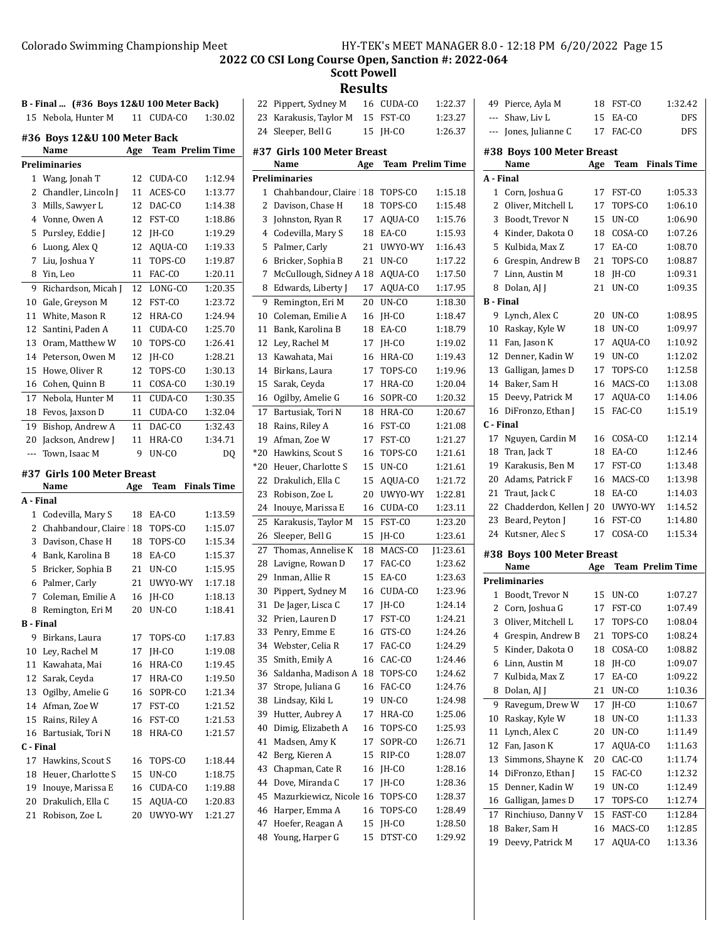**Scott Powell**

# **Results**<br>M 16 CUDA-CO 22 Pippert, Sydney M 16 CUDA-CO 1:22.37

|                  | B - Final  (#36 Boys 12&U 100 Meter Back) |     |                         |                    |
|------------------|-------------------------------------------|-----|-------------------------|--------------------|
|                  | 15 Nebola, Hunter M                       |     | 11 CUDA-CO              | 1:30.02            |
|                  | #36 Boys 12&U 100 Meter Back<br>Name      | Age | <b>Team Prelim Time</b> |                    |
|                  | <b>Preliminaries</b>                      |     |                         |                    |
| 1                | Wang, Jonah T                             | 12  | CUDA-CO                 | 1:12.94            |
| 2                | Chandler, Lincoln J                       | 11  | ACES-CO                 | 1:13.77            |
| 3                | Mills, Sawyer L                           | 12  | DAC-CO                  | 1:14.38            |
| 4                | Vonne, Owen A                             | 12  | FST-CO                  | 1:18.86            |
| 5                | Pursley, Eddie J                          | 12  | JH-CO                   | 1:19.29            |
| 6                | Luong, Alex Q                             | 12  | AQUA-CO                 | 1:19.33            |
| 7                | Liu, Joshua Y                             | 11  | TOPS-CO                 | 1:19.87            |
| 8                | Yin, Leo                                  | 11  | FAC-CO                  | 1:20.11            |
| 9                | Richardson, Micah J                       | 12  | LONG-CO                 | 1:20.35            |
| 10               | Gale, Greyson M                           | 12  | FST-CO                  | 1:23.72            |
| 11               | White, Mason R                            | 12  | HRA-CO                  | 1:24.94            |
| 12               | Santini, Paden A                          | 11  | CUDA-CO                 | 1:25.70            |
| 13               | Oram, Matthew W                           | 10  | TOPS-CO                 | 1:26.41            |
| 14               | Peterson, Owen M                          | 12  | JH-CO                   | 1:28.21            |
| 15               | Howe, Oliver R                            | 12  | TOPS-CO                 | 1:30.13            |
| 16               | Cohen, Quinn B                            | 11  | COSA-CO                 | 1:30.19            |
| 17               | Nebola, Hunter M                          | 11  | CUDA-CO                 | 1:30.35            |
| 18               | Fevos, Jaxson D                           | 11  | CUDA-CO                 | 1:32.04            |
| 19               | Bishop, Andrew A                          | 11  | DAC-CO                  | 1:32.43            |
| 20               | Jackson, Andrew J                         | 11  | HRA-CO                  | 1:34.71            |
| $\overline{a}$   | Town, Isaac M                             | 9   | UN-CO                   | DQ                 |
|                  |                                           |     |                         |                    |
|                  |                                           |     |                         |                    |
|                  | #37 Girls 100 Meter Breast<br>Name        |     | Team                    | <b>Finals Time</b> |
| A - Final        |                                           | Age |                         |                    |
| 1                | Codevilla, Mary S                         | 18  | EA-CO                   | 1:13.59            |
| 2                | Chahbandour, Claire                       | 18  | TOPS-CO                 | 1:15.07            |
| 3                | Davison, Chase H                          | 18  | TOPS-CO                 | 1:15.34            |
| 4                | Bank, Karolina B                          | 18  | EA-CO                   | 1:15.37            |
| 5                | Bricker, Sophia B                         | 21  | UN-CO                   | 1:15.95            |
| 6                | Palmer, Carly                             | 21  | UWYO-WY                 | 1:17.18            |
| 7                | Coleman, Emilie A                         | 16  | IH-CO                   | 1:18.13            |
| 8                | Remington, Eri M                          | 20  | UN-CO                   | 1:18.41            |
| <b>B</b> - Final |                                           |     |                         |                    |
| 9                | Birkans, Laura                            | 17  | TOPS-CO                 | 1:17.83            |
| 10               | Ley, Rachel M                             | 17  | JH-CO                   | 1:19.08            |
| 11               | Kawahata, Mai                             | 16  | HRA-CO                  | 1:19.45            |
| 12               | Sarak, Ceyda                              | 17  | HRA-CO                  | 1:19.50            |
| 13               | Ogilby, Amelie G                          | 16  | SOPR-CO                 | 1:21.34            |
| 14               | Afman, Zoe W                              | 17  | FST-CO                  | 1:21.52            |
| 15               | Rains, Riley A                            | 16  | FST-CO                  | 1:21.53            |
| 16               | Bartusiak, Tori N                         | 18  | HRA-CO                  | 1:21.57            |
| C - Final        |                                           |     |                         |                    |
| 17               | Hawkins, Scout S                          | 16  | TOPS-CO                 | 1:18.44            |
| 18               | Heuer, Charlotte S                        | 15  | UN-CO                   | 1:18.75            |
| 19               | Inouye, Marissa E                         | 16  | CUDA-CO                 | 1:19.88            |
| 20               | Drakulich, Ella C                         | 15  | AQUA-CO                 | 1:20.83            |

| 23    | Karakusis, Taylor M                   | 15  | FST-CO                  | 1:23.27 |
|-------|---------------------------------------|-----|-------------------------|---------|
| 24    | Sleeper, Bell G                       | 15  | JH-CO                   | 1:26.37 |
|       |                                       |     |                         |         |
|       | #37  Girls 100 Meter Breast<br>Name   | Age | <b>Team Prelim Time</b> |         |
|       | <b>Preliminaries</b>                  |     |                         |         |
|       |                                       |     |                         |         |
| 1     | Chahbandour, Claire 18                |     | TOPS-CO                 | 1:15.18 |
| 2     | Davison, Chase H                      | 18  | TOPS-CO                 | 1:15.48 |
| 3     | Johnston, Ryan R                      | 17  | AQUA-CO                 | 1:15.76 |
| 4     | Codevilla, Mary S                     | 18  | EA-CO                   | 1:15.93 |
| 5     | Palmer, Carly                         | 21  | UWYO-WY                 | 1:16.43 |
| 6     | Bricker, Sophia B                     | 21  | UN-CO                   | 1:17.22 |
| 7     | McCullough, Sidney A 18               |     | AQUA-CO                 | 1:17.50 |
| 8     | Edwards, Liberty J                    | 17  | AQUA-CO                 | 1:17.95 |
| 9     | Remington, Eri M                      | 20  | UN-CO                   | 1:18.30 |
| 10    | Coleman, Emilie A                     | 16  | JH-CO                   | 1:18.47 |
| 11    | Bank, Karolina B                      | 18  | EA-CO                   | 1:18.79 |
| 12    | Ley, Rachel M                         | 17  | JH-CO                   | 1:19.02 |
| 13    | Kawahata, Mai                         | 16  | HRA-CO                  | 1:19.43 |
| 14    | Birkans, Laura                        | 17  | TOPS-CO                 | 1:19.96 |
| 15    | Sarak, Ceyda                          | 17  | HRA-CO                  | 1:20.04 |
| 16    | Ogilby, Amelie G                      | 16  | SOPR-CO                 | 1:20.32 |
| 17    | Bartusiak, Tori N                     | 18  | HRA-CO                  | 1:20.67 |
| 18    | Rains, Riley A                        | 16  | FST-CO                  | 1:21.08 |
| 19    | Afman, Zoe W                          | 17  | FST-CO                  | 1:21.27 |
| $*20$ | Hawkins, Scout S                      | 16  | TOPS-CO                 | 1:21.61 |
| $*20$ | Heuer, Charlotte S                    | 15  | UN-CO                   | 1:21.61 |
| 22    | Drakulich, Ella C                     | 15  | AQUA-CO                 | 1:21.72 |
| 23    | Robison, Zoe L                        | 20  | UWYO-WY                 | 1:22.81 |
| 24    | Inouye, Marissa E                     | 16  | CUDA-CO                 | 1:23.11 |
| 25    | Karakusis, Taylor M                   | 15  | FST-CO                  | 1:23.20 |
| 26    | Sleeper, Bell G                       | 15  | JH-CO                   | 1:23.61 |
| 27    | Thomas, Annelise K                    | 18  | MACS-CO                 | 1:23.61 |
| 28    | Lavigne, Rowan D                      | 17  | FAC-CO                  | 1:23.62 |
| 29    | Inman, Allie R                        | 15  | EA-CO                   | 1:23.63 |
| 30    | Pippert, Sydney M                     | 16  | CUDA-CO                 | 1:23.96 |
| 31    | De Jager, Lisca C                     | 17  | JH-CO                   | 1:24.14 |
| 32    | Prien, Lauren D                       | 17  | FST-CO                  | 1:24.21 |
| 33    | Penry, Emme E                         | 16  | GTS-CO                  | 1:24.26 |
|       | 34 Webster, Celia R                   | 17  | FAC-CO                  | 1:24.29 |
| 35    |                                       | 16  | CAC-CO                  | 1:24.46 |
| 36    | Smith, Emily A<br>Saldanha, Madison A | 18  | TOPS-CO                 | 1:24.62 |
| 37    | Strope, Juliana G                     | 16  | FAC-CO                  | 1:24.76 |
|       | Lindsay, Kiki L                       |     |                         |         |
| 38    |                                       | 19  | UN-CO                   | 1:24.98 |
| 39    | Hutter, Aubrey A                      | 17  | HRA-CO                  | 1:25.06 |
| 40    | Dimig, Elizabeth A                    | 16  | TOPS-CO                 | 1:25.93 |
| 41    | Madsen, Amy K                         | 17  | SOPR-CO                 | 1:26.71 |
| 42    | Berg, Kieren A                        | 15  | RIP-CO                  | 1:28.07 |
| 43    | Chapman, Cate R                       | 16  | JH-CO                   | 1:28.16 |
| 44    | Dove, Miranda C                       | 17  | JH-CO                   | 1:28.36 |
| 45    | Mazurkiewicz, Nicole 16               |     | TOPS-CO                 | 1:28.37 |
| 46    | Harper, Emma A                        | 16  | TOPS-CO                 | 1:28.49 |
| 47    | Hoefer, Reagan A                      | 15  | JH-CO                   | 1:28.50 |
| 48    | Young, Harper G                       | 15  | DTST-CO                 | 1:29.92 |

| ---                   | Shaw, Liv L                      | 15  | EA-CO                   | DFS                |
|-----------------------|----------------------------------|-----|-------------------------|--------------------|
| ---                   | Jones, Julianne C                | 17  | FAC-CO                  | <b>DFS</b>         |
|                       | #38 Boys 100 Meter Breast        |     |                         |                    |
|                       | Name                             | Age | <b>Team</b>             | <b>Finals Time</b> |
| A - Final             |                                  |     |                         |                    |
| 1                     | Corn, Joshua G                   | 17  | FST-CO                  | 1:05.33            |
| 2                     | Oliver, Mitchell L               | 17  | TOPS-CO                 | 1:06.10            |
| 3                     | Boodt, Trevor N                  | 15  | UN-CO                   | 1:06.90            |
| 4                     | Kinder, Dakota O                 | 18  | COSA-CO                 | 1:07.26            |
| 5                     | Kulbida, Max Z                   | 17  | EA-CO                   | 1:08.70            |
| 6                     | Grespin, Andrew B                | 21  | TOPS-CO                 | 1:08.87            |
| 7                     | Linn, Austin M                   | 18  | JH-CO                   | 1:09.31            |
|                       | Dolan, AJ J                      | 21  | UN-CO                   | 1:09.35            |
| 8<br><b>B</b> - Final |                                  |     |                         |                    |
|                       |                                  |     |                         |                    |
| 9                     | Lynch, Alex C                    | 20  | UN-CO                   | 1:08.95            |
| 10                    | Raskay, Kyle W                   | 18  | UN-CO                   | 1:09.97            |
| 11                    | Fan, Jason K                     | 17  | AQUA-CO                 | 1:10.92            |
| 12                    | Denner, Kadin W                  | 19  | UN-CO                   | 1:12.02            |
| 13                    | Galligan, James D                | 17  | TOPS-CO                 | 1:12.58            |
| 14                    | Baker, Sam H                     | 16  | MACS-CO                 | 1:13.08            |
| 15                    | Deevy, Patrick M                 | 17  | AQUA-CO                 | 1:14.06            |
| 16                    | DiFronzo, Ethan J                | 15  | FAC-CO                  | 1:15.19            |
| C - Final             |                                  |     |                         |                    |
| 17                    | Nguyen, Cardin M                 | 16  | COSA-CO                 | 1:12.14            |
| 18                    | Tran, Jack T                     | 18  | EA-CO                   | 1:12.46            |
| 19                    | Karakusis, Ben M                 | 17  | FST-CO                  | 1:13.48            |
| 20                    | Adams, Patrick F                 | 16  | MACS-CO                 | 1:13.98            |
| 21                    | Traut, Jack C                    | 18  | EA-CO                   | 1:14.03            |
| 22                    | Chadderdon, Kellen J             | 20  | UWYO-WY                 | 1:14.52            |
| 23                    | Beard, Peyton J                  | 16  | FST-CO                  | 1:14.80            |
| 24                    | Kutsner, Alec S                  | 17  | COSA-CO                 | 1:15.34            |
|                       | #38 Boys 100 Meter Breast        |     |                         |                    |
|                       | Name                             | Age | <b>Team Prelim Time</b> |                    |
|                       | <b>Preliminaries</b>             |     |                         |                    |
| 1                     | Boodt, Trevor N                  | 15  | UN-CO                   | 1:07.27            |
| 2                     | Corn, Joshua G                   | 17  | FST-CO                  | 1:07.49            |
| 3                     | Oliver, Mitchell L               | 17  | TOPS-CO                 | 1:08.04            |
| 4                     | Grespin, Andrew B                | 21  | TOPS-CO                 | 1:08.24            |
| 5                     | Kinder, Dakota O                 | 18  | COSA-CO                 | 1:08.82            |
| 6                     | Linn, Austin M                   | 18  | JH-CO                   | 1:09.07            |
| 7                     | Kulbida, Max Z                   | 17  |                         |                    |
|                       |                                  |     | EA-CO                   | 1:09.22<br>1:10.36 |
| 8                     | Dolan, AJ J                      | 21  | UN-CO                   |                    |
| 9                     | Ravegum, Drew W                  | 17  | JH-CO                   | 1:10.67            |
| 10                    | Raskay, Kyle W                   | 18  | UN-CO                   | 1:11.33            |
| 11                    | Lynch, Alex C                    | 20  | UN-CO                   | 1:11.49            |
| 12                    | Fan, Jason K                     | 17  | AQUA-CO                 | 1:11.63            |
| 13                    | Simmons, Shayne K                | 20  | CAC-CO                  | 1:11.74            |
| 14                    | DiFronzo, Ethan J                | 15  | FAC-CO                  | 1:12.32            |
| 15                    | Denner, Kadin W                  | 19  | UN-CO                   | 1:12.49            |
| 16                    |                                  | 17  | TOPS-CO                 | 1:12.74            |
|                       | Galligan, James D                |     |                         |                    |
| 17                    | Rinchiuso, Danny V               | 15  | FAST-CO                 | 1:12.84            |
| 18<br>19              | Baker, Sam H<br>Deevy, Patrick M | 16  | MACS-CO<br>AQUA-CO      | 1:12.85<br>1:13.36 |

49 Pierce, Ayla M 18 FST-CO 1:32.42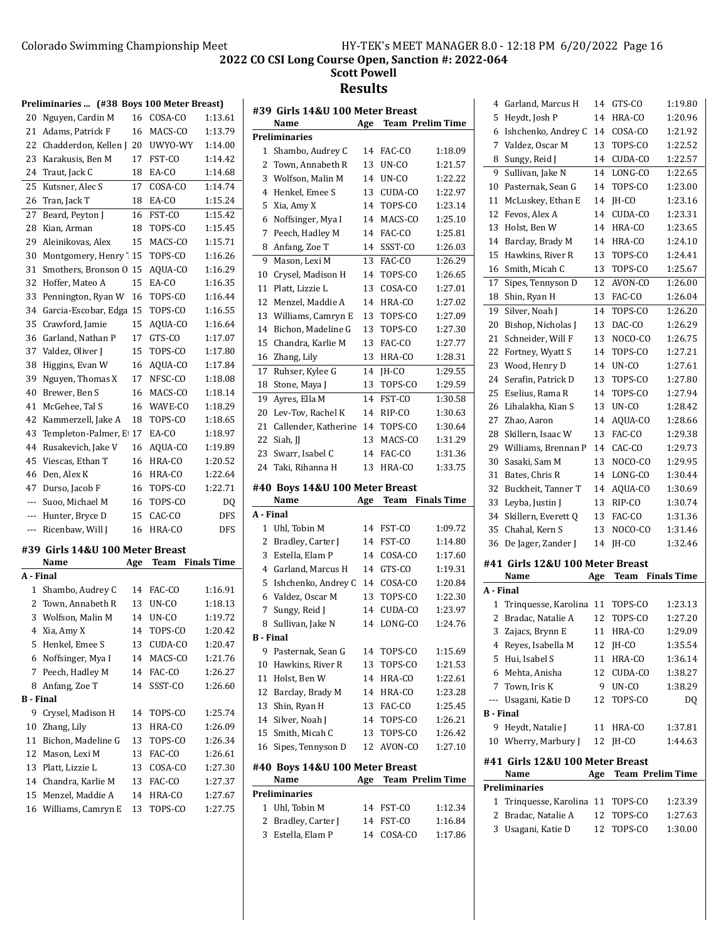### **2022 CO CSI Long Course Open, Sanction #: 2022-064 Scott Powell**

|                  | Preliminaries  (#38 Boys 100 Meter Breast) |     |         |                    |
|------------------|--------------------------------------------|-----|---------|--------------------|
| 20               | Nguyen, Cardin M                           | 16  | COSA-CO | 1:13.61            |
| 21               | Adams, Patrick F                           | 16  | MACS-CO | 1:13.79            |
| 22               | Chadderdon, Kellen J                       | 20  | UWYO-WY | 1:14.00            |
| 23               | Karakusis, Ben M                           | 17  | FST-CO  | 1:14.42            |
| 24               | Traut, Jack C                              | 18  | EA-CO   | 1:14.68            |
| 25               | Kutsner, Alec S                            | 17  | COSA-CO | 1:14.74            |
| 26               | Tran, Jack T                               | 18  | EA-CO   | 1:15.24            |
| 27               | Beard, Peyton J                            | 16  | FST-CO  | 1:15.42            |
| 28               | Kian, Arman                                | 18  | TOPS-CO | 1:15.45            |
| 29               | Aleinikovas, Alex                          | 15  | MACS-CO | 1:15.71            |
| 30               | Montgomery, Henry <sup>'</sup> 15          |     | TOPS-CO | 1:16.26            |
| 31               | Smothers, Bronson O                        | 15  | AOUA-CO | 1:16.29            |
| 32               | Hoffer, Mateo A                            | 15  | EA-CO   | 1:16.35            |
| 33               | Pennington, Ryan W                         | 16  | TOPS-CO | 1:16.44            |
| 34               | Garcia-Escobar, Edga                       | 15  | TOPS-CO | 1:16.55            |
| 35               | Crawford, Jamie                            | 15  | AQUA-CO | 1:16.64            |
| 36               | Garland, Nathan P                          | 17  | GTS-CO  | 1:17.07            |
| 37               | Valdez, Oliver J                           | 15  | TOPS-CO | 1:17.80            |
| 38               | Higgins, Evan W                            | 16  | AQUA-CO | 1:17.84            |
| 39               | Nguyen, Thomas X                           | 17  | NFSC-CO | 1:18.08            |
| 40               | Brewer, Ben S                              | 16  | MACS-CO | 1:18.14            |
| 41               | McGehee, Tal S                             | 16  | WAVE-CO | 1:18.29            |
| 42               | Kammerzell, Jake A                         | 18  | TOPS-CO | 1:18.65            |
| 43               | Templeton-Palmer, E                        | 17  | EA-CO   | 1:18.97            |
| 44               | Rusakevich, Jake V                         | 16  | AQUA-CO | 1:19.89            |
| 45               | Viescas, Ethan T                           | 16  | HRA-CO  | 1:20.52            |
| 46               | Den, Alex K                                | 16  | HRA-CO  | 1:22.64            |
| 47               | Durso, Jacob F                             | 16  | TOPS-CO | 1:22.71            |
| ---              | Suoo, Michael M                            | 16  | TOPS-CO | DQ                 |
| ---              | Hunter, Bryce D                            | 15  | CAC-CO  | DFS                |
| ---              | Ricenbaw, Will J                           | 16  | HRA-CO  | DFS                |
|                  | #39 Girls 14&U 100 Meter Breast            |     |         |                    |
|                  | Name                                       | Age | Team    | <b>Finals Time</b> |
| A - Final        |                                            |     |         |                    |
| 1                | Shambo, Audrey C                           | 14  | FAC-CO  | 1:16.91            |
| 2                | Town, Annabeth R                           | 13  | UN-CO   | 1:18.13            |
| 3                | Wolfson, Malin M                           | 14  | UN-CO   | 1:19.72            |
|                  | 4 Xia, Amy X                               | 14  | TOPS-CO | 1:20.42            |
|                  | 5 Henkel, Emee S                           | 13  | CUDA-CO | 1:20.47            |
| 6                | Noffsinger, Mya I                          | 14  | MACS-CO | 1:21.76            |
| 7                | Peech, Hadley M                            | 14  | FAC-CO  | 1:26.27            |
| 8                | Anfang, Zoe T                              | 14  | SSST-CO | 1:26.60            |
| <b>B</b> - Final |                                            |     |         |                    |
| 9                | Crysel, Madison H                          | 14  | TOPS-CO | 1:25.74            |
| 10               | Zhang, Lily                                | 13  | HRA-CO  | 1:26.09            |
| 11               | Bichon, Madeline G                         | 13  | TOPS-CO | 1:26.34            |
| 12               | Mason, Lexi M                              | 13  | FAC-CO  | 1:26.61            |
| 13               | Platt, Lizzie L                            | 13  | COSA-CO | 1:27.30            |
|                  | 14 Chandra, Karlie M                       | 13  | FAC-CO  | 1:27.37            |
| 15               | Menzel, Maddie A                           | 14  | HRA-CO  | 1:27.67            |
| 16               | Williams, Camryn E                         | 13  | TOPS-CO | 1:27.75            |
|                  |                                            |     |         |                    |

|                  | #39  Girls 14&U 100 Meter Breast  |          |                  |                         |
|------------------|-----------------------------------|----------|------------------|-------------------------|
|                  | Name                              | Age      |                  | <b>Team Prelim Time</b> |
|                  | <b>Preliminaries</b>              |          |                  |                         |
| 1                | Shambo, Audrey C                  | 14       | FAC-CO           | 1:18.09                 |
| 2                | Town. Annabeth R                  | 13       | UN-CO            | 1:21.57                 |
| 3                | Wolfson, Malin M                  | 14       | UN-CO            | 1:22.22                 |
| 4                | Henkel, Emee S                    | 13       | CUDA-CO          | 1:22.97                 |
| 5                | Xia, Amy X                        | 14       | TOPS-CO          | 1:23.14                 |
| 6                | Noffsinger, Mya I                 | 14       | MACS-CO          | 1:25.10                 |
| 7                | Peech, Hadley M                   | 14       | FAC-CO           | 1:25.81                 |
| 8                | Anfang, Zoe T                     | 14       | SSST-CO          | 1:26.03                 |
| 9                | Mason, Lexi M                     | 13       | FAC-CO           | 1:26.29                 |
| 10               | Crysel, Madison H                 | 14       | TOPS-CO          | 1:26.65                 |
| 11               | Platt, Lizzie L                   | 13       | COSA-CO          | 1:27.01                 |
| 12               | Menzel, Maddie A                  | 14       | HRA-CO           | 1:27.02                 |
| 13               | Williams, Camryn E                | 13       | TOPS-CO          | 1:27.09                 |
| 14               | Bichon, Madeline G                | 13       | TOPS-CO          | 1:27.30                 |
| 15               | Chandra, Karlie M                 | 13       | FAC-CO           | 1:27.77                 |
| 16               | Zhang, Lily                       | 13       | HRA-CO           | 1:28.31                 |
| 17               | Ruhser, Kylee G                   | 14       | JH-CO            | 1:29.55                 |
| 18               | Stone, Maya J                     | 13       | TOPS-CO          | 1:29.59                 |
| 19               | Ayres, Ella M                     | 14       | FST-CO           | 1:30.58                 |
| 20               | Lev-Tov, Rachel K                 | 14       | RIP-CO           | 1:30.63                 |
| 21               | Callender, Katherine              | 14       | TOPS-CO          | 1:30.64                 |
| 22               | Siah, JJ                          | 13       | MACS-CO          | 1:31.29                 |
| 23               | Swarr, Isabel C                   | 14       | FAC-CO           | 1:31.36                 |
| 24               | Taki, Rihanna H                   | 13       | HRA-CO           | 1:33.75                 |
|                  | #40 Boys 14&U 100 Meter Breast    |          |                  |                         |
|                  | Name                              | Age      | Team             | <b>Finals Time</b>      |
| A - Final        |                                   |          |                  |                         |
| 1                | Uhl, Tobin M                      | 14       | FST-CO           | 1:09.72                 |
| 2                | Bradley, Carter J                 | 14       | FST-CO           | 1:14.80                 |
| 3                | Estella, Elam P                   | 14       | COSA-CO          | 1:17.60                 |
| 4                | Garland, Marcus H                 | 14       | GTS-CO           | 1:19.31                 |
| 5                | Ishchenko, Andrey C               | 14       | COSA-CO          | 1:20.84                 |
| 6                | Valdez, Oscar M                   | 13       | TOPS-CO          | 1:22.30                 |
| 7                | Sungy, Reid J                     | 14       | CUDA-CO          | 1:23.97                 |
| 8                | Sullivan, Jake N                  | 14       | LONG-CO          | 1:24.76                 |
| <b>B</b> - Final |                                   |          |                  |                         |
| 9                | Pasternak, Sean G                 | 14       | TOPS-CO          | 1:15.69                 |
| 10               | Hawkins, River R                  | 13       | TOPS-CO          | 1:21.53                 |
| 11               | Holst, Ben W                      | 14       | HRA-CO           | 1:22.61                 |
| 12               | Barclay, Brady M                  | 14       | HRA-CO           | 1:23.28                 |
| 13               | Shin, Ryan H                      | 13       | FAC-CO           | 1:25.45                 |
| 14               | Silver, Noah J                    | 14       | TOPS-CO          | 1:26.21                 |
| 15               | Smith, Micah C                    | 13       | TOPS-CO          | 1:26.42                 |
| 16               | Sipes, Tennyson D                 | 12       | AVON-CO          | 1:27.10                 |
|                  |                                   |          |                  |                         |
|                  | #40 Boys 14&U 100 Meter Breast    | Age      |                  | <b>Team Prelim Time</b> |
|                  |                                   |          |                  |                         |
|                  | Name                              |          |                  |                         |
|                  | <b>Preliminaries</b>              |          |                  |                         |
| 1<br>2           | Uhl, Tobin M<br>Bradley, Carter J | 14<br>14 | FST-CO<br>FST-CO | 1:12.34<br>1:16.84      |

| 4                |                                       |          |                         |                    |
|------------------|---------------------------------------|----------|-------------------------|--------------------|
|                  | Garland, Marcus H                     | 14       | GTS-CO                  | 1:19.80            |
| 5                | Heydt, Josh P                         | 14       | HRA-CO                  | 1:20.96            |
| 6                | Ishchenko, Andrey C                   | 14       | COSA-CO                 | 1:21.92            |
| 7                | Valdez, Oscar M                       | 13       | TOPS-CO                 | 1:22.52            |
| 8                | Sungy, Reid J                         | 14       | CUDA-CO                 | 1:22.57            |
| 9                | Sullivan, Jake N                      | 14       | LONG-CO                 | 1:22.65            |
| 10               | Pasternak, Sean G                     | 14       | TOPS-CO                 | 1:23.00            |
| 11               | McLuskey, Ethan E                     | 14       | IH-CO                   | 1:23.16            |
| 12               | Fevos, Alex A                         | 14       | CUDA-CO                 | 1:23.31            |
| 13               | Holst, Ben W                          | 14       | HRA-CO                  | 1:23.65            |
| 14               | Barclay, Brady M                      | 14       | HRA-CO                  | 1:24.10            |
| 15               | Hawkins, River R                      | 13       | TOPS-CO                 | 1:24.41            |
| 16               | Smith, Micah C                        | 13       | TOPS-CO                 | 1:25.67            |
| 17               | Sipes, Tennyson D                     | 12       | AVON-CO                 | 1:26.00            |
| 18               | Shin, Ryan H                          | 13       | FAC-CO                  | 1:26.04            |
| 19               | Silver, Noah J                        | 14       | TOPS-CO                 | 1:26.20            |
| 20               | Bishop, Nicholas J                    | 13       | DAC-CO                  | 1:26.29            |
| 21               | Schneider, Will F                     | 13       | NOCO-CO                 | 1:26.75            |
| 22               | Fortney, Wyatt S                      | 14       | TOPS-CO                 | 1:27.21            |
| 23               | Wood, Henry D                         | 14       | UN-CO                   | 1:27.61            |
| 24               | Serafin, Patrick D                    | 13       | TOPS-CO                 | 1:27.80            |
| 25               | Eselius, Rama R                       | 14       | TOPS-CO                 | 1:27.94            |
| 26               | Lihalakha, Kian S                     | 13       | UN-CO                   | 1:28.42            |
| 27               | Zhao, Aaron                           | 14       | AQUA-CO                 | 1:28.66            |
| 28               | Skillern, Isaac W                     | 13       | FAC-CO                  | 1:29.38            |
| 29               | Williams, Brennan P                   | 14       | CAC-CO                  | 1:29.73            |
| 30               | Sasaki, Sam M                         | 13       | NOCO-CO                 | 1:29.95            |
| 31               | Bates, Chris R                        | 14       | LONG-CO                 | 1:30.44            |
| 32               | Buckheit, Tanner T                    | 14       | AQUA-CO                 | 1:30.69            |
| 33               | Leyba, Justin J                       | 13       | RIP-CO                  | 1:30.74            |
| 34               | Skillern, Everett Q                   | 13       | FAC-CO                  | 1:31.36            |
| 35               | Chahal, Kern S                        | 13       | NOCO-CO                 | 1:31.46            |
| 36               | De Jager, Zander J                    | 14       | IH-CO                   | 1:32.46            |
|                  | #41 Girls 12&U 100 Meter Breast       |          |                         |                    |
|                  |                                       |          |                         |                    |
|                  | Name                                  |          | Team                    |                    |
| A - Final        |                                       | Age      |                         | <b>Finals Time</b> |
| $\mathbf{1}$     |                                       | 11       | TOPS-CO                 | 1:23.13            |
| 2                | Trinquesse, Karolina                  | 12       |                         | 1:27.20            |
|                  | Bradac, Natalie A                     | 11       | TOPS-CO                 |                    |
| 3<br>4           | Zajacs, Brynn E                       |          | HRA-CO<br>IH-CO         | 1:29.09            |
| 5                | Reyes, Isabella M                     | 12<br>11 |                         | 1:35.54            |
| 6                | Hui, Isabel S                         | 12       | HRA-CO                  | 1:36.14<br>1:38.27 |
| 7                | Mehta, Anisha                         |          | CUDA-CO                 |                    |
| ---              | Town, Iris K                          | 9        | UN-CO                   | 1:38.29            |
| <b>B</b> - Final | Usagani, Katie D                      | 12       | TOPS-CO                 | DO                 |
| 9                | Heydt, Natalie J                      | 11       | HRA-CO                  | 1:37.81            |
| 10               |                                       |          | IH-CO                   | 1:44.63            |
|                  | Wherry, Marbury J                     | 12       |                         |                    |
|                  | #41  Girls 12&U 100 Meter Breast      |          |                         |                    |
|                  | Name                                  | Age      | <b>Team Prelim Time</b> |                    |
|                  | <b>Preliminaries</b>                  |          |                         |                    |
| 1                | Trinquesse, Karolina                  | 11       | TOPS-CO                 | 1:23.39            |
| 2<br>3           | Bradac, Natalie A<br>Usagani, Katie D | 12<br>12 | TOPS-CO<br>TOPS-CO      | 1:27.63<br>1:30.00 |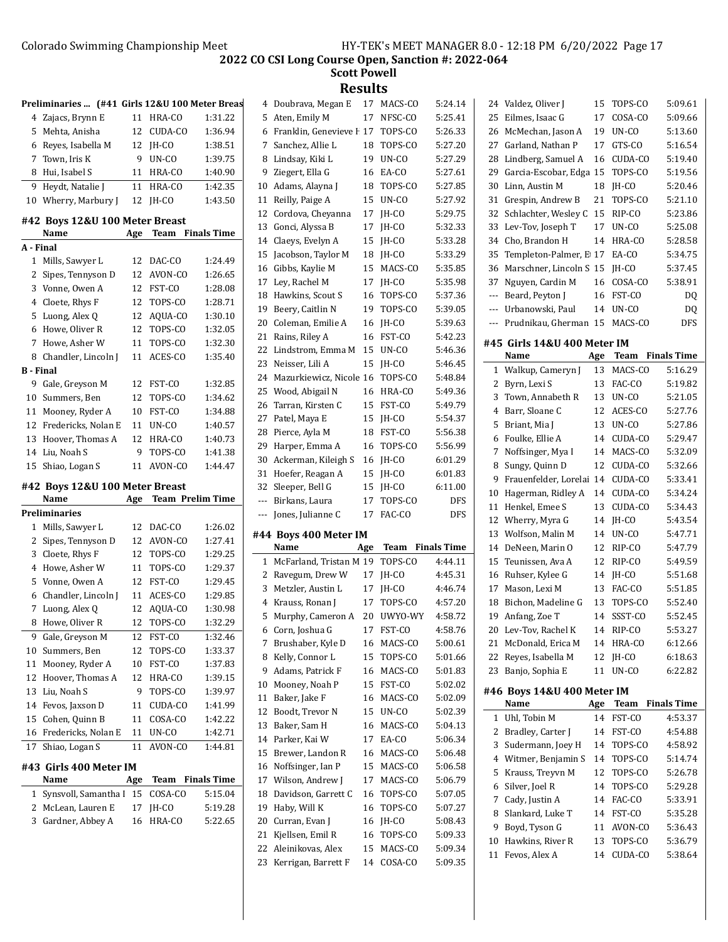|                  | Preliminaries  (#41 Girls 12&U 100 Meter Breas |     |                         |                    |  |
|------------------|------------------------------------------------|-----|-------------------------|--------------------|--|
| 4                | Zajacs, Brynn E                                | 11  | HRA-CO                  | 1:31.22            |  |
| 5                | Mehta, Anisha                                  | 12  | CUDA-CO                 | 1:36.94            |  |
| 6                | Reyes, Isabella M                              | 12  | IH-CO                   | 1:38.51            |  |
| 7                | Town, Iris K                                   | 9   | UN-CO                   | 1:39.75            |  |
| 8                | Hui. Isabel S                                  |     | 11 HRA-CO               | 1:40.90            |  |
| 9                | Heydt, Natalie J                               | 11  | HRA-CO                  | 1:42.35            |  |
| 10               | Wherry, Marbury J                              | 12  | JH-CO                   | 1:43.50            |  |
|                  | #42 Boys 12&U 100 Meter Breast                 |     |                         |                    |  |
|                  | Name                                           | Age | <b>Team</b>             | <b>Finals Time</b> |  |
| A - Final        |                                                |     |                         |                    |  |
| 1                | Mills, Sawyer L                                | 12  | DAC-CO                  | 1:24.49            |  |
| 2                | Sipes, Tennyson D                              | 12  | AVON-CO                 | 1:26.65            |  |
| 3                | Vonne, Owen A                                  | 12  | FST-CO                  | 1:28.08            |  |
| 4                | Cloete, Rhys F                                 | 12  | TOPS-CO                 | 1:28.71            |  |
| 5                | Luong, Alex Q                                  | 12  | AQUA-CO                 | 1:30.10            |  |
| 6                | Howe, Oliver R                                 | 12  | TOPS-CO                 | 1:32.05            |  |
| 7                | Howe, Asher W                                  | 11  | TOPS-CO                 | 1:32.30            |  |
| 8                | Chandler, Lincoln J                            | 11  | ACES-CO                 | 1:35.40            |  |
| <b>B</b> - Final |                                                |     |                         |                    |  |
| 9                | Gale, Greyson M                                | 12  | FST-CO                  | 1:32.85            |  |
| 10               | Summers, Ben                                   | 12  | TOPS-CO                 | 1:34.62            |  |
| 11               | Mooney, Ryder A                                | 10  | FST-CO                  | 1:34.88            |  |
| 12               | Fredericks, Nolan E                            | 11  | UN-CO                   | 1:40.57            |  |
| 13               | Hoover, Thomas A                               | 12  | HRA-CO                  | 1:40.73            |  |
| 14               | Liu, Noah S                                    | 9   | TOPS-CO                 | 1:41.38            |  |
| 15               | Shiao, Logan S                                 | 11  | AVON-CO                 | 1:44.47            |  |
|                  |                                                |     |                         |                    |  |
|                  |                                                |     |                         |                    |  |
|                  | #42 Boys 12&U 100 Meter Breast                 |     |                         |                    |  |
|                  | Name                                           | Age | <b>Team Prelim Time</b> |                    |  |
|                  | Preliminaries                                  |     |                         |                    |  |
| 1                | Mills, Sawyer L                                | 12  | DAC-CO                  | 1:26.02            |  |
| 2                | Sipes, Tennyson D                              | 12  | AVON-CO                 | 1:27.41            |  |
| 3                | Cloete, Rhys F                                 | 12  | TOPS-CO                 | 1:29.25            |  |
| 4                | Howe, Asher W                                  | 11  | TOPS-CO                 | 1:29.37            |  |
| 5                | Vonne, Owen A                                  | 12  | FST-CO                  | 1:29.45            |  |
| 6                | Chandler, Lincoln J                            | 11  | ACES-CO                 | 1:29.85            |  |
| 7                | Luong, Alex O                                  | 12  | AOUA-CO                 | 1:30.98            |  |
| 8                | Howe, Oliver R                                 | 12  | TOPS-CO                 | 1:32.29            |  |
| 9                | Gale, Greyson M                                | 12  | FST-CO                  | 1:32.46            |  |
| 10               | Summers, Ben                                   | 12  | TOPS-CO                 | 1:33.37            |  |
| 11               | Mooney, Ryder A                                | 10  | FST-CO                  | 1:37.83            |  |
| 12               | Hoover, Thomas A                               | 12  | HRA-CO                  | 1:39.15            |  |
| 13               | Liu, Noah S                                    | 9   | TOPS-CO                 | 1:39.97            |  |
| 14               | Fevos, Jaxson D                                | 11  | CUDA-CO                 | 1:41.99            |  |
| 15               | Cohen, Quinn B                                 | 11  | COSA-CO                 | 1:42.22            |  |
| 16               | Fredericks, Nolan E                            | 11  | UN-CO                   | 1:42.71            |  |
| 17               | Shiao, Logan S                                 | 11  | AVON-CO                 | 1:44.81            |  |
|                  | #43 Girls 400 Meter IM                         |     |                         |                    |  |
|                  | Name                                           | Age | Team                    | <b>Finals Time</b> |  |
| 1                | Synsvoll, Samantha I                           | 15  | COSA-CO                 | 5:15.04            |  |
| 2                | McLean, Lauren E                               | 17  | JH-CO                   | 5:19.28            |  |
| 3                | Gardner, Abbey A                               | 16  | HRA-CO                  | 5:22.65            |  |

| 4              | Doubrava, Megan E             | 17       | MACS-CO | 5:24.14            |
|----------------|-------------------------------|----------|---------|--------------------|
| 5              | Aten, Emily M                 | 17       | NFSC-CO | 5:25.41            |
| 6              | Franklin, Genevieve I 17      |          | TOPS-CO | 5:26.33            |
| 7              | Sanchez, Allie L              | 18       | TOPS-CO | 5:27.20            |
| 8              | Lindsay, Kiki L               | 19       | UN-CO   | 5:27.29            |
| 9              | Ziegert, Ella G               | 16       | EA-CO   | 5:27.61            |
| 10             | Adams, Alayna J               | 18       | TOPS-CO | 5:27.85            |
| 11             | Reilly, Paige A               | 15       | UN-CO   | 5:27.92            |
| 12             | Cordova, Chevanna             | 17       | JH-CO   | 5:29.75            |
| 13             | Gonci, Alyssa B               | 17       | JH-CO   | 5:32.33            |
| 14             | Claeys, Evelyn A              | 15       | JH-CO   | 5:33.28            |
| 15             | Jacobson, Taylor M            | 18       | IH-CO   | 5:33.29            |
| 16             | Gibbs, Kaylie M               | 15       | MACS-CO | 5:35.85            |
| 17             | Ley, Rachel M                 | 17       | JH-CO   | 5:35.98            |
| 18             | Hawkins, Scout S              | 16       | TOPS-CO | 5:37.36            |
| 19             | Beery, Caitlin N              | 19       | TOPS-CO | 5:39.05            |
| 20             |                               |          |         | 5:39.63            |
|                | Coleman, Emilie A             | 16       | JH-CO   |                    |
| 21             | Rains, Riley A                | 16<br>15 | FST-CO  | 5:42.23            |
| 22             | Lindstrom, Emma M             |          | UN-CO   | 5:46.36            |
| 23             | Neisser, Lili A               | 15       | JH-CO   | 5:46.45            |
| 24             | Mazurkiewicz, Nicole 16       |          | TOPS-CO | 5:48.84            |
| 25             | Wood, Abigail N               | 16       | HRA-CO  | 5:49.36            |
| 26             | Tarran, Kirsten C             | 15       | FST-CO  | 5:49.79            |
| 27             | Patel, Maya E                 | 15       | IH-CO   | 5:54.37            |
| 28             | Pierce, Ayla M                | 18       | FST-CO  | 5:56.38            |
| 29             | Harper, Emma A                | 16       | TOPS-CO | 5:56.99            |
| 30             | Ackerman, Kileigh S           | 16       | JH-CO   | 6:01.29            |
| 31             | Hoefer, Reagan A              | 15       | JH-CO   | 6:01.83            |
|                |                               |          |         |                    |
| 32             | Sleeper, Bell G               | 15       | JH-CO   | 6:11.00            |
| $\overline{a}$ | Birkans, Laura                | 17       | TOPS-CO | DFS                |
| ---            | Jones, Julianne C             | 17       | FAC-CO  | <b>DFS</b>         |
|                |                               |          |         |                    |
|                | #44 Boys 400 Meter IM<br>Name |          |         |                    |
|                |                               | Age      | Team    | <b>Finals Time</b> |
| 1              | McFarland, Tristan M 19       |          | TOPS-CO | 4:44.11            |
| 2              | Ravegum, Drew W               | 17       | JH-CO   | 4:45.31            |
| 3              | Metzler, Austin L             | 17       | IH-CO   | 4:46.74            |
| 4              | Krauss, Ronan J               | 17       | TOPS-CO | 4:57.20            |
| 5              | Murphy, Cameron A             | 20       | UWYO-WY | 4:58.72            |
|                | 6 Corn, Joshua G              | 17       | FST-CO  | 4:58.76            |
| 7              | Brushaber, Kyle D             | 16       | MACS-CO | 5:00.61            |
| 8              | Kelly, Connor L               | 15       | TOPS-CO | 5:01.66            |
| 9              | Adams, Patrick F              | 16       | MACS-CO | 5:01.83            |
| 10             | Mooney, Noah P                | 15       | FST-CO  | 5:02.02            |
| 11             | Baker, Jake F                 | 16       | MACS-CO | 5:02.09            |
| 12             | Boodt, Trevor N               | 15       | UN-CO   | 5:02.39            |
| 13             | Baker, Sam H                  | 16       | MACS-CO | 5:04.13            |
| 14             | Parker, Kai W                 | 17       | EA-CO   | 5:06.34            |
| 15             | Brewer, Landon R              | 16       | MACS-CO | 5:06.48            |
| 16             | Noffsinger, Ian P             | 15       | MACS-CO | 5:06.58            |
| 17             | Wilson, Andrew J              | 17       | MACS-CO | 5:06.79            |
| 18             | Davidson, Garrett C           | 16       | TOPS-CO | 5:07.05            |
| 19             | Haby, Will K                  | 16       | TOPS-CO | 5:07.27            |
| 20             | Curran, Evan J                | 16       | JH-CO   | 5:08.43            |
| 21             | Kjellsen, Emil R              | 16       | TOPS-CO | 5:09.33            |
| 22             | Aleinikovas, Alex             | 15       | MACS-CO | 5:09.34            |
| 23             | Kerrigan, Barrett F           | 14       | COSA-CO | 5:09.35            |

| 24             | Valdez, Oliver J                     | 15       | TOPS-CO            | 5:09.61            |
|----------------|--------------------------------------|----------|--------------------|--------------------|
| 25             | Eilmes, Isaac G                      | 17       | COSA-CO            | 5:09.66            |
| 26             | McMechan, Jason A                    | 19       | UN-CO              | 5:13.60            |
| 27             | Garland, Nathan P                    | 17       | GTS-CO             | 5:16.54            |
| 28             | Lindberg, Samuel A                   | 16       | CUDA-CO            | 5:19.40            |
| 29             | Garcia-Escobar, Edga                 | 15       | TOPS-CO            | 5:19.56            |
| 30             | Linn, Austin M                       | 18       | JH-CO              | 5:20.46            |
| 31             | Grespin, Andrew B                    | 21       | TOPS-CO            | 5:21.10            |
| 32             | Schlachter, Wesley C                 | 15       | RIP-CO             | 5:23.86            |
| 33             | Lev-Tov, Joseph T                    | 17       | UN-CO              | 5:25.08            |
| 34             | Cho, Brandon H                       | 14       | HRA-CO             | 5:28.58            |
| 35             | Templeton-Palmer, E 17               |          | EA-CO              | 5:34.75            |
| 36             | Marschner, Lincoln S                 | 15       | JH-CO              | 5:37.45            |
| 37             | Nguyen, Cardin M                     | 16       | COSA-CO            | 5:38.91            |
| $---$          | Beard, Peyton J                      | 16       | FST-CO             | DQ                 |
| $\overline{a}$ | Urbanowski, Paul                     | 14       | UN-CO              | DQ                 |
| ---            | Prudnikau, Gherman                   | 15       | MACS-CO            | DFS                |
|                |                                      |          |                    |                    |
|                | #45  Girls 14&U 400 Meter IM<br>Name | Age      | Team               | <b>Finals Time</b> |
|                |                                      |          |                    |                    |
| 1              | Walkup, Cameryn J                    | 13<br>13 | MACS-CO            | 5:16.29            |
| 2              | Byrn, Lexi S                         |          | FAC-CO<br>UN-CO    | 5:19.82            |
| 3              | Town, Annabeth R                     | 13       |                    | 5:21.05            |
| 4              | Barr, Sloane C                       | 12       | ACES-CO            | 5:27.76            |
| 5              | Briant, Mia J                        | 13       | UN-CO              | 5:27.86            |
| 6              | Foulke, Ellie A                      | 14       | CUDA-CO            | 5:29.47            |
| 7              | Noffsinger, Mya I                    | 14       | MACS-CO            | 5:32.09            |
| 8              | Sungy, Quinn D                       | 12       | CUDA-CO            | 5:32.66            |
| 9              | Frauenfelder, Lorelai                | 14       | CUDA-CO            | 5:33.41            |
| 10             | Hagerman, Ridley A                   | 14       | CUDA-CO            | 5:34.24            |
| 11             | Henkel, Emee S                       | 13       | CUDA-CO            | 5:34.43            |
| 12             | Wherry, Myra G                       | 14       | JH-CO              | 5:43.54            |
| 13             | Wolfson, Malin M                     | 14       | UN-CO              | 5:47.71            |
| 14             | DeNeen, Marin O                      | 12       | RIP-CO             | 5:47.79            |
| 15             | Teunissen, Ava A                     | 12       | RIP-CO             | 5:49.59            |
| 16             | Ruhser, Kylee G                      | 14       | JH-CO              | 5:51.68            |
| 17             | Mason, Lexi M                        | 13       | FAC-CO             | 5:51.85            |
| 18             | Bichon, Madeline G                   | 13       | TOPS-CO            | 5:52.40            |
| 19             | Anfang, Zoe T                        | 14       | SSST-CO            | 5:52.45            |
|                | 20 Lev-Tov, Rachel K                 |          | 14 RIP-CO          | 5:53.27            |
| 21             | McDonald, Erica M                    | 14       | HRA-CO             | 6:12.66            |
| 22             | Reyes, Isabella M                    | 12       | JH-CO              | 6:18.63            |
| 23             | Banjo, Sophia E                      | 11       | UN-CO              | 6:22.82            |
|                | #46 Boys 14&U 400 Meter IM           |          |                    |                    |
|                | Name                                 | Age      | Team               | <b>Finals Time</b> |
| 1              | Uhl, Tobin M                         | 14       | FST-CO             | 4:53.37            |
| 2              | Bradley, Carter J                    | 14       | FST-CO             | 4:54.88            |
| 3              | Sudermann, Joey H                    |          | TOPS-CO            | 4:58.92            |
| 4              |                                      | 14       |                    |                    |
| 5              | Witmer, Benjamin S                   | 14<br>12 | TOPS-CO<br>TOPS-CO | 5:14.74            |
|                | Krauss, Treyvn M                     |          |                    | 5:26.78            |
| 6              | Silver, Joel R                       | 14       | TOPS-CO            | 5:29.28            |
| 7              | Cady, Justin A                       | 14       | FAC-CO             | 5:33.91            |
| 8              | Slankard, Luke T                     | 14       | FST-CO             | 5:35.28            |
| 9              | Boyd, Tyson G                        | 11       | AVON-CO            | 5:36.43            |
| 10             | Hawkins, River R                     | 13       | TOPS-CO            | 5:36.79            |
|                |                                      |          |                    |                    |
| 11             | Fevos, Alex A                        | 14       | CUDA-CO            | 5:38.64            |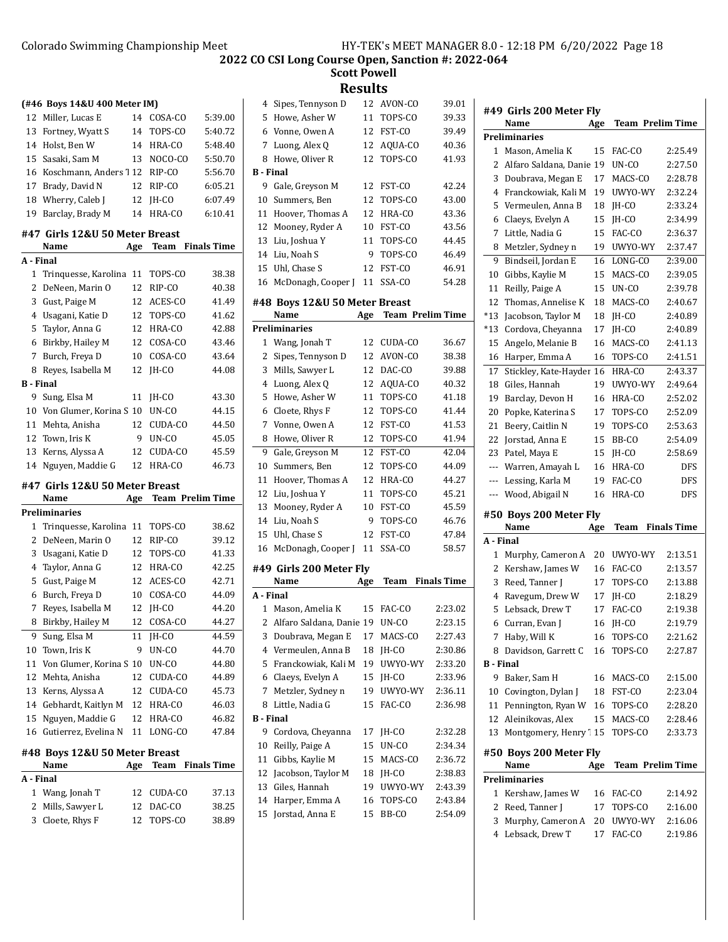**Scott Powell**

| 4                | Sipes, Tennyson D                        | 12  | AVON-CO                 | 39.01              |
|------------------|------------------------------------------|-----|-------------------------|--------------------|
| 5                | Howe, Asher W                            | 11  | TOPS-CO                 | 39.33              |
| 6                | Vonne, Owen A                            | 12  | FST-CO                  | 39.49              |
| 7                | Luong, Alex Q                            | 12  | AQUA-CO                 | 40.36              |
| 8                | Howe, Oliver R                           | 12  | TOPS-CO                 | 41.93              |
| <b>B</b> - Final |                                          |     |                         |                    |
| 9                | Gale, Greyson M                          | 12  | FST-CO                  | 42.24              |
| 10               | Summers, Ben                             | 12  | TOPS-CO                 | 43.00              |
| 11               | Hoover, Thomas A                         | 12  | HRA-CO                  | 43.36              |
| 12               | Mooney, Ryder A                          | 10  | FST-CO                  | 43.56              |
| 13               | Liu, Joshua Y                            | 11  | TOPS-CO                 | 44.45              |
| 14               | Liu, Noah S                              | 9   | TOPS-CO                 | 46.49              |
| 15               | Uhl, Chase S                             | 12  | FST-CO                  | 46.91              |
| 16               | McDonagh, Cooper J                       | 11  | SSA-CO                  | 54.28              |
|                  |                                          |     |                         |                    |
|                  | #48 Boys 12&U 50 Meter Breast            |     |                         |                    |
|                  | Name                                     | Age | <b>Team Prelim Time</b> |                    |
|                  | <b>Preliminaries</b>                     |     |                         |                    |
| 1                | Wang, Jonah T                            | 12  | CUDA-CO                 | 36.67              |
| 2                | Sipes, Tennyson D                        | 12  | AVON-CO                 | 38.38              |
| 3                | Mills, Sawyer L                          | 12  | DAC-CO                  | 39.88              |
| 4                | Luong, Alex Q                            | 12  | AOUA-CO                 | 40.32              |
| 5                | Howe, Asher W                            | 11  | TOPS-CO                 | 41.18              |
| 6                | Cloete, Rhys F                           | 12  | TOPS-CO                 | 41.44              |
| 7                | Vonne, Owen A                            | 12  | FST-CO                  | 41.53              |
| 8                | Howe, Oliver R                           | 12  | TOPS-CO                 | 41.94              |
| 9                | Gale, Greyson M                          | 12  | FST-CO                  | 42.04              |
| 10               | Summers, Ben                             | 12  | TOPS-CO                 | 44.09              |
| 11               | Hoover, Thomas A                         | 12  | HRA-CO                  | 44.27              |
| 12               | Liu, Joshua Y                            | 11  | TOPS-CO                 | 45.21              |
| 13               | Mooney, Ryder A                          | 10  | FST-CO                  | 45.59              |
| 14               | Liu, Noah S                              | 9   | TOPS-CO                 | 46.76              |
| 15               | Uhl, Chase S                             | 12  | FST-CO                  | 47.84              |
| 16               | McDonagh, Cooper J                       | 11  | SSA-CO                  | 58.57              |
|                  |                                          |     |                         |                    |
|                  | #49 Girls 200 Meter Fly<br>Name          | Age | Team                    | <b>Finals Time</b> |
| A - Final        |                                          |     |                         |                    |
| $\mathbf 1$      | Mason, Amelia K                          | 15  | FAC-CO                  | 2:23.02            |
| 2                | Alfaro Saldana, Danie 19                 |     | UN-CO                   | 2:23.15            |
| 3                | Doubrava, Megan E                        | 17  | MACS-CO                 | 2:27.43            |
|                  |                                          | 18  | IH-CO                   | 2:30.86            |
| 4                | Vermeulen, Anna B<br>Franckowiak, Kali M |     | UWYO-WY                 | 2:33.20            |
| 5                |                                          | 19  |                         |                    |
| 6                | Claeys, Evelyn A                         | 15  | IH-CO                   | 2:33.96            |
| 7                | Metzler, Sydney n                        | 19  | UWYO-WY                 | 2:36.11            |
| 8                | Little, Nadia G                          | 15  | FAC-CO                  | 2:36.98            |
| <b>B</b> - Final |                                          |     |                         |                    |
| 9                | Cordova, Cheyanna                        | 17  | IH-CO                   | 2:32.28            |
| 10               | Reilly, Paige A                          | 15  | UN-CO                   | 2:34.34            |
| 11               | Gibbs, Kaylie M                          | 15  | MACS-CO                 | 2:36.72            |
| 12               | Jacobson, Taylor M                       | 18  | JH-CO                   | 2:38.83            |
| 13               | Giles, Hannah                            | 19  | UWYO-WY                 | 2:43.39            |
| 14               | Harper, Emma A                           | 16  | TOPS-CO                 | 2:43.84            |
| 15               | Jorstad, Anna E                          | 15  | BB-CO                   | 2:54.09            |

|                  | #49 Girls 200 Meter Fly        |     |                         |                    |
|------------------|--------------------------------|-----|-------------------------|--------------------|
|                  | Name                           | Age | <b>Team Prelim Time</b> |                    |
|                  | <b>Preliminaries</b>           |     |                         |                    |
| 1                | Mason, Amelia K                | 15  | FAC-CO                  | 2:25.49            |
| 2                | Alfaro Saldana, Danie          | 19  | UN-CO                   | 2:27.50            |
| 3                | Doubrava, Megan E              | 17  | MACS-CO                 | 2:28.78            |
| 4                | Franckowiak, Kali M            | 19  | UWYO-WY                 | 2:32.24            |
| 5                | Vermeulen, Anna B              | 18  | JH-CO                   | 2:33.24            |
| 6                | Claeys, Evelyn A               | 15  | JH-CO                   | 2:34.99            |
| 7                | Little, Nadia G                | 15  | FAC-CO                  | 2:36.37            |
| 8                | Metzler, Sydney n              | 19  | UWYO-WY                 | 2:37.47            |
| 9                | Bindseil, Jordan E             | 16  | LONG-CO                 | 2:39.00            |
| 10               | Gibbs, Kaylie M                | 15  | MACS-CO                 | 2:39.05            |
| 11               | Reilly, Paige A                | 15  | UN-CO                   | 2:39.78            |
| 12               | Thomas, Annelise K             | 18  | MACS-CO                 | 2:40.67            |
| *13              | Jacobson, Taylor M             | 18  | JH-CO                   | 2:40.89            |
| *13              | Cordova, Cheyanna              | 17  | JH-CO                   | 2:40.89            |
| 15               | Angelo, Melanie B              | 16  | MACS-CO                 | 2:41.13            |
| 16               | Harper, Emma A                 | 16  | TOPS-CO                 | 2:41.51            |
| 17               | Stickley, Kate-Hayder 16       |     | HRA-CO                  | 2:43.37            |
| 18               | Giles, Hannah                  | 19  | UWYO-WY                 | 2:49.64            |
| 19               | Barclay, Devon H               | 16  | HRA-CO                  | 2:52.02            |
| 20               | Popke, Katerina S              | 17  | TOPS-CO                 | 2:52.09            |
| 21               | Beery, Caitlin N               | 19  | TOPS-CO                 | 2:53.63            |
| 22               | Jorstad, Anna E                | 15  | BB-CO                   | 2:54.09            |
| 23               | Patel, Maya E                  | 15  | JH-CO                   | 2:58.69            |
| ---              | Warren, Amayah L               | 16  | HRA-CO                  | <b>DFS</b>         |
| ---              | Lessing, Karla M               | 19  | FAC-CO                  | DFS                |
| ---              | Wood, Abigail N                | 16  | HRA-CO                  | DFS                |
|                  | #50 Boys 200 Meter Fly         |     |                         |                    |
|                  | Name                           | Age | Team                    | <b>Finals Time</b> |
|                  |                                |     |                         |                    |
| A - Final        |                                |     |                         |                    |
| 1                | Murphy, Cameron A              | 20  | UWYO-WY                 | 2:13.51            |
| 2                | Kershaw, James W               | 16  | FAC-CO                  | 2:13.57            |
| 3                | Reed, Tanner J                 | 17  | TOPS-CO                 | 2:13.88            |
| 4                | Ravegum, Drew W                | 17  | JH-CO                   | 2:18.29            |
| 5                | Lebsack, Drew T                | 17  | FAC-CO                  | 2:19.38            |
| 6                | Curran, Evan J                 | 16  | JH-CO                   | 2:19.79            |
|                  | 7 Haby, Will K                 | 16  | TOPS-CO                 | 2:21.62            |
|                  | 8 Davidson, Garrett C          | 16  | TOPS-CO                 | 2:27.87            |
| <b>B</b> - Final |                                |     |                         |                    |
| 9                | Baker, Sam H                   | 16  | MACS-CO                 | 2:15.00            |
| 10               | Covington, Dylan J             | 18  | FST-CO                  | 2:23.04            |
| 11               | Pennington, Ryan W             | 16  | TOPS-CO                 | 2:28.20            |
| 12               | Aleinikovas, Alex              | 15  | MACS-CO                 | 2:28.46            |
| 13               | Montgomery, Henry ' 15         |     | TOPS-CO                 | 2:33.73            |
|                  |                                |     |                         |                    |
|                  | #50 Boys 200 Meter Fly<br>Name | Age | <b>Team Prelim Time</b> |                    |
|                  | <b>Preliminaries</b>           |     |                         |                    |
| 1                | Kershaw, James W               | 16  | FAC-CO                  | 2:14.92            |
| 2                | Reed, Tanner J                 | 17  | TOPS-CO                 | 2:16.00            |
| 3                | Murphy, Cameron A              | 20  | UWYO-WY                 | 2:16.06            |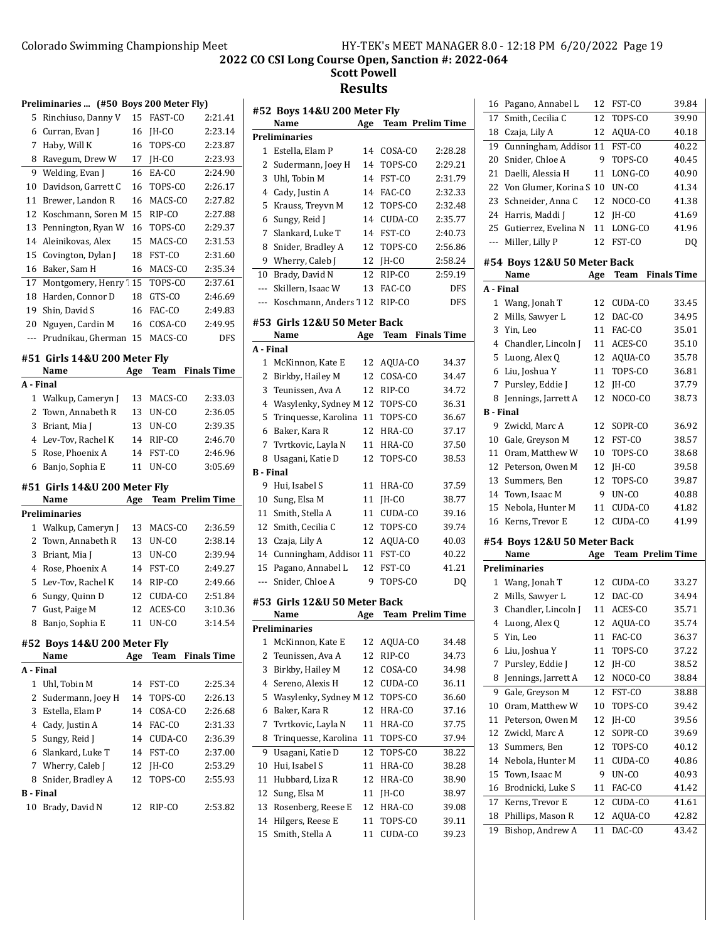|                  | Preliminaries  (#50 Boys 200 Meter Fly) |     |                |                         |                |
|------------------|-----------------------------------------|-----|----------------|-------------------------|----------------|
| 5                | Rinchiuso, Danny V                      | 15  | <b>FAST-CO</b> | 2:21.41                 | #              |
| 6                | Curran, Evan J                          | 16  | JH-CO          | 2:23.14                 | P <sub>1</sub> |
| 7                | Haby, Will K                            | 16  | TOPS-CO        | 2:23.87                 |                |
| 8                | Ravegum, Drew W                         | 17  | JH-CO          | 2:23.93                 |                |
| 9                | Welding, Evan J                         | 16  | EA-CO          | 2:24.90                 |                |
| 10               | Davidson, Garrett C                     | 16  | TOPS-CO        | 2:26.17                 |                |
| 11               | Brewer, Landon R                        | 16  | MACS-CO        | 2:27.82                 |                |
| 12               | Koschmann, Soren M                      | 15  | RIP-CO         | 2:27.88                 |                |
| 13               | Pennington, Ryan W                      | 16  | TOPS-CO        | 2:29.37                 |                |
| 14               | Aleinikovas, Alex                       | 15  | MACS-CO        | 2:31.53                 |                |
| 15               | Covington, Dylan J                      | 18  | FST-CO         | 2:31.60                 |                |
| 16               | Baker, Sam H                            | 16  | MACS-CO        | 2:35.34                 | 1              |
| 17               | Montgomery, Henry' 15                   |     | TOPS-CO        | 2:37.61                 |                |
| 18               | Harden, Connor D                        | 18  | GTS-CO         | 2:46.69                 |                |
| 19               | Shin, David S                           | 16  | FAC-CO         | 2:49.83                 |                |
| 20               | Nguyen, Cardin M                        | 16  | COSA-CO        | 2:49.95                 | #.             |
| ---              | Prudnikau, Gherman                      | 15  | MACS-CO        | <b>DFS</b>              |                |
|                  |                                         |     |                |                         | A              |
|                  | #51 Girls 14&U 200 Meter Fly<br>Name    |     | <b>Team</b>    | <b>Finals Time</b>      |                |
| A - Final        |                                         | Age |                |                         |                |
| 1                | Walkup, Cameryn J                       | 13  | MACS-CO        | 2:33.03                 |                |
|                  | 2 Town, Annabeth R                      | 13  | UN-CO          | 2:36.05                 |                |
| 3                | Briant, Mia J                           | 13  | UN-CO          | 2:39.35                 |                |
| 4                | Lev-Tov, Rachel K                       | 14  | RIP-CO         | 2:46.70                 |                |
| 5                | Rose, Phoenix A                         | 14  | FST-CO         | 2:46.96                 |                |
| 6                | Banjo, Sophia E                         | 11  | UN-CO          | 3:05.69                 |                |
|                  |                                         |     |                |                         | В              |
|                  | #51 Girls 14&U 200 Meter Fly            |     |                |                         |                |
|                  | Name                                    | Age |                | <b>Team Prelim Time</b> | 1              |
|                  | <b>Preliminaries</b>                    |     |                |                         | 1              |
| $\mathbf{1}$     | Walkup, Cameryn J                       | 13  | MACS-CO        | 2:36.59                 |                |
| $\overline{2}$   | Town, Annabeth R                        | 13  | UN-CO          | 2:38.14                 | 1              |
| 3                | Briant, Mia J                           | 13  | UN-CO          | 2:39.94                 | 1              |
| 4                | Rose, Phoenix A                         | 14  | FST-CO         | 2:49.27                 |                |
| 5                |                                         |     |                |                         |                |
| 6                | Lev-Tov, Rachel K                       | 14  | RIP-CO         | 2:49.66                 |                |
|                  | Sungy, Quinn D                          | 12  | CUDA-CO        | 2:51.84                 | #.             |
| 7                | Gust, Paige M                           | 12  | ACES-CO        | 3:10.36                 |                |
| 8                | Banjo, Sophia E                         | 11  | UN-CO          | 3:14.54                 | P <sub>1</sub> |
|                  | #52 Boys 14&U 200 Meter Fly             |     |                |                         |                |
|                  | Name                                    | Age | Team           | <b>Finals Time</b>      |                |
| A - Final        |                                         |     |                |                         |                |
| $\mathbf{1}$     | Uhl, Tobin M                            | 14  | FST-CO         | 2:25.34                 |                |
| 2                | Sudermann, Joey H                       | 14  | TOPS-CO        | 2:26.13                 |                |
| 3                | Estella, Elam P                         | 14  | COSA-CO        | 2:26.68                 |                |
| 4                | Cady, Justin A                          | 14  | FAC-CO         | 2:31.33                 |                |
| 5                | Sungy, Reid J                           | 14  | CUDA-CO        | 2:36.39                 |                |
| 6                | Slankard, Luke T                        | 14  | FST-CO         | 2:37.00                 |                |
|                  | 7 Wherry, Caleb J                       | 12  | JH-CO          | 2:53.29                 |                |
| 8                | Snider, Bradley A                       | 12  | TOPS-CO        | 2:55.93                 |                |
| <b>B</b> - Final |                                         |     |                |                         |                |

|                  | #52 Boys 14&U 200 Meter Fly<br>Name   | Age |           | <b>Team Prelim Time</b> |
|------------------|---------------------------------------|-----|-----------|-------------------------|
|                  | <b>Preliminaries</b>                  |     |           |                         |
| 1                | Estella, Elam P                       | 14  | COSA-CO   | 2:28.28                 |
| 2                | Sudermann, Joey H                     | 14  | TOPS-CO   | 2:29.21                 |
| 3                | Uhl, Tobin M                          | 14  | FST-CO    | 2:31.79                 |
| 4                | Cady, Justin A                        |     | 14 FAC-CO | 2:32.33                 |
| 5                | Krauss, Treyvn M                      | 12  | TOPS-CO   | 2:32.48                 |
| 6                | Sungy, Reid J                         | 14  | CUDA-CO   | 2:35.77                 |
| 7                | Slankard, Luke T                      | 14  | FST-CO    | 2:40.73                 |
| 8                | Snider, Bradley A                     | 12  | TOPS-CO   | 2:56.86                 |
|                  | 9 Wherry, Caleb J                     | 12  | JH-CO     | 2:58.24                 |
| 10               | Brady, David N                        | 12  | RIP-CO    | 2:59.19                 |
| ---              |                                       | 13  | FAC-CO    | DFS                     |
|                  | Skillern, Isaac W                     |     |           |                         |
| ---              | Koschmann, Anders 112                 |     | RIP-CO    | DFS                     |
|                  | #53  Girls 12&U 50 Meter Back<br>Name | Age | Team      | <b>Finals Time</b>      |
| A - Final        |                                       |     |           |                         |
| $1\,$            | McKinnon, Kate E                      | 12  | AOUA-CO   | 34.37                   |
| 2                | Birkby, Hailey M                      | 12  | COSA-CO   | 34.47                   |
| 3                | Teunissen, Ava A                      | 12  | RIP-CO    | 34.72                   |
| 4                | Wasylenky, Sydney M 12                |     | TOPS-CO   | 36.31                   |
| 5                | Trinquesse, Karolina                  | 11  | TOPS-CO   | 36.67                   |
|                  |                                       | 12  | HRA-CO    | 37.17                   |
| 6                | Baker, Kara R                         |     |           |                         |
| 7                | Tvrtkovic, Layla N                    | 11  | HRA-CO    | 37.50                   |
| 8                | Usagani, Katie D                      | 12  | TOPS-CO   | 38.53                   |
| <b>B</b> - Final |                                       |     |           |                         |
| 9.               | Hui, Isabel S                         | 11  | HRA-CO    | 37.59                   |
| 10               | Sung, Elsa M                          | 11  | JH-CO     | 38.77                   |
| 11               | Smith, Stella A                       | 11  | CUDA-CO   | 39.16                   |
| 12               | Smith, Cecilia C                      | 12  | TOPS-CO   | 39.74                   |
| 13               | Czaja, Lily A                         | 12  | AQUA-CO   | 40.03                   |
| 14               | Cunningham, Addisor 11                |     | FST-CO    | 40.22                   |
| 15               | Pagano, Annabel L                     | 12  | FST-CO    | 41.21                   |
| $---$            | Snider, Chloe A                       | 9   | TOPS-CO   | DO.                     |
|                  | #53 Girls 12&U 50 Meter Back          |     |           |                         |
|                  | Name                                  | Age |           | <b>Team Prelim Time</b> |
|                  | Preliminaries                         |     |           |                         |
| 1                | McKinnon, Kate E                      | 12  | AQUA-CO   | 34.48                   |
| 2                | Teunissen, Ava A                      | 12  | RIP-CO    | 34.73                   |
| 3                | Birkby, Hailey M                      | 12  | COSA-CO   | 34.98                   |
| 4                | Sereno, Alexis H                      | 12  | CUDA-CO   | 36.11                   |
| 5                | Wasylenky, Sydney M 12                |     | TOPS-CO   | 36.60                   |
| 6                | Baker, Kara R                         | 12  | HRA-CO    | 37.16                   |
| 7                | Tvrtkovic, Layla N                    | 11  | HRA-CO    | 37.75                   |
| 8                | Trinquesse, Karolina                  | 11  | TOPS-CO   |                         |
| 9                | Usagani, Katie D                      | 12  | TOPS-CO   | 37.94<br>38.22          |
|                  |                                       |     |           |                         |
| 10               | Hui, Isabel S                         | 11  | HRA-CO    | 38.28                   |
| 11               | Hubbard, Liza R                       | 12  | HRA-CO    | 38.90                   |
| 12               | Sung, Elsa M                          | 11  | JH-CO     | 38.97                   |
| 13               | Rosenberg, Reese E                    | 12  | HRA-CO    | 39.08                   |
| 14               | Hilgers, Reese E                      | 11  | TOPS-CO   | 39.11                   |
| 15               | Smith, Stella A                       | 11  | CUDA-CO   | 39.23                   |
|                  |                                       |     |           |                         |

| 16        | Pagano, Annabel L                   | 12  | FST-CO  | 39.84                   |
|-----------|-------------------------------------|-----|---------|-------------------------|
| 17        | Smith, Cecilia C                    | 12  | TOPS-CO | 39.90                   |
| 18        | Czaja, Lily A                       | 12  | AQUA-CO | 40.18                   |
| 19        | Cunningham, Addisor 11              |     | FST-CO  | 40.22                   |
| 20        | Snider, Chloe A                     | 9   | TOPS-CO | 40.45                   |
| 21        | Daelli, Alessia H                   | 11  | LONG-CO | 40.90                   |
| 22        | Von Glumer, Korina S 10             |     | UN-CO   | 41.34                   |
| 23        | Schneider, Anna C                   | 12  | NOCO-CO | 41.38                   |
| 24        | Harris, Maddi J                     | 12  | JH-CO   | 41.69                   |
| 25        | Gutierrez, Evelina N                | 11  | LONG-CO | 41.96                   |
| ---       | Miller, Lilly P                     | 12  | FST-CO  | DQ                      |
|           | #54 Boys 12&U 50 Meter Back<br>Name | Age | Team    | <b>Finals Time</b>      |
| A - Final |                                     |     |         |                         |
| 1         | Wang, Jonah T                       | 12  | CUDA-CO | 33.45                   |
| 2         | Mills, Sawyer L                     | 12  | DAC-CO  | 34.95                   |
| 3         | Yin, Leo                            | 11  | FAC-CO  | 35.01                   |
| 4         | Chandler, Lincoln J                 | 11  | ACES-CO | 35.10                   |
| 5         | Luong, Alex Q                       | 12  | AQUA-CO | 35.78                   |
| 6         | Liu, Joshua Y                       | 11  | TOPS-CO | 36.81                   |
| 7         | Pursley, Eddie J                    | 12  | JH-CO   | 37.79                   |
| 8         | Jennings, Jarrett A                 | 12  | NOCO-CO | 38.73                   |
| B - Final |                                     |     |         |                         |
| 9         | Zwickl, Marc A                      | 12  | SOPR-CO | 36.92                   |
| 10        | Gale, Greyson M                     | 12  | FST-CO  | 38.57                   |
| 11        | Oram, Matthew W                     | 10  | TOPS-CO | 38.68                   |
| 12        | Peterson, Owen M                    | 12  | JH-CO   | 39.58                   |
| 13        | Summers, Ben                        | 12  | TOPS-CO | 39.87                   |
| 14        | Town, Isaac M                       | 9   | UN-CO   | 40.88                   |
| 15        | Nebola, Hunter M                    | 11  | CUDA-CO | 41.82                   |
| 16        | Kerns, Trevor E                     | 12  | CUDA-CO | 41.99                   |
|           |                                     |     |         |                         |
|           | #54 Boys 12&U 50 Meter Back         |     |         |                         |
|           | Name                                | Age |         | <b>Team Prelim Time</b> |
|           | <b>Preliminaries</b>                |     |         |                         |
| 1         | Wang, Jonah T                       | 12  | CUDA-CO | 33.27                   |
| 2         | Mills, Sawyer L                     | 12  | DAC-CO  | 34.94                   |
| 3         | Chandler, Lincoln J                 | 11  | ACES-CO | 35.71                   |
| 4         | Luong, Alex Q                       | 12  | AQUA-CO | 35.74                   |
| 5         | Yin, Leo                            | 11  | FAC-CO  | 36.37                   |
| 6         | Liu, Joshua Y                       | 11  | TOPS-CO | 37.22                   |
| 7         | Pursley, Eddie J                    | 12  | JH-CO   | 38.52                   |
| 8         | Jennings, Jarrett A                 | 12  | NOCO-CO | 38.84                   |
| 9         | Gale, Greyson M                     | 12  | FST-CO  | 38.88                   |
| 10        | Oram, Matthew W                     | 10  | TOPS-CO | 39.42                   |
| 11        | Peterson, Owen M                    | 12  | JH-CO   | 39.56                   |
| 12        | Zwickl, Marc A                      | 12  | SOPR-CO | 39.69                   |
| 13        | Summers, Ben                        | 12  | TOPS-CO | 40.12                   |
| 14        | Nebola, Hunter M                    | 11  | CUDA-CO | 40.86                   |
| 15        | Town, Isaac M                       | 9   | UN-CO   | 40.93                   |
| 16        | Brodnicki, Luke S                   | 11  | FAC-CO  | 41.42                   |
| 17        | Kerns, Trevor E                     | 12  | CUDA-CO | 41.61                   |
| 18        | Phillips, Mason R                   | 12  | AQUA-CO | 42.82                   |
| 19        | Bishop, Andrew A                    | 11  | DAC-CO  | 43.42                   |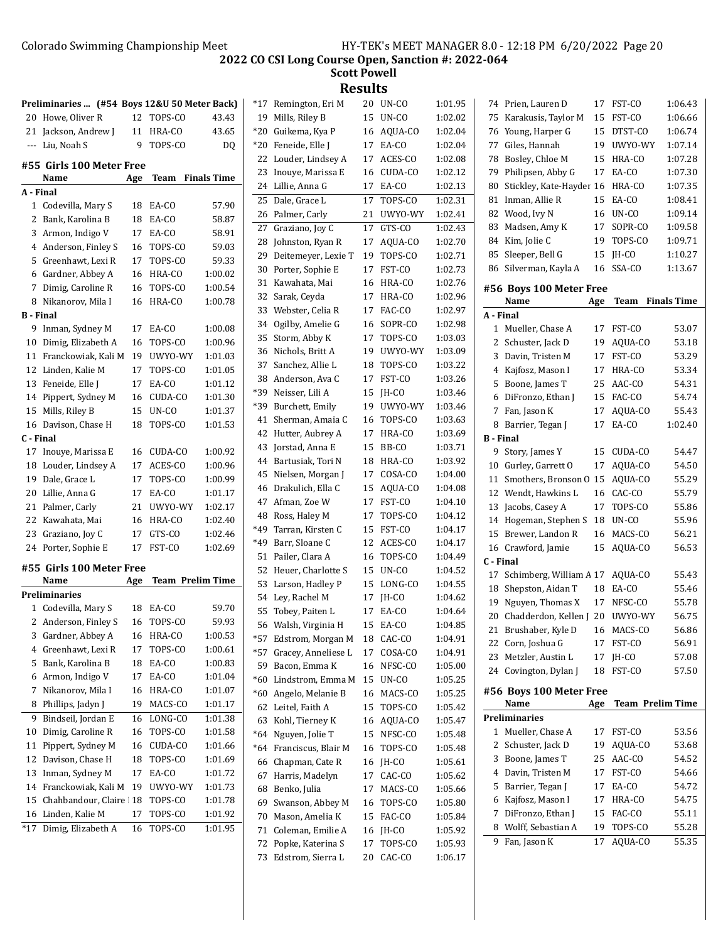|                  | Preliminaries  (#54 Boys 12&U 50 Meter Back) |     |                         |                    |
|------------------|----------------------------------------------|-----|-------------------------|--------------------|
| 20               | Howe, Oliver R                               | 12  | TOPS-CO                 | 43.43              |
| 21               | Jackson, Andrew J                            | 11  | HRA-CO                  | 43.65              |
| ---              | Liu, Noah S                                  | 9   | TOPS-CO                 | DQ                 |
|                  |                                              |     |                         |                    |
|                  | #55  Girls 100 Meter Free<br>Name            | Age | Team                    | <b>Finals Time</b> |
| A - Final        |                                              |     |                         |                    |
| 1                | Codevilla, Mary S                            | 18  | EA-CO                   | 57.90              |
| 2                | Bank, Karolina B                             | 18  | EA-CO                   | 58.87              |
| 3                | Armon, Indigo V                              | 17  | EA-CO                   | 58.91              |
| 4                | Anderson, Finley S                           | 16  | TOPS-CO                 | 59.03              |
| 5                | Greenhawt, Lexi R                            | 17  | TOPS-CO                 | 59.33              |
| 6                | Gardner, Abbey A                             | 16  | HRA-CO                  | 1:00.02            |
| 7                | Dimig, Caroline R                            | 16  | TOPS-CO                 | 1:00.54            |
| 8                | Nikanorov, Mila I                            | 16  | HRA-CO                  | 1:00.78            |
| <b>B</b> - Final |                                              |     |                         |                    |
| 9                | Inman, Sydney M                              | 17  | EA-CO                   | 1:00.08            |
| 10               | Dimig, Elizabeth A                           | 16  | TOPS-CO                 | 1:00.96            |
| 11               | Franckowiak, Kali M                          | 19  | UWYO-WY                 | 1:01.03            |
| 12               | Linden, Kalie M                              | 17  | TOPS-CO                 | 1:01.05            |
| 13               | Feneide, Elle J                              | 17  | EA-CO                   | 1:01.12            |
| 14               | Pippert, Sydney M                            | 16  | CUDA-CO                 | 1:01.30            |
| 15               | Mills, Riley B                               | 15  | UN-CO                   | 1:01.37            |
| 16               | Davison, Chase H                             | 18  | TOPS-CO                 | 1:01.53            |
| C - Final        |                                              |     |                         |                    |
| 17               | Inouye, Marissa E                            | 16  | CUDA-CO                 | 1:00.92            |
| 18               | Louder, Lindsey A                            | 17  | ACES-CO                 | 1:00.96            |
| 19               | Dale, Grace L                                | 17  | TOPS-CO                 | 1:00.99            |
| 20               | Lillie, Anna G                               | 17  | EA-CO                   | 1:01.17            |
| 21               | Palmer, Carly                                | 21  | UWYO-WY                 | 1:02.17            |
| 22               | Kawahata, Mai                                | 16  | HRA-CO                  | 1:02.40            |
| 23               | Graziano, Joy C                              | 17  | GTS-CO                  | 1:02.46            |
| 24               | Porter, Sophie E                             | 17  | FST-CO                  | 1:02.69            |
|                  | #55  Girls 100 Meter Free                    |     |                         |                    |
|                  | Name                                         | Age | <b>Team Prelim Time</b> |                    |
|                  | Preliminaries                                |     |                         |                    |
| 1                | Codevilla, Mary S                            | 18  | EA-CO                   | 59.70              |
| 2                | Anderson, Finley S                           | 16  | TOPS-CO                 | 59.93              |
| 3                | Gardner, Abbey A                             | 16  | HRA-CO                  | 1:00.53            |
| 4                | Greenhawt, Lexi R                            | 17  | TOPS-CO                 | 1:00.61            |
| 5                | Bank, Karolina B                             | 18  | EA-CO                   | 1:00.83            |
| 6                | Armon, Indigo V                              | 17  | EA-CO                   | 1:01.04            |
| 7                | Nikanorov, Mila I                            | 16  | HRA-CO                  | 1:01.07            |
| 8                | Phillips, Jadyn J                            | 19  | MACS-CO                 | 1:01.17            |
| 9                | Bindseil, Jordan E                           | 16  | LONG-CO                 | 1:01.38            |
| 10               | Dimig, Caroline R                            | 16  | TOPS-CO                 | 1:01.58            |
| 11               | Pippert, Sydney M                            | 16  | CUDA-CO                 | 1:01.66            |
| 12               | Davison, Chase H                             | 18  | TOPS-CO                 | 1:01.69            |
| 13               | Inman, Sydney M                              | 17  | EA-CO                   | 1:01.72            |
| 14               | Franckowiak, Kali M                          | 19  | UWYO-WY                 | 1:01.73            |
| 15               | Chahbandour, Claire                          | 18  | TOPS-CO                 | 1:01.78            |
| 16               | Linden, Kalie M                              | 17  | TOPS-CO                 | 1:01.92            |
| $*17$            | Dimig, Elizabeth A                           | 16  | TOPS-CO                 | 1:01.95            |
|                  |                                              |     |                         |                    |

| *17   | Remington, Eri M    | 20 | UN-CO   | 1:01.95 |
|-------|---------------------|----|---------|---------|
| 19    | Mills, Riley B      | 15 | UN-CO   | 1:02.02 |
| *20   | Guikema, Kya P      | 16 | AQUA-CO | 1:02.04 |
| *20   | Feneide, Elle J     | 17 | EA-CO   | 1:02.04 |
| 22    | Louder, Lindsey A   | 17 | ACES-CO | 1:02.08 |
| 23    | Inouve, Marissa E   | 16 | CUDA-CO | 1:02.12 |
| 24    | Lillie, Anna G      | 17 | EA-CO   | 1:02.13 |
| 25    | Dale, Grace L       | 17 | TOPS-CO | 1:02.31 |
| 26    | Palmer, Carly       | 21 | UWYO-WY | 1:02.41 |
| 27    | Graziano, Joy C     | 17 | GTS-CO  | 1:02.43 |
| 28    | Johnston, Ryan R    | 17 | AQUA-CO | 1:02.70 |
| 29    | Deitemeyer, Lexie T | 19 | TOPS-CO | 1:02.71 |
| 30    | Porter, Sophie E    | 17 | FST-CO  | 1:02.73 |
| 31    | Kawahata, Mai       | 16 | HRA-CO  | 1:02.76 |
| 32    | Sarak, Ceyda        | 17 | HRA-CO  | 1:02.96 |
| 33    | Webster, Celia R    | 17 | FAC-CO  | 1:02.97 |
| 34    | Ogilby, Amelie G    | 16 | SOPR-CO | 1:02.98 |
| 35    | Storm, Abby K       | 17 | TOPS-CO | 1:03.03 |
| 36    | Nichols, Britt A    | 19 | UWYO-WY | 1:03.09 |
| 37    | Sanchez, Allie L    | 18 | TOPS-CO | 1:03.22 |
| 38    | Anderson, Ava C     | 17 | FST-CO  | 1:03.26 |
| *39   | Neisser, Lili A     | 15 | JH-CO   | 1:03.46 |
| *39   | Burchett, Emily     | 19 | UWYO-WY | 1:03.46 |
| 41    | Sherman, Amaia C    | 16 | TOPS-CO | 1:03.63 |
| 42    | Hutter, Aubrey A    | 17 | HRA-CO  | 1:03.69 |
| 43    | Jorstad, Anna E     | 15 | BB-CO   | 1:03.71 |
| 44    | Bartusiak, Tori N   | 18 | HRA-CO  | 1:03.92 |
| 45    | Nielsen, Morgan J   | 17 | COSA-CO | 1:04.00 |
| 46    | Drakulich, Ella C   | 15 | AQUA-CO | 1:04.08 |
| 47    | Afman, Zoe W        | 17 | FST-CO  | 1:04.10 |
| 48    | Ross, Haley M       | 17 | TOPS-CO | 1:04.12 |
| *49   | Tarran, Kirsten C   | 15 | FST-CO  | 1:04.17 |
| *49   | Barr, Sloane C      | 12 | ACES-CO | 1:04.17 |
| 51    | Pailer, Clara A     | 16 | TOPS-CO | 1:04.49 |
| 52    | Heuer, Charlotte S  | 15 | UN-CO   | 1:04.52 |
| 53    | Larson, Hadley P    | 15 | LONG-CO | 1:04.55 |
| 54    | Ley, Rachel M       | 17 | JH-CO   | 1:04.62 |
| 55    | Tobey, Paiten L     | 17 | EA-CO   | 1:04.64 |
| 56    | Walsh, Virginia H   | 15 | EA-CO   | 1:04.85 |
| *57   | Edstrom, Morgan M   | 18 | CAC-CO  | 1:04.91 |
| $*57$ | Gracey, Anneliese L | 17 | COSA-CO | 1:04.91 |
| 59    | Bacon, Emma K       | 16 | NFSC-CO | 1:05.00 |
| *60   | Lindstrom, Emma M   | 15 | UN-CO   | 1:05.25 |
| *60   | Angelo, Melanie B   | 16 | MACS-CO | 1:05.25 |
| 62    | Leitel, Faith A     | 15 | TOPS-CO | 1:05.42 |
| 63    | Kohl, Tierney K     | 16 | AQUA-CO | 1:05.47 |
| *64   | Nguyen, Jolie T     | 15 | NFSC-CO | 1:05.48 |
| *64   | Franciscus, Blair M | 16 | TOPS-CO | 1:05.48 |
| 66    | Chapman, Cate R     | 16 | JH-CO   | 1:05.61 |
| 67    | Harris, Madelyn     | 17 | CAC-CO  | 1:05.62 |
| 68    | Benko, Julia        | 17 | MACS-CO | 1:05.66 |
| 69    | Swanson, Abbey M    | 16 | TOPS-CO | 1:05.80 |
| 70    | Mason, Amelia K     | 15 | FAC-CO  | 1:05.84 |
| 71    | Coleman, Emilie A   | 16 | JH-CO   | 1:05.92 |
| 72    | Popke, Katerina S   | 17 | TOPS-CO | 1:05.93 |
| 73    | Edstrom, Sierra L   | 20 | CAC-CO  | 1:06.17 |

| 74        | Prien, Lauren D                   | 17  | FST-CO           | 1:06.43            |
|-----------|-----------------------------------|-----|------------------|--------------------|
| 75        | Karakusis, Taylor M               | 15  | FST-CO           | 1:06.66            |
| 76        | Young, Harper G                   | 15  | DTST-CO          | 1:06.74            |
| 77        | Giles, Hannah                     | 19  | UWYO-WY          | 1:07.14            |
| 78        | Bosley, Chloe M                   | 15  | HRA-CO           | 1:07.28            |
| 79        | Philipsen, Abby G                 | 17  | EA-CO            | 1:07.30            |
| 80        | Stickley, Kate-Hayder             | 16  | HRA-CO           | 1:07.35            |
| 81        | Inman, Allie R                    | 15  | EA-CO            | 1:08.41            |
| 82        | Wood, Ivy N                       | 16  | UN-CO            | 1:09.14            |
| 83        | Madsen, Amy K                     | 17  | SOPR-CO          | 1:09.58            |
| 84        | Kim, Jolie C                      | 19  | TOPS-CO          | 1:09.71            |
| 85        | Sleeper, Bell G                   | 15  | IH-CO            | 1:10.27            |
| 86        | Silverman, Kayla A                | 16  | SSA-CO           | 1:13.67            |
|           | #56 Boys 100 Meter Free           |     |                  |                    |
|           | Name                              | Age | Team             | <b>Finals Time</b> |
| A - Final |                                   |     |                  |                    |
| 1         | Mueller, Chase A                  | 17  | FST-CO           | 53.07              |
| 2         | Schuster, Jack D                  | 19  | AQUA-CO          | 53.18              |
| 3         | Davin, Tristen M                  | 17  | FST-CO           | 53.29              |
| 4         | Kajfosz, Mason I                  | 17  | HRA-CO           | 53.34              |
| 5         | Boone, James T                    | 25  | AAC-CO           | 54.31              |
| 6         | DiFronzo, Ethan J                 | 15  | FAC-CO           | 54.74              |
| 7         | Fan, Jason K                      | 17  | AOUA-CO          | 55.43              |
| 8         | Barrier, Tegan J                  | 17  | EA-CO            | 1:02.40            |
| B - Final |                                   |     |                  |                    |
| 9         | Story, James Y                    | 15  | CUDA-CO          | 54.47              |
| 10        | Gurley, Garrett O                 | 17  | AQUA-CO          | 54.50              |
| 11        | Smothers, Bronson O               | 15  | AQUA-CO          | 55.29              |
| 12        | Wendt, Hawkins L                  | 16  | CAC-CO           | 55.79              |
| 13        | Jacobs, Casey A                   | 17  | TOPS-CO          | 55.86              |
| 14        | Hogeman, Stephen S                | 18  | UN-CO            | 55.96              |
| 15        | Brewer, Landon R                  | 16  | MACS-CO          | 56.21              |
| 16        | Crawford, Jamie                   | 15  | AQUA-CO          | 56.53              |
| C - Final |                                   |     |                  |                    |
| 17        | Schimberg, William A 17           |     | AQUA-CO          | 55.43              |
| 18        | Shepston, Aidan T                 | 18  | EA-CO            | 55.46              |
| 19        | Nguyen, Thomas X                  | 17  | NFSC-CO          | 55.78              |
| 20        | Chadderdon, Kellen J              | 20  | UWYO-WY          | 56.75              |
| 21        | Brushaber, Kyle D                 | 16  | MACS-CO          | 56.86              |
| 22        | Corn, Joshua G                    | 17  | FST-CO           | 56.91              |
| 23        | Metzler, Austin L                 | 17  | JH-CO            | 57.08              |
| 24        | Covington, Dylan J                | 18  | FST-CO           | 57.50              |
|           | #56 Boys 100 Meter Free           |     |                  |                    |
|           | Name                              | Age | Team Prelim Time |                    |
|           | Preliminaries                     |     |                  |                    |
| 1         | Mueller, Chase A                  | 17  | FST-CO           | 53.56              |
| 2         | Schuster, Jack D                  | 19  | AQUA-CO          | 53.68              |
| 3         | Boone, James T                    | 25  | AAC-CO           | 54.52              |
| 4         | Davin, Tristen M                  | 17  | FST-CO           | 54.66              |
| 5         | Barrier, Tegan J                  | 17  | EA-CO            | 54.72              |
| 6         | Kajfosz, Mason I                  | 17  | HRA-CO           | 54.75              |
| 7         | DiFronzo, Ethan J                 | 15  | FAC-CO           | 55.11              |
| 8         | Wolff, Sebastian A                | 19  | TOPS-CO          | 55.28              |
| 9         | $\overline{\text{F}}$ an, Jason K | 17  | AQUA-CO          | 55.35              |
|           |                                   |     |                  |                    |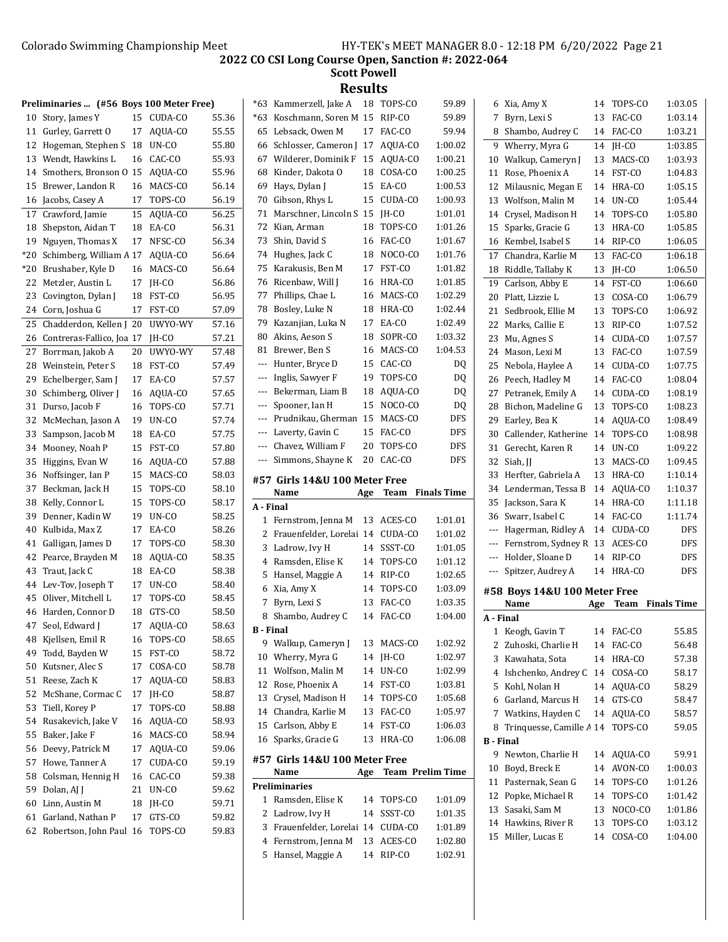**Scott Powell Results**

|     | Preliminaries  (#56 Boys 100 Meter Free) |    |         |       |
|-----|------------------------------------------|----|---------|-------|
| 10  | Story, James Y                           | 15 | CUDA-CO | 55.36 |
| 11  | Gurley, Garrett O                        | 17 | AQUA-CO | 55.55 |
| 12  | Hogeman, Stephen S                       | 18 | UN-CO   | 55.80 |
| 13  | Wendt, Hawkins L                         | 16 | CAC-CO  | 55.93 |
| 14  | Smothers, Bronson O                      | 15 | AQUA-CO | 55.96 |
| 15  | Brewer, Landon R                         | 16 | MACS-CO | 56.14 |
| 16  | Jacobs, Casey A                          | 17 | TOPS-CO | 56.19 |
| 17  | Crawford, Jamie                          | 15 | AQUA-CO | 56.25 |
| 18  | Shepston, Aidan T                        | 18 | EA-CO   | 56.31 |
| 19  | Nguyen, Thomas X                         | 17 | NFSC-CO | 56.34 |
| *20 | Schimberg, William A                     | 17 | AQUA-CO | 56.64 |
| *20 | Brushaber, Kyle D                        | 16 | MACS-CO | 56.64 |
| 22  | Metzler, Austin L                        | 17 | IH-CO   | 56.86 |
| 23  | Covington, Dylan J                       | 18 | FST-CO  | 56.95 |
| 24  | Corn, Joshua G                           | 17 | FST-CO  | 57.09 |
| 25  | Chadderdon, Kellen J                     | 20 | UWYO-WY | 57.16 |
| 26  | Contreras-Fallico, Joa 17                |    | IH-CO   | 57.21 |
| 27  | Borrman, Jakob A                         | 20 | UWYO-WY | 57.48 |
| 28  | Weinstein, Peter S                       | 18 | FST-CO  | 57.49 |
| 29  | Echelberger, Sam J                       | 17 | EA-CO   | 57.57 |
| 30  | Schimberg, Oliver J                      | 16 | AQUA-CO | 57.65 |
| 31  | Durso, Jacob F                           | 16 | TOPS-CO | 57.71 |
| 32  | McMechan, Jason A                        | 19 | UN-CO   | 57.74 |
| 33  | Sampson, Jacob M                         | 18 | EA-CO   | 57.75 |
| 34  | Mooney, Noah P                           | 15 | FST-CO  | 57.80 |
| 35  | Higgins, Evan W                          | 16 | AQUA-CO | 57.88 |
| 36  | Noffsinger, Ian P                        | 15 | MACS-CO | 58.03 |
| 37  | Beckman, Jack H                          | 15 | TOPS-CO | 58.10 |
| 38  | Kelly, Connor L                          | 15 | TOPS-CO | 58.17 |
| 39  | Denner, Kadin W                          | 19 | UN-CO   | 58.25 |
| 40  | Kulbida, Max Z                           | 17 | EA-CO   | 58.26 |
| 41  | Galligan, James D                        | 17 | TOPS-CO | 58.30 |
| 42  | Pearce, Brayden M                        | 18 | AQUA-CO | 58.35 |
| 43  | Traut, Jack C                            | 18 | EA-CO   | 58.38 |
| 44  | Lev-Tov, Joseph T                        | 17 | UN-CO   | 58.40 |
| 45  | Oliver, Mitchell L                       | 17 | TOPS-CO | 58.45 |
| 46  | Harden, Connor D                         | 18 | GTS-CO  | 58.50 |
| 47  | Seol, Edward J                           | 17 | AQUA-CO | 58.63 |
| 48  | Kjellsen, Emil R                         | 16 | TOPS-CO | 58.65 |
| 49  | Todd, Bayden W                           | 15 | FST-CO  | 58.72 |
| 50  | Kutsner, Alec S                          | 17 | COSA-CO | 58.78 |
| 51  | Reese, Zach K                            | 17 | AQUA-CO | 58.83 |
| 52  | McShane, Cormac C                        | 17 | JH-CO   | 58.87 |
| 53  | Tiell, Korey P                           | 17 | TOPS-CO | 58.88 |
| 54  | Rusakevich, Jake V                       | 16 | AQUA-CO | 58.93 |
| 55  | Baker, Jake F                            | 16 | MACS-CO | 58.94 |
| 56  | Deevy, Patrick M                         | 17 | AQUA-CO | 59.06 |
| 57  | Howe, Tanner A                           | 17 | CUDA-CO | 59.19 |
| 58  | Colsman, Hennig H                        | 16 | CAC-CO  | 59.38 |
| 59  | Dolan, AJ J                              | 21 | UN-CO   | 59.62 |
| 60  | Linn, Austin M                           | 18 | JH-CO   | 59.71 |
| 61  | Garland, Nathan P                        | 17 | GTS-CO  | 59.82 |
| 62  | Robertson, John Paul                     | 16 | TOPS-CO | 59.83 |
|     |                                          |    |         |       |

| *63              | Kammerzell, Jake A                     | 18  | TOPS-CO                 | 59.89              |
|------------------|----------------------------------------|-----|-------------------------|--------------------|
| $*63$            | Koschmann, Soren M                     | 15  | RIP-CO                  | 59.89              |
| 65               | Lebsack, Owen M                        | 17  | FAC-CO                  | 59.94              |
| 66               | Schlosser, Cameron J                   | 17  | AQUA-CO                 | 1:00.02            |
| 67               | Wilderer, Dominik F                    | 15  | AQUA-CO                 | 1:00.21            |
| 68               | Kinder, Dakota O                       | 18  | COSA-CO                 | 1:00.25            |
| 69               | Hays, Dylan J                          | 15  | EA-CO                   | 1:00.53            |
| 70               | Gibson, Rhys L                         | 15  | CUDA-CO                 | 1:00.93            |
| 71               | Marschner, Lincoln S                   | 15  | JH-CO                   | 1:01.01            |
| 72               | Kian, Arman                            | 18  | TOPS-CO                 | 1:01.26            |
| 73               | Shin, David S                          | 16  | FAC-CO                  | 1:01.67            |
| 74               | Hughes, Jack C                         | 18  | NOCO-CO                 | 1:01.76            |
| 75               | Karakusis, Ben M                       | 17  | FST-CO                  | 1:01.82            |
| 76               | Ricenbaw, Will J                       | 16  | HRA-CO                  | 1:01.85            |
| 77               | Phillips, Chae L                       | 16  | MACS-CO                 | 1:02.29            |
| 78               | Bosley, Luke N                         | 18  | HRA-CO                  | 1:02.44            |
| 79               | Kazanjian, Luka N                      | 17  | EA-CO                   | 1:02.49            |
| 80               | Akins, Aeson S                         | 18  | SOPR-CO                 | 1:03.32            |
| 81               | Brewer, Ben S                          | 16  | MACS-CO                 | 1:04.53            |
| $---$            | Hunter, Bryce D                        | 15  | CAC-CO                  | DQ                 |
| $---$            | Inglis, Sawyer F                       | 19  | TOPS-CO                 | DQ                 |
| ---              | Bekerman, Liam B                       | 18  | AQUA-CO                 | DQ                 |
| ---              | Spooner, Ian H                         | 15  | NOCO-CO                 | DQ                 |
| ---              | Prudnikau, Gherman                     | 15  | MACS-CO                 | DFS                |
| ---              | Laverty, Gavin C                       | 15  | FAC-CO                  | DFS                |
| ---              | Chavez, William F                      | 20  | TOPS-CO                 | DFS                |
| $---$            | Simmons, Shayne K                      | 20  | CAC-CO                  | DFS                |
|                  |                                        |     |                         |                    |
|                  |                                        |     |                         |                    |
|                  | #57 Girls 14&U 100 Meter Free          |     |                         |                    |
|                  | Name                                   | Age | Team                    | <b>Finals Time</b> |
| A - Final        |                                        |     |                         |                    |
| 1                | Fernstrom, Jenna M                     | 13  | ACES-CO                 | 1:01.01            |
| 2                | Frauenfelder, Lorelai                  | 14  | CUDA-CO                 | 1:01.02            |
| 3                | Ladrow, Ivy H                          | 14  | SSST-CO                 | 1:01.05            |
| 4                | Ramsden, Elise K                       | 14  | TOPS-CO                 | 1:01.12            |
| 5                | Hansel, Maggie A                       | 14  | RIP-CO                  | 1:02.65            |
| 6                | Xia, Amy X                             | 14  | TOPS-CO                 | 1:03.09            |
| 7                | Byrn, Lexi S                           | 13  | FAC-CO                  | 1:03.35            |
| 8                | Shambo, Audrey C                       | 14  | FAC-CO                  | 1:04.00            |
| <b>B</b> - Final |                                        |     |                         |                    |
|                  | 9 Walkup, Cameryn J                    | 13  | MACS-CO                 | 1:02.92            |
| 10               | Wherry, Myra G                         | 14  | JH-CO                   | 1:02.97            |
| 11               | Wolfson, Malin M                       | 14  | UN-CO                   | 1:02.99            |
| 12               | Rose, Phoenix A                        | 14  | FST-CO                  | 1:03.81            |
| 13               | Crysel, Madison H                      | 14  | TOPS-CO                 | 1:05.68            |
|                  | 14 Chandra, Karlie M                   | 13  | FAC-CO                  | 1:05.97            |
| 15               | Carlson, Abby E                        | 14  | FST-CO                  | 1:06.03            |
| 16               | Sparks, Gracie G                       | 13  | HRA-CO                  | 1:06.08            |
|                  |                                        |     |                         |                    |
|                  | #57  Girls 14&U 100 Meter Free<br>Name | Age | <b>Team Prelim Time</b> |                    |
|                  | <b>Preliminaries</b>                   |     |                         |                    |
| 1                |                                        | 14  |                         |                    |
| 2                | Ramsden, Elise K<br>Ladrow, Ivy H      | 14  | TOPS-CO<br>SSST-CO      | 1:01.09<br>1:01.35 |

4 Fernstrom, Jenna M 13 ACES-CO 1:02.80 5 1:02.91 Hansel, Maggie A 14 RIP-CO

|                  | Xia, Amy X                          | 14       | TOPS-CO            | 1:03.05            |
|------------------|-------------------------------------|----------|--------------------|--------------------|
| 7                | Byrn, Lexi S                        | 13       | FAC-CO             | 1:03.14            |
| 8                | Shambo, Audrey C                    | 14       | FAC-CO             | 1:03.21            |
| 9                | Wherry, Myra G                      | 14       | JH-CO              | 1:03.85            |
| 10               | Walkup, Cameryn J                   | 13       | MACS-CO            | 1:03.93            |
| 11               | Rose, Phoenix A                     | 14       | FST-CO             | 1:04.83            |
| 12               | Milausnic, Megan E                  | 14       | HRA-CO             | 1:05.15            |
| 13               | Wolfson, Malin M                    | 14       | UN-CO              | 1:05.44            |
| 14               | Crysel, Madison H                   | 14       | TOPS-CO            | 1:05.80            |
| 15               | Sparks, Gracie G                    | 13       | HRA-CO             | 1:05.85            |
| 16               | Kembel, Isabel S                    | 14       | RIP-CO             | 1:06.05            |
| 17               | Chandra, Karlie M                   | 13       | FAC-CO             | 1:06.18            |
| 18               | Riddle, Tallaby K                   | 13       | JH-CO              | 1:06.50            |
| 19               | Carlson, Abby E                     | 14       | FST-CO             | 1:06.60            |
| 20               | Platt, Lizzie L                     | 13       | COSA-CO            | 1:06.79            |
| 21               | Sedbrook, Ellie M                   | 13       | TOPS-CO            | 1:06.92            |
| 22               | Marks, Callie E                     | 13       | RIP-CO             | 1:07.52            |
| 23               | Mu, Agnes S                         | 14       | CUDA-CO            | 1:07.57            |
| 24               | Mason, Lexi M                       | 13       | FAC-CO             | 1:07.59            |
| 25               | Nebola, Haylee A                    | 14       | CUDA-CO            | 1:07.75            |
| 26               | Peech, Hadley M                     | 14       | FAC-CO             | 1:08.04            |
| 27               | Petranek, Emily A                   | 14       | CUDA-CO            | 1:08.19            |
| 28               | Bichon, Madeline G                  | 13       | TOPS-CO            | 1:08.23            |
| 29               | Earley, Bea K                       | 14       | AQUA-CO            | 1:08.49            |
| 30               | Callender, Katherine                | 14       | TOPS-CO            | 1:08.98            |
| 31               | Gerecht, Karen R                    | 14       | UN-CO              | 1:09.22            |
| 32               | Siah, II                            | 13       | MACS-CO            | 1:09.45            |
| 33               | Herfter, Gabriela A                 | 13       | HRA-CO             | 1:10.14            |
| 34               | Lenderman, Tessa B                  | 14       | AQUA-CO            | 1:10.37            |
| 35               | Jackson, Sara K                     | 14       | HRA-CO             | 1:11.18            |
| 36               | Swarr, Isabel C                     | 14       | FAC-CO             | 1:11.74            |
|                  | Hagerman, Ridley A                  | 14       | CUDA-CO            | DFS                |
|                  |                                     |          |                    |                    |
| ---              |                                     |          |                    |                    |
| ---              | Fernstrom, Sydney R                 | 13       | ACES-CO            | DFS                |
| ---              | Holder, Sloane D                    | 14       | RIP-CO             | DFS                |
| ---              | Spitzer, Audrey A                   | 14       | HRA-CO             | DFS                |
|                  | #58 Boys 14&U 100 Meter Free        |          |                    |                    |
|                  | Name                                | Age      | Team               | <b>Finals Time</b> |
| A - Final        |                                     |          |                    |                    |
|                  | 1 Keogh, Gavin T                    |          | 14 FAC-CO          | 55.85              |
| 2                | Zuhoski, Charlie H                  | 14       | FAC-CO             | 56.48              |
| 3                | Kawahata, Sota                      | 14       | HRA-CO             | 57.38              |
| 4                | Ishchenko, Andrey C                 | 14       | COSA-CO            | 58.17              |
| 5                | Kohl, Nolan H                       | 14       | AQUA-CO            | 58.29              |
| 6                | Garland, Marcus H                   | 14       | GTS-CO             | 58.47              |
| 7                | Watkins, Hayden C                   | 14       | AQUA-CO            | 58.57              |
| 8                | Trinquesse, Camille A 14            |          | TOPS-CO            | 59.05              |
| <b>B</b> - Final |                                     |          |                    |                    |
| 9                | Newton, Charlie H                   | 14       | AQUA-CO            | 59.91              |
| 10               | Boyd, Breck E                       | 14       | AVON-CO            | 1:00.03            |
| 11               | Pasternak, Sean G                   | 14       | TOPS-CO            | 1:01.26            |
| 12               | Popke, Michael R                    | 14       | TOPS-CO            | 1:01.42            |
| 13               | Sasaki, Sam M                       | 13       | NOCO-CO            | 1:01.86            |
| 14<br>15         | Hawkins, River R<br>Miller, Lucas E | 13<br>14 | TOPS-CO<br>COSA-CO | 1:03.12<br>1:04.00 |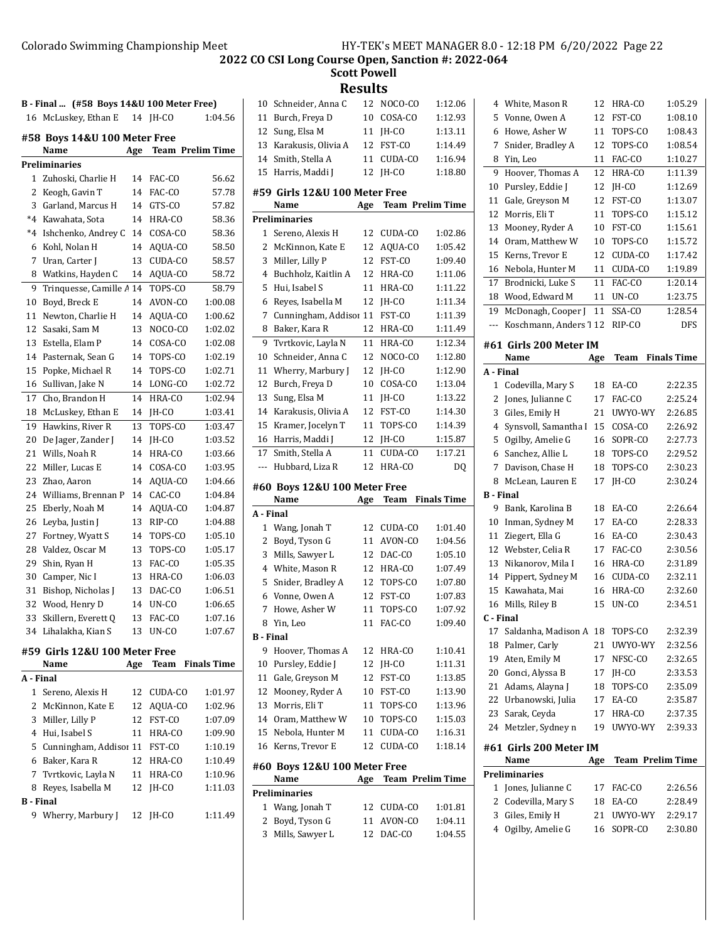**Scott Powell**

**Results**

| B - Final  (#58 Boys 14&U 100 Meter Free) |                                       |     |                         |                    |  |  |
|-------------------------------------------|---------------------------------------|-----|-------------------------|--------------------|--|--|
|                                           | 16 McLuskey, Ethan E                  |     | 14 JH-CO                | 1:04.56            |  |  |
|                                           | #58 Boys 14&U 100 Meter Free          |     |                         |                    |  |  |
|                                           | Name                                  | Age | <b>Team Prelim Time</b> |                    |  |  |
|                                           | <b>Preliminaries</b>                  |     |                         |                    |  |  |
| 1                                         | Zuhoski, Charlie H                    | 14  | FAC-CO                  | 56.62              |  |  |
| 2                                         | Keogh, Gavin T                        | 14  | FAC-CO                  | 57.78              |  |  |
| 3                                         | Garland, Marcus H                     | 14  | GTS-CO                  | 57.82              |  |  |
| $*4$                                      | Kawahata, Sota                        | 14  | HRA-CO                  | 58.36              |  |  |
| $*_{4}$                                   | Ishchenko, Andrey C                   | 14  | COSA-CO                 | 58.36              |  |  |
| 6                                         | Kohl, Nolan H                         | 14  | AQUA-CO                 | 58.50              |  |  |
| 7                                         | Uran, Carter J                        | 13  | CUDA-CO                 | 58.57              |  |  |
| 8                                         | Watkins, Hayden C                     | 14  | AQUA-CO                 | 58.72              |  |  |
| 9                                         | Trinquesse, Camille A 14              |     | TOPS-CO                 | 58.79              |  |  |
| 10                                        | Boyd, Breck E                         | 14  | AVON-CO                 | 1:00.08            |  |  |
| 11                                        | Newton, Charlie H                     | 14  | AQUA-CO                 | 1:00.62            |  |  |
| 12                                        | Sasaki, Sam M                         | 13  | NOCO-CO                 | 1:02.02            |  |  |
| 13                                        | Estella, Elam P                       | 14  | COSA-CO                 | 1:02.08            |  |  |
| 14                                        | Pasternak, Sean G                     | 14  | TOPS-CO                 | 1:02.19            |  |  |
| 15                                        | Popke, Michael R                      | 14  | TOPS-CO                 | 1:02.71            |  |  |
| 16                                        | Sullivan, Jake N                      | 14  | LONG-CO                 | 1:02.72            |  |  |
| 17                                        | Cho, Brandon H                        | 14  | HRA-CO                  | 1:02.94            |  |  |
| 18                                        | McLuskey, Ethan E                     | 14  | JH-CO                   | 1:03.41            |  |  |
| 19                                        | Hawkins, River R                      | 13  | TOPS-CO                 | 1:03.47            |  |  |
| 20                                        | De Jager, Zander J                    | 14  | JH-CO                   | 1:03.52            |  |  |
| 21                                        | Wills, Noah R                         | 14  | HRA-CO                  | 1:03.66            |  |  |
| 22                                        | Miller, Lucas E                       | 14  | COSA-CO                 | 1:03.95            |  |  |
| 23                                        | Zhao, Aaron                           | 14  | AQUA-CO                 | 1:04.66            |  |  |
| 24                                        | Williams, Brennan P                   | 14  | CAC-CO                  | 1:04.84            |  |  |
| 25                                        | Eberly, Noah M                        | 14  | AQUA-CO                 | 1:04.87            |  |  |
| 26                                        | Leyba, Justin J                       | 13  | RIP-CO                  | 1:04.88            |  |  |
| 27                                        | Fortney, Wyatt S                      | 14  | TOPS-CO                 | 1:05.10            |  |  |
| 28                                        | Valdez, Oscar M                       | 13  | TOPS-CO                 | 1:05.17            |  |  |
| 29                                        | Shin, Ryan H                          | 13  | FAC-CO                  | 1:05.35            |  |  |
| 30                                        | Camper, Nic I                         | 13  | HRA-CO                  | 1:06.03            |  |  |
| 31                                        | Bishop, Nicholas J                    | 13  | DAC-CO                  | 1:06.51            |  |  |
| 32                                        | Wood, Henry D                         | 14  | UN-CO                   | 1:06.65            |  |  |
| 33                                        | Skillern, Everett O                   | 13  | FAC-CO                  | 1:07.16            |  |  |
| 34                                        | Lihalakha, Kian S                     | 13  | UN-CO                   | 1:07.67            |  |  |
|                                           |                                       |     |                         |                    |  |  |
|                                           | #59 Girls 12&U 100 Meter Free<br>Name | Age | <b>Team</b>             | <b>Finals Time</b> |  |  |
| A - Final                                 |                                       |     |                         |                    |  |  |
| 1                                         | Sereno, Alexis H                      | 12  | CUDA-CO                 | 1:01.97            |  |  |
| 2                                         | McKinnon, Kate E                      | 12  | AOUA-CO                 | 1:02.96            |  |  |
| 3                                         | Miller, Lilly P                       | 12  | FST-CO                  | 1:07.09            |  |  |
| 4                                         | Hui, Isabel S                         | 11  | HRA-CO                  | 1:09.90            |  |  |
| 5                                         | Cunningham, Addisoi 11 FST-CO         |     |                         | 1:10.19            |  |  |
| 6                                         | Baker, Kara R                         | 12  | HRA-CO                  | 1:10.49            |  |  |
| 7                                         | Tvrtkovic, Layla N                    | 11  | HRA-CO                  | 1:10.96            |  |  |
| 8                                         | Reyes, Isabella M                     | 12  | JH-CO                   | 1:11.03            |  |  |
| <b>B</b> - Final                          |                                       |     |                         |                    |  |  |
| 9                                         | Wherry, Marbury J                     | 12  | JH-CO                   | 1:11.49            |  |  |
|                                           |                                       |     |                         |                    |  |  |

| 10        |                               | 12  | NOCO-CO                 | 1:12.06            |
|-----------|-------------------------------|-----|-------------------------|--------------------|
| 11        | Schneider, Anna C             | 10  |                         |                    |
|           | Burch, Freya D                |     | COSA-CO                 | 1:12.93            |
| 12        | Sung, Elsa M                  | 11  | IH-CO                   | 1:13.11            |
| 13        | Karakusis, Olivia A           | 12  | FST-CO                  | 1:14.49            |
| 14        | Smith, Stella A               | 11  | CUDA-CO                 | 1:16.94            |
| 15        | Harris, Maddi I               | 12  | IH-CO                   | 1:18.80            |
|           | #59 Girls 12&U 100 Meter Free |     |                         |                    |
|           | Name                          | Age | <b>Team Prelim Time</b> |                    |
|           |                               |     |                         |                    |
|           | <b>Preliminaries</b>          |     |                         |                    |
| 1         | Sereno, Alexis H              | 12  | CUDA-CO                 | 1:02.86            |
| 2         | McKinnon, Kate E              | 12  | AQUA-CO                 | 1:05.42            |
| 3         | Miller, Lilly P               | 12  | FST-CO                  | 1:09.40            |
| 4         | Buchholz, Kaitlin A           | 12  | HRA-CO                  | 1:11.06            |
| 5         | Hui, Isabel S                 | 11  | HRA-CO                  | 1:11.22            |
| 6         | Reyes, Isabella M             | 12  | JH-CO                   | 1:11.34            |
| 7         | Cunningham, Addisor 11        |     | FST-CO                  | 1:11.39            |
| 8         | Baker, Kara R                 | 12  | HRA-CO                  | 1:11.49            |
| 9         | Tvrtkovic, Layla N            | 11  | HRA-CO                  | 1:12.34            |
| 10        | Schneider, Anna C             | 12  | NOCO-CO                 | 1:12.80            |
| 11        | Wherry, Marbury J             | 12  | IH-CO                   | 1:12.90            |
| 12        | Burch, Freya D                | 10  | COSA-CO                 | 1:13.04            |
| 13        | Sung, Elsa M                  | 11  | JH-CO                   | 1:13.22            |
| 14        | Karakusis, Olivia A           | 12  | FST-CO                  | 1:14.30            |
| 15        | Kramer, Jocelyn T             | 11  | TOPS-CO                 | 1:14.39            |
| 16        | Harris, Maddi J               | 12  | JH-CO                   | 1:15.87            |
| 17        | Smith, Stella A               | 11  | CUDA-CO                 | 1:17.21            |
| ---       | Hubbard, Liza R               | 12  | HRA-CO                  | DQ                 |
|           |                               |     |                         |                    |
|           |                               |     |                         |                    |
|           | #60 Boys 12&U 100 Meter Free  |     |                         |                    |
|           | Name                          | Age | Team                    | <b>Finals Time</b> |
| A - Final |                               |     |                         |                    |
| 1         | Wang, Jonah T                 | 12  | CUDA-CO                 | 1:01.40            |
| 2         | Boyd, Tyson G                 | 11  | AVON-CO                 | 1:04.56            |
| 3         | Mills, Sawyer L               | 12  | DAC-CO                  | 1:05.10            |
| 4         | White, Mason R                | 12  | HRA-CO                  | 1:07.49            |
| 5         | Snider, Bradley A             | 12  | TOPS-CO                 | 1:07.80            |
| 6         |                               | 12  | FST-CO                  | 1:07.83            |
| 7         | Vonne, Owen A                 | 11  |                         |                    |
|           | Howe, Asher W                 |     | TOPS-CO                 | 1:07.92            |
| 8         | Yin, Leo                      | 11  | FAC-CO                  | 1:09.40            |
| B - Final |                               |     |                         |                    |
| 9         | Hoover, Thomas A              | 12  | HRA-CO                  | 1:10.41            |
| 10        | Pursley, Eddie J              | 12  | JH-CO                   | 1:11.31            |
| 11        | Gale, Greyson M               | 12  | FST-CO                  | 1:13.85            |
| 12        | Mooney, Ryder A               | 10  | FST-CO                  | 1:13.90            |
| 13        | Morris, Eli T                 | 11  | TOPS-CO                 | 1:13.96            |
|           | 14 Oram, Matthew W            | 10  | TOPS-CO                 | 1:15.03            |
| 15        | Nebola, Hunter M              | 11  | CUDA-CO                 | 1:16.31            |
| 16        | Kerns, Trevor E               | 12  | CUDA-CO                 | 1:18.14            |
|           | #60 Boys 12&U 100 Meter Free  |     |                         |                    |
|           | Name                          | Age | <b>Team Prelim Time</b> |                    |
|           | Preliminaries                 |     |                         |                    |
| 1         | Wang, Jonah T                 | 12  | CUDA-CO                 | 1:01.81            |
| 2         | Boyd, Tyson G                 | 11  | AVON-CO                 | 1:04.11            |
| 3         | Mills, Sawyer L               | 12  | DAC-CO                  | 1:04.55            |
|           |                               |     |                         |                    |

| 4         | White, Mason R                     | 12       | HRA-CO                      | 1:05.29            |
|-----------|------------------------------------|----------|-----------------------------|--------------------|
| 5         | Vonne, Owen A                      | 12       | FST-CO                      | 1:08.10            |
| 6         | Howe, Asher W                      | 11       | TOPS-CO                     | 1:08.43            |
| 7         | Snider, Bradley A                  | 12       | TOPS-CO                     | 1:08.54            |
| 8         | Yin, Leo                           | 11       | FAC-CO                      | 1:10.27            |
| 9         | Hoover, Thomas A                   | 12       | HRA-CO                      | 1:11.39            |
| 10        | Pursley, Eddie J                   | 12       | JH-CO                       | 1:12.69            |
| 11        | Gale, Greyson M                    | 12       | FST-CO                      | 1:13.07            |
| 12        | Morris, Eli T                      | 11       | TOPS-CO                     | 1:15.12            |
| 13        | Mooney, Ryder A                    | 10       | FST-CO                      | 1:15.61            |
| 14        | Oram, Matthew W                    | 10       | TOPS-CO                     | 1:15.72            |
| 15        | Kerns, Trevor E                    | 12       | CUDA-CO                     | 1:17.42            |
| 16        | Nebola, Hunter M                   | 11       | CUDA-CO                     | 1:19.89            |
| 17        | Brodnicki, Luke S                  | 11       | FAC-CO                      | 1:20.14            |
| 18        | Wood, Edward M                     | 11       | UN-CO                       | 1:23.75            |
| 19        | McDonagh, Cooper J                 | 11       | $\overline{\text{SS}}$ A-CO | 1:28.54            |
| ---       | Koschmann, Anders 1 12             |          | RIP-CO                      | DFS                |
|           |                                    |          |                             |                    |
|           | #61  Girls 200 Meter IM            |          |                             |                    |
|           | Name                               | Age      | Team                        | <b>Finals Time</b> |
| A - Final |                                    |          |                             |                    |
| 1         | Codevilla, Mary S                  | 18       | EA-CO                       | 2:22.35            |
| 2         | Jones, Julianne C                  | 17       | FAC-CO                      | 2:25.24            |
| 3         | Giles, Emily H                     | 21       | UWYO-WY                     | 2:26.85            |
| 4         | Synsvoll, Samantha I               | 15       | COSA-CO                     | 2:26.92            |
| 5         | Ogilby, Amelie G                   | 16       | SOPR-CO                     | 2:27.73            |
| 6         | Sanchez, Allie L                   | 18       | TOPS-CO                     | 2:29.52            |
| 7         | Davison, Chase H                   | 18       | TOPS-CO                     | 2:30.23            |
|           | McLean, Lauren E                   |          |                             |                    |
| 8         |                                    | 17       | JH-CO                       | 2:30.24            |
| B - Final |                                    |          |                             |                    |
| 9         | Bank, Karolina B                   | 18       | EA-CO                       | 2:26.64            |
| 10        | Inman, Sydney M                    | 17       | EA-CO                       | 2:28.33            |
| 11        | Ziegert, Ella G                    | 16       | EA-CO                       | 2:30.43            |
| 12        | Webster, Celia R                   | 17       | FAC-CO                      | 2:30.56            |
| 13        | Nikanorov, Mila I                  | 16       | HRA-CO                      | 2:31.89            |
| 14        | Pippert, Sydney M                  | 16       | CUDA-CO                     | 2:32.11            |
| 15        | Kawahata, Mai                      | 16       | HRA-CO                      | 2:32.60            |
| 16        | Mills, Riley B                     | 15       | UN-CO                       | 2:34.51            |
| C - Final |                                    |          |                             |                    |
|           | 17 Saldanha, Madison A             | 18       | TOPS-CO                     | 2:32.39            |
| 18        | Palmer, Carly                      | 21       | UWYO-WY                     | 2:32.56            |
| 19        | Aten, Emily M                      | 17       | NFSC-CO                     | 2:32.65            |
| 20        | Gonci, Alyssa B                    | 17       | JH-CO                       | 2:33.53            |
| 21        | Adams, Alayna J                    | 18       | TOPS-CO                     | 2:35.09            |
| 22        | Urbanowski, Julia                  | 17       | EA-CO                       | 2:35.87            |
| 23        | Sarak, Ceyda                       | 17       | HRA-CO                      | 2:37.35            |
| 24        | Metzler, Sydney n                  | 19       | UWYO-WY                     | 2:39.33            |
|           | #61 Girls 200 Meter IM             |          |                             |                    |
|           | Name                               | Age      | <b>Team Prelim Time</b>     |                    |
|           | <b>Preliminaries</b>               |          |                             |                    |
| 1         | Jones, Julianne C                  | 17       | FAC-CO                      | 2:26.56            |
| 2         | Codevilla, Mary S                  | 18       | EA-CO                       | 2:28.49            |
| 3<br>4    | Giles, Emily H<br>Ogilby, Amelie G | 21<br>16 | UWYO-WY<br>SOPR-CO          | 2:29.17<br>2:30.80 |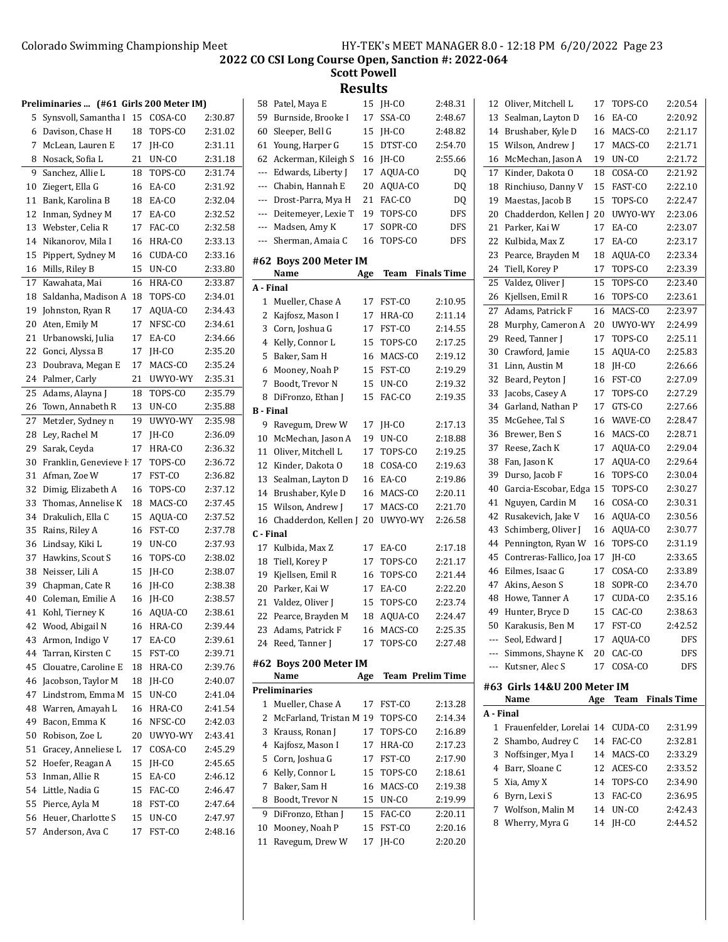| Preliminaries  (#61 Girls 200 Meter IM) |                          |    |         |         |  |  |
|-----------------------------------------|--------------------------|----|---------|---------|--|--|
| 5                                       | Synsvoll, Samantha I     | 15 | COSA-CO | 2:30.87 |  |  |
| 6                                       | Davison, Chase H         | 18 | TOPS-CO | 2:31.02 |  |  |
| 7                                       | McLean, Lauren E         | 17 | IH-CO   | 2:31.11 |  |  |
| 8                                       | Nosack, Sofia L          | 21 | UN-CO   | 2:31.18 |  |  |
| 9                                       | Sanchez, Allie L         | 18 | TOPS-CO | 2:31.74 |  |  |
| 10                                      | Ziegert, Ella G          | 16 | EA-CO   | 2:31.92 |  |  |
| 11                                      | Bank, Karolina B         | 18 | EA-CO   | 2:32.04 |  |  |
| 12                                      | Inman, Sydney M          | 17 | EA-CO   | 2:32.52 |  |  |
| 13                                      | Webster, Celia R         | 17 | FAC-CO  | 2:32.58 |  |  |
| 14                                      | Nikanorov, Mila I        | 16 | HRA-CO  | 2:33.13 |  |  |
| 15                                      | Pippert, Sydney M        | 16 | CUDA-CO | 2:33.16 |  |  |
| 16                                      | Mills, Riley B           | 15 | UN-CO   | 2:33.80 |  |  |
| 17                                      | Kawahata, Mai            | 16 | HRA-CO  | 2:33.87 |  |  |
| 18                                      | Saldanha, Madison A      | 18 | TOPS-CO | 2:34.01 |  |  |
| 19                                      | Johnston, Ryan R         | 17 | AQUA-CO | 2:34.43 |  |  |
| 20                                      | Aten, Emily M            | 17 | NFSC-CO | 2:34.61 |  |  |
| 21                                      | Urbanowski, Julia        | 17 | EA-CO   | 2:34.66 |  |  |
| 22                                      | Gonci, Alyssa B          | 17 | JH-CO   | 2:35.20 |  |  |
| 23                                      | Doubrava, Megan E        | 17 | MACS-CO | 2:35.24 |  |  |
| 24                                      | Palmer, Carly            | 21 | UWYO-WY | 2:35.31 |  |  |
| 25                                      | Adams, Alayna J          | 18 | TOPS-CO | 2:35.79 |  |  |
| 26                                      | Town, Annabeth R         | 13 | UN-CO   | 2:35.88 |  |  |
| 27                                      | Metzler, Sydney n        | 19 | UWYO-WY | 2:35.98 |  |  |
| 28                                      | Ley, Rachel M            | 17 | JH-CO   | 2:36.09 |  |  |
| 29                                      | Sarak, Ceyda             | 17 | HRA-CO  | 2:36.32 |  |  |
| 30                                      | Franklin, Genevieve I 17 |    | TOPS-CO | 2:36.72 |  |  |
| 31                                      | Afman, Zoe W             | 17 | FST-CO  | 2:36.82 |  |  |
| 32                                      | Dimig, Elizabeth A       | 16 | TOPS-CO | 2:37.12 |  |  |
| 33                                      | Thomas, Annelise K       | 18 | MACS-CO | 2:37.45 |  |  |
| 34                                      | Drakulich, Ella C        | 15 | AQUA-CO | 2:37.52 |  |  |
| 35                                      | Rains, Riley A           | 16 | FST-CO  | 2:37.78 |  |  |
| 36                                      | Lindsay, Kiki L          | 19 | UN-CO   | 2:37.93 |  |  |
| 37                                      | Hawkins, Scout S         | 16 | TOPS-CO | 2:38.02 |  |  |
| 38                                      | Neisser, Lili A          | 15 | JH-CO   | 2:38.07 |  |  |
| 39                                      | Chapman, Cate R          | 16 | JH-CO   | 2:38.38 |  |  |
| 40                                      | Coleman, Emilie A        | 16 | JH-CO   | 2:38.57 |  |  |
| 41                                      | Kohl, Tierney K          | 16 | AQUA-CO | 2:38.61 |  |  |
| 42                                      | Wood, Abigail N          | 16 | HRA-CO  | 2:39.44 |  |  |
| 43                                      | Armon, Indigo V          | 17 | EA-CO   | 2:39.61 |  |  |
| 44                                      | Tarran, Kirsten C        | 15 | FST-CO  | 2:39.71 |  |  |
| 45                                      | Clouatre, Caroline E     | 18 | HRA-CO  | 2:39.76 |  |  |
| 46                                      | Jacobson, Taylor M       | 18 | JH-CO   | 2:40.07 |  |  |
| 47                                      | Lindstrom, Emma M        | 15 | UN-CO   | 2:41.04 |  |  |
| 48                                      | Warren, Amayah L         | 16 | HRA-CO  | 2:41.54 |  |  |
| 49                                      | Bacon, Emma K            | 16 | NFSC-CO | 2:42.03 |  |  |
| 50                                      | Robison, Zoe L           | 20 | UWYO-WY | 2:43.41 |  |  |
| 51                                      | Gracey, Anneliese L      | 17 | COSA-CO | 2:45.29 |  |  |
| 52                                      | Hoefer, Reagan A         | 15 | JH-CO   | 2:45.65 |  |  |
| 53                                      | Inman, Allie R           | 15 | EA-CO   | 2:46.12 |  |  |
| 54                                      | Little, Nadia G          | 15 | FAC-CO  | 2:46.47 |  |  |
| 55                                      | Pierce, Ayla M           | 18 | FST-CO  | 2:47.64 |  |  |
| 56                                      | Heuer, Charlotte S       | 15 | UN-CO   | 2:47.97 |  |  |
| 57                                      | Anderson, Ava C          | 17 | FST-CO  | 2:48.16 |  |  |

|                  |                         |     | JH-CO            |                    |
|------------------|-------------------------|-----|------------------|--------------------|
| 11               | Ravegum, Drew W         | 17  |                  | 2:20.20            |
| 10               | Mooney, Noah P          | 15  | FST-CO           | 2:20.16            |
| 9                | DiFronzo, Ethan J       | 15  | FAC-CO           | 2:20.11            |
| 8                | Boodt, Trevor N         | 15  | UN-CO            | 2:19.99            |
| 7                | Baker, Sam H            | 16  | MACS-CO          | 2:19.38            |
| 6                | Kelly, Connor L         | 15  | TOPS-CO          | 2:18.61            |
| 5                | Corn, Joshua G          | 17  | FST-CO           | 2:17.90            |
| 4                | Kajfosz, Mason I        | 17  | HRA-CO           | 2:17.23            |
| 3                | Krauss, Ronan J         | 17  | TOPS-CO          | 2:16.89            |
| 2                | McFarland, Tristan M 19 |     | TOPS-CO          | 2:14.34            |
| 1                | Mueller, Chase A        | 17  | FST-CO           | 2:13.28            |
|                  | <b>Preliminaries</b>    |     |                  |                    |
|                  | Name                    | Age | Team Prelim Time |                    |
|                  | #62 Boys 200 Meter IM   |     |                  |                    |
|                  |                         |     |                  |                    |
| 24               | Reed, Tanner J          | 17  | TOPS-CO          | 2:27.48            |
| 23               | Adams, Patrick F        | 16  | MACS-CO          | 2:25.35            |
| 22               | Pearce, Brayden M       | 18  | AQUA-CO          | 2:24.47            |
| 21               | Valdez, Oliver J        | 15  | TOPS-CO          | 2:23.74            |
| 20               | Parker, Kai W           | 17  | EA-CO            | 2:22.20            |
| 19               | Kjellsen, Emil R        | 16  | TOPS-CO          | 2:21.44            |
| 18               | Tiell, Korey P          | 17  | TOPS-CO          | 2:21.17            |
| 17               | Kulbida, Max Z          | 17  | EA-CO            | 2:17.18            |
| C - Final        |                         |     |                  |                    |
| 16               | Chadderdon, Kellen J    | 20  | UWYO-WY          | 2:26.58            |
| 15               | Wilson, Andrew J        | 17  | MACS-CO          | 2:21.70            |
| 14               | Brushaber, Kyle D       | 16  | MACS-CO          | 2:20.11            |
| 13               | Sealman, Layton D       | 16  | EA-CO            | 2:19.86            |
| 12               | Kinder, Dakota O        | 18  | COSA-CO          | 2:19.63            |
| 11               | Oliver, Mitchell L      | 17  | TOPS-CO          | 2:19.25            |
| 10               | McMechan, Jason A       | 19  | UN-CO            | 2:18.88            |
| 9                | Ravegum, Drew W         | 17  | JH-CO            | 2:17.13            |
| <b>B</b> - Final |                         |     |                  |                    |
| 8                | DiFronzo, Ethan J       | 15  | FAC-CO           | 2:19.35            |
| 7                | Boodt, Trevor N         | 15  | UN-CO            | 2:19.32            |
| 6                | Mooney, Noah P          | 15  | FST-CO           | 2:19.29            |
| 5                | Baker, Sam H            | 16  | MACS-CO          | 2:19.12            |
| 4                | Kelly, Connor L         | 15  | TOPS-CO          | 2:17.25            |
| 3                | Corn, Joshua G          | 17  | FST-CO           | 2:14.55            |
| 2                | Kajfosz, Mason I        | 17  | HRA-CO           | 2:11.14            |
| 1                | Mueller, Chase A        | 17  | FST-CO           | 2:10.95            |
| A - Final        |                         |     |                  |                    |
|                  | Name                    | Age | Team             | <b>Finals Time</b> |
|                  | #62 Boys 200 Meter IM   |     |                  |                    |
|                  |                         |     |                  |                    |
| ---              | Sherman, Amaia C        | 16  | TOPS-CO          | <b>DFS</b>         |
| ---              | Madsen, Amy K           | 17  | SOPR-CO          | DFS                |
| ---              | Deitemeyer, Lexie T     | 19  | TOPS-CO          | DFS                |
| ---              | Drost-Parra, Mya H      | 21  | FAC-CO           | DQ                 |
| ---              | Chabin, Hannah E        | 20  | AQUA-CO          | DQ                 |
| ---              | Edwards, Liberty J      | 17  | AQUA-CO          | DQ                 |
| 62               | Ackerman, Kileigh S     | 16  | JH-CO            | 2:55.66            |
| 61               | Young, Harper G         | 15  | DTST-CO          | 2:54.70            |
| 60               | Sleeper, Bell G         | 15  | JH-CO            | 2:48.82            |
| 59               | Burnside, Brooke I      | 17  | SSA-CO           | 2:48.67            |
| 58               | Patel, Maya E           | 15  | JH-CO            | 2:48.31            |

| 12        | Oliver, Mitchell L                  | 17       | TOPS-CO        | 2:20.54            |
|-----------|-------------------------------------|----------|----------------|--------------------|
| 13        | Sealman, Layton D                   | 16       | EA-CO          | 2:20.92            |
| 14        | Brushaber, Kyle D                   | 16       | MACS-CO        | 2:21.17            |
| 15        | Wilson, Andrew J                    | 17       | MACS-CO        | 2:21.71            |
| 16        | McMechan, Jason A                   | 19       | UN-CO          | 2:21.72            |
| 17        | Kinder, Dakota O                    | 18       | COSA-CO        | 2:21.92            |
| 18        | Rinchiuso, Danny V                  | 15       | FAST-CO        | 2:22.10            |
| 19        | Maestas, Jacob B                    | 15       | TOPS-CO        | 2:22.47            |
| 20        | Chadderdon, Kellen J                | 20       | UWYO-WY        | 2:23.06            |
| 21        | Parker, Kai W                       | 17       | EA-CO          | 2:23.07            |
| 22        | Kulbida, Max Z                      | 17       | EA-CO          | 2:23.17            |
| 23        | Pearce, Brayden M                   | 18       | AQUA-CO        | 2:23.34            |
| 24        | Tiell, Korey P                      | 17       | TOPS-CO        | 2:23.39            |
| 25        | Valdez, Oliver J                    | 15       | TOPS-CO        | 2:23.40            |
| 26        | Kjellsen, Emil R                    | 16       | TOPS-CO        | 2:23.61            |
| 27        | Adams, Patrick F                    | 16       | MACS-CO        | 2:23.97            |
| 28        | Murphy, Cameron A                   | 20       | UWYO-WY        | 2:24.99            |
| 29        | Reed, Tanner J                      | 17       | TOPS-CO        | 2:25.11            |
| 30        | Crawford, Jamie                     | 15       | AQUA-CO        | 2:25.83            |
| 31        | Linn, Austin M                      | 18       | IH-CO          | 2:26.66            |
| 32        | Beard, Peyton J                     | 16       | FST-CO         | 2:27.09            |
| 33        | Jacobs, Casey A                     | 17       | TOPS-CO        | 2:27.29            |
| 34        | Garland, Nathan P                   | 17       | GTS-CO         | 2:27.66            |
| 35        | McGehee, Tal S                      | 16       | WAVE-CO        | 2:28.47            |
| 36        | Brewer, Ben S                       | 16       | MACS-CO        | 2:28.71            |
| 37        | Reese, Zach K                       | 17       | AQUA-CO        | 2:29.04            |
| 38        | Fan, Jason K                        | 17       | AQUA-CO        | 2:29.64            |
| 39        | Durso, Jacob F                      | 16       | TOPS-CO        | 2:30.04            |
| 40        | Garcia-Escobar, Edga                | 15       | TOPS-CO        | 2:30.27            |
| 41        | Nguyen, Cardin M                    | 16       | COSA-CO        | 2:30.31            |
| 42        | Rusakevich, Jake V                  | 16       | AQUA-CO        | 2:30.56            |
| 43        | Schimberg, Oliver J                 | 16       | AQUA-CO        | 2:30.77            |
| 44        | Pennington, Ryan W                  | 16       | TOPS-CO        | 2:31.19            |
| 45        | Contreras-Fallico, Joa 17           |          | IH-CO          | 2:33.65            |
| 46        | Eilmes, Isaac G                     | 17       | COSA-CO        | 2:33.89            |
| 47        | Akins, Aeson S                      | 18       | SOPR-CO        | 2:34.70            |
| 48        | Howe, Tanner A                      | 17       | CUDA-CO        | 2:35.16            |
| 49        | Hunter, Bryce D                     | 15       | CAC-CO         | 2:38.63            |
|           | 50 Karakusis, Ben M                 | 17       | FST-CO         | 2:42.52            |
| ---       | Seol, Edward J                      | 17       | AQUA-CO        | DFS                |
| ---       | Simmons, Shayne K                   | 20       | CAC-CO         | DFS                |
| ---       | Kutsner, Alec S                     | 17       | COSA-CO        | DFS                |
|           |                                     |          |                |                    |
|           | #63 Girls 14&U 200 Meter IM<br>Name | Age      | Team           | <b>Finals Time</b> |
| A - Final |                                     |          |                |                    |
| 1         | Frauenfelder, Lorelai 14            |          | CUDA-CO        | 2:31.99            |
| 2         | Shambo, Audrey C                    | 14       | FAC-CO         | 2:32.81            |
| 3         | Noffsinger, Mya I                   |          | MACS-CO        | 2:33.29            |
|           |                                     | 14       |                |                    |
| 4         | Barr, Sloane C                      | 12       | ACES-CO        | 2:33.52            |
| 5         | Xia, Amy X                          | 14       | TOPS-CO        | 2:34.90            |
| 6<br>7    | Byrn, Lexi S                        | 13       | FAC-CO         | 2:36.95            |
| 8         | Wolfson, Malin M<br>Wherry, Myra G  | 14<br>14 | UN-CO<br>JH-CO | 2:42.43<br>2:44.52 |
|           |                                     |          |                |                    |
|           |                                     |          |                |                    |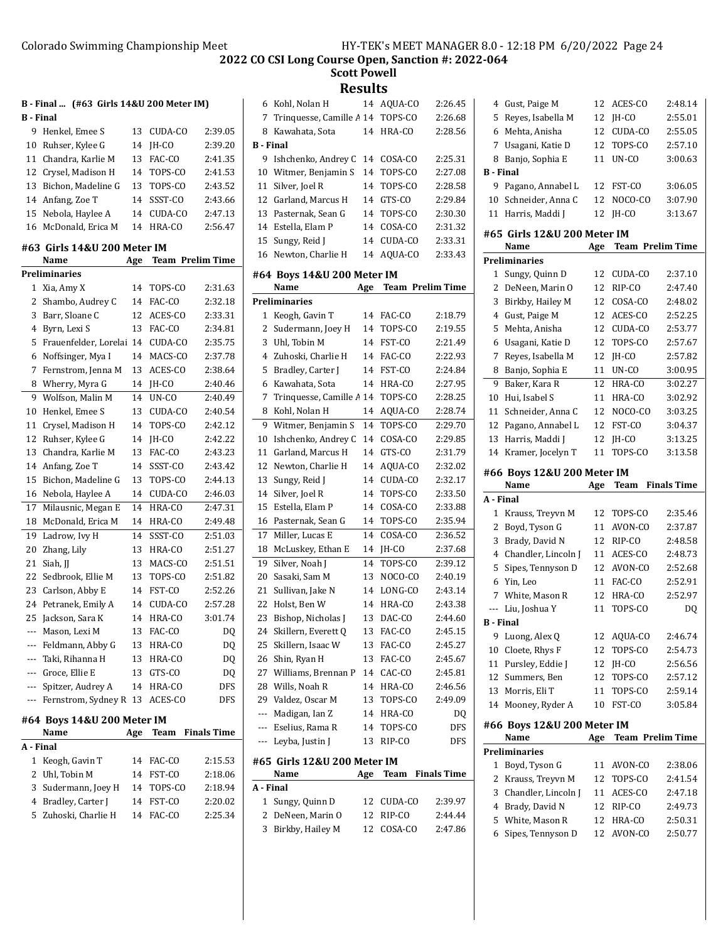**Scott Powell**

| <b>B</b> - Final  | B - Final  (#63 Girls 14&U 200 Meter IM)   |          |                  |                         |                  | 6 Kohl, Nolan H                  |     | 14 AQUA-CO | 2:26.45<br>2:26.68      |
|-------------------|--------------------------------------------|----------|------------------|-------------------------|------------------|----------------------------------|-----|------------|-------------------------|
|                   | 9 Henkel. Emee S                           |          |                  |                         | 7                | Trinquesse, Camille A 14         |     | TOPS-CO    | 2:28.56                 |
|                   |                                            | 13<br>14 | CUDA-CO<br>JH-CO | 2:39.05<br>2:39.20      | <b>B</b> - Final | 8 Kawahata, Sota                 |     | 14 HRA-CO  |                         |
|                   | 10 Ruhser, Kylee G<br>11 Chandra, Karlie M | 13       | FAC-CO           | 2:41.35                 |                  | 9 Ishchenko, Andrey C 14 COSA-CO |     |            | 2:25.31                 |
|                   | 12 Crysel, Madison H                       | 14       | TOPS-CO          | 2:41.53                 | 10               | Witmer, Benjamin S               | 14  | TOPS-CO    | 2:27.08                 |
| 13                | Bichon, Madeline G                         | 13       | TOPS-CO          | 2:43.52                 | 11               | Silver, Joel R                   | 14  | TOPS-CO    | 2:28.58                 |
|                   | 14 Anfang, Zoe T                           | 14       | SSST-CO          | 2:43.66                 | 12               | Garland, Marcus H                | 14  | GTS-CO     | 2:29.84                 |
|                   | 15 Nebola, Haylee A                        | 14       | CUDA-CO          | 2:47.13                 | 13               | Pasternak, Sean G                | 14  | TOPS-CO    | 2:30.30                 |
|                   | 16 McDonald, Erica M                       | 14       | HRA-CO           | 2:56.47                 | 14               | Estella, Elam P                  | 14  | COSA-CO    | 2:31.32                 |
|                   |                                            |          |                  |                         | 15               | Sungy, Reid J                    | 14  | CUDA-CO    | 2:33.31                 |
|                   | #63 Girls 14&U 200 Meter IM                |          |                  |                         | 16               | Newton, Charlie H                |     | 14 AQUA-CO | 2:33.43                 |
|                   | Name                                       | Age      |                  | <b>Team Prelim Time</b> |                  |                                  |     |            |                         |
|                   | Preliminaries                              |          |                  |                         |                  | #64 Boys 14&U 200 Meter IM       |     |            |                         |
|                   | 1 Xia, Amy X                               | 14       | TOPS-CO          | 2:31.63                 |                  | Name                             | Age |            | <b>Team Prelim Time</b> |
|                   | 2 Shambo, Audrey C                         | 14       | FAC-CO           | 2:32.18                 |                  | <b>Preliminaries</b>             |     |            |                         |
| 3                 | Barr, Sloane C                             | 12       | ACES-CO          | 2:33.31                 |                  | 1 Keogh, Gavin T                 |     | 14 FAC-CO  | 2:18.79                 |
| 4                 | Byrn, Lexi S                               | 13       | FAC-CO           | 2:34.81                 | 2                | Sudermann, Joey H                | 14  | TOPS-CO    | 2:19.55                 |
| 5                 | Frauenfelder, Lorelai 14                   |          | CUDA-CO          | 2:35.75                 | 3                | Uhl, Tobin M                     | 14  | FST-CO     | 2:21.49                 |
| 6                 | Noffsinger, Mya I                          | 14       | MACS-CO          | 2:37.78                 | 4                | Zuhoski, Charlie H               | 14  | FAC-CO     | 2:22.93                 |
| 7                 | Fernstrom, Jenna M                         | 13       | ACES-CO          | 2:38.64                 | 5                | Bradley, Carter J                | 14  | FST-CO     | 2:24.84                 |
| 8                 | Wherry, Myra G                             | 14       | JH-CO            | 2:40.46                 | 6                | Kawahata, Sota                   | 14  | HRA-CO     | 2:27.95                 |
| 9                 | Wolfson, Malin M                           | 14       | UN-CO            | 2:40.49                 | 7                | Trinquesse, Camille A 14         |     | TOPS-CO    | 2:28.25                 |
| 10                | Henkel, Emee S                             | 13       | CUDA-CO          | 2:40.54                 | 8                | Kohl, Nolan H                    | 14  | AQUA-CO    | 2:28.74                 |
| 11                | Crysel, Madison H                          | 14       | TOPS-CO          | 2:42.12                 |                  | 9 Witmer, Benjamin S             | 14  | TOPS-CO    | 2:29.70                 |
| 12                | Ruhser, Kylee G                            | 14       | JH-CO            | 2:42.22                 | 10               | Ishchenko, Andrey C              | 14  | COSA-CO    | 2:29.85                 |
| 13                | Chandra, Karlie M                          | 13       | FAC-CO           | 2:43.23                 | 11               | Garland, Marcus H                | 14  | GTS-CO     | 2:31.79                 |
| 14                | Anfang, Zoe T                              | 14       | SSST-CO          | 2:43.42                 | 12               | Newton, Charlie H                | 14  | AQUA-CO    | 2:32.02                 |
| 15                | Bichon, Madeline G                         | 13       | TOPS-CO          | 2:44.13                 | 13               | Sungy, Reid J                    | 14  | CUDA-CO    | 2:32.17                 |
|                   | 16 Nebola, Haylee A                        | 14       | CUDA-CO          | 2:46.03                 | 14               | Silver, Joel R                   | 14  | TOPS-CO    | 2:33.50                 |
| 17                | Milausnic, Megan E                         | 14       | HRA-CO           | 2:47.31                 | 15               | Estella, Elam P                  | 14  | COSA-CO    | 2:33.88                 |
| 18                | McDonald, Erica M                          | 14       | HRA-CO           | 2:49.48                 |                  | 16 Pasternak, Sean G             | 14  | TOPS-CO    | 2:35.94                 |
| 19                | Ladrow, Ivy H                              | 14       | SSST-CO          | 2:51.03                 | 17               | Miller, Lucas E                  | 14  | COSA-CO    | 2:36.52                 |
| 20                | Zhang, Lily                                | 13       | HRA-CO           | 2:51.27                 |                  | 18 McLuskey, Ethan E             | 14  | JH-CO      | 2:37.68                 |
| 21                | Siah, JJ                                   | 13       | MACS-CO          | 2:51.51                 | 19               | Silver, Noah J                   | 14  | TOPS-CO    | 2:39.12                 |
| 22                | Sedbrook, Ellie M                          | 13       | TOPS-CO          | 2:51.82                 | 20               | Sasaki, Sam M                    | 13  | NOCO-CO    | 2:40.19                 |
| 23                | Carlson, Abby E                            | 14       | FST-CO           | 2:52.26                 | 21               | Sullivan, Jake N                 | 14  | LONG-CO    | 2:43.14                 |
|                   | 24 Petranek, Emily A                       | 14       | CUDA-CO          | 2:57.28                 | 22               | Holst, Ben W                     | 14  | HRA-CO     | 2:43.38                 |
|                   | 25 Jackson, Sara K                         | 14       | HRA-CO           | 3:01.74                 |                  | 23 Bishop, Nicholas J            |     | 13 DAC-CO  | 2:44.60                 |
|                   | Mason, Lexi M                              |          | 13 FAC-CO        | DQ                      |                  | 24 Skillern, Everett Q           |     | 13 FAC-CO  | 2:45.15                 |
| ---               | Feldmann, Abby G                           | 13       | HRA-CO           | DQ                      | 25               | Skillern, Isaac W                | 13  | FAC-CO     | 2:45.27                 |
| ---               | Taki, Rihanna H                            | 13       | HRA-CO           | DQ                      |                  | 26 Shin, Ryan H                  |     | 13 FAC-CO  | 2:45.67                 |
| $---$             | Groce, Ellie E                             | 13       | GTS-CO           | DQ                      |                  | 27 Williams, Brennan P           |     | 14 CAC-CO  | 2:45.81                 |
| ---               | Spitzer, Audrey A                          | 14       | HRA-CO           | DFS                     |                  | 28 Wills, Noah R                 |     | 14 HRA-CO  | 2:46.56                 |
| $\qquad \qquad -$ | Fernstrom, Sydney R 13 ACES-CO             |          |                  | DFS                     |                  | 29 Valdez, Oscar M               | 13  | TOPS-CO    | 2:49.09                 |
|                   | #64 Boys 14&U 200 Meter IM                 |          |                  |                         | ---              | Madigan, Ian Z                   |     | 14 HRA-CO  | DQ                      |
|                   | Name                                       | Age      |                  | Team Finals Time        | ---              | Eselius, Rama R                  |     | 14 TOPS-CO | DFS                     |
| A - Final         |                                            |          |                  |                         |                  | --- Leyba, Justin J              |     | 13 RIP-CO  | DFS                     |
|                   | 1 Keogh, Gavin T                           | 14       | FAC-CO           | 2:15.53                 |                  | #65 Girls 12&U 200 Meter IM      |     |            |                         |
|                   | 2 Uhl, Tobin M                             | 14       | FST-CO           | 2:18.06                 |                  | Name                             | Age | Team       | <b>Finals Time</b>      |
|                   | 3 Sudermann, Joey H                        | 14       | TOPS-CO          | 2:18.94                 | A - Final        |                                  |     |            |                         |
|                   | 4 Bradley, Carter J                        | 14       | FST-CO           | 2:20.02                 |                  | 1 Sungy, Quinn D                 | 12  | CUDA-CO    | 2:39.97                 |
|                   | 5 Zuhoski, Charlie H                       | 14       | FAC-CO           | 2:25.34                 |                  | 2 DeNeen, Marin O                |     | 12 RIP-CO  | 2:44.44                 |
|                   |                                            |          |                  |                         |                  | 3 Birkby, Hailey M               |     | 12 COSA-CO | 2:47.86                 |

| 6                | Kohl, Nolan H                      | 14  | AQUA-CO                 | 2:26.45 |
|------------------|------------------------------------|-----|-------------------------|---------|
| 7                | Trinquesse, Camille A 14           |     | TOPS-CO                 | 2:26.68 |
| 8                | Kawahata, Sota                     | 14  | HRA-CO                  | 2:28.56 |
| <b>B</b> - Final |                                    |     |                         |         |
| 9                | Ishchenko, Andrey C                | 14  | COSA-CO                 | 2:25.31 |
| 10               | Witmer, Benjamin S                 | 14  | TOPS-CO                 | 2:27.08 |
| 11               | Silver, Joel R                     | 14  | TOPS-CO                 | 2:28.58 |
| 12               | Garland, Marcus H                  | 14  | GTS-CO                  | 2:29.84 |
| 13               | Pasternak, Sean G                  | 14  | TOPS-CO                 | 2:30.30 |
| 14               | Estella. Elam P                    | 14  | COSA-CO                 | 2:31.32 |
| 15               | Sungy, Reid J                      | 14  | CUDA-CO                 | 2:33.31 |
| 16               | Newton, Charlie H                  | 14  | AQUA-CO                 | 2:33.43 |
|                  |                                    |     |                         |         |
|                  | #64 Boys 14&U 200 Meter IM<br>Name | Age | <b>Team Prelim Time</b> |         |
|                  | Preliminaries                      |     |                         |         |
|                  |                                    | 14  | FAC-CO                  | 2:18.79 |
|                  | 1 Keogh, Gavin T                   |     |                         | 2:19.55 |
| 2                | Sudermann, Joey H                  | 14  | TOPS-CO                 |         |
| 3                | Uhl, Tobin M                       | 14  | FST-CO                  | 2:21.49 |
| 4                | Zuhoski, Charlie H                 | 14  | FAC-CO                  | 2:22.93 |
| 5                | Bradley, Carter J                  | 14  | FST-CO                  | 2:24.84 |
| 6                | Kawahata, Sota                     | 14  | HRA-CO                  | 2:27.95 |
| 7                | Trinquesse, Camille A 14           |     | TOPS-CO                 | 2:28.25 |
| 8                | Kohl, Nolan H                      | 14  | AQUA-CO                 | 2:28.74 |
| 9                | Witmer, Benjamin S                 | 14  | TOPS-CO                 | 2:29.70 |
| 10               | Ishchenko, Andrey C                | 14  | COSA-CO                 | 2:29.85 |
| 11               | Garland, Marcus H                  | 14  | GTS-CO                  | 2:31.79 |
| 12               | Newton, Charlie H                  | 14  | AQUA-CO                 | 2:32.02 |
| 13               | Sungy, Reid J                      | 14  | CUDA-CO                 | 2:32.17 |
| 14               | Silver, Joel R                     | 14  | TOPS-CO                 | 2:33.50 |
| 15               | Estella, Elam P                    | 14  | COSA-CO                 | 2:33.88 |
| 16               | Pasternak, Sean G                  | 14  | TOPS-CO                 | 2:35.94 |
| 17               | Miller, Lucas E                    | 14  | COSA-CO                 | 2:36.52 |
| 18               | McLuskey, Ethan E                  | 14  | JH-CO                   | 2:37.68 |
| 19               | Silver, Noah J                     | 14  | TOPS-CO                 | 2:39.12 |
| 20               | Sasaki, Sam M                      | 13  | NOCO-CO                 | 2:40.19 |
| 21               | Sullivan, Jake N                   | 14  | LONG-CO                 | 2:43.14 |
| 22               | Holst, Ben W                       | 14  | HRA-CO                  | 2:43.38 |
| 23               | Bishop, Nicholas J                 | 13  | DAC-CO                  | 2:44.60 |
| 24               | Skillern, Everett Q                | 13  | FAC-CO                  | 2:45.15 |
| 25               | Skillern, Isaac W                  | 13  | FAC-CO                  | 2:45.27 |
| 26               | Shin, Ryan H                       | 13  | FAC-CO                  | 2:45.67 |
| 27               | Williams, Brennan P                | 14  | CAC-CO                  | 2:45.81 |
| 28               | Wills, Noah R                      | 14  | HRA-CO                  | 2:46.56 |
| 29               | Valdez, Oscar M                    | 13  | TOPS-CO                 | 2:49.09 |
| ---              | Madigan, Ian Z                     | 14  | HRA-CO                  | DQ      |
|                  | --- Eselius, Rama R                | 14  | TOPS-CO                 | DFS     |
|                  | --- Leyba, Justin J                | 13  | RIP-CO                  | DFS     |
|                  | #65 Girls 12&U 200 Meter IM        |     |                         |         |
|                  | Name                               | Age | Team Finals Time        |         |
| A - Final        |                                    |     |                         |         |
| 1                | Sungy, Quinn D                     | 12  | CUDA-CO                 | 2:39.97 |
| 2                | DeNeen, Marin O                    | 12  | RIP-CO                  | 2:44.44 |

| 4                       | Gust, Paige M                       | 12       | ACES-CO                 | 2:48.14            |
|-------------------------|-------------------------------------|----------|-------------------------|--------------------|
| 5                       | Reyes, Isabella M                   | 12       | JH-CO                   | 2:55.01            |
| 6                       | Mehta, Anisha                       | 12       | CUDA-CO                 | 2:55.05            |
| 7                       | Usagani, Katie D                    | 12       | TOPS-CO                 | 2:57.10            |
| 8                       | Banjo, Sophia E                     | 11       | UN-CO                   | 3:00.63            |
| <b>B</b> - Final        |                                     |          |                         |                    |
| 9                       | Pagano, Annabel L                   | 12       | FST-CO                  | 3:06.05            |
| 10                      | Schneider, Anna C                   | 12       | NOCO-CO                 | 3:07.90            |
| 11                      | Harris, Maddi J                     | 12       | JH-CO                   | 3:13.67            |
|                         | #65 Girls 12&U 200 Meter IM<br>Name | Age      | <b>Team Prelim Time</b> |                    |
|                         | Preliminaries                       |          |                         |                    |
| 1                       | Sungy, Quinn D                      | 12       | CUDA-CO                 | 2:37.10            |
| 2                       | DeNeen, Marin O                     | 12       | RIP-CO                  | 2:47.40            |
| 3                       | Birkby, Hailey M                    | 12       | COSA-CO                 | 2:48.02            |
| 4                       | Gust, Paige M                       | 12       | ACES-CO                 | 2:52.25            |
| 5                       | Mehta, Anisha                       | 12       | CUDA-CO                 | 2:53.77            |
| 6                       | Usagani, Katie D                    | 12       | TOPS-CO                 | 2:57.67            |
| 7                       | Reyes, Isabella M                   | 12       | JH-CO                   | 2:57.82            |
| 8                       | Banjo, Sophia E                     | 11       | UN-CO                   | 3:00.95            |
| 9                       | Baker, Kara R                       | 12       | HRA-CO                  | 3:02.27            |
| 10                      | Hui, Isabel S                       | 11       | HRA-CO                  | 3:02.92            |
| 11                      | Schneider, Anna C                   | 12       | NOCO-CO                 | 3:03.25            |
| 12                      | Pagano, Annabel L                   | 12       | FST-CO                  | 3:04.37            |
| 13                      | Harris, Maddi J                     | 12       | JH-CO                   | 3:13.25            |
| 14                      | Kramer, Jocelyn T                   | 11       | TOPS-CO                 | 3:13.58            |
|                         |                                     |          |                         |                    |
|                         |                                     |          |                         |                    |
|                         | #66 Boys 12&U 200 Meter IM          |          |                         |                    |
|                         | Name                                | Age      | Team                    | <b>Finals Time</b> |
| A - Final               |                                     |          |                         |                    |
| $\mathbf{1}$            | Krauss, Treyvn M                    | 12       | TOPS-CO                 | 2:35.46            |
| 2                       | Boyd, Tyson G                       | 11       | AVON-CO                 | 2:37.87            |
| 3                       | Brady, David N                      | 12       | RIP-CO                  | 2:48.58            |
| 4                       | Chandler, Lincoln J                 | 11       | ACES-CO                 | 2:48.73            |
| 5                       | Sipes, Tennyson D                   | 12       | AVON-CO                 | 2:52.68            |
| 6                       | Yin, Leo                            | 11       | FAC-CO                  | 2:52.91            |
| 7                       | White, Mason R                      | 12       | HRA-CO                  | 2:52.97            |
| ---<br><b>B</b> - Final | Liu, Joshua Y                       | 11       | TOPS-CO                 | DQ                 |
| 9                       | Luong, Alex Q                       | 12       | AQUA-CO                 | 2:46.74            |
| 10                      | Cloete, Rhys F                      | 12       | TOPS-CO                 | 2:54.73            |
| 11                      | Pursley, Eddie J                    | 12       | IH-CO                   | 2:56.56            |
| 12                      | Summers, Ben                        | 12       | TOPS-CO                 | 2:57.12            |
| 13                      | Morris, Eli T                       | 11       | TOPS-CO                 | 2:59.14            |
| 14                      | Mooney, Ryder A                     | 10       | FST-CO                  | 3:05.84            |
|                         | #66 Boys 12&U 200 Meter IM          |          |                         |                    |
|                         | Name                                | Age      | <b>Team Prelim Time</b> |                    |
|                         | <b>Preliminaries</b>                |          |                         |                    |
| 1                       | Boyd, Tyson G                       | 11       | AVON-CO                 | 2:38.06            |
| 2                       | Krauss, Treyvn M                    | 12       | TOPS-CO                 | 2:41.54            |
| 3                       | Chandler, Lincoln J                 | 11       | ACES-CO                 | 2:47.18            |
| 4                       | Brady, David N                      | 12       | RIP-CO                  | 2:49.73            |
| 5<br>6                  | White, Mason R<br>Sipes, Tennyson D | 12<br>12 | HRA-CO<br>AVON-CO       | 2:50.31<br>2:50.77 |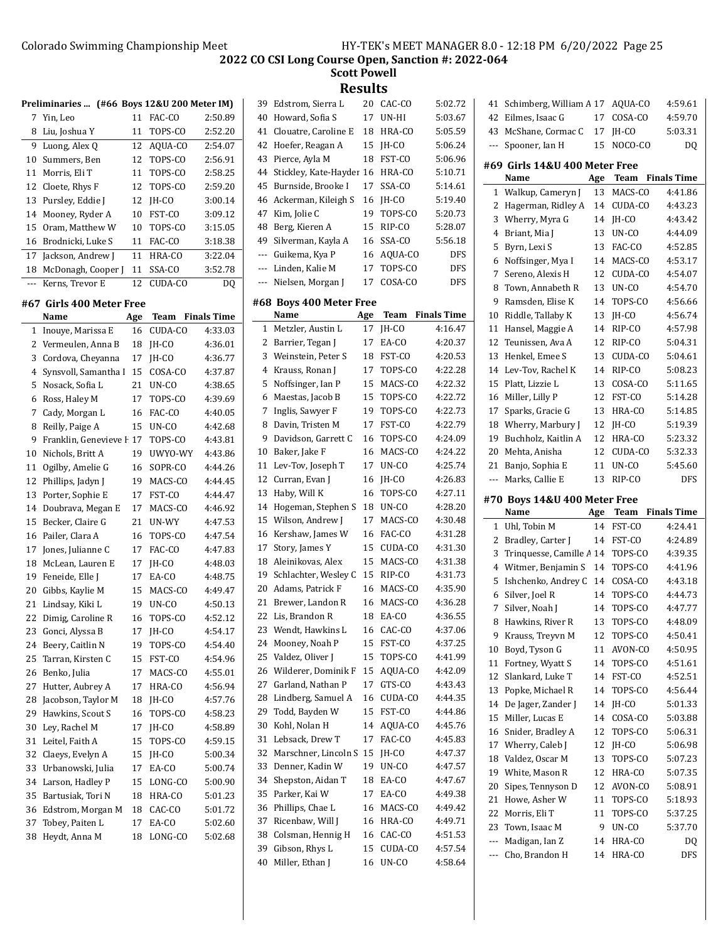**Scott Powell Results**

|    | Preliminaries  (#66 Boys 12&U 200 Meter IM) |    |            |         |
|----|---------------------------------------------|----|------------|---------|
|    | 7 Yin, Leo                                  | 11 | FAC-CO     | 2:50.89 |
| 8  | Liu, Joshua Y                               | 11 | TOPS-CO    | 2:52.20 |
| 9  | Luong, Alex Q                               |    | 12 AQUA-CO | 2:54.07 |
| 10 | Summers, Ben                                | 12 | TOPS-CO    | 2:56.91 |
| 11 | Morris, Eli T                               | 11 | TOPS-CO    | 2:58.25 |
|    | 12 Cloete, Rhys F                           |    | 12 TOPS-CO | 2:59.20 |
| 13 | Pursley, Eddie J                            | 12 | IH-CO      | 3:00.14 |
| 14 | Mooney, Ryder A                             | 10 | FST-CO     | 3:09.12 |
|    | 15 Oram, Matthew W                          | 10 | TOPS-CO    | 3:15.05 |
|    | 16 Brodnicki, Luke S                        | 11 | FAC-CO     | 3:18.38 |
| 17 | Jackson, Andrew J                           | 11 | HRA-CO     | 3:22.04 |
| 18 | McDonagh, Cooper J                          | 11 | SSA-CO     | 3:52.78 |
|    | Kerns, Trevor E                             | 12 | CUDA-CO    | DO      |

#### **#67 Girls 400 Meter Free**

|              | Name                  | Age | Team    | <b>Finals Time</b> |
|--------------|-----------------------|-----|---------|--------------------|
| $\mathbf{1}$ | Inouye, Marissa E     | 16  | CUDA-CO | 4:33.03            |
| 2            | Vermeulen, Anna B     | 18  | IH-CO   | 4:36.01            |
| 3            | Cordova, Cheyanna     | 17  | IH-CO   | 4:36.77            |
| 4            | Synsvoll, Samantha I  | 15  | COSA-CO | 4:37.87            |
| 5            | Nosack, Sofia L       | 21  | UN-CO   | 4:38.65            |
| 6            | Ross, Haley M         | 17  | TOPS-CO | 4:39.69            |
| 7            | Cady, Morgan L        | 16  | FAC-CO  | 4:40.05            |
| 8            | Reilly, Paige A       | 15  | UN-CO   | 4:42.68            |
| 9            | Franklin, Genevieve I | 17  | TOPS-CO | 4:43.81            |
| 10           | Nichols, Britt A      | 19  | UWYO-WY | 4:43.86            |
| 11           | Ogilby, Amelie G      | 16  | SOPR-CO | 4:44.26            |
| 12           | Phillips, Jadyn J     | 19  | MACS-CO | 4:44.45            |
| 13           | Porter, Sophie E      | 17  | FST-CO  | 4:44.47            |
| 14           | Doubrava, Megan E     | 17  | MACS-CO | 4:46.92            |
| 15           | Becker, Claire G      | 21  | UN-WY   | 4:47.53            |
| 16           | Pailer, Clara A       | 16  | TOPS-CO | 4:47.54            |
| 17           | Jones, Julianne C     | 17  | FAC-CO  | 4:47.83            |
| 18           | McLean, Lauren E      | 17  | IH-CO   | 4:48.03            |
| 19           | Feneide, Elle J       | 17  | EA-CO   | 4:48.75            |
| 20           | Gibbs, Kaylie M       | 15  | MACS-CO | 4:49.47            |
| 21           | Lindsay, Kiki L       | 19  | UN-CO   | 4:50.13            |
| 22           | Dimig, Caroline R     | 16  | TOPS-CO | 4:52.12            |
| 23           | Gonci, Alyssa B       | 17  | IH-CO   | 4:54.17            |
| 24           | Beery, Caitlin N      | 19  | TOPS-CO | 4:54.40            |
| 25           | Tarran, Kirsten C     | 15  | FST-CO  | 4:54.96            |
| 26           | Benko, Julia          | 17  | MACS-CO | 4:55.01            |
| 27           | Hutter, Aubrey A      | 17  | HRA-CO  | 4:56.94            |
| 28           | Jacobson, Taylor M    | 18  | $IH-CO$ | 4:57.76            |
| 29           | Hawkins, Scout S      | 16  | TOPS-CO | 4:58.23            |
| 30           | Ley, Rachel M         | 17  | JH-CO   | 4:58.89            |
| 31           | Leitel, Faith A       | 15  | TOPS-CO | 4:59.15            |
| 32           | Claeys, Evelyn A      | 15  | IH-CO   | 5:00.34            |
| 33           | Urbanowski, Julia     | 17  | EA-CO   | 5:00.74            |
| 34           | Larson, Hadley P      | 15  | LONG-CO | 5:00.90            |
| 35           | Bartusiak, Tori N     | 18  | HRA-CO  | 5:01.23            |
| 36           | Edstrom, Morgan M     | 18  | CAC-CO  | 5:01.72            |
| 37           | Tobey, Paiten L       | 17  | EA-CO   | 5:02.60            |
| 38           | Heydt, Anna M         | 18  | LONG-CO | 5:02.68            |

|     |                         | u   |         |                    |
|-----|-------------------------|-----|---------|--------------------|
| 39  | Edstrom, Sierra L       | 20  | CAC-CO  | 5:02.72            |
| 40  | Howard, Sofia S         | 17  | UN-HI   | 5:03.67            |
| 41  | Clouatre, Caroline E    | 18  | HRA-CO  | 5:05.59            |
| 42  | Hoefer, Reagan A        | 15  | JH-CO   | 5:06.24            |
| 43  | Pierce, Ayla M          | 18  | FST-CO  | 5:06.96            |
| 44  | Stickley, Kate-Hayder   | 16  | HRA-CO  | 5:10.71            |
| 45  | Burnside, Brooke I      | 17  | SSA-CO  | 5:14.61            |
| 46  | Ackerman, Kileigh S     | 16  | JH-CO   | 5:19.40            |
| 47  | Kim, Jolie C            | 19  | TOPS-CO | 5:20.73            |
| 48  | Berg, Kieren A          | 15  | RIP-CO  | 5:28.07            |
| 49  | Silverman, Kayla A      | 16  | SSA-CO  | 5:56.18            |
| --- | Guikema, Kya P          | 16  | AQUA-CO | <b>DFS</b>         |
| --- | Linden, Kalie M         | 17  | TOPS-CO | <b>DFS</b>         |
| --- | Nielsen, Morgan J       | 17  | COSA-CO | <b>DFS</b>         |
|     |                         |     |         |                    |
|     | #68 Boys 400 Meter Free |     |         |                    |
|     | Name                    | Age | Team    | <b>Finals Time</b> |
| 1   | Metzler, Austin L       | 17  | IH-CO   | 4:16.47            |
| 2   | Barrier, Tegan J        | 17  | EA-CO   | 4:20.37            |
| 3   | Weinstein, Peter S      | 18  | FST-CO  | 4:20.53            |
| 4   | Krauss, Ronan J         | 17  | TOPS-CO | 4:22.28            |
| 5   | Noffsinger, Ian P       | 15  | MACS-CO | 4:22.32            |
| 6   | Maestas, Jacob B        | 15  | TOPS-CO | 4:22.72            |
| 7   | Inglis, Sawyer F        | 19  | TOPS-CO | 4:22.73            |
| 8   | Davin, Tristen M        | 17  | FST-CO  | 4:22.79            |
| 9   | Davidson, Garrett C     | 16  | TOPS-CO | 4:24.09            |
| 10  | Baker, Jake F           | 16  | MACS-CO | 4:24.22            |
| 11  | Lev-Tov, Joseph T       | 17  | UN-CO   | 4:25.74            |
| 12  | Curran, Evan J          | 16  | JH-CO   | 4:26.83            |
| 13  | Haby, Will K            | 16  | TOPS-CO | 4:27.11            |
| 14  | Hogeman, Stephen S      | 18  | UN-CO   | 4:28.20            |
| 15  | Wilson, Andrew J        | 17  | MACS-CO | 4:30.48            |
| 16  | Kershaw, James W        | 16  | FAC-CO  | 4:31.28            |
| 17  | Story, James Y          | 15  | CUDA-CO | 4:31.30            |
| 18  | Aleinikovas, Alex       | 15  | MACS-CO | 4:31.38            |
| 19  | Schlachter, Wesley C    | 15  | RIP-CO  | 4:31.73            |
| 20  | Adams, Patrick F        | 16  | MACS-CO | 4:35.90            |
| 21  | Brewer, Landon R        | 16  | MACS-CO | 4:36.28            |
| 22  | Lis, Brandon R          | 18  | EA-CO   | 4:36.55            |
| 23  | Wendt, Hawkins L        | 16  | CAC-CO  | 4:37.06            |
| 24  | Mooney, Noah P          | 15  | FST-CO  | 4:37.25            |
| 25  | Valdez, Oliver J        | 15  | TOPS-CO | 4:41.99            |
| 26  | Wilderer, Dominik F     | 15  | AQUA-CO | 4:42.09            |
| 27  | Garland, Nathan P       | 17  | GTS-CO  | 4:43.43            |
| 28  | Lindberg, Samuel A      | 16  | CUDA-CO | 4:44.35            |
| 29  | Todd, Bayden W          | 15  | FST-CO  | 4:44.86            |
| 30  | Kohl, Nolan H           | 14  | AQUA-CO | 4:45.76            |
| 31  | Lebsack, Drew T         | 17  | FAC-CO  | 4:45.83            |
| 32  | Marschner, Lincoln S    | 15  | JH-CO   | 4:47.37            |
| 33  | Denner, Kadin W         | 19  | UN-CO   | 4:47.57            |
| 34  | Shepston, Aidan T       | 18  | EA-CO   | 4:47.67            |
| 35  | Parker, Kai W           | 17  | EA-CO   | 4:49.38            |
| 36  | Phillips, Chae L        | 16  | MACS-CO | 4:49.42            |
| 37  | Ricenbaw, Will J        | 16  | HRA-CO  | 4:49.71            |
| 38  | Colsman, Hennig H       | 16  | CAC-CO  | 4:51.53            |
| 39  | Gibson, Rhys L          | 15  | CUDA-CO | 4:57.54            |
| 40  | Miller, Ethan J         | 16  | UN-CO   | 4:58.64            |

| 41                                                                         | Schimberg, William A 17      |          | AOUA-CO        | 4:59.61            |  |  |
|----------------------------------------------------------------------------|------------------------------|----------|----------------|--------------------|--|--|
| 42                                                                         | Eilmes, Isaac G              | 17       | COSA-CO        | 4:59.70            |  |  |
| 43                                                                         | McShane, Cormac C            | 17       | JH-CO          | 5:03.31            |  |  |
| ---                                                                        | Spooner, Ian H               | 15       | NOCO-CO        | DQ                 |  |  |
|                                                                            |                              |          |                |                    |  |  |
| #69 Girls 14&U 400 Meter Free<br>Name<br>Age<br>Team<br><b>Finals Time</b> |                              |          |                |                    |  |  |
|                                                                            |                              |          |                |                    |  |  |
| 1                                                                          | Walkup, Cameryn J            | 13       | MACS-CO        | 4:41.86            |  |  |
| 2<br>3                                                                     | Hagerman, Ridley A           | 14       | CUDA-CO        | 4:43.23<br>4:43.42 |  |  |
|                                                                            | Wherry, Myra G               | 14       | JH-CO<br>UN-CO | 4:44.09            |  |  |
| 4                                                                          | Briant, Mia J                | 13<br>13 |                |                    |  |  |
| 5                                                                          | Byrn, Lexi S                 |          | FAC-CO         | 4:52.85            |  |  |
| 6                                                                          | Noffsinger, Mya I            | 14       | MACS-CO        | 4:53.17            |  |  |
| 7                                                                          | Sereno, Alexis H             | 12       | CUDA-CO        | 4:54.07            |  |  |
| 8                                                                          | Town, Annabeth R             | 13       | UN-CO          | 4:54.70            |  |  |
| 9                                                                          | Ramsden, Elise K             | 14       | TOPS-CO        | 4:56.66            |  |  |
| 10                                                                         | Riddle, Tallaby K            | 13       | JH-CO          | 4:56.74            |  |  |
| 11                                                                         | Hansel, Maggie A             | 14       | RIP-CO         | 4:57.98            |  |  |
| 12                                                                         | Teunissen, Ava A             | 12       | RIP-CO         | 5:04.31            |  |  |
| 13                                                                         | Henkel, Emee S               | 13       | CUDA-CO        | 5:04.61            |  |  |
| 14                                                                         | Lev-Tov, Rachel K            | 14       | RIP-CO         | 5:08.23            |  |  |
| 15                                                                         | Platt, Lizzie L              | 13       | COSA-CO        | 5:11.65            |  |  |
| 16                                                                         | Miller, Lilly P              | 12       | FST-CO         | 5:14.28            |  |  |
| 17                                                                         | Sparks, Gracie G             | 13       | HRA-CO         | 5:14.85            |  |  |
| 18                                                                         | Wherry, Marbury J            | 12       | JH-CO          | 5:19.39            |  |  |
| 19                                                                         | Buchholz, Kaitlin A          | 12       | HRA-CO         | 5:23.32            |  |  |
| 20                                                                         | Mehta, Anisha                | 12       | CUDA-CO        | 5:32.33            |  |  |
| 21                                                                         | Banjo, Sophia E              | 11       | UN-CO          | 5:45.60            |  |  |
|                                                                            |                              |          |                |                    |  |  |
| ---                                                                        | Marks, Callie E              | 13       | RIP-CO         | DFS                |  |  |
|                                                                            | #70 Boys 14&U 400 Meter Free |          |                |                    |  |  |
|                                                                            | Name                         | Age      | Team           | <b>Finals Time</b> |  |  |
| $\mathbf{1}$                                                               | Uhl, Tobin M                 | 14       | FST-CO         | 4:24.41            |  |  |
| 2                                                                          | Bradley, Carter J            | 14       | FST-CO         | 4:24.89            |  |  |
| 3                                                                          | Trinquesse, Camille A 14     |          | TOPS-CO        | 4:39.35            |  |  |
| 4                                                                          | Witmer, Benjamin S           | 14       | TOPS-CO        | 4:41.96            |  |  |
| 5                                                                          | Ishchenko, Andrey C          | 14       | COSA-CO        | 4:43.18            |  |  |
| 6                                                                          | Silver, Joel R               | 14       | TOPS-CO        | 4:44.73            |  |  |
| 7                                                                          | Silver, Noah J               | 14       | TOPS-CO        | 4:47.77            |  |  |
| 8                                                                          | Hawkins, River R             | 13       | TOPS-CO        | 4:48.09            |  |  |
| 9                                                                          | Krauss, Treyvn M             | 12       | TOPS-CO        | 4:50.41            |  |  |
| 10                                                                         | Boyd, Tyson G                | 11       | AVON-CO        | 4:50.95            |  |  |
| 11                                                                         | Fortney, Wyatt S             | 14       | TOPS-CO        | 4:51.61            |  |  |
| 12                                                                         | Slankard, Luke T             | 14       | FST-CO         | 4:52.51            |  |  |
| 13                                                                         | Popke, Michael R             | 14       | TOPS-CO        | 4:56.44            |  |  |
| 14                                                                         | De Jager, Zander J           | 14       | JH-CO          | 5:01.33            |  |  |
| 15                                                                         | Miller, Lucas E              | 14       | COSA-CO        | 5:03.88            |  |  |
| 16                                                                         | Snider, Bradley A            | 12       | TOPS-CO        | 5:06.31            |  |  |
| 17                                                                         | Wherry, Caleb J              | 12       | JH-CO          | 5:06.98            |  |  |
| 18                                                                         | Valdez, Oscar M              | 13       | TOPS-CO        | 5:07.23            |  |  |
| 19                                                                         | White, Mason R               | 12       | HRA-CO         | 5:07.35            |  |  |
| 20                                                                         | Sipes, Tennyson D            | 12       | AVON-CO        | 5:08.91            |  |  |
| 21                                                                         | Howe, Asher W                | 11       | TOPS-CO        | 5:18.93            |  |  |
| 22                                                                         | Morris, Eli T                | 11       | TOPS-CO        | 5:37.25            |  |  |
| 23                                                                         | Town, Isaac M                | 9        | UN-CO          | 5:37.70            |  |  |
| ---                                                                        | Madigan, Ian Z               | 14       | HRA-CO         | DQ                 |  |  |
| ---                                                                        | Cho, Brandon H               | 14       | HRA-CO         | DFS                |  |  |